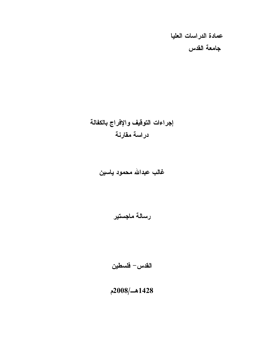عمادة الدراسات العليا جامعة القدس

# إجراءات التوقيف والإفراج بالكفالة دراسة مقارنة

# غالب عبدالله محمود ياسين

رسالة ماجستير

القدس – فلسطين

1428هـ/2008م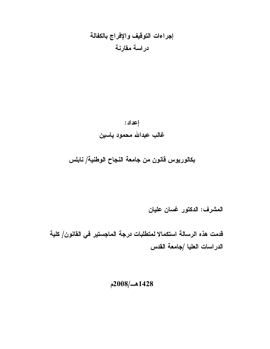# إجراءات التوقيف والإفراج بالكفالة دراسة مقارنة

إعداد : غالب عبدالله محمود ياسين

بكالوريوس قانون من جامعة النجاح الوطنية/ نابلس

المشرف: الدكتور غسان عليان

قدمت هذه الرسالة استكمالا لمتطلبات درجة الماجستير في القانون/ كلية الدراسات العليا /جامعة القدس

 $2008/\sim1428$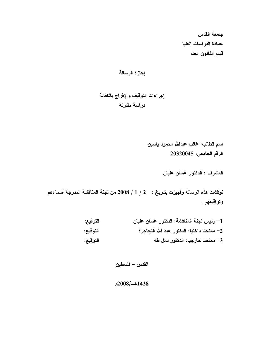جامعة القدس عمادة الدراسات العليا قسم القانون العام

إجراءات التوقيف والإفراج بالكفالة دراسة مقارنة

> اسم الطالب: غالب عبدالله محمود ياسين الرقم الجامعي: 20320045

> > المشرف : الدكتور غسان عليان

نوفشت هذه الرسالة وأجيزت بتاريخ : 2 / 1 / 2008 من لجنة المناقشة المدرجة أسماءهم وتواقيعهم .

| التوقيع: | 1– رئيس لجنة المناقشة: الدكتور غسان عليان   |
|----------|---------------------------------------------|
| التوقيع: | 2– ممتحنا داخليا: الدكتور عبد الله النجاجرة |
| التوقيع: | 3– ممتحنا خارجيا: الدكتور نائل طه           |

القدس – فلسطين

## 1428هــ/2008م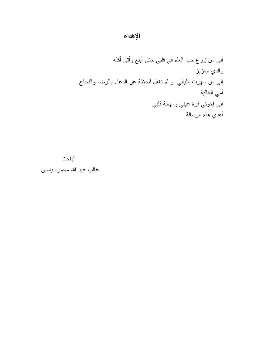# الإهداء

الباحث

غالب عبد الله محمود باسين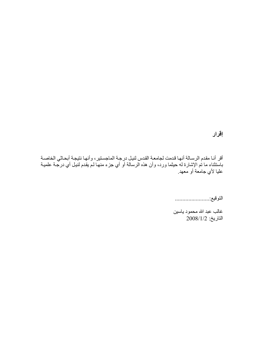# إقرار

أقر أنـا مقدم الرسـالة أنـهـا قدمت لجامعـة القدس لنيـل درجـة الماجستير ، وأنـهـا نتيجـة أبحـاثـي الخاصـة<br>باستثناء ما تم الإشارة لـه حيثما ورد، وأن هذه الرسالة أو أي جزء منـهـا لـم يقدم لنيـل أي درجـة علميـة .<br>عليا لأي جامعة أو معهد<sub>.</sub>

غالب عبد الله محمود باسبين  $2008/1/2$  التاريخ: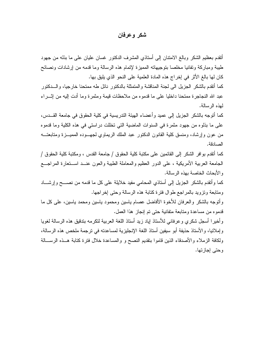## شکر و عرفان

أنقدم بعظيم الشكر وبالـغ الامتنان إلى أستاذي المشرف الدكتور غسان عليان عليى ما بذله من جهود طيبة ومباركة وتفانيا مخلصا بتوجيهاته المميزة لإتمام هذه الرسالة وما قدمه من إرشادات ونصائح كان لها بالغ الأثر في إخراج هذه المادة العلمية على النحو الذي يليق بها.

كما أنقدم بالشكر الجزيل الى لجنة المناقشة والمتمثلة بالدكتور نائل طه ممتحنا خارجيا، والـــدكتور عبد الله النجاجرة ممتحنا داخليا على ما قدموه من ملاحظات قيمة ومثمرة وما أدت إليه من إثـــراء لمهذه الرسالة.

كما أنوجه بالشكر الجزيل إلى عميد وأعضاء الهيئة الندريسية في كلية الحقوق في جامعة القـــدس، على ما بذلوه من جهود مثمرة في السنوات الماضية التي تخللت دراستي في هذه الكلية وما قدموه من عون وإرشاد، ومنسق كلية القانون الدكتور عبد الملك الريماوي لجهـــوده المميــــزة ومتابعتــــه الصادقة.

كما أتقدم بو افر الشكر إلى القائمين على مكتبة كلية الحقوق / جامعة القدس ، ومكتبة كلية الحقوق / الجامعة العربية الأمريكية ، على الدور العظيم والمعاملة الطيبة والعون عنــد اســنعارة المراجـــع و الأبحاث الخاصة بهذه الرسالة.

كما وأنقدم بالشكر الجزيل إلى أستاذي المحامى مفيد خلايلة على كل ما قدمه من نصــــح وٳرشــــاد ومتابعة ونزويد بالمراجع طوال فترة كتابة هذه الرسالة وحتى إخراجها.

وأنوجه بالشكر والعرفان للأخوة الأفاضل عصام باسين ومحمود باسين ومحمد باسين، على كل ما قدموه من مساعدة ومتابعة متفانية حتى تم إنجاز هذا العمل.

وأخيرا أسجل شكرى وعرفاني للأستاذ إياد زيد أستاذ اللغة العربية لتكرمه بتدقيق هذه الرسالة لغويا وإملائيا، والأستاذ حذيفة أبو سيفين أستاذ اللغة الإنجليزية لمساعدته في نرجمة ملخص هذه الرسالة، ولكافة الزملاء والأصدقاء الذين قاموا بتقديم النصح و والمساعدة خلال فترة كتابة هــذه الرســـالـة وحتى إجازتها.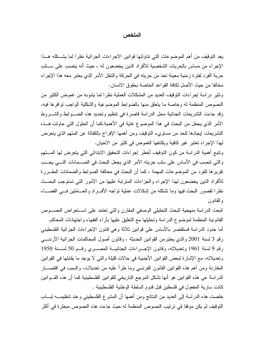#### الملخص

يعد التوقيف من أهم الموضوعات التي تتاولتها قوانين الاجراءات الجزائية نظرا لما يشـــكله هـــذا الإجراء من مساس بالحريات الشخصية للأفراد الذين يخضعون له ، حيث أنه ينصب على ســـلب حرية الفرد لفترة زمنية معينة تحد من حريته في الحركة والتتقل الأمر الذي يعتبر معه هذا الإجراء مخالفا من حيث الأصل لكافة القواعد الخاصة بحقوق الانسان.

وتثير در اسة إجر اءات التوقيف العديد من المشكلات العملية نظر ا لما يشوبه من غموض الكثير ًمن النصوص المنظمة له وخاصة ما يتعلق منها بالضوابط الموضوعية والشكلية الواجب نوافرها فيه، وقد جاءت التشريعات الجنائية محل الدراسة قاصرة في نتظيم وتحديد هذه الضـوابط والشـــروط الأمر الذي يجعل من البحث في هذا الموضوع غاية في الأهمية.كما أن الحلول التي حاولت هــذه التشريعات إيجادها للحد من مساوىء النوقيف ومن أهمها الإفراج بالكفالة عن المتهم الذي ينعرض لمهذا الإجراء تعتبر غير كافية ويكتنفها الغموض في كثير من الاحيان.

ونتبع أهمية الدراسة من كون التوقيف أخطر إجراءات التحقيق الابتدائي التي يتعرض لها المستهم والتي نتصب في الأساس على سلب حريته الأمر الذي يجعل البحث في الضـــمانات التـــي يجـــب نقريرها للفرد من الموضوعات المهمة ، كما أن البحث في مخالفة الضوابط والضمانات المقـــررة للأفراد الذين يخضعون لهذا الإجراء والجزاءات المنزنبة عليها من الأمور التـي نستوجب البحــث نظرًا لقصور البحث فيها وما نشكله من إشكالات عملية نواجه الأفــــراد والعــــاملين فــــى القضــــاء و القانون

انبعت الدراسة منهجية البحث التحليلي الوصفى المقارن والني نعتمد على استعراض النصـوص القانونية المنظمة لموضوع الدراسة وتحليلها مع النعليق عليها بأراء الفقهاء واجتهادات المحاكم. أما حدود الدراسة فستقتصر بالأساس على قوانين ثلاثة وهي قانون الإجراءات الجزائية الفلسطيني رقع 3 لسنة 2001 والذي يعتبرمن القوانين الحديثة ، وقانون أصول المحاكمات الجزائية الأردنــــي رقم 9 لسنة 1961 وتعديلاته، وقانون الإجـــراءات الجنائيـــة المصـــــري رقــــم 50 لســـنة 1950 وتعديلاته، مع الإشارة لبعض القوانين الأجنبية في حالات قليلة والتي لا يوجد ما يقابلها في القوانين المقارنة ومن أهم هذه القوانين القانون الفرنسي وما طرأ عليه من تعديلات، والسبب في اقتصــــار الدراسة عي هذه القوانين هو أنها نشكل المرجع الناريخي للقوانين الفلسطينية كما أن هذه القـــوانين كانت سارية المفعول في فلسطين قبل قدوم السلطة الوطنية الفلسطينية .

خلصت هذه الدراسة إلى العديد من النتائج ومن أهمها أن المشرع القلسطيني وعند نتظيمــــه لبــــاب النَّوقيف لم يكن موفقا في تر تيب النصوص المنظمة له حيث جاءت هذه النصوص مبعثر ة في أكثر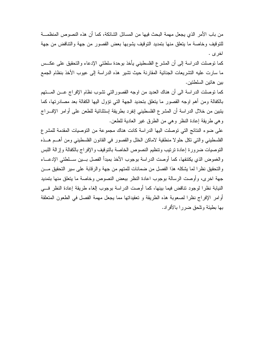من باب الأمر الذي يجعل مهمة البحث فيها من المسائل الشائكة، كما أن هذه النصوص المنظمـــة للنوفيف وخاصة ما يتعلق منها بتمديد النوقيف يشوبها بعض القصور من جهة والتناقض من جهة اخر ی .

كما نوصلت الدراسة إلى أن المشرع الفلسطيني يأخذ بوحدة سلطتي الإدعاء والنحقيق على عكــس ما سارت عليه النشريعات الجنائية المقارنة حيث تشير هذه الدراسة إلى عيوب الأخذ بنظام الجمع بين هاتين السلطنين.

كما توصلت الدراسة الى أن هناك العديد من اوجه القصور التي تشوب نظام الإفراج عـــن المـــتهم بالكفالة ومن أهم اوجه القصور ما يتعلق بتحديد الجهة التي تؤول اليها الكفالة بعد مصادرتها، كما يتبين من خلال الدراسة أن المشرع الفلسطيني إنفرد بطريقة إستثنائية للطعن على أوامر الإف راج وهي طريقة إعادة النظر وهي من الطرق غير العادية للطعن.

على ضوء النتائج التي توصلت اليها الدراسة كانت هناك مجموعة من التوصيات المقدمة للمشرع الفلسطيني والتي نكل حلولا منطقية لاماكن الخلل والقصور في القانون الفلسطيني ومن أهــم هــذه النوصيات ضرورة إعادة نرنيب ونتظيم النصوص الخاصة بالنوفيف والإفراج بالكفالة وإزالة اللبس والغموض الذي يكتنفها، كما أوصت الدراسة بوجوب الأخذ بمبدأ الفصل بسين ســـلطتي الإدعـــاء والتحقيق نظرًا لما يشكله هذا الفصل من ضمانات للمتهم من جهة والرقابة على سير التحقيق مـــن جهة اخرى، وأوصت الرسالة بوجوب اعادة النظر ببعض النصوص وخاصة ما يتعلق منها بتمديد النيابة نظرًا لوجود نتاقض فيما بينها، كما أوصت الدراسة بوجوب إلغاء طريقة إعادة النظر فـــي أوامر الإفراج نظرًا لصعوبة هذه الطريقة و تعقيداتها مما يجعل مهمة الفصل في الطعون المتعلقة بـها بطبئة وتلحق ضرر ا بـالأفر اد.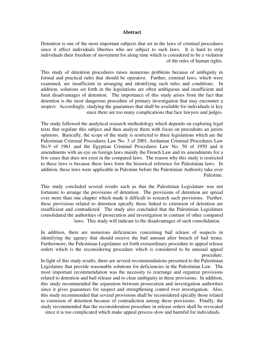#### **Abstract**

Detention is one of the most important subjects that set in the laws of criminal procedures since it affect individuals liberties who are subject to such laws. It is hard to strip individuals their freedom of movement for along time which is considered to be a violation of the rules of human rights.

This study of detention procedures raises numerous problems because of ambiguity in formal and practical rules that should be operative. Further, criminal laws, which were examined, are insufficient in arranging and identifying such rules and conditions. In addition, solutions set forth in the legislations are often ambiguous and insufficient and limit disadvantages of detention. The importance of this study arises from the fact that detention is the most dangerous procedure of primary investigation that may encounter a suspect. Accordingly, studying the guarantees that shall be available for individuals is key since there are too many complications that face lawyers and judges.

The study followed the analytical research methodology which depends on exploring legal texts that regulate this subject and then analyze them with focus on precedents an jurists opinions. Basically, the scope of the study is restricted to three legislations which are the Palestinian Criminal Procedures Law No. 3 of 2001, Jordanian Criminal Procedures Law No.9 of 1961 and the Egyptian Criminal Procedures Law No. 50 of 1950 and it amendments with an eye on foreign laws mainly the French Law and its amendments for a few cases that does not exist in the compared laws. The reason why this study is restricted to these laws is because these laws form the historical reference for Palestinian laws. In addition, these laws were applicable in Palestine before the Palestinian Authority take over Palestine.

This study concluded several results such as that the Palestinian Legislature was not fortunate to arrange the provisions of detention. The provisions of detention are spread over more than one chapter which made it difficult to research such provisions. Further, these provisions related to detention epically those linked to extension of detention are insufficient and contradicted. The study also concluded that the Palestinian Legislature consolidated the authorities of prosecution and investigation in contrast of other compared laws. This study will indicate to the disadvantages of such consolidation.

In addition, there are numerous deficiencies concerning bail release of suspects in identifying the agency that should receive the bail amount after breach of bail terms. Furthermore, the Palestinian Legislature set forth extraordinary procedure to appeal release orders which is the reconsidering procedure which is considered to be unusual appeal procedure.

In light of this study results, there are several recommendations presented to the Palestinian Legislature that provide reasonable solutions for deficiencies in the Palestinian Law. The most important recommendation was the necessity to rearrange and organize provisions related to detention and bail release and to clear ambiguity in these provisions. In addition, this study recommended the separation between prosecution and investigation authorities since it gives guarantees for suspect and strengthening control over investigation. Also, this study recommended that several provisions shall be reconsidered epically those related to extension of detention because of contradiction among these provisions. Finally, the study recommended that the reconsideration procedure in release orders shall be revocated since it is too complicated which make appeal process slow and harmful for individuals.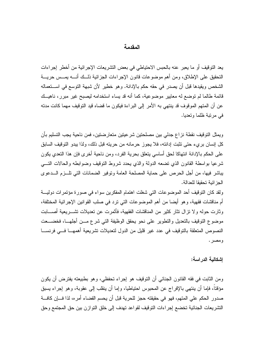#### المقدمة

يعد التوقيف أو ما يعبر عنه بالحبس الاحتياطي في بعض التشريعات الإجرائية من أخطر إجراءات التحقيق على الإطلاق، ومن أهم موضوعات قانون الإجراءات الجزائية ذلــك أنــــه بمـــس حريــــة الشَّخص ويقيدها قبل أن يصدر في حقه حكم بالإدانة. وهو خطير لأن شبهة النَّوسع في اســـنعماله قائمة طالما لم توضع له معابير ٍ موضوعية، كما أنه قد بساء استخدامه ليصبح غير مبر ر ، ناهيــك عن أن المتهم الموقوف قد بنتهي به الأمر إلى البر اءة فيكون ما قضاه قيد التوقيف مهما كانت مدته في مرتبة ظلما وتعديا.

ويمثل التوقيف نقطة نزاع جدلي بين مصلحتين شرعيتين متعارضتين، فمن ناحية يجب التسليم بأن كل إنسان بريء حتى تثبت إدانته، فلا يجوز حرمانه من حريته قبل ذلك، ولذا يبدو التوقيف السابق على الحكم بالإدانة انتهاكا لحق أساسي يتعلق بحرية الفرد، ومن ناحية أخرى فإن هذا التعدي يكون شرعيا بواسطة القانون الذي تضعه الدولة والذي يحدد شروط التوقيف وضوابطه والحالات التسى يباشر فيها، من أجل الحرص على حماية المصلحة العامة وتوفير الضمانات التي تلــزم الـــدعوى الجز ائبة تحقيقا للعدالة.

ولقد كان النوقيف أحد الموضوعات التي شغلت اهتمام المفكرين سواء في صورة مؤتمرات دوليـــة أم مناقشات فقهية، و هو أيضـا من أهم الموضـوعات التي نزد في صلب القوانين الإجرائية المختلفة، وثارت حوله ولا نزال نثار كثير من المناقشات الفقهية، فأثمرت عن تعديلات نشــــريعية أصــــابت موضوع النوقيف بالتعديل والتطوير على نحو يحقق الوظيفة التي شرع مـــن أجلهـــا، فخضــــعت النصوص المتعلقة بالتوقيف في عدد غير قليل من الدول لتعديلات تشريعية أهمهـــا فـــي فرنســـا ومصر .

#### إشكالية الدر إسة:

ومن الثابت في فقه القانون الجنائي أن التوقيف هو إجراء تحفظي، وهو بطبيعته يفترض أن يكون مؤقتًا، فإما أن ينتهي باﻹفراج عن المحبوس احتياطيا، وإما أن ينقلب إلى عقوبة، وهو إجراء يسبق صدور الحكم على المتهم، فهو في حقيقته حجز للحرية قبل أن يحسم القضاء أمرء، لذا فـــان كافـــة التشريعات الجنائية تخضع إجراءات النوقيف لقواعد تهدف إلى خلق النوازن بين حق المجتمع وحق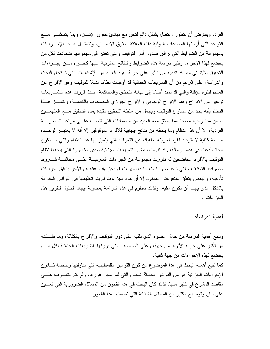الفرد، ويفترض أن تتطور ونتعدل بشكل دائم لنتفق مع مبادئ حقوق الإنسان، وبما بتماشـــي مـــع القواعد التي أرستها المعاهدات الدولية ذات العلاقة بحقوق الإنســـان، ونتمثـــل هـــذه الإجــــراءات بمجموعة من الضوابط التي نرافق صدور أمر النوقيف والتي تعتبر في مجموعها ضمانات لكل من يخضع لمهذا الإجراء، ونثير دراسة هذه الضوابط والنتائج المترنبة عليها كجـــزء مـــن إجـــراءات التحقيق الابتدائي وما قد تؤديه من تأثير على حرية الفرد العديد من الإشكاليات التي تستحق البحث والدراسة، على الرغم من أن التشريعات الجنائية قد أوجدت نظاما بديلا للتوقيف وهو الإفراج عن المتهم لفترة مؤقتة والتبي قد تمتد أحيانا إلى نهاية التحقيق والمحاكمة، حيث قررت هذه التشـــريعات نوعين من الإفراج وهما الإفراج الوجوبي والإفراج الجوازي المصحوب بالكفالــة، ويتميــز هــذا النظام بأنه يحد من مساوئ التوقيف ويجعل من سلطة التحقيق مقيدة بمدة التحقيق مسع المتهمسين ضمن مدة زمنية محددة مما يحقق معه العديد من الضمانات التي نتصب علـــي مراعـــاة الحريـــة الفردية، إلا أن هذا النظام وما يحققه من نتائج إيجابية للأفراد الموقوفين إلا أنه لا يعتبـــر لوحـــده ضمانة كافية لاسترداد الفرد لحريته، ناهيك عن الثغرات التي يتميز بها هذا النظام والتي ســتكون محلا للبحث في هذه الرسالة، وقد نتبهت بعض التشريعات الجنائية لمدى الخطورة التي يلحقها نظام النوقيف بالأفراد الخاضعين له فقررت مجموعة من الجزاءات المنزنبـــة علـــي مخالفـــة شــــروط وضوابط التوقيف والتي تأخذ صورا متعددة بعضها بتعلق بجزاءات عقابية والآخر بتعلق بجزاءات تأديبية، والبعض يتعلق بالتعويض المدنى، إلا أن هذه الجزاءات لم يتم تنظيمها في القوانين المقارنة بالشكل الذي يجب أن نكون عليه، ولذلك سنقوم في هذه الدراسة بمحاولة لِيجاد الحلول لنقرير هذه الجز اءات .

أهمية الدراسة:

ونتبع أهمية الدراسة من خلال الضوء الذي نلقيه على دور التوفيف والإفراج بالكفالة، وما نشكله من تأثير على حرية الأفراد من جهة، وعلى الضمانات التي قررتها التشريعات الجنائية لكل مـــن يخضع لهذه الإجر اءات من جهة ثانية.

كما نتبع أهمية البحث في هذا الموضوع من كون القوانين الفلسطينية التي تناولتها وخاصة قـــانون الإجراءات الجزائية هو من القوانين الحديثة نسبيا والتبي لما يسبر غورها، ولم يتم التعـــرف علــــي مقاصد المشرع في كثير منها، لذلك كان البحث في هذا القانون من المسائل الضرورية التي تعـــين على بيان وتوضيح الكثير من المسائل الشائكة التي تضمنها هذا القانون.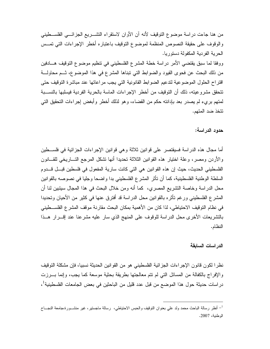من هنا جاءت دراسة موضوع النوقيف لأنه أن الأوان لاستقراء التشـــريع الجزائـــي الفلســطينـي والوقوف على حقيقة النصوص المنظمة لموضوع التوقيف باعتباره أخطر الإجراءات التي تمــس الحر ية الفر دية المكفولة دستور يا.

ووفقا لما سبق يقتضي الأمر دراسة خطة المشرع الفلسطيني في تنظيم موضوع التوقيف هـــادفين من ذلك البحث عن فحوى القيود والضوابط التي نبناها المشرع في هذا الموضوع، ثــم محاولـــة اقتراح الحلول الموضوعية لتدعيم الضوابط القانونية التي يجب مراعاتها عند مباشرة التوقيف حتى تتحقق مشرو عيته، ذلك أن التوقيف من أخطر الإجراءات الماسة بالحرية الفردية فيسلبها بالنســبة لمتهم برىء لم يصدر بعد بإدانته حكم من القضاء، و هو لذلك أخطر وأبغض إجراءات التحقيق التي تتخذ ضد المتهم.

حدود الدراسة:

أما مجال هذه الدراسة فسيقتصر على قوانين ثلاثة وهي قوانين الإجراءات الجزائية في فلســـطين والأردن ومصر، وعلة اختيار هذه القوانين الثلاثة تحديدا أنها تشكل المرجع التـــاريخي للقـــانون الفلسطيني الحديث، حيث إن هذه القوانين هي التي كانت سارية المفعول في فلسطين قبـــل قـــدوم السلطة الوطنية الفلسطينية، كما أن تأثَّر المشرع الفلسطيني بدا واضحا وجليا في نصوصه بالقوانين محل الدراسة وخاصة النشريع المصري، كما أنه ومن خلال البحث في هذا المجال سينبين لنا أن المشر ع الفلسطيني ورغم نأثره بالقوانين محل الدراسة قد أفترق عنها في كثير من الأحيان وتحديدا في نظام التوقيف الاحتياطي، لذا كان من الأهمية بمكان البحث مقارنة موقف المشرع الفلســطيني بالنشريعات الأخرى محل الدراسة للوقوف على المنهج الذي سار عليه مشرعنا عند إقــــرار هـــذا النظام.

#### الدر اسات السابقة

نظرا لكون قانون الإجراءات الجزائية الفلسطيني هو من القوانين الحديثة نسبيا، فإن مشكلة التوقيف والإفراج بالكفالة من المسائل التي لم نتم معالجتها بطريقة بحثية موسعة كما يجب، وإنما بـــرزت در اسات حديثة حول هذا الموضـع من قبل عدد قليل من البـاحثين في بعض الجامعات الفلسطينية<sup>1</sup>،

<sup>&</sup>lt;sup>1</sup>– أنظر رسالة الباحث محمد ولد على بعنوان النوفيف والحبس الاحتياطي، رسالة ماجستير، غير منشـــورة،جامعة النجـــاح الوطنية، 2007.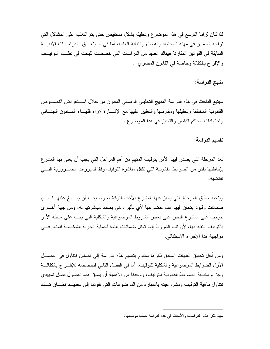لذا كان لزاما النوسع في هذا الموضوع وتحليله بشكل مستفيض حتى يتم التغلب على المشاكل التي تواجه العاملين في مهنة المحاماة والقضاء والنيابة العامة، أما في ما يتعلَّــق بالدراســـات الأدبيـــة السابقة في القوانين المقارنة فهناك العديد من الدراسات التي خصصت للبحث في نظـــام التوقيــف والإفراج بالكفالة وخاصة في القانون المصري<sup>1</sup> .

### منهج الدراسة:

سيتبع الباحث في هذه الدراسة المنهج التحليلي الوصفي المقارن من خلال اســـنعراض النصــــوص القانونية المختلفة وتحليلها ومقارنتها والتعليق عليها مع الإشـــارة لأراء فقهـــاء القـــانون الـجنـــائـي واجتهادات محاكم النقض والتمييز في هذا الموضوع .

#### تقسيم الدراسة:

تعد المرحلة التي يصدر فيها الأمر بتوقيف المتهم من أهم المراحل التي يجب أن يعني بها المشر ع بإحاطتها بقدر من الضوابط القانونية التي نكفل مباشرة التوقيف وفقا للمبررات الضـــرورية التـــي تقتضيه.

ويتحدد نطاق المرحلة التي يجيز فيها المشرع الأخذ بالتوقيف، وما يجب أن يســـبغ عليهــــا مـــن ضمانات وقيود يتحقق فيها عدم خضوعها لأي تأثير وهي بصدد مباشرتها له، ومن جهة أخـــرى يتوجب على المشرع النص على بعض الشروط الموضوعية والشكلية التي يجب على سلطة الأمر بالنوقيف النقيد بها، لأن نلك الشروط إنما نمثل ضمانات هامة لحماية الحرية الشخصية للمتهم فـــي مواجهة هذا الإجراء الاستثنائي.

ومن أجل تحقيق الغايات السابق ذكرها سنقوم بنقسيم هذه الدراسة إلى فصلين ننتاول في الفصـــل الأول الضو ابط الموضوعية والشكلية للتوقيف، أما في الفصل الثاني فنخصصه للإفـــراج بالكفالـــة وجزاء مخالفة الضوابط القانونية للتوقيف، ووجدنا من الأهمية أن يسبق هذه الفصول فصل تمهيدي نتناول ماهية التوقيف ومشروعيته باعتباره من الموضوعات التي تقودنا إلى تحديــد نطـــاق نلــك

سيتم ذكر هذه الدراسات والأبحاث في هذه الدراسة حسب موضعها. <sup>1</sup> -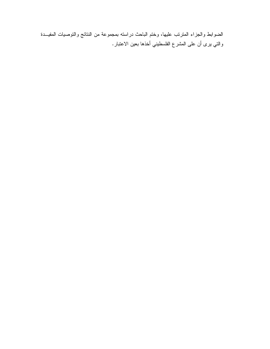الضوابط والجزاء المترتب عليها، وختم الباحث دراسته بمجموعة من النتائج والتوصيات المفيــدة والتي يرى أن على المشرع الفلسطيني أخذها بعين الاعتبار .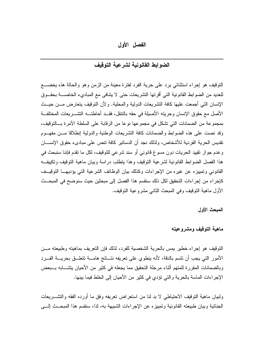الفصل الأول

## الضوابط القانونية لشرعية التوقيف

النَّوقيف هو إجراء استثنائي يرد على حرية الفرد لفترة معينة من الزمن وهو والحالة هذه يخضــــع للعديد من الضوابط القانونية التي أقرتها التشريعات حتى لا يتنافى مع المبادىء الخاصــــة بحقـــوق الإنسان التي أجمعت عليها كافة النشريعات الدولية والمحلية. ولأن التوقيف بتعارض مـــن حيـــث الأصل مع حقوق الإنسان وحريته الأصبلة في حقه بالتنقل، فقــد أحاطتـــه التشـــريعات المختلفــة بمجموعة من الضمانات التي تشكل في مجموعها نوعا من الرقابة على السلطة الآمرة بـــالتوفيف، وقد نصت على هذه الضوابط والضمانات كافة التشريعات الوطنية والدولية إنطلاقا مـــن مفهـــوم تقديس الحرية الفردية للأشخاص، ولذلك نجد أن الدساتير كافة نتص على مبادىء حقوق الإنســـان وعدم جواز نقييد الحريات دون مسوغ قانوني أو سند شرعي للتوقيف، لكل ما نقدم فإننا سنبحث في هذا الفصل الضوابط القانونية لشرعية التوقيف وهذا يتطلب دراسة وبيان ماهية التوقيف وتكييف القانوني وتمييزه عن غيره من الإجراءات وكذلك بيان الوظائف الشرعية التي يؤديهــا التوقيــف كإجراء من إجراءات التحقيق لكل ذلك سنقسم هذا الفصل إلى مبحثين حيث سنوضح في المبحــث الأول ماهية النوقيف وفي المبحث الثانبي مشروعية النوقيف.

المبحث الأول

#### ماهية التوقيف ومشروعيته

النَّوقيف هو إجراء خطير "يمس بالحرية الشخصية للفرد، لذلك فإن النَّعريف بماهيته وطبيعته مـــن الأمور التي يجب أن نتسم بالدقة، لأنه ينطوي على نعريفه نتــائج هامـــة نتعلـــق بحريـــة الفـــرد وبالضمانات المقررة للمتهم أثناء مرحلة التحقيق مما يجعله في كثير من الأحيان يتشـــابه بـــبعض الإجراءات الماسة بالحرية والتي نؤدي في كثير من الأحيان إلى الخلط فيما بينها.

ولبيان ماهية النوقيف الاحتياطي لا بد لنا من استعراض تعريفه وفق ما أورده الفقه والتشــــريعات الجنائية وبيان طبيعته القانونية وتمييزه عن الإجراءات الشبيهة به، لذا، سنقسم هذا المبحث إلي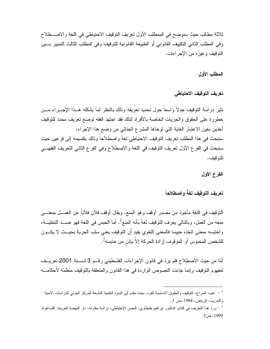ثلاثة مطالب حيث سنوضح في الممطلب الأول تعريف التوقيف الاحتياطي في اللغة والاصـــطلاح و في المطلب الثاني التكبيف القانو ني أو الطبيعة القانو نية للتو قيف و في المطلب الثالث التمبيز بـــين النوقيف وغيره من الإجراءات.

المطلب الأول

تعريف التوقيف الاحتياطي

تثير دراسة النوقيف جدلاً واسعاً حول تحديد تعريفه وذلك بالنظر لما يشكله هــذا الإجـــراء مـــن خطورة على الحقوق والحريات الخاصة بالأفراد لذلك فقد اجتهد الفقه لوضع تعريف محدد للتوقيف أخذين بعين الاعتبار الغاية التي توخاها المشرع الجنائي من وضع هذا الإجراء. سنبحث في هذا المطلب تعريف التوقيف الاحتياطي لغةً و اصطلاحاً وذلك بتقسيمه إلى فرعين حيث سنبحث في الفر ع الأول تعريف التوقيف في اللغة والاصطلاح وفي الفر ع الثاني التعريف الفقهــي للتو قبف.

الفرع الأول

### تعريف التوقيف لغةً واصطلاحاً

النوقيف في اللغة مأخوذ من مصدر أوقف وهو المنع، ويقال أوقف فلان فلاناً عن العمـــل بمعنــــي منعه من العمل، وبالتالي يعرف التوفيف لغةً بأنه المنع<sup>1</sup>. أما الحبس في اللغة فهو ضــد التخليـــة، واحتبسه بمعنى اتخذه حبيسا فالمعنى اللغوي يفيد أن التوقيف يعني سلب الحرية بحيــث لا يكـــون للشخص المحبوس أو الموقوف إرادة الحركة إلاّ بإذن من حابسه<sup>2</sup>.

أمّا من حيث الاصطلاح فلم يرد في قانون الإجراءات الفلسطيني رقـــم 3 لســـنة 2001 تعريـــف لمفهوم التوقيف وإنما جاءت النصوص الواردة في هذا القانون والمتعلقة بالتوقيف منظمّة لأحكامــــه

<sup>-</sup> عبود السراج، النوفيف والحقوق الاساسية للفرد، بحث مقدم إلى الندوة العلمية التاسعة للمركز العربي للدراسات الآمنية والندريب، الرياض، 1984، ص 3.

<sup>&</sup>lt;sup>2</sup> – ورد هذا التعريف في كتاب الدكتور إبراهيم طنطاوي، الحبس الإحتياطي، دراسة مقارنة، دار النهضة العربية، القـــاهرة، 1999، ص5.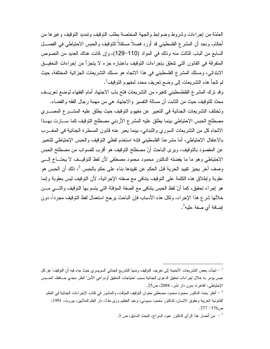العامّة من إجر إءات وشر وط وضو ابط و الجهة المختصة بطلب التوقيف وتمديد التوقيف و غير ها من أحكام، ونجد أن المشرع الفلسطيني قد أورد فصلاً مستقلاً للتوقيف والحبس الاحتياطي في الفصـــل السابع من الباب الثالث منه وذلك في المواد (110–129)، وإن كانت هناك العديد من النصوص المتفرقة في القانون التي تتعلق بإجراءات التوقيف باعتباره جزء لا يتجزأ من إجراءات التحقيــق الابتدائي، ومسلك المشرع الفلسطيني في هذا الاتجاه هو مسلك التشريعات الجزائية المختلفة، حيث لم تلجأ هذه التشريعات إلى وضع تعريف محدد لمفهوم التوقيف<sup>1</sup>.

وقد نزك المشرع الفلطسطيني كغيره من التشريعات فتح باب الاجتهاد أمام الفقهاء لوضع تعريسف محدّد للنّوقيف حيث من الثابت أن مسالة النفسير والاجتهاد هي من مهمة رجال الفقه والقضاء. وتختلف التشريعات الجنائية في التعبير عن مفهوم التوقيف حيث يطلق عليه المشـــرع المصـــرى مصطلح الحبس الاحتياطي بينما يطلق عليه المشرع الأردني مصطلح التوقيف كما ســـارت بهــذا الاتجاه كل من التشريعات السوري واللبناني، بينما يعبر عنه قانون المسطرة الجنائية في المغـــرب بالاعتقال الاحتياطي، أما مشرعنا الفلسطيني فإنه استخدم لفظي التوقيف والحبس الاحتياطي للتعبير عن المقصود بالنوقيف، ويرى الباحث أنّ مصطلح النوقيف هو أقرب للصواب من مصطلح الحبس الاحتياطي وهو ما ما يفضله الدكتور محمود محمود مصطفى لأن لفظ التوقيــف لا يحتـــاج إلـــي وصف آخر يجيز تقييد الحرية قبل الحكم عن تقييدها بناء على حكم بالحبس <sup>2</sup>، ذلك أن الحبس هو عقوبة وإطلاق هذه الكلمة على النوقيف بنتافي مع صفته الإجرائية، لأن النوقيف ليس بعقوبة وإنما هو إجراء تحقيق، كما أنّ لفظ الحبس يتنافى مع الصفة المؤقتة التي يتسم بها التوقيف والتـــي مـــن خلالها شرع هذا الإجراء، ولكل هذه الأسباب فإن الباحث برجح استعمال لفظ التوقيف مجرداً، دون إضافة أي صفة عليه<sup>3</sup>.

 $^{-1}$  لجأت بعض التشريعات الأجنبية إلى نعريف التوقيف ومنها التشريع الجنائي السويسري حيث جاء فيه أن التوقيف" هو كل حبس يؤمر به خلال إجراءات تحقيق الدعوى الجنائية بسبب احتياجات التحقيق أودواعى الأمن" أنظر مجدي حـــافظ، الحـــبس الإحتياطي، القاهرة، بدون دار نشر، 2004، ص25.

أنظر بحث الدكتور محمود محمود مصطفى بعنوان النوقيف المؤقت، والمنشور في كتاب الإجراءات الجنائية في النظم – القانونية العربية وحقوق الانسان، للدكتور محمود بسيوني، وعبد العظيم وزير ،ط1، دار العلم للملايين، بيروت، 1991،  $.377 - 376$ ص

من أنصار هذا الرأي الدكتور عبود السراج، البحث السابق، ص 3.  $^{-3}$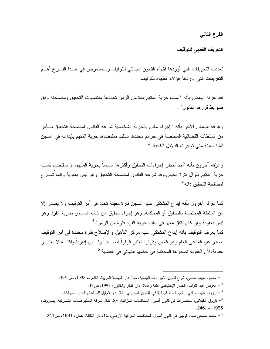الفرع الثاني

التعريف الفقهى للتوقيف

تعددت التعريفات التي أوردها فقهاء القانون الجنائي للتوقيف وسنستعرض في هــذا الفـــرع أهـــم النعريفات التبي أوردها هؤلاء الفقهاء للنوقيف

فقد عرّفه البعض بأنه " سلب حرية المتهم مدة من الزمن تحددها مقتضبات التحقيق ومصلحته وفق ضو ابط قر ر ها القانون".

وعرّفه البعض الآخر بأنه " إجراء ماس بالحرية الشخصية شرعه القانون لمصلحة التحقيق بـــأمر من السلطات القضائية المختصة في جرائم محددة، تسلب بمقتضاها حرية المتهم بإيداعه في السجن لمدة معينة متى توافرت الدلائل الكافية "<sup>2</sup>

وعرّفه آخرون بأنه "أحد أخطر إجراءات التحقيق وأكثرها مساساً بحرية المتهم، إذ بمقتضاه تسلب حرية المنهم طوال فنرة الحبس،وقد شرعه القانون لمصلحة النحقيق وهو ليس بعقوبة وإنما شـــرّع لمصلحة التحقبق ذاته"<sup>3</sup>

كما عرّفه آخر ون بأنه إيداع المشتكي عليه السجن فتر ة معينة تحدد في أمر التوقيف و لا يصدر إلا من السلطة المختصة بالتحقيق أو المحكمة، وهو إجراء تحقيق من شانه المساس بحرية الفرد وهو ليس بعقوبة وإن كان يتفق معها في سلب حرية الفرد فترة من الزمن".<sup>4</sup> كما يعرف النوقيف بأنه إيداع المشتكى عليه مركز النأهيل والإصلاح فترة محددة في أمر النوقيف يصدر عن المدعى العام وهو قاض وقراره يعتبر قراراً قضـــائياً ولـــيس إدارياً،ولكنــــه لا يعتبـــر عقوبة،لأن العقوبة تصدر ها المحكمة في حكمها النهائي في القضية"<sup>5</sup>

محمود نجيب حسني، شرح قانون الإجراءات الجنائية، ط3، دار النهضة العربية، القاهرة، 1998، ص 595.  $\sim$ 

معوض عبد النَّواب، الحبس الإحتياطي علما وعملاً، دار الفكر والقانون، 1997، ص47.  $\sim$ 

رؤوف عبيد، مباديء الإجراءات الجنائية في القانون المصري، ط3، دار الجليل للطباعة والنشر، ص161.  $^{-3}$ 

<sup>&</sup>lt;sup>4</sup>– فاروق الكيلاني، محاضرات في قانون أصول المحاكمات الجزائية، ج2، ط3، شركة المطبوعـــات الشــــرقية، بيــــروت، 1995، ص246.

<sup>&</sup>lt;sup>5</sup> – محمد صبحي نجم، الوجيز في قانون أصول المحاكمات الجزائية الأردني، ط1، دار الثقافة، عمان، 1991، ص241.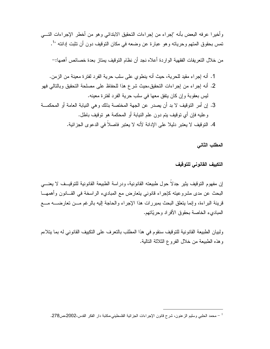و أخير ا عر فه البعض بأنه "إجر اء من إجر اءات التحقيق الابتدائي و هو من أخطر الإجر اءات التـــي تمس بحقوق المتهم وحرياته وهو عبارة عن وضعه في مكان التوقيف دون أن تثبت إدانته "<sup>1</sup>.

من خلال النعريفات الفقهية الواردة أعلاه نجد أن نظام التوقيف يمتاز بعدة خصائص أهمها:–

- 1. أنه إجراء مقيد للحرية، حيث أنه ينطوي على سلب حرية الفرد لفترة معينة من الزمن. 2. أنه إجراء من إجراءات التحقيق،حيث شرع هذا للحفاظ على مصلحة التحقيق وبالتالي فهو ليس بعقوبة وإن كان يتفق معها في سلب حرية الفرد لفترة معينه.
- 3. إن أمر التوقيف لا بد أن يصدر ٍ عن الجهة المختصة بذلك و هي النيابة العامة أو المحكمـــة و عليه فإن أي توقيف بتم دون علم النيابة أو المحكمة هو توقيف باطل.
	- 4. النَّوقيف لا يعتبر دليلا على الإدانة لأنه لا يعتبر فاصلاً في الدعو ي الجز ائية.

المطلب الثاني

التكييف القانونى للتوقيف

إن مفهوم التوقيف بِثيرٍ جدلًا حول طبيعته القانونية، ودراسة الطبيعة القانونية للتوقيــف لا يعنـــي البحث عن مدى مشروعيته كإجراء قانوني يتعارض مع المباديء الراسخة في القـــانون وأهمهـــا قرينة البراءة، وإنما يتعلَّق البحث بمبررات هذا الإجراء والحاجة إليه بالرغم مـــن تعارضــــه مــــع المباديء الخاصة بحقوق الأفراد وحريّاتهم.

ولبيان الطبيعة القانونية للنوقيف سنقوم في هذا المطلب بالنعرف على النكييف القانوني له بما ينلاءم وهذه الطبيعة من خلال الفروع الثلاثة النالية.

<sup>&</sup>lt;sup>1</sup> – محمد الحلبي وسليم الزعنون، شرح فانون الإجراءات الجزائية الفلسطيني،مكتبة دار الفكر القدس،2002،ص278.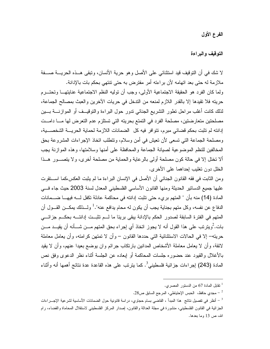الفرع الأول

التوقيف والبراءة

لا شك في أن التوقيف قيد استثنائي على الأصل وهو حربة الأنسان، وتبقى هــذه الحربـــة صـــفة ملازمة له حتى بعد اتهامه لأن براءته أمر مفترض به حتى تتتهى بحكم بات بالإدانة. ولما كان الفرد هو الحقيقة الاجتماعية الأولى، وجب أن توليه النظم الاجتماعية عنايتهـــا وتحتـــرم حريته فلا تقيدها إلا بالقدر اللازم لمنعه من التدخل في حريات الآخرين والعبث بمصالح الجماعة، لذلك كانت أغلب مراحل نطور النشريع الجنائبي ندور حول البراءة والنوفيــف أو الموازنــــة بـــين مصلحتين متعارضتين، مصلحة الفرد في التمتع بحريته التي تستلزم عدم التعرض لها مسا دامست إدانته لم تثبت بحكم قضائي مبرم، تتوافر فيه كل الضمانات اللازمة لحماية الحريــــة الشخصــــية، ومصلحة الجماعة التي تسعى لأن تعيش في أمن وسلام، ونتطلب اتخاذ الإجراءات المشروعة بحق المخالفين للنظم الموضوعية لصيانة الجماعة والمحافظة على أمنها وسلامتها، وهذه الموازنة يجب ألا تختل إلا في حالة كون مصلحة أولى بالرعاية والحماية من مصلحة أخرى، ولا يتصـــور هــذا الخلل دون تغليب إحداهما على الأخرى.

ومن الثابت في فقه القانون الجنائي أن الأصل في الإنسان البراءة ما لم يثبت العكس،كما استقرت عليها جميع الدسانير الحديثة ومنها القانون الأساسى الفلسطيني المعدل لسنة 2003 حيث جاء فسي المادة (14) منه بأن " المتهم بريء حتى نثبت إدانته في محاكمة عادلة تكفل لــــه فيهــــا ضــــمانات الدفاع عن نفسه، وكل متهم بجناية يجب أن يكون له محام يدافع عنه".<sup>1</sup> ولـــذلك يمكـــن القـــول أن المتهم في الفترة السابقة لصدور الحكم بالإدانة يبقى بريئا ما لــم تثبــت إدانتـــه بحكــم جزائـــي بات. ُويترنب على هذا القول أنه لا يجوز اتخاذ أي إجراء بحق المتهم مـــن شـــأنه أن يقيـــد مـــن حريته— إلا في الحالات الاستثنائية التي حددها القانون — و أن لا تمتهن كر امته، و أن يعامل معاملة لائقة، وأن لا يعامل معاملة الأشخاص المدانين بارتكاب جرائم وان يوضع بعيدا عنهم، وأن لا يقيد بالأغلال والقيود عند حضوره جلسات المحاكمة أو إبعاده عن الجلسة أثناء نظر الدعوى وفق نص المادة (243) إجراءات جزائية فلسطيني<sup>3</sup>. كما يترنب على هذه القاعدة عدة نتائج أهمها أنه وأثناء

مجدي حافظ، الحبس الإحتياطي، المرجع السابق ص28.  $^{-2}$ 

<sup>&</sup>lt;sup>1</sup> نقابل المادة 67 من الدستور المصرى.

أنظر في تفصيل نتائج هذا المبدأ ، القاضي بسام حجاوي، در اسة قانونية حول الضمانات الأساسية لشرعية الإجـــر اءات  $^{-3}$ الجزائية في القانون الفلسطيني، منشورة في مجلة العدالة والقانون، إصدار المركز الفلسطيني لاستقلال المحاماة والقضاء، رام الله، ص 13 وما بعدها.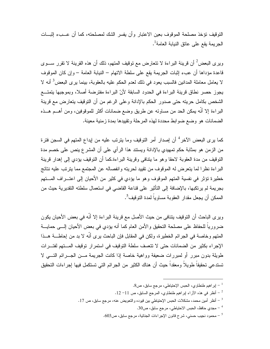التوقيف تؤخذ مصلحة الموقوف بعين الاعتبار وأن يفسر الشك لمصلحته، كما أن عـــبء اثبـــات الجريمة يقع على عاتق النيابة العامة<sup>1</sup>.

ويرى البعض<sup>2</sup> أن قرينة البراءة لا نتعارض مع توقيف المتهم، ذلك أن هذه القرينة لا تقرر ســـوى قاعدة مؤداها أن عبء إثبات الجريمة يقع على سلطة الاتهام – النيابة العامة – وإن كان الموقوف لا يعامل معاملة المدانين فالسبب يعود في ذلك لعدم الحكم عليه بالعقوبة، بينما يرى البعض<sup>3</sup> أنه لا يجوز حصر نطاق قرينة البراءة في الحدود السابقة لأنّ البراءة مفترضة أصلا، وبموجبها يتمتــع الشخص بكامل حريته حتى صدور الحكم بالإدانة وعلى الرغم من أن التوقيف يتعارض مع قرينة البر اءة إلا أنَّه بمكن الحد من مساوئه عن طريق وضع ضمانات أكثر للموقوفين، ومن أهـــم هـــذه الضمانات هو وضع ضوابط محددة لهذه المرحلة وتقييدها بمدة زمنية معينة.

كما يرى البعض الآخر<sup>4</sup> أن إصدار أمر التوقيف وما يترتب عليه من إيداع المتهم في السجن فترة من الزمن هو بمثابة حكم تمهيدي بالإدانة ويستند هذا الرأي على أن المشرع بنص على خصم مدة النوفيف من مدة العقوبة لاحقا وهو ما ينتافى وقرينة البراءة.كما أن النوقيف يؤدي إلى إهدار قرينة البراءة نظرا لما يتعرض له الموقوف من نقييد لحريته وانفصاله عن المجتمع مما يترتب عليه نتائج خطيرة نؤثر في نفسية المتهم الموقوف وهو ما يؤدي في كثير من الأحيان إلى اعتـــراف المـــتهم بجريمة لم يرتكبها، بالإضافة إلى التأثير على قناعة القاضي في استعمال سلطته التقديرية حيث من الممكن أن يجعل مقدار العقوبة مساوياً لمدة التوقيف<sup>5</sup>.

ويرى الباحث أن التوقيف يتنافى من حيث الأصل مع قرينة البراءة إلا أنَّه في بعض الأحيان يكون ضرورياً للحفاظ على مصلحة التحقيق والأمن العام كما أنه بؤدي في بعض الأحيان إلـــي حمايـــة المتهم وخاصة في الجرائم الخطيرة، ولكن في المقابل فإن الباحث يرى أنّه لا بد من إحاطــــة هـــذا الإجراء بكثير من الضمانات حتى لا تتعسف سلطة التوفيف في استمرار توقيف المستهم لفتــرات طويلة بدون مبرر أو لمبررات ضعيفة وواهية خاصة إذا كانت الجريمة مـــن الجـــرائم النــــى لا تستدعى تحقيقاً طويلاً ومعقداً حيث أن هناك الكثير من الجرائم التي تستكمل فيها إجراءات التحقيق

- لير اهيم طنطاوي، الحبس الإحتياطي، مرجع سابق، ص8.  $\sim 8$ .
- $-1$ أنظر في هذه الأراء إبراهيم طنطاوي، المرجع السابق، ص 11 $-1$ .
- . أخلل أمين محمد، مشكلات الحبس الإحتياطي بين فيوده والتعويض عنه، مرجع سابق، ص 17.
	- مجدي حافظ، الحبس الاحتياطي، مرجع سابق، ص30.  $\sim$
	- محمود نجيب حسني، شرح قانون الإجراءات الجنائية، مرجع سابق، ص603.  $\sim 60$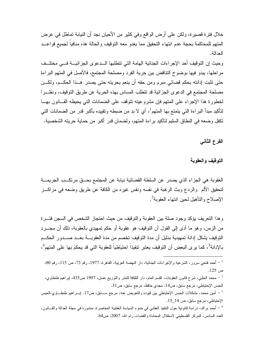خلال فترة قصيرة، ولكن على أرض الواقع وفي كثير من الأحيان نجد أن النيابة تماطل في عرض المتهم للمحاكمة بحجة عدم انتهاء التحقيق مما يغدو معه التوقيف والحالة هذه منافياً لجميع قواعــد العدالة.

وحيث إن التوقيف أحد الإجراءات الجنائية الهامة التي تتطلبها الـــدعوى الجزائيـــة فـــي مختلــف مر احلها، يبدو فيها بوضوح النتاقض بين حرية الفرد ومصلحة المجتمع، فالأصل في المتهم البراءة حتى نثبت إدانته بحكم فضائي مبرم ومن حقه أن ينعم بحريته حتى يصدر ٍ هــذا الحكـــم، ولكـــن مصلحة المجتمع في الدعو ي الجزائية قد تتطلب المساس بهذه الحرية عن طريق التوقيف، ونظـــرا لخطورة هذا الإجراء على المتهم فإن مشروعيته تتوقف على الضمانات التي يحيطه القسانون بهسا لتأكيد مبدأ البر اءة التي يتمتع بها المتهم<sup>1</sup>، أي لا بد من ضبطه وتقييده بأكبر قدر من الضمانات التي تكفل وضعه في النطاق السليم لتأكيد براءة المتهم، ولضمان قدر أكبر من حماية حريته الشخصية.

الفرع الثانى

التوقيف والعقوية

العقوبة هي الجزاء الذي يصدر عن السلطة القضائية نيابة عن المجتمع بحـــق مرتكــب الجريمـــة لنحقيق الألم ۖ والردع وبث الرهبة في نفسه ونفس غيره من الكافة عن طريقٍ وضعه في مراكـــز الإصلاح والتأهيل لحين انتهاء العقوبة<sup>2</sup>.

وهذا التعريف يؤكد وجود صلة بين العقوبة والتوقيف من حيث احتجاز الشخص في السجن فتسرة من الزمن، وهو ما أدى إلى القول أن التوقيف هو عقوبة أو حكم تمهيدي بالعقوبة، ذلك أن مجــــرد النوقيف يشكل إدانة تمهيدية بدليل أن مدة النوقيف تخصم من مدة العقوبـــة بعـــد صــــدور الحكـــم بالإدانة<sup>3</sup>، كما ير ي البعض أن التوقيف يعتبر تتفيذاً احتياطياً للعقوبة التي قد يحكم بها على المتهم<sup>4</sup>،

<sup>&</sup>lt;sup>1</sup> – أحمد فتحي سرور، الشرعية والإجراءات الجنائية، دار النهضة العربية، القاهرة، 1977، رقم 73، ص 115، رقم 80، ص 125.

محمد الحلبي، شرح قانون العقوبات، القسم العام، دار الثقافة للنشر والتوزيع عمان، 1997 ص435، اپراهيم طنطاوي،  $^{-2}$ الحبس الإحتياطي، مرجع سابق، ص14. مجدي حافظ، مرجع سابق، ص31.

سلام العين محمد، مشكلات الحبس الإحتياطي بين قيوده والتعويض عنه، مرجع ســـابق، ص17. إبــــراهيم طنطــــاوي،الحبس  $^{-3}$ الإحتياطي، مرجع سابق، ص 14\_15.

<sup>&</sup>lt;sup>4</sup> – أحمد براك، دراسة قانونية حول التنفيذ العقابي في ضوء السياسة العقابية المعاصرة، منشورة في مجلة العدالة والقـــانون، العدد السادس، المركز الفلسطيني لاستقلال المحاماة والقضاء، رام الله، 2007، ص64.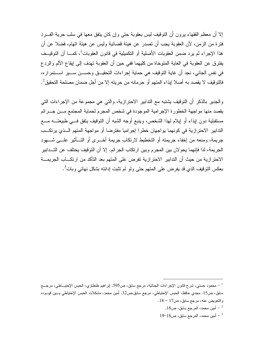إلا أن معظم الفقهاء برون أن التوقيف ليس بعقوبة حتى وإن كان يتفق معها في سلب حرية الفــرد فتر ة من الز من، لأن العقوبة يجب أن تصدر ٍ عن هيئة قضائية وليس عن هيئة اتهام، فضلا عن أن هذا الإجراء لم يرد ضمن العقوبات الأصلية أو التكميلية في قانون العقوبات<sup>1</sup>، كمـــا أن التوقيــف يفترق عن العقوبة في الغاية المتوخاة من كليهما ففي حين أن العقوبة تهدف إلى إيقاع الألم والردع في نفس الجانبي، نجد أن غاية التوقيف هي حماية إجراءات التحقيـــق وحســـن ســـير اســـتمراره، فالتوقيف لا يقصد به أصلا إيذاء المتهم أو حرمانه من حريته إلا من أجل ضمان مصلحة التحقيق 2.

و الجدير بالذكر أن النوقيف يشتبه مع التدابير الاحترازية، والتي هي مجموعة من الإجراءات التي يقصد منها مو اجهة الخطورة الإجرامية الموجودة في شخص المجرم لحماية المجتمع مـــن جـــرائم مستقبلية دون لِيذاء أو لِيلام لهذا الشخص، وينبع أوجه الشبه أن التوفيف يتفق فسي طبيعتـــه مــــع الندابير الاحترازية في كونهما يواجهان خطرا إجراميا مفترضا أو مواجهة المتهم اللذي يرتكب جريمة، ومنعه من إخفاء جريمته أو التخطيط لارتكاب جريمة أخـــرى أو التـــأثير علــــى شــــهود الجريمة، لذا فإنهما يحوٍ لأن بين المجرم وبين ارتكاب الجرائم. إلا أن التوقيف يختلف عن التــدابير الاحترازية من حيث أن التدابير الاحترازية تفرض على المتهم بعد التأكد من ارتكـــاب الجريمــــة بعكس التوقيف الذي قد يفرض على المتهم حتى ولو لم تثبت إدانته بشكل نهائي وبات<sup>3</sup>.

<sup>&</sup>lt;sup>1</sup> – محمود حسني، شرح قانون الإجراءات الجنائية، مرجع سابق، ص595. إبراهيم طنطاوي، الحبس الإحتيـــاطي، مرجــــع سابق، ص15. مجدي حافظ، الحبس الإحتياطي، مرجع سابق،ص32. أمين محمد، مشكلات الحبس الإحتياطي بــــين فيـــوده والتعويض عنه، مرجع سابق، ص17 – 18.

<sup>.</sup> أمين محمد، المرجع سابق، ص $18$ .

 $19-18$ أمين محمد، المرجع سابق، ص $-3$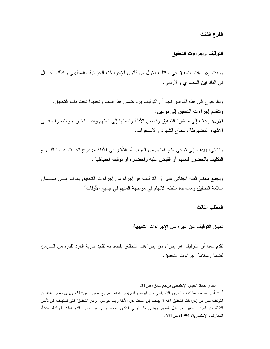الفرع الثالث

التوقيف وإجراءات التحقيق

وردت إجراءات النحقيق في الكتاب الأول من قانون الإجراءات الجزائية الفلسطيني وكذلك الحسال في القانونين المصري والأردني.

وبالرجوع إلى هذه القوانين نجد أن التوقيف يرد ضمن هذا الباب وتحديدا تحت باب التحقيق. ونتقسم إجراءات التحقيق إلى نوعين: الأول: يهدف إلى مباشرة التحقيق وفحص الأدلة ونسبتها إلى المتهم وندب الخبراء والتصرف فسي الأشياء المضبوطة وسماع الشهود والاستجواب.

والثانـي: يـهدف إلـي توخـي منـع المـتـهم من الـهرب أو النـتأثير فـي الأدلـة ويندر ج تـحــت هـــذا النــــو ع النكليف بالحضور للمتهم أو القبض عليه وإحضاره أو توقيفه احتياطيا<sup>1</sup>.

ويجمع معظم الفقه الجنائبي على أن التوقيف هو إجراء من إجراءات التحقيق يهدف إلـــي ضــــمان سلامة التحقيق ومساعدة سلطة الاتهام في مواجهة المتهم في جميع الأوفات<sup>2</sup>.

المطلب الثالث

تمييز التوقيف عن غيره من الإجراءات الشبيهة

تقدم معنا أن التوقيف هو إجراء من إجراءات التحقيق يقصد به تقييد حرية الفرد لفترة من الـــزمن لضمان سلامة إجر اءات التحقيق.

<sup>.</sup> مجدي حافظ،الحبس الإحتياطي مرجع سابق، ص $1$ 3.  $^{-\,1}$ 

ما أمين محمد، مشكلات الحبس الإحتياطي بين قيوده والتعويض عنه، مرجع سابق، ص-31، ويرى بعض الفقه ان أمين محمد التوقيف ليس من إجراءات التحقيق لأنه لا يهدف إلى البحث عن الأدلة وإنما هو من "أوامر التحقيق" التي تستهدف إلى تأمين الأدلة من العبث والتغيير من قبل المتهم، ويتبنى هذا الرأى الدكتور محمد زكي أبو عامر، الإجراءات الجنائية، منشأة المعارف، الإسكندرية، 1994، ص551.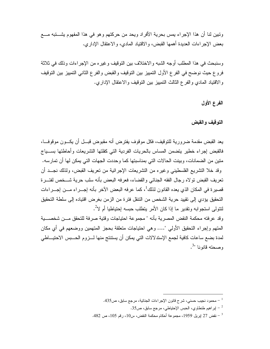وتبين لنا أن هذا الإجراء يمس بحرية الأفراد ويحد من حركتهم وهو في هذا المفهوم يشـــتبه مـــع بعض الإجر اءات العديدة أهمها القبض، والاقتياد المادي، والاعتقال الإدار ي.

وسنبحث في هذا المطلب أوجه الشبه والاختلاف بين النوقيف وغيره من الإجراءات وذلك في ثلاثة فروع حيث نوضح في الفرع الأول النمييز بين النوقيف والقبض والفرع الثاني النمييز بين النوقيف والاقتياد المادي والفرع الثالث النمييز بين النوفيف والاعتقال الإداري.

الفرع الأول

التوقيف والقبض

يعد القبض مقدمة ضرورية للتوقيف، فكل موقوف يفترض أنه مقبوض قبـــل أن يكـــون موقوفـــا، فالقبض إجراء خطير يتضمن المساس بالحريات الفردية التى كفلتها التشريعات وأحاطتها بســياج متين من الضمانات، وبينت الحالات التي بمناسبتها كما وحددت الجهات التي بمكن لها أن تمارسه. وقد خلا التشريع الفلسطيني وغيره من التشريعات الإجرائية من تعريف القبض، ولذلك نجــد أن تعريف القبض تولاه رجال الفقه الجنائبي والقضاء، فعرفه البعض بأنه سلب حرية شـــخص لفتـــرة قصير ة في المكان الذي يعده القانون لذلك<sup>1</sup>، كما عرفه البعض الآخر بأنه إجـــراء مـــن إجـــراءات التحقيق يؤدي إلى تقييد حرية الشخص من التتقل فتر ة من الز من بغر ض اقتياده إلى سلطة التحقيق لنتولى استجوابه وتقدير ما اذا كان الأمر بتطلب حسبه احتباطيا أم لا<sup>2</sup>.

وقد عر فته محكمة النقض المصر ية بأنه " مجمو عة احتياجات وقتية صر فة للتحقق مـــن شخصــــية المنهم وإجراء النحقيق الأولى "…. وهي احتياجات متعلقة بحجز المتهمين ووضعهم في أي مكان لمدة بضع ساعات كافية لجمع الإستدلالات التي يمكن أن يستنتج منها لــــزوم الحــــبس الاحتيــــاطـي وصحته قانونا لأ.

محمود نجيب حسني، شرح قانون الإجراءات الجنائية، مرجع سابق، ص435.  $\sim$ 

ليراهيم طنطاوي، الحبس الإحتياطي، مرجع سابق، ص35.  $^{-2}$ 

<sup>-</sup> نقض 27 إبريل 1959، مجموعة أحكام محكمة النقض، س10، رقم 105، ص 482.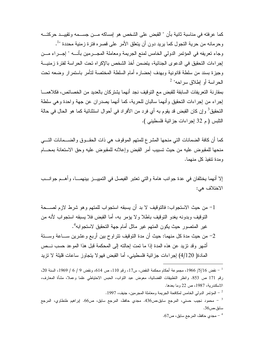كما عر فته في مناسبة ثانية بأن " القبض على الشخص هو إمساكه مـــن جســـمه وتقييـــد حر كتـــه وحرمانه من حرية النجول كما بريد دون أن يتعلق الأمر على قصره فترة زمنية محددة "<sup>1</sup>. وجاء نعريفه في المؤتمر الدولي الخامس لمنع الجريمة ومعاملة المجـــرمين بأنــــه " إجــــراء مــــن إجراءات التحقيق في الدعوى الجنائية، يتضمن أخذ الشخص بالإكراه تحت الحراسة لفترة زمنيـــة وجيزة بسند من سلطة قانونية وبهدف إحضاره أمام السلطة المختصة لتأمر باستمرار وضعه تحت الحر اسة أو إطلاق سر احه" <sup>2</sup>

بمقارنة التعريفات السابقة للقبض مع التوقيف نجد أنهما يشتركان بالعديد من الخصائص، فكلاهمــــا إجراء من إجراءات التحقيق وأنهما سالبان للحرية، كما أنهما بصدران عن جهة واحدة وهي سلطة النحقيق<sup>3</sup> و إن كان القبض قد يقوم به أي فرد من الأفر اد في أحو ال استثنائية كما هو الحال في حالة النلبس ( م 32 إجراءات جزائية فلسطيني ).

كما أن كافة الضمانات التي منحها المشرع للمتهم الموقوف هي ذات الحقـــوق والضــــمانات التـــي منحها للمقبوض عليه من حيث تسبيب أمر القبض وإعلانه للمقبوض عليه وحق الاستعانة بمحـــام ومدة تتفيذ كل منهما.

إلا أنهما يختلفان في عدة جوانب هامة والتي تعتبر الفيصل في التمييـــز بينهمــــا، وأهـــم جوانــــب الاختلاف هي:

- 1- من حيث الاستجواب: فالتوقيف لا بد أن يسبقه استجواب للمتهم وهو شرط لازم لصـــحة النَّوفِيف وبدونه يغدو النَّوفيف باطلاً ولا يؤمر به، أما القبض فلا يسبقه استجواب لأنه من غير المتصور حيث يكون المتهم غير ماثل أمام جهة التحقيق لاستجوابه<sup>4</sup>.
- 2- من حيث مدة كل منهما: حيث أن مدة التوقيف نتراوح بين أربع وعشرين ســـاعة وســـتة أشهر وقد تزيد عن هذه المدة إذا ما تمت إحالته إلى المحكمة قبل هذا الموعد حسب نــص المادة( 4/120) إجر اءات جز ائية فلسطيني، أما القبض فهو لا يتجاوز ساعات قليلة لا تزيد

لمؤتمر الدولي الخامس لمكافحة الجريمة ومعاملة المجرمين، جنيف، 1997.  $\sim$ 

مجدي حافظ، المرجع سابق، ص67 .  $\sim$ 

نقض 5/16/ 1966، مجموعة أحكام محكمة النقض، س17، رقم 110، ص 614، ونقض 9 / 6 / 1969، السنة 20،  $\,$ رقم 171 ص 853. وانظر التطبيقات القضائية، معوض عبد التواب، الحبس الاحتياطي علما وعملا، مشأة المعارف، الاسكندرية، 1987، ص 22 وما بعدها.

محمود نجيب حسني، المرجع سابق،ص436. مجدي حافظ، المرجع سابق، ص66. ايراهيم طنطاوي، المرجع  $^{-3}$ سابق،ص36.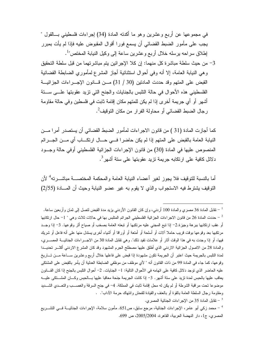في مجمو عها عن أربع و عشرين و هو ما أكدته المادة (34) إجراءات فلسطيني بـــالقول " يجب على مأمور الضبط القضائي أن يسمع فورا أقوال المقبوض عليه فإذا لم يأت بمبرر إطلاق سراحه برسله خلال أربع وعشرين ساعة إلى وكيل النيابة المختص"<sup>1</sup>.

3– من حيث سلطة مباشرة كل منهما: إن كلا الإجرائين يتم مباشرتهما من قبل سلطة التحقيق وهي النيابة العامة، إلا أنه وفي أحوال استثنائية أجاز المشرع لمأموري الضابطة القضائية القبض على المتهم وقد حددت المادنين (30 / 31) مــن فــانون الإجـــراءات الجزائيـــة الفلسطيني هذه الأحوال في حالة النابس بالجنايات والجنح التي نزيد عقوبتها علـــي ســـنة أشهرٍ أو أي جريمة أخرى إذا لم يكن للمتهم مكان إقامة ثابت في فلسطين وفي حالة مقاومة رجال الضبط القضائي أو محاولة الفرار من مكان التوقيف<sup>2</sup>.

كما أجازت المادة (31 ) من قانون الاجراءات لمأمور الضبط القضائي أن يستصدر أمرا مـــن النيابة العامة بالقبض على المتهم إذا لم يكن حاضرا فــي حـــال ارتكـــاب أي مـــن الجـــرائم المنصوص عليها في المادة (30) من قانون الإجراءات الجزائية الفلسطيني أوفي حالة وجــود دلائل كافية على ارتكابه جريمة تزيد عقوبتها على ستة أشهر<sup>3</sup>.

أما بالنسبة للنوفيف فلا يجوز لغير أعضاء النيابة العامة والمحكمة المختصـــة مباشــــرته<sup>4</sup> لأن النوقيف يشترط فيه الاستجواب والذي لا يقوم به غير عضو النيابة وحيث أن المسادة (2/55)

- تقابل المادة 35 من الإجراءات الجنائية المصرى.  $^{-3}$ 

تقابل المادة 36 مصري والمادة 100 أردنبي، وإن كان القانون الأردنبي يزيد مدة القبض لنصل إلى ثمان وأربعين ساعة.  $^\mathrm{-1}$ <sup>2</sup> − حددت المادة 26 من قانون الاجراءات الجزائية الفلسطيني الجرائم المتلبس بها في حالات ثلاث وهي " 1− حال ارتكابها أو عقب ارتكابها ببرهة وجيزة.2– إذا نبع المجني عليه مرتكبها أو نبعته العامة بصخب أو صياح أثر وقوعها. 3– إذا وجــد مرتكبها بعد وقوعها بوقت فريب حاملا ألات أو أسلحة أو أمتعة أو أوراقا أو أشياء أخرى يستذل منها على أنه فاعل أو شريك فيها، أو إذا وجدت به في هذا الوقت آثار أو علامات تفيد ذلك". وهي تقابل المادة 30 من الاجـــراءات الجنائيـــة المصــــري، والمادة 28 من الاصول الجزائية الاردنبي الذي أطلق عليها مصطلح الجرم المشهود وقد كان المشرع الاردنبي أكثـــر تحديـــدا لمدة التلبس بالجريمة حيث اعتبر أن الجريمة نكون مشهودة إذا فبض على فاعلها خلال أربع وعشرين ســـاعة مـــن تـــاريخ وقوعها، كما جاء في المادة 99 من ذات القانون أنه " لأي موظف من موظفي الضابطة العدلية أن يأمر بالقبض على المشتكي عليه الحاضر الذي نوجد دلائل كافية على اتهامه في الأحوال التالية: 1– الجنايات. 2– أحوال التلبس بالجنح إذا كان القـــانون يعاقب عليها بالحبس لمدة نزيد على سنة أشهر . 3– إذا كانت الجريمة جنحة معاقبا عليها بسالحبس وكسان المشسنكي عليسه موضوعا نحت مراقبة الشرطة أو لم يكن له محل إقامة ثابت في المملكة. 4– في جنح السرقة والغصـــب والنعـــدي الشـــديد ومقاومة رجال السلطة العامة بالقوة أو بالعنف والقيادة للفحش وانتهاك حرمة الأداب". .

<sup>&</sup>lt;sup>4</sup> – محمد زكمى أبو عامر، الإجراءات الجنائية، مرجع سابق، ص551. مأمون سلامة، الإجراءات الجنائيـــة فـــى التشـــريع المصري، ج1، دار النهضة العربية، القاهرة، 2005/2004، ص 699.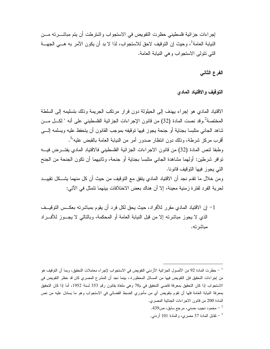إجر اءات جز ائية فلسطيني حظر ت النفويض في الاستجو اب و اشتر طت أن يتم مباشـــر ته مـــن النيابة العامة<sup>1</sup>، و حيث إن التوقيف لاحق للاستجو اب، لذا لا بد أن يكون الآمر به هـــي الجهـــة التي نتولى الاستجواب وهي النيابة العامة.

الفرع الثاني

التوقيف والاقتياد المادي

الاقتياد المادي هو إجراء يهدف إلى الحيلولة دون فرار مرتكب الجريمة وذلك بتسليمه إلى السلطة المختصة<sup>2</sup>.وقد نصت المادة (32) من قانون الإجراءات الجزائية الفلسطيني على أنه " لكـــل مـــن شاهد الجانبي متلبسا بجناية أو جنحة يجوز فيها نوقيفه بموجب القانون أن يتحفظ عليه ويسلمه إلــــي أقرب مركز شرطة، وذلك دون انتظار صدور أمر من النيابة العامة بالقبض عليه"<sup>3</sup>. وطبقا لنص المادة (32) من قانون الاجراءات الجزائية الفلسطيني فالاقتياد المادي يفتـــرض فيــــه توافر شرطين: أولهما مشاهدة الجانبي منلبسا بجناية أو جنحة، وثانيهما أن نكون الجنحة من الجنح التي يجوز فيها التوقيف قانونا. ومن خلال ما تقدم نجد أن الاقتياد المادي يتفق مع التوقيف من حيث أن كل منهما يشـــكل تقييـــد لحرية الفرد لفتر ة زمنية معينة، إلا أن هناك بعض الاختلافات بينهما نتمثل في الآتي:

1– إن الاقتياد المادي مقرر للأفراد، حيث يحق لكل فرد أن يقوم بمباشرته بعكــس التوقيــف الذي لا يجوز مباشرته إلا من قبل النيابة العامة أو المحكمة، وبالتالي لا يجــوز للأفــراد مىاشىر تە.

- محمود نجيب حسني، مرجع سابق، ص $\sim$ 439  $^{-2}$ 

- نقابل المادة 37 مصري، والمادة 101 أردنبي.

<sup>&</sup>lt;sup>1</sup> – حظرت المادة 92 من الأصول الجزائية الأردني التفويض في الاستجواب لإجراء معاملات التحقيق، وبما أن التوقيف هو من إجراءات التحقيق فإن التفويض فيها من المسائل المحظورة.، بينما نجد أن المشرع المصري كان قد حظر التفويض في الاستجواب إذا كان التحقيق بمعرفة قاضبي التحقيق في م70 وهي ملغاة بقانون رقم 353 لسنة 1952، أما إذا كان التحقيق بمعرفة النيابة العامة فلها أن نقوم بتفويض أي من مأموري الضبط القضائى فى الاستجواب وهو ما يستدل عليه من نص المادة 200 من قانون الاجراءات الجنائية المصري.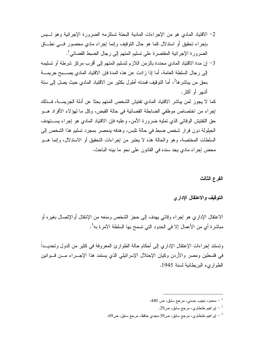- 2– الاقتياد المادي هو من الإجراءات المادية البحتة تستلزمه الضرورة الإجرائية وهو لـــبِس بإجراء تحقيق أو استدلال كما هو حال التوقيف وإنما إجراء مادي محصور فسي نطــاق الضرورة الإجرائية المقتصرة على تسليم المتهم إلى رجال الضبط القضائي<sup>1</sup>.
- 3– إن مدة الاقتياد المادي محددة بالزمن اللازم لتسليم المتهم إلى أقرب مركز شرطة أو تسليمه إلى رجال السلطة العامة، أما إذا زادت عن هذه المدة فإن الاقتياد المادي يصــــبح جريمــــة بحق من يباشر ها<sup>2</sup>، أما التوقيف فمدته أطول بكثير من الاقتياد المادي حيث يصل إلى ستة أشهر أو أكثر .

كما لا يجوز لمن يباشر الاقتياد المادي تفتيش الشخص المتهم بحثا عن أدلة الجريمــــة، فـــذلك إجراء من اختصاص موظفي الضابطة القضائية في حالة القبض، وكل ما لهؤلاء الأفراد هـــو حق النفتيش الوقائبي الذي نمليه ضرورة الأمن، وعليه فإن الاقتياد المادي هو إجراء يســــتهدف الحيلولة دون فرار شخص ضبط في حالة تلبس، وهدفه ينحصر بمجرد تسليم هذا الشخص إلى السلطات المختصة، وهو والحالة هذه لا يعتبر من إجراءات التحقيق أو الاستدلال، وإنما هـــو محض إجراء مادي يجد سنده في القانون على نحو ما بينه الباحث.

الفرع الثالث

التوقيف والاعتقال الإدارى

الاعتقال الإداري هو إجراء وقائبي يهدف إلى حجز الشخص ومنعه من الإنتقال أوالإتصال بغيره أو مباشر ة أي من الأعمال إلا في الحدود التي تسمح بها السلطة الآمر ة به<sup>3</sup>.

ونستند إجراءات الإعتقال الإداري إلى أحكام حالة الطوارئ المعروفة في كثير من الدول ونحديـــداً في فلسطين ومصر والأردن وكيان الإحتلال الإسرائيلي الذي يستمد هذا الإجـــراء مــــن قــــوانين الطواريء البريطانية لسنة 1945.

- .440 محمود نجيب حسني، مرجع سابق، ص $\sim 1$ 
	- ير اهيم طنطاوي، مرجع سابق، ص29.  $^{-2}$
- ير اهيم طنطاوي، مرجع سابق، ص39.مجدي حافظ، مرجع سابق، ص69.  $^{-3}$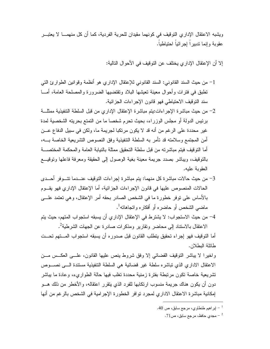ويشبه الاعتقال الإدار ي التوقيف في كونهما مقيدان للحرية الفردية، كما أن كل منهمـــا لا يعتبـــر عقوبة وانما ندبير ا اجر ائباً احتباطباً.

إلا أن الإعتقال الإدار ي يختلف عن التوقيف في الأحوال التالية:

- 1– من حيث السند القانوني: السند القانوني للإعتقال الإداري هو أنظمة وقوانين الطوارئ التي نطبق في فترات وأحوال معينة تعيشها البلاد وتقتضيها الضرورة والمصلحة العامة، أمـــا سند التوقيف الاحتياطي فهو قانون الإجراءات الجزائية.
- 2- من حيث مباشرة الإجراءات:يتم مباشرة الإعتقال الإداري من قبل السلطة التتفيذية ممثلـــة برئيس الدولة أو مجلس الوزراء، بحيث تحرم شخصا ما من التمتع بحريته الشخصية لمدة غير محددة على الرغم من أنه قد لا يكون مرتكبا لجريمة ما، ولكن في سبيل الدفاع عـــن أمن المجتمع وسلامته قد تأمر به السلطة التنفيذية وفق النصوص التشر يعية الخاصة بــــه، أما النوفيف فيتم مباشرته من قبل سلطة التحقيق ممثلة بالنيابة العامة والمحكمة المختصسة بالنوقيف، ويباشر بصدد جريمة معينة بغية الوصول إلىي الحقيقة ومعرفة فاعلها ونوقيـــع العقوبة علبه.
- 3– من حيث حالات مباشرة كل منهما: يتم مباشرة إجراءات التوقيف عنـــدما تتــــوفر أحــــدى الحالات المنصوص عليها في قانون الإجراءات الجزائية، أما الإعتقال الإداري فهو يقـــوم بالأساس على نوفر خطورة ما في الشخص الصادر بحقه أمر الإعتقال، وهي نعتمد علـــي ماضي الشخص أو حاضره أو أفكاره وانجاهاته<sup>1</sup>.
- 4– من حيث الاستجواب: لا يشترط في الإعتقال الإداري أن يسبقه استجواب المتهم، حيث يتم الاعتقال بالاستناد إلى محاضر وتقارير ومذكرات صادرة عن الجهات الشرطية<sup>2</sup>.

أما النوقيف فهو إجراء تحقيق يتطلب القانون قبل صدوره أن يسبقه استجواب المستهم تحست طائلة البطلان.

واخير ا لا يباشر التوقيف القضائي إلا وفق شروط ينص عليها القانون، علــي العكــس مـــن الاعتقال الادار ي الذي تباشر ه سلطة غير قضائية هي السلطة التنفيذية مستندة الـــى نصـــوص تشر يعية خاصة تكون مر تبطة بفتر ة ز منية محددة تغلب فيها حالة الطوار يء، و عادة ما بياشر دون أن يكون هناك جريمة منسوب ارتكابها للفرد الذي يتقرر اعتقاله، والأخطر من ذلك هـــو إمكانية مباشرة الاعتقال الاداري لمجرد نوافر الخطورة الإجرامية في الشخص بالرغم من أنها

<sup>.40</sup> إبر اهيم طنطاوي، مرجع سابق، ص $\sim 0$ .

<sup>-</sup> مجدي حافظ، مرجع سابق، ص71  $^{-2}$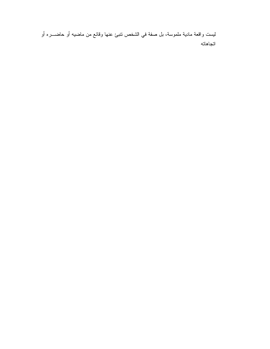ليست واقعة مادية ملموسة، بل صفة في الشخص نتبئ عنها وقائع من ماضيه أو حاضـــره أو اتجاهاته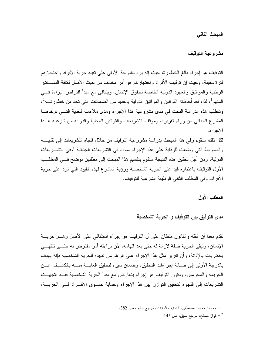المبحث الثاني

مشروعية التوقيف

النوقيف هو إجراء بالـغ الخطورة، حيث إنـه برد بالدرجة الأولـي علـي نقييد حرية الأفراد واحتجاز هم فترة معينة، وحيث إن توقيف الأفراد واحتجازهم هو أمر مخالف من حيث الأصل لكافة الدســـاتير الوطنية والمواثيق والعهود الدولية الخاصة بحقوق الإنسان، ويتنافى مع مبدأ افتراض البراءة فسى المتهم<sup>1</sup>، لذا، فقد أحاطته القوانين والمواثيق الدولية بالعديد من الضمانات التي تحد من خطورتـــه<sup>2</sup>، وتتطلب هذه الدراسة البحث في مدى مشروعية هذا الإجراء ومدى ملاءمته للغاية التسى توخاهــا المشرع الجنائبي من وراء نقريره، وموقف التشريعات والقوانين المحلية والدولية من شرعية هــذا الإجر اء.

لكل ذلك سنقوم وفي هذا المبحث بدراسة مشروعية النوقيف من خلال اتجاه التشريعات إلى نقنينــــه والضوابط التي وضعت للرقابة على هذا الإجراء سواء في التشريعات الجنائية أوفى التشـــريعات الدولية، ومن أجل نحقيق هذه النتيجة سنقوم بتقسيم هذا المبحث إلى مطلبين نوضح فـــي المطلـــب الأول النوقيف باعتباره قيد على الحرية الشخصية ورؤية المشرع لهذه القيود التبي نزد على حرية الأفراد، وفي المطلب الثاني الوظيفة الشرعية للتوقيف.

المطلب الأول

مدى التوفيق بين التوقيف و الحرية الشخصية

تقدم معنا أن الفقه والقانون متفقان على أن التوقيف هو إجراء استثنائي على الأصل وهـــو حريـــة الإنسان، وتبقى الحرية صفة لازمة له حتى بعد اتهامه، لأن براءته أمر مفترض به حتـــى تتتهـــى بحكم بات بالإدانة، وأن نقرير مثل هذا الإجراء على الرغم من نقييده للحرية الشخصية فإنه يهدف بالدرجة الأولى إلى صيانة إجراءات التحقيق، وضمان سيره لتحقيق الغايسة منسه بالكشسف عسن الجريمة والمجرمين، ولكون التوقيف هو إجراء يتعارض مع مبدأ الحرية الشخصية فقــد اتجهــت التشريعات إلى اللجوء لتحقيق النوازن بين هذا الإجراء وحماية حقــوق الأفـــراد فـــي الحريـــة،

محمود محمود مصطفى، التوقيف المؤقت، مرجع سابق، ص 382.  $\sim$ 

فواز صالح، مرجع سابق، ص 145  $^{\circ}$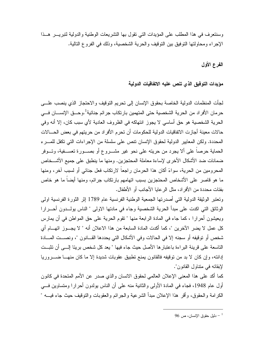وسنتعرف في هذا المطلب على المؤيدات التي تقول بها التشر يعات الوطنية والدولية لتبريس هسذا الإجر اء ومحاولتها التوفيق بين التوفيف والحرية الشخصية، وذلك في الفر و ع التالية.

الفرع الأول

## مؤيدات التوفيق الذى تنص عليه الاتفاقيات الدولية

لجأت المنظمات الدولية الخاصة بحقوق الإنسان إلى تحريم التوقيف والاحتجاز الذي ينصب علـــي حرمان الأفراد من الحرية الشخصية حتى المتهمين بارتكاب جرائم جنائية<sup>1</sup>.وحــق الإنســـان فـــي الحرية الشخصية هو حق أساسي لا يجوز انتهاكه في الظروف العادية لأي سبب كان، إلا أنه وفي حالات معينة أجازت الاتفاقيات الدولية للحكومات أن تحرم الأفراد من حريتهم في بعض الحـــالات المحددة. ولكن المعايير الدولية لحقوق الإنسان نتص على سلسلة من الإجراءات التي تكفل للمسرء الحماية حرصاً على ألا يجرد من حريته على نحو غير مشـــروع أو بصـــورة تعســفية، وتـــوفر ضمانات ضد الأشكال الأخرى لإساءة معاملة المحتجزين. ومنها ما ينطبق على جميع الأشـــخاص المحرومين من الحرية، سواءً أكان هذا الحرمان راجعاً لارتكاب فعل جنائبي أو لسبب آخر، ومنها ما هو قاصر على الأشخاص المحتجزين بسبب اتهامهم بارتكاب جرائم، ومنها أيضاً ما هو خاص بفئات محددة من الأفر اد، مثل الر عابا الأجانب أو الأطفال.

وتعتبر الوثيقة الدولية التي أصدر تها الجمعية الوطنية الفرنسية عام 1789 إثر الثورة الفرنسية اولى الوثائق التي اكدت على مبدأ الحرية الشخصية وجاء في مادتها الاولى " الناس يولـــدون أحـــر ار ا ويعيشون أحر ار ا ، كما جاء في المادة الر ابعة منها " نقوم الحرية على حق المواطن في أن يمار س كل عمل لا يضر الآخرين "، كما أكدت المادة السابعة من هذا الاعلان أنه " لا يجــوز اتهـــام أي شخص أو نوقيفه أو سجنه إلا في الحالات وفي الأشكال التي يحددها القـــانون "، ونصـــت المــــادة الناسعة على قرينة البراءة باعتبار ها الأصل حيث جاء فيها " يعد كل شخص بريئا الــــى أن نثبـــت إدانته، وإن كان لا بد من توقيفه فالقانون يمنع تطبيق عقوبات شديدة إلا ما كان منهــا ضـــــروريا لإبقائه في منناول القانون".

كما أكد على هذا المعنى الإعلان العالمي لحقوق الانسان والذي صدر عن الأمم المتحدة في كانون أول عام 1948، فجاء في المادة الأولى والثانية منه على أن الناس يولدون أحرار ا ومتساوين فـــي الكرامة والحقوق، وأقر هذا الإعلان مبدأ الشرعية والجرائم والعقوبات والنوقيف حيث جاء فيـــه "

 $96\,$  دليل حقوق الإنسان، ص $^{-1}$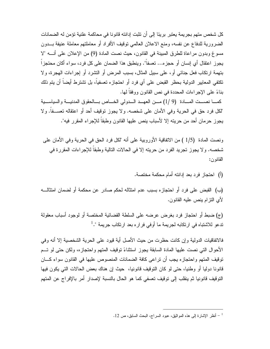كل شخص متهم بجر يمة يعتبر ٍ بر يئا إلى أن تثبت إدانته قانو نا في محاكمة علنية تؤمن له الضمانات الضرورية للدفاع عن نفسه، ومنع الاعلان العالمي نوفيف الأفراد أو معاملتهم معاملة عنيفة بـــدون مسوغ وبدون مراعاة للطرق المبينة في القانون، حيث نصت المادة (9) من الإعلان على أنــــه "لا يجوز اعتقال أي إنسان أو حجزه... تعسفاً". وينطبق هذا الضمان على كل فرد، سواء أكان محتجزاً بنهمة ارتكاب فعل جنائبي أو، على سبيل المثال، بسبب المرض أو النشرد أو إجراءات الهجرة، ولا تكتفي المعايير الدولية بحظر القبض على أي فرد أو احتجازه تعسفياً، بل تشترط أيضاً أن يتم ذلك بناءً على الإجراءات المحددة في نص القانون ووفقاً لـها.

كما نصبت المسادة (9 /1) مـن العهـد الـدولي الخـاص بـالحقوق المدنيـة والسياسـية "لكل فرد حق في الحرية وفي الأمان على شخصه. ولا يجوز توقيف أحد أو اعتقاله تعســفاً. ولا يجوز حرمان أحد من حريته إلا لأسباب ينص عليها القانون وطبقاً للإجراء المقرر فيه".

ونصت المادة (1/5 ) من الاتفاقية الأوروبية على أنه "لكل فرد الحق في الحرية وفي الأمان على شخصه. ولا يجوز تجريد الفرد من حريته إلا في الحالات التالية وطبقاً للإجراءات المقررة في القانون:

(أ) احتجاز فرد بعد إدانته أمام محكمة مختصة.

(ب) القبض على فرد أو احتجازه بسبب عدم امتثاله لحكم صادر عن محكمة أو لضمان امتثالـــه لأى النزام ينص عليه القانون.

(ج) ضبط أو احتجاز فرد بغرض عرضه على السلطة القضائية المختصة أو لوجود أسباب معقولة تدعو للاشتباه في ارتكابه لجريمة ما أوفى فراره بعد ارتكاب جريمة ".<sup>1</sup>

فالاتفاقيات الدولية وإن كانت حظرت من حيث الأصل أية قيود على الحرية الشخصية إلا أنه وفي الأحو ال التي نصت عليها المادة السابقة يجوز استثناءً توقيف المتهم واحتجاز ه، ولكن حتى لو تسم توقيف المتهم و احتجاز ه يجب أن تر اعي كافة الضمانات المنصوص عليها في القانون سواء كـــان قانونا دوليا أو وطنيا، حتى لو كان التوقيف قانونيا، حيث إن هناك بعض الحالات التي يكون فيها النوقيف قانونيا ثم ينقلب إلى توقيف تعسفي كما هو الحال بالنسبة لإصدار أمر بالإفراج عن المتهم

أنظر الإشارة إلى هذه المواثيق، عبود السراج، البحث السابق، ص 12.  $^{-1}$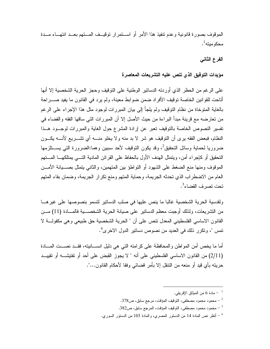الموقوف بصورة قانونية وعدم نتفيذ هذا الأمر أو استقرار توقيسف المستهم بعسد انتهساء مسدة محكو مبته $^{-1}.$ 

# الفرع الثانى

### مؤيدات التوفيق الذى تنص عليه التشريعات المعاصرة

على الرغم من الحظر الذي أوردته الدسانير الوطنية على النوفيف وحجز الحرية الشخصية إلا أنها أتاحت للقوانين الخاصة توقيف الأفراد ضمن ضوابط معينة، ولم يرد في القانون ما يفيد صــــراحة بالغاية المتوخاة من نظام التوقيف ولم يلجأ إلى بيان المبررات لوجود مثل هذا الإجراء على الرغم من تعارضه مع قرينة مبدأ البراءة من حيث الأصل إلا أن المبررات التي ساقها الفقه والقضاء في تفسير النصوص الخاصة بالتوقيف تعبر عن إرادة المشرع حول الغاية والمبررات لوجــود هــذا النظام، فبعض الفقه برى أن التوقيف هو شر لا بد منه ولا يخلو منــــه أي تشـــريع لأنــــه يكـــون ضروريا لحماية وسائل التحقيق<sup>2</sup>، وقد يكون التوقيف لأحد سببين وهما:الضرورة التي يســـنلزمها النحقيق أو كاجراء أمن، ويتمثل الهدف الأول بالحفاظ على القرائن المادية النسى يمتلكهـــا المستهم الموقوف ومنها منع الضغط على الشهود أو النواطؤ بين المتهمين، والثاني يتمثل بصــــيانة الأمـــن العام من الاضطراب الذي تحدثه الجريمة، وحماية المتهم ومنع تكرار الجريمة، وضمان بقاء المتهم تحت تصر ف القضاء<sup>3</sup>.

ولقدسية الحرية الشخصية غالبا ما ينص عليها في صلب الدسانير لتسمو بنصوصها على غيرهــا من التشريعات، ولذلك أوجبت معظم الدساتير على صبانة الحرية الشخصــــية فالمـــادة (11) مـــن القانون الاساسي الفلسطيني المعدل نتص على أن " الحرية الشخصية حق طبيعي وهي مكفولـــة لا تمس "، وتكرر ذلك في العديد من نصوص دساتير الدول الاخرى<sup>4</sup>.

أما ما يخص أمن المواطن والمحافظة على كرامته التي هي دليل انســـانيته، فقـــد نصـــت المـــادة (2/11) من القانون الاساسى الفلسطيني على أنه " لا يجوز القبض على أحد أو تفتيشـــه أو تقييـــد حريته بأي قيد أو منعه من النتقل إلا بأمرٍ قضائي وفقا لأحكام القانون...".

- محمود محمود مصطفى، التوقيف المؤقت، مرجع سابق، ص378.  $^{-2}$
- 3 محمود محمود مصطفى، التوقيف المؤقت، المرجع سابق، ص382.

<sup>4</sup> – أنظر نص المادة 14 من الدستور المصري، والمادة 103 من الدستور السوري.

مادة 6 من الميثاق الإفريقي.  $\sim 6$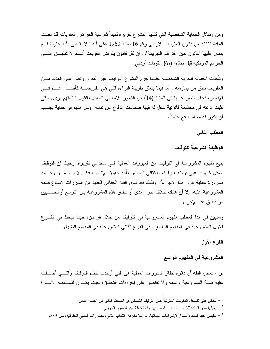ومن وسائل الحماية الشخصية التي كفلها المشرع نقريره لمبدأ شرعية الجرائم والعقوبات فقد نصت المادة الثالثة من قانون العقوبات الاردنبي رقم 16 لسنة 1960 على أنه " لا يقضي بأية عقوبة لـــم ينص عليها القانون حين اقتراف الجريمة"، وأن كل قانون يفرض عقوبات أشـــد لا نطبـــق علــــي الجرائم المرتكبة قبل نفاذه، (م6) عقوبات أردني.

وتأكدت الحماية للحرية الشخصية عندما جرم المشرع التوقيف غير المبرر ونص على العديد مـــن العقوبات بحق من يمارسه<sup>1</sup>، أما فيما يتعلق بقرينة البراءة التي هي مفترضــــة كأصــــل عـــــام فــــي الإنسان، فجاء النص عليها في المادة (14) من القانون الاساسي المعدل بالقول " المتهم برىء حتى تثبت إدانته في محاكمة قانونية تكفل له فيها ضمانات الدفاع عن نفسه، وكل متهم في جناية يجــب أن يكون له محام يدافع عنه"<sup>2</sup>.

المطلب الثاني

الوظيفة الشرعية للتوقيف

ينبع مفهوم المشروعية في التوقيف من المبررات العملية التي تستدعي نقريره، وحيث إن التوقيف يشكل خروجا على قرينة البراءة، وبالنالـي المساس بأحد حقوق الإنسان، فكان لا بـــد مـــن وجـــود ضرورة عملية نبرر هذا الإجراء<sup>3</sup>، ولذلك فقد ساق الفقه الجنائي العديد من المبررات لإسباغ صفة المشروعية عليه، إلا أن هناك خلاف حول مدى أو نطاق هذه المشروعية بين النوسع أوالتضـــبيق من نطاق هذا الإجر اء.

وسنبين في هذا المطلب مفهوم المشروعية في التوقيف من خلال فرعين، حيث نبحث في الفـــرع الأول المشروعية في المفهوم الواسع، وفي الفرع الثاني المشروعية في المفهوم الضيق.

الفرع الأول

## المشروعية في المفهوم الواسع

برى بعض الفقه أن دائرة نطاق المبررات العملية هي التي أوجدت نظام التوقيف والتــــي أضــــفت عليه صفة المشروعية واسعة ولا نقتصر على إجراءات التحقيق، حيث يكــون للســـلطة الأمــــرة

<sup>&</sup>lt;sup>1</sup> – سنأتى على تفصيل العقوبات المترتبة على التوقيف التعسفي في المبحث الثاني من الفصل الثاني.

<sup>-</sup> يقابلها نص المادة 67 من الدستور المصرى، والمادة 28 من الدستور السورى  $^{-2}$ 

<sup>&</sup>lt;sup>3</sup> – سليمان عبد المنعم، أصول الإجراءات الجنائية، در اسة مقارنة، الكتاب الثاني، منشورات الحلبي الحقوقية، ص 889.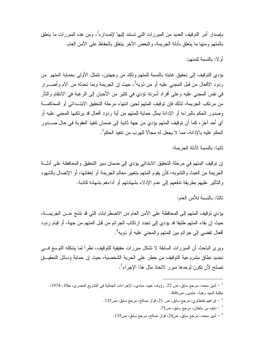بإصدار أمر التوقيف العديد من المبر ر ات التي تستند إليها لإصدار ه<sup>1</sup>، ومن هذه المبر ر ات ما يتعلق بِالْمِنْهِم ومِنها ما بِنْعِلْقِ بِأَدْلَةِ الْجِرْبِيْهِ، والبِعِض الآخر بِنْعِلْقِ بِالْحِفاظِ على الأمن العام.

أو لا: بالنسبة للمتهم:

يؤدي التوقيف إلى تحقيق غايته بالنسبة للمتهم وذلك من وجهتين، تتمثل الأولى بحماية المتهم ًمن ردود الأفعال من قبل المجنى عليه أو من ذويه<sup>2</sup>، حيث إن الجريمة وبما تحدثه من آلام وأضــــرار في نفس المجنى عليه وعلى أفراد أسرته نؤدي في كثير من الأحيان إلى الرغبة في الانتقام والثأر من مرتكب الجريمة، لذلك فإن توقيف المتهم لحين انتهاء مرحلة التحقيق الابتــدائي أو المحاكمـــة وصدور الحكم بالبراءة أو الإدانة بمثل حماية للمتهم من أية ردود أفعال قد يرتكبها المجنى عليه أو أي أحد آخر ، كما أن توقيف المتهم يؤدي من جهة ثانية إلى ضمان نتفيذ العقوبة في حال صــــدور الحكم عليه بالإدانة، مما لا يجعل له مجالا للهرب من تتفيذ الحكم<sup>3</sup>.

ثانيا: بالنسبة لأدلة الجر بمة:

إن توقيف المتهم في مرحلة التحقيق الابتدائي يؤدي إلى ضمان سير التحقيق والمحافظة على أدلسة الجريمة من العبث والنشويه، كأن يقوم المتهم بتغيير معالم الجريمة أو إخفائها، أو الإتصال بالشهود والتأثير عليهم بطريقة تدفعهم إلى عدم الإدلاء بشهادتهم أو آداءهم بشهادة كاذبة.

ثالثا: بالنسبة للأمن العام:

يؤدي توفيف المتهم إلى المحافظة على الأمن العام من الاضطر ابات التي قد تتتج عـــن الجريمــــة، حيث إن بقاء المتهم طليقا قد يؤدي إلى تجدد ارتكاب الجرائم من قبل المتهم من جهة، أو قيام ردود أفعال تفضيي إلى جر ائم بين المتهم و المجنى عليه أو ذويه<sup>4</sup>.

ويرِ عليه الباحث أن المبررات السابقة لا تشكل مبررات حقيقية للتوقيف، نظراً لما يشكله التوسع فــــى تحديد نطاق مشروعية التوقيف من خطر على الحرية الشخصية، حيث إن حماية وسائل التحقيـــق تصلح لأن تكون لوحدها مبرر لاتخاذ مثل هذا الإجراء<sup>1</sup>.

<sup>&</sup>lt;sup>1</sup> – أمين محمد، مرجع سابق، ص 22. رؤوف عبيد، مباديء الإجر اءات الجنائية في التشريع المصري، ط10، 1974، مكتبة السيد وهبة، عابدين، ص446.

<sup>.</sup> اير اهيم طنطاوي، مرجع سابق، ص 21، فواز صالح، مرجع سابق، ص135  $^{-2}$ 

نايف بن سلطان، مرجع سابق، ص75.  $^{-3}$ 

أمين محمد، مرجع سابق، ص24، فواز صالح، مرجع سابق، ص135.  $\sim$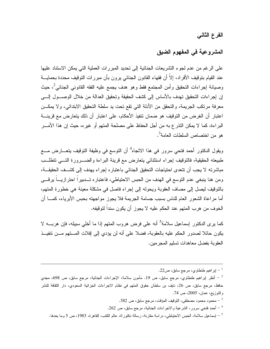الفرع الثاني

# المشروعية في المفهوم الضيق

على الرغم من عدم لجوء التشريعات الجنائية إلى تحديد المبررات العملية التي يمكن الاستتاد عليها عند القيام بتوقيف الأفراد، إلاَّ أن فقهاء القانون الجنائي يرون بأن مبررات التوقيف محددة بحمايـــة وصيانة إجر اءات التحقيق وأمن المجتمع فقط وهو هدف يجمع عليه الفقه القانوني الجنائي<sup>2</sup>، حيث إن إجر اءات التحقيق تهدف بالأساس إلى كشف الحقيقة وتحقيق العدالة من خلال الوصـــول إلــــى معرفة مرتكب الجريمة، والتحقق من الأدلة التي تقع تحت يد سلطة التحقيق الابتدائي، ولا يمكــن اعتبار أن الغرض من التوقيف هو ضمان نتفيذ الأحكام، على اعتبار أن ذلك يتعارض مع قرينــــة البراءة، كما لا يمكن النذر ع به من أجل الحفاظ على مصلحة المتهم أو غير ه، حيث إن هذا الأمــــر هو من اختصاص السلطات العامة<sup>3</sup>.

ويقول الدكتور أحمد فتحي سرور في هذا الاتجاه<sup>4</sup> أن التوسع في وظيفة التوقيف يتعـــارض مــــع طبيعته الحقيقية، فالتوقيف إجراء استثنائي يتعارض مع فرينة البراءة والضـــرورة التـــي نتطلـــب مباشرته لا يجب أن نتعدى احتياجات التحقيق الجنائي باعتبار ه إجراء يهدف إلى كشــف الحقيقـــة، ومن هنا ينبغي عدم النوسع في الهدف من الحبس الاحتياطي، فاعتباره تـــدبيرا احترازيـــا يرقـــي بالنوقيف ليصل إلى مصاف العقوبة ويحوله إلى إجراء فاصل في مشكلة معينة هي خطورة المتهم، أما مراعاة الشعور العام للناس بسبب جسامة الجريمة فلا يجوز مواجهته بحبس الأبرياء، كمـــا أن الخوف من هرب المتهم عند الحكم عليه لا يجوز أن يكون سنداً لتوقيفه.

كما يرى الدكتور ٳسماعيل سلامة<sup>5</sup> أنه على فرض هروب المتهم إذا ما أخلى سبيله، فإن هربــــه لا يكون حائلا لصدور الحكم عليه بالعقوبة، فضلا على أنه لن يؤدي إلى إفلات المستهم مسن نتفيــذ العقوبة بفضل معاهدات تسليم المجرمين.

 $1-2$ اير اهيم طنطاوي، مرجع سابق، ص

محمود محمود مصطفى، التوقيف المؤقت، مرجع سابق، ص 382.  $^{-3}$ 

- أحمد فتحي سرور، الشرعية والاجراءات الجنائية، مرجع سابق، ص 262.  $^{-4}$
- <sup>5</sup> إسماعيل سلامة، الحبس الاحتياطي، در اسة مقارنة، رسالة دكتور اة، عالم الكتب، القاهرة، 1983، ص 5 وما بعدها.

أنظر اپراهيم طنطاوي، مرجع سابق، ص 19. مأمون سلامة، الإجراءات الجنائية، مرجع سابق، ص 698، مجدي  $^{-2}$ حافظ، مرجع سابق، ص 26، نايف بن سلطان حقوق المتهم في نظام الاجراءات الجزائية السعودي، دار الثقافة للنشر والنوزيع، عمان، 2005، ص 74.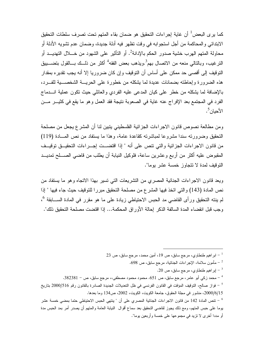كما ير ى البعض<sup>1</sup> أن غاية إجراءات التحقيق هو ضمان بقاء المتهم تحت تصرف سلطات التحقيق الابتدائي و المحاكمة من أجل استجو ابه في وقت تظهر فيه أدلة جديدة، و ضمان عدم تشويه الأدلة أو محاولة المتهم الهرب خشية صدور الحكم بالإدانة<sup>2</sup>. أو التأثير على الشهود من خـــلال التهديـــد أو النرغيب، وبالنالبي منعه من الاتصال بهم<sup>3</sup>.ويذهب بعض الفقه<sup>4</sup> أكثر من ذلــك بـــالقول بتضــــبيق النَّوقيف إلى أقصبي حد ممكن على أساس أن التوقيف وإن كان ضروريا إلا أنه يجب نقديره بمقدار هذه الضرورة وإحاطته بضمانات عديدة لما يشكله من خطورة على الحريـــة الشخصــــية للفـــرد، بالإضافة لما يشكله من خطر على كيان المدعى عليه الفردي والعائلي حيث نكون عملية انـــدماج الفرد في المجتمع بعد الإفراج عنه غاية في الصعوبة نتيجة فقد العمل وهو ما يقع في كثيــر مـــن الأحيان ً .

ومن مطالعة نصوص قانون الاجراءات الجزائية الفلسطيني ينبين لنا أن المشرع يجعل من مصلحة التحقيق وضرورته سندا مشروعا لمباشرته كقاعدة عامة، وهذا ما يستفاد من نص المسادة (119) من قانون الاجراءات الجزائية والتي تتص على أنه " إذا اقتضـــت إجـــراءات التحقيـــق توقيـــف المقبوض عليه أكثر من أربع وعشرين ساعة، فلوكيل النيابة أن يطلب من قاضبي الصــــلح تمديـــد التوقيف لمدة لا تتجاوز خمسة عشر بوما".

ويعد قانون الاجراءات الجنائية المصرى من التشريعات التي تسير بهذا الاتجاه وهو ما يستفاد من نص المادة (143) والتي اتخذ فيها المشرع من مصلحة التحقيق مبررا للتوقيف حيث جاء فيها " إذا لم بنته التحقيق ورأى القاضـي مد الـحبس الاحتياطـي زيادة علـي مـا هو مقرر فـي المـادة الســــابقة <sup>6</sup>، وجب فبل انقضاء المدة السالفة الذكر إحالة الأوراق المحكمة... إذا اقتضت مصلحة التحقيق ذلك".

23 - ابر اهيم طنطاوي، مرجع سابق، ص 19، أمين محمد، مرجع سابق، ص $^{-1}$ مأمون سلامة، الإجراءات الجنائية، مرجع سابق، ص 698.  $\sim$ .20 إبر اهيم طنطاوي، مرجع سابق، ص $\sim 20$  . محمد زكي أبو عامر، مرجع سابق، ص 651. محمود محمود مصطفى،، مرجع سابق، ص – 382381.  $\sim$ فواز صالح، التوقيف المؤقت في القانون الفرنسي في ظل التعديلات الجديدة الصادرة بالقانون رقم 2000/516 بتاريخ -2000/6/15، منشور في مجلة الحقوق، جامعة الكويت، الكويت، 2002، ص134 وما بعدها. <sup>6</sup> – تتص المادة 142 من قانون الاجراءات الجنائية المصرى على أن " ينتهى الحبس الاحتياطي حتما بمضى خمسة عشر يوما على حبس المتهم، ومع ذلك يجوز لقاضي التحقيق بعد سماع أقوال النيابة العامة والمتهم أن يصدر أمر بمد الحبس مدة أو مددا أخر ي لا نزيد في مجموعها على خمسة وأربعين يوما".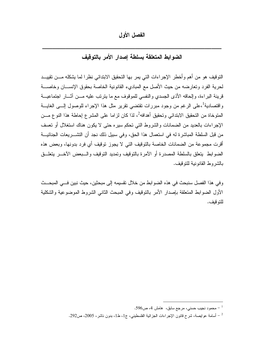الفصل الأول

## الضوابط المتعلقة بسلطة إصدار الأمر بالتوقيف

النَّوقيف هو من أهم وأخطر الإجراءات التي يمر بها التحقيق الابتدائي نظرا لما يشكله مـــن تقييـــد لحرية الفرد وتعارضه من حيث الأصل مع المبادىء القانونية الخاصة بحقوق الإنســـان وخاصــــة قرينة البراءة، وإلحاقه الأذى الجسدي والنفسي للموقوف مع ما يترنب عليه مـــن أثـــار اجتماعيـــة واقتصادية<sup>1</sup>،على الرغم من وجود مبررات تقتضى نقرير مثل هذا الإجراء للوصول إلـــى الغايـــة المتوخاة من التحقيق الابتدائي وتحقيق أهدافه<sup>2</sup>، لذا كان لزاما على المشرع إحاطة هذا النوع مـــن الإجراءات بالعديد من الضمانات والشروط التبي تحكم سيره حتى لا يكون هناك استغلال أو تعسف من قبل السلطة المباشرة له في استعمال هذا الحق، وفي سبيل ذلك نجد أن التشـــريعات الجنائيـــة أقرت مجموعة من الضمانات الخاصة بالتوقيف التي لا يجوز توقيف أي فرد بدونها، وبعض هذه الضوابط بنعلق بالسلطة المصدرة أو الأمرة بالتوقيف ونمديد التوقيف والسبعض الأخسر بتعلسق بِالشِّرِ و ط القانو نبية للَّتو قَبِف.

وفي هذا الفصل سنبحث في هذه الضوابط من خلال نقسيمه إلى مبحثين، حيث نبين فـــى المبحـــث الأول الضوابط المنعلقة بإصدار الأمر بالنوفيف وفي المبحث الثانبي الشروط الموضوعية والشكلية للتو قبف.

محمود نجيب حسني، مرجع سابق، هامش 4، ص596.  $^{-1}$ 

أسامة عوايصة، شرح قانون الإجراءات الجزائية الفلسطيني، ج1، ط1، بدون ناشر، 2005، ص292.  $\sim$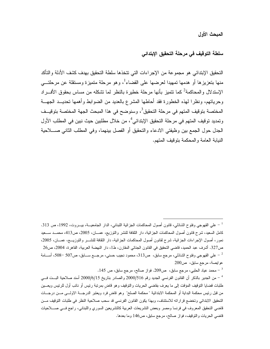#### المبحث الأول

## سلطة التوقيف في مرحلة التحقيق الإبتدائي

التحقيق الإبتدائي هو مجموعة من الإجراءات التي تتخذها سلطة التحقيق بهدف كشف الأدلة والتأكد منها بتعزيزها أو هدمها تمهيدا لعرضها على القضاء<sup>1</sup>، وهو مرحلة متميزة ومستقلة عن مرحلتـــي الإستدلال والمحاكمة<sup>2</sup> كما تتميز بأنها مرحلة خطيرة بالنظر لما تشكله من مساس بحقوق الأفـــراد وحرياتهم، ونظرًا لهذه الخطورة فقد أحاطها المشرع بالعديد من الضوابط وأهمها تحديــد الجهـــة المختصة بتوقيف المتهم في مرحلة التحقيق<sup>3</sup>، وسنوضح في هذا المبحث الجهة المختصة بتوقيــف وتمديد توقيف المتهم في مرحلة التحقيق الإبتدائي<sup>4</sup>، من خلال مطلبين حيث نبين في المطلب الأول الجدل حول الجمع بين وظيفتي الادعاء والتحقيق أو الفصل بينهما، وفي المطلب الثاني صــــلاحية النيابة العامة والمحكمة بنوقيف المنهم.

محمد عياد الحلبي، مرجع سابق، ص209. فواز صالح، مرجع سابق، ص 145.  $^{-3}$ 

<sup>&</sup>lt;sup>1</sup> – علي القهوجي وفتوح الشاذلي، قانون أصول المحاكمات الجزائية اللبناني، الدار الجامعيـــة، بيــــروت، 1992، ص 313. كامل السعيد، شرح قانون أصول المحاكمات الجزائية، دار الثقافة للنشر والتوزيع، عصـــان، 2005، ص413، محمـــد ســـعيد نمور، أصول الإجراءات الجزائية، شرح لقانون أصول المحاكمات الجزائية، دار الثقافة للنشـــر والتوزيـــع، عصــان، 2005، ص327. أشرف عبد الحميد، فاضي التحقيق في القانون الجنائي المقارن، ط1، دار النهضة العربية، القاهرة، 2004، ص26 على القهوجي وفتوح الشاذلي، مرجع سابق، ص313، محمود نجيب حسني، مرجـــع ســــابق، ص507 –508، أســــامة —  $^2$ عوايصة، مرجع سابق، ص200

من الجدير بالذكر أن القانون الفرنسي الجديد رقم 516/00/516 والصادر بتاريخ 2000/6/15 أسند صلاحية البـــت فـــي  $^{\rm -}$ طلبات قضايا النوقيف المؤقت إلى ما يعرف بقاضي الحريات والنوقيف وهو قاض بمرنبة رئيس أو نائب أول للرئيس ويعـــين من قبل رئيس محكمة البداية أو المحكمة الابتدائية " محكمة الصلح" وهو قاض فرد ويعتبر الدرجـــة الاولــــى مـــن درجـــات التحقيق الابتدائي وتخضع قراراته للاستئناف، وبهذا يكون القانون الفرنسي قد سحب صلاحية النظر في طلبات التوقيف مــن قاضي التحقيق المعروف في فرنسا ومصر وبعض التشريعات العربية كالتشريعين السوري واللبناني، راجع فسي صــــلاحيات قاضي الحريات والتوقيف، فواز صالح، مرجع سابق، ص146 وما بعدها.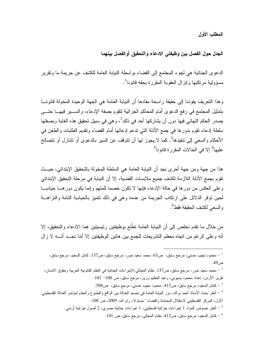المطلب الأول

الجدل حول الفصل بين وظيفتي الادعاء والتحقيق أوالفصل بينهما

الدعوى الجنائية هي لجوء المجتمع إلى القضاء بو اسطة النيابة العامة للكشف عن جريمة ما وتقرير مسؤولية مر تكيها وإنز ال العقوبة المقرر ة بحقه قانو نا '.

و هذا التعريف يقودنا إلى حقيقة راسخة مفادها أن النيابة العامة هي الجهة الوحيدة المخولة قانونـــا بتمثيل المجتمع في رفع الدعوى أمام المحاكم الجزائية لتقوم بصفة الإدعاء، والسبير فيهـــا حتـــي يصدر الحكم النهائي فيها دون أن يشاركها أحد في ذلك<sup>2</sup>، وهي في سبيل تحقيق هذه الغاية وبصفتها سلطة إدعاء نقوم بدورها في جمع الأدلة التي ندعم إدعائها أمام القضاء ونقديم الطلبات والطعن في الأحكام والسعى إلى تنفيذها<sup>3</sup>. كما لا يجوز لها أن تتوقف عن السير بالدعوى أو تتنازل أو تتصالح عليها<sup>4</sup> إلا في الحالات المقررة قانونا<sup>5</sup>

هذا من جهة ومن جهة أخرى نجد أن النيابة العامة هي السلطة المخولة بالتحقيق الإبتدائي، حيــث تقوم بجمع الأدلة اللازمة لكشف جميع ملابسات القضية، إلا أن النيابة في مرحلة التحقيق الإبتدائي وعلى العكس من دورها في حالة الإدعاء فإنها لا نكون خصما للمتهم وإنما يكون دورهــا حياديـــا لحين نوفر الدلائل على ارتكاب الجريمة من عدمه وهي في ذلك نتميز بالحيادية التامة والنزاهـــة و السعي لكشف الحقيقة فقط<sup>6</sup>.

من خلال ما تقدم نخلص إلى أن النيابة العامة تطُّلع بوظيفتين رئيسيتين هما الادعاء والتحقيق، إلا أنه وعلى الرغم من اتجاه معظم التشريعات للجمع بين هاتين الوظيفتين إلا أننا نجــد أنـــه لا زال

محمود نجيب حسني، مرجع سابق، ص63. محمد سعيد نمور ، مرجع سابق، ص137. كامل السعيد، مرجع سابق،  $^{-{\,1}}$ ص 49.

- كامل السعيد، مرجع سابق، ص413. محمود نجيب حسنبي، مرجع سابق، ص508.  $\sim$ 508  $^{-3}$
- <sup>4</sup> أنظر بحث الأسناذ أحمد براك، دور النيابة العامة في نجسيد العدالة بين الواقع والطموح والمقدم لمؤتمر العدالة الفلسطيني الأول، المركز الفلسطيني لاستقلال المحاماة والقضاء " مساواة"، رام الله، 2005، ص 108.
	- أنظر نصوص المواد 1 إجراءات جزائية فلسطيني، 1 اجراءات جنائية مصري، 2 أصول جزائية أردنبي.  $^{-5}$

كامل السعيد، مرجع سابق، ص413. نظام المجالي، مرجع سابق، ص 101.  $\sim$ 

محمد سعيد نمور، مرجع سابق، ص137. نظام المجالي،الإجراءات الجنائية في النظم القانونية العربية وحقوق الانسان،  $^{-2}$ نقرير الأردن، إعداد محمود بسيوني، وعبد العظيم وزير، مرجع سابق، ص 100− 101.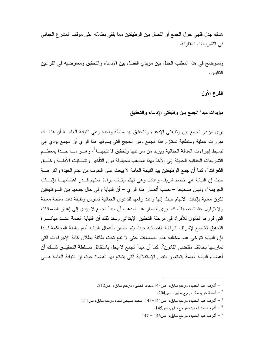هناك جدل فقهي حول الجمع أو الفصل بين الو ظيفتين مما يلقى بظلاله على مو قف المشر ع الجنائي في النشر بعات المقارنة.

وسنوضح في هذا المطلب الجدل بين مؤيدي الفصل بين الإدعاء والتحقيق ومعارضيه في الفرعين التاليين.

الفرع الأول

مؤيدات مبدأ الجمع بين وظيفتي الإدعاء والتحقيق

يرى مؤيدو الجمع بين وظيفتي الإدعاء والنحقيق بيد سلطة واحدة وهي النيابة العامــــة أن هنالـــك مبررات عملية ومنطقية تستلزم هذا الجمع ومن الحجج التي يسوقها هذا الرأي أن الجمع يؤدي إلى تبسيط إجراءات العدالة الجنائية ويزيد من سرعتها وتحقيق فاعليتهـــا<sup>1</sup>، وهـــو مـــا حـــدا بمعظـــم التشريعات الجنائية الحديثة إلى الأخذ بهذا المذهب للحيلولة دون التأخير وتشستيت الأدلسة وخلسق النُّغرِ اتٍّ، كما أن جمع الوظيفتين بيد النيابة العامة لا يبعث على الخوف من عدم الحيدة والنز اهــــة حيث إن النيابة هي خصم شريف وعادل وهي تهتم بإثبات براءة المتهم قــدر اهتمامهـــا باثبـــات الجريمة<sup>3</sup>، وليس صحيحا – حسب أنصار هذا الرأى – أن النيابة وفي حال جمعها بين الـــوظيفتين نكون معنية بإثبات الاتهام حيث إنها وعند رفعها للدعوى الجنائية تمارس وظيفة ذات سلطة معينة و لا تزاول حقا شخصيا<sup>4</sup>، كما يرى أنصار هذا المذهب أن مبدأ الجمع لا يؤدي إلى إهدار الضمانات التي قرر ها القانون للأفر اد في مرحلة التحقيق الإبتدائي وسند ذلك أن النيابة العامة عنــد مباشـــر ة التحقيق تخضع لإشراف الرقابة القضائية حيث يتم الطعن بأعمال النيابة أمام سلطة المحاكمة لـــذا فإن النيابة نتوخى عدم مخالفة هذه الضمانات حتى لا نقع نحت طائلة بطلان كافة الإجراءات التي تمارسها بخلاف مقتضى القانون<sup>5</sup>، كما أن مبدأ الجمع لا يخل باستقلال ســـلطة التحقيـــق ذلـــك أن أعضاء النيابة العامة يتمتعون بنفس الإستقلالية التي يتمتع بها القضاة حيث إن النيابة العامة هـــي

- - أسامة عوايصة، مرجع سابق،  $\sim 204$ .  $^{-2}$
- $211$ أشرف عبد الحميد، مرجع سابق، ص144−145. محمد صبحي نجم، مرجع سابق، ص $11$ 
	- أشرف عبد الحميد، مرجع سابق، ص145.  $^{-\,4}$
	- $147 146$ أشرف عبد الحميد، مرجع سابق، ص146 147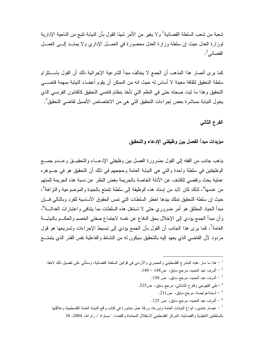شعبة من شعب السلطة القضائية<sup>1</sup> و لا يغير من الأمر شيئا القول بأن النيابة تتبع من الناحية الإدار ية لموز ارة العدل حيث إن سلطة وزارة العدل محصورة في العصـل الإداري و لا يمتــد إلـــي العصــل القضائي^.

كما يرى أنصار هذا المذهب أن الجمع لا يخالف مبدأ الشرعية الإجرائية ذلك أن القول باســـنلزام سلطة التحقيق لثقافة معينة لا أساس له حيث انه من الممكن أن يقوم أعضاء النيابة بمهمة قاضــــى التحقيق وهذا ما ثبت صحته حتى في النظم التي تأخذ بنظام قاضبي التحقيق كالقانون الفرنسي الذي يخول النيابة بمباشرة بعض إجراءات التحقيق التي هي من الاختصاص الأصيل لقاضي التحقيق<sup>3</sup>.

الفرع الثاني

مؤيدات مبدأ الفصل بين وظيفتى الإدعاء والتحقيق

يذهب جانب من الفقه إلى القول بضرورة الفصل بين وظيفتي الإدعــاء والتحقيــق وعــدم جمـــع الوظيفتين في سلطة وإحدة والتي هي النيابة العامة وحججهم في ذلك أن التحقيق هو في جــوهر ه عملية بحث ونقصبي للكشف عن الأدلة الخاصة بالجريمة بغض النظر عن نسبة هذه الجريمة للمتهم من عدمها<sup>4</sup>، لذلك كان لابد من اِسناد هذه الوظيفة إلى سلطة تتمتع بالحيدة والموضوعية والنز اهة<sup>5</sup>، حيث إن سلطة التحقيق تملك بيدها اخطر السلطات التي تمس الحقوق الأساسية للفرد وبالتالي فسإن مبدأ الحياد المطلق هو أمر ضروري حتى لا تستغل هذه السلطات بما يتنافى واعتبار ات العدالــة<sup>6</sup>، و أن مبدأ الجمع بؤدي إلى الإخلال بحق الدفاع عن نفسه لاجتماع صفتي الخصم و الحكــم بالنيابـــة العامة<sup>7</sup>، كما يرى هذا الجانب أن القول بأن الجمع يؤدي إلى نبسيط الإجراءات ونسريعها هو قول مردود لأن القاضـي الذي يعهد إليه بالنحقيق سيكون لـه من النشاط والفاعلية نفس القدر الذي يتمتـــع

- <sup>1</sup> هذا ما سار عليه المشر ع الفلسطيني والمصري والأردني في قوانين السلطة القضائية، وسنأتي على تفصيل ذلك لاحقا.
	- $149$  أشرف عبد الحميد، مرجع سابق،  $\sim 148-14$ .
		- . أشرف عبد الحميد، مرجع سابق، ص 150.  $^{-3}$
	- على القهوجي وفتوح الشاذلبي، مرجع سابق، ص325.
		- أسامةعوايصة، مرجع سابق، ص211.
		- أشرف عبد الحميد، مرجع سابق، ص 125.  $^6$

<sup>7</sup> – عصـام عابدين، انواع النيابات العامة ودورها، ورقة عمل منشورة في كتاب واقع النيابة العامة الفلسطينية وعلاقتها بالسلطتين التنفيذية والقضائية، المركز الفلسطيني لاستقلال المحاماة والقضاء " مساواة "، رام الله، 2004، 38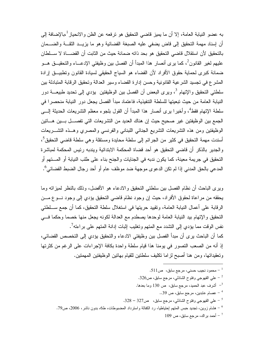به عضو النيابة العامة، إلا أن ما يميز قاضي التحقيق هو ترفعه عن الظن والانحياز <sup>1</sup>،بالإضافة إلى أن إسناد مهمة التحقيق إلى قاض بضفى عليه الصبغة القضائية وهو ما بزيــد الثقــة والضــمان بالتحقيق لأن استقلال قاضبي التحقيق هو بحد ذاته ضمانة حيث من الثابت أن القضـــاة لا ســـلطان عليهم لغير القانون<sup>2</sup>، كما يرى أنصار هذا المبدأ أن الفصل بين وظيفتي الإدعـــاء والتحقيـــق هـــو ضمانة كبرى لحماية حقوق الأفراد لأن القضاء هو السياج الحقيقي لسيادة القانون ونطبيــق إرادة المشرع في تجسيد الشرعية القانونية وحسن إدارة القضاء وسير العدالة وتحقيق الرقابة المتبادلة بين سلطتي التحقيق والإتهام <sup>3</sup>، ويرى البعض أن الفصل بين الوظيفتين يؤدي إلى تحديد طبيعــــة دور النيابة العامة من حيث تبعيتها للسلطة التتفيذية، فاعتماد مبدأ الفصل يجعل دور النيابة منحصر ا في سلطة الإتهام فقط<sup>4</sup>، وأخيرا برى أنصار هذا المبدأ أن القول بلجوء معظم التشريعات الحديثة إلــــى الجمع بين الوظيفتين غير صحيح حيث إن هناك الحديد من التشريعات التي تفصــــل بــــين هــــاتين الوظيفتين ومن هذه التشريعات التشريع الجنائي اللبناني والفرنسى والمصري وهــذه التشـــريعات أسندت مهمة التحقيق في كثير من الجرائم إلى سلطة محايدة ومستقلة وهي سلطة قاضي التحقيق<sup>5</sup>، والجدير بالذكر أن قاضي التحقيق هو أحد قضاة المحكمة الابتدائية ويندبه رئيس المحكمة لمباشرة التحقيق في جريمة معينة، كما يكون ندبه في الجنايات والجنح بناء على طلب النيابة أو المـــتهم أو المدعى بالحق المدنى إذا لم تكن الدعو ى موجهة ضد موظف عام أو أحد رجال الضبط القضائي<sup>6</sup>.

ويرى الباحث أن نظام الفصل بين سلطتي التحقيق والادعاء هو الأفضل، وذلك بالنظر لمبزاته وما يحققه من مراعاة لحقوق الأفراد، حيث إن وجود نظام قاضي التحقيق بؤدي إلى وجود نسوع مسن الرقابة على أعمال النيابة العامة، وتقييد حريتها في استغلال سلطة التحقيق، كما أن جمع ســـلطتي التحقيق والإتهام ببد النيابة العامة لوحدها يصطدم مع العدالة لكونه يجعل منها خصما وحكما فسي نفس الوقت مما بؤدي إلى النشدد مع المتهم وتغليب إثبات إدانة المتهم على براءته<sup>7</sup>. كما أن الباحث يرى أن مبدأ الفصل بين وظيفتي الادعاء والتحقيق يؤدي إلى التخصص القضائي، إذ أنه من الصعب التصور في يومنا هذا قيام سلطة واحدة بكافة الإجراءات على الرغم من كثرتها وتعقيداتها، ومن هنا أصبح لزاما نكليف سلطنين للقيام بهانين الوظيفتين المهمتين.

محمود نجيب حسني، مرجع سابق،  $\sim 11$ .

- على القهوجي وفتوح الشاذلبي، مرجع سابق، ص326.  $^{-2}$
- أشرف عبد الحميد، مرجع سابق، ص 130 وما بعدها.  $^{-3}$ 
	- 39 عصـام عابدين، مرجع سابق، ص $9\,$ ..
- على القهوجي وفتوح الشاذلبي، مرجع سابق،  $\sim 328-32$ .
- مشام زوين، نجديد حبس المتهم إحتياطيا، رد الكفالة واسترداد المضبوطات، ط6، بدون ناشر، 2006، ص79.  $\sim$ 
	- $109$  أحمد براك، مرجع سابق، ص $\sim 109$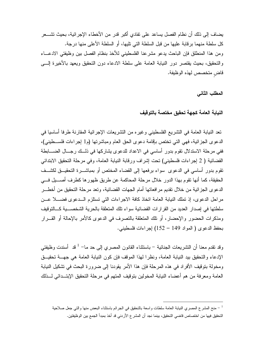يضاف إلى ذلك أن نظام الفصل يساعد على تفادي أكبر قدر من الأخطاء الإجر ائية، بحيث تشـــعر كل سلطة منهما بر قابة عليها من قبل السلطة التي تليها، أو السلطة الأعلى منها در جة. ومن هذا المنطلق فإن الباحث يدعو مشرعنا الفلسطيني للأخذ بنظام الفصل بين وظيفتي الادعـــاء والنحقيق، بحيث يقتصر دور النيابة العامة على سلطة الادعاء دون النحقيق ويعهد بالأخيرة إلــــي قاض متخصص لهذه الوظيفة.

المطلب الثاني

النبابة العامة كجهة تحقيق مختصة بالتوقيف

تعد النيابة العامة في النشريع الفلسطيني وغيره من النشريعات الإجرائية المقارنة طرفا أساسيا في الدعوى الجزائية، فهي التي تختص بإقامة دعوى الحق العام ومباشرتها (م1 إجراءات فلســطيني)، ففي مرحلة الاستدلال نقوم بدور أساسي في الاعداد للدعوى يشاركها في ذلــك رجـــال الضــــابطة القضائية ( 2 إجراءات فلسطيني) تحت إشراف ورقابة النيابة العامة، وفي مرحلة التحقيق الابتدائي تقوم بدور أساسي في الدعوى سواء برفعها إلى القضاء المختص أو بمباشــــرة التحقيـــق لكشـــف الحقيقة، كما أنها تقوم بهذا الدور خلال مرحلة المحاكمة عن طريق ظهور ها كطرف أصــــيل فــــى الدعوى الجز ائية من خلال نقديم مر افعاتها أمام الجهات القضائية، وتعد مرحلة التحقيق من أخطـــر مر احل الدعوى، إذ تملك النيابة العامة اتخاذ كافة الإجر اءات التي تستلزم السدعوى فضسلا عسن سلطتها في إصدار العديد من القرار ات القضائية سواء تلك المتعلقة بالحرية الشخصـــية كـــالتوقيف ومذكر ات الحضور والإحضار ، أو تلك المتعلقة بالتصر ف في الدعو ي كالأمر بالإحالة أو القـــر ار بحفظ الدعوى ( المواد 149 – 152) إجراءات فلسطيني.

وقد نقدم معنا أن النشريعات الجنائية – باستثناء القانون المصري إلى حد ما– <sup>1</sup> قد أسندت وظيفتى الإدعاء والتحقيق بيد النيابة العامة، ونظرًا لهذا الموقف فإن كون النيابة العامة هي جهسة تحقيسق ومخولة بتوقيف الأفراد في هذه المرحلة فإن هذا الأمر يقودنا إلى ضرورة البحث في تشكيل النيابة العامة ومعرفة من هم أعضاء النيابة المخولين بتوقيف المتهم في مرحلة التحقيق الإبتــدائي لـــذلك

منح المشرع المصري النيابة العامة سلطات واسعة بالتحقيق في الجرائم باستثناء البعض منها والتبي جعل صلاحية  $\, - \, 1 \,$ التحقيق فيها من اختصاص قاضي التحقيق، بينما نجد أن المشر ع الأردني قد أخذ بمبدأ الجمع بين الوظيفتين.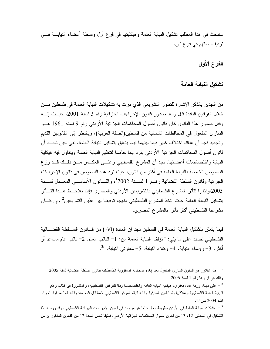سنبحث في هذا المطلب تشكيل النيابة العامة و هيكليتها في فرع أول وسلطة أعضاء النيابـــة فــــى نوفيف المنهم في فرع ثان.

## الفرع الأول

## تشكيل النيابة العامة

من الجدير بالذكر الإشارة للنظور النشريعي الذي مرت به نشكيلات النيابة العامة في فلسطين مـــن خلال القوانين النافذة قبل وبعد صدور قانون الإجراءات الجزائية رقم 3 لسنة 2001. حيــث إنــــه وقبل صدور هذا القانون كان قانون أصول المحاكمات الجزائية الأردني رقم 9 لسنة 1961 هــو الساري المفعول في المحافظات الشمالية من فلسطين(الضفة الغربية)، وبالنظر إلى القانونين القديم و الجديد نجد أن هناك اختلاف كبير فيما بينهما فيما يتعلق بتشكيل النيابة العامة، ففي حين نجــد أن قانون أصول المحاكمات الجزائية الأردني بفرد بابا خاصا لتنظيم النيابة العامة ويتناول فيه هيكلية النيابة واختصاصات أعضائها، نجد أن المشرع الفلسطيني وعلـــي العكــس مـــن ذلـــك قـــد وزع النصوص الخاصة بالنيابة العامة في أكثر من قانون، حيث تر د هذه النصوص في قانون الإجر اءات الجزائية وقانون السلطة القضائية رقسم 1 لسبنة <sup>1</sup>2002، والقبانون الأساسبي المعبدل لسبنة 2003،ونظرا لتأثر المشرع الفلسطيني بالتشريعين الأردنبي والمصري فإننا نلاحــظ هــذا التـــأثر بتشكيل النيابة العامة حيث اتخذ المشرع الفلسطيني منهجا توفيقيا بين هذين التشريعين<sup>2</sup> وإن كسان مشر عنا الفلسطيني أكثر تأثر ا بالمشرع المصرى.

فيما يتعلق بتشكيل النيابة العامة في فلسطين نجد أن المادة (60 ) من قـــانون الســـلطـة القضــــائية الفلسطيني نصت على ما يلي: " نؤلف النيابة العامة من: 1- النائب العام. 2- نائب عام مساعد أو أكثر . 3- رؤساء النبابة. 4- وكلاء النبابة. 5- معاوني النبابة. "<sup>3</sup>.

 $^{-1}$  هذا القانون هو القانون الساري المفعول بعد إلغاء المحكمة الدستورية الفلسطينية لقانون السلطة القضائية لسنة 2005 وذلك في قرارها رقم 1 لسنة 2006.

على مهنا، ورقة عمل بعنوان: هيكلية النيابة العامة واختصاصها وفقا للقوانين الفلسطينية، والمنشورة في كتاب واقع  $^{-{\,2}}$ النيابة العامة الفلسطينية وعلاقتها بالسلطتين التنفيذية والقضائية، المركز الفلسطيني لاستقلال المحاماة والقضاء " مساواة "، رام  $.15\omega$ 2004 ص

سُّكلت النيابة العامة في الأردن بطريقة مغايرة لما هو موجود في قانون الإجراءات الجزائية الفلسطيني، وقد ورد هــذا " التشكيل في المادتين 12، 13 من قانون أصول المحاكمات الجزائية الأردني، فطبقا لنص المادة 12 من القانون المذكور برأس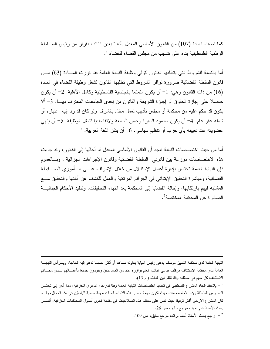كما نصت المادة (107) من القانون الأساسي المعدل بأنه " يعين النائب بقر ار من ر ئيس الســـلطة الوطنية الفلسطينية بناء على نتسيب من مجلس القضاء للقضاء ".

أما بالنسبة للشروط التي يتطلبها القانون لتولى وظيفة النيابة العامة فقد قررت المسادة (63) مـــن قانون السلطة القضائية ضرورة نوافر الشروط التي نطلبها القانون لشغل وظيفة القضاء في المادة (16) من ذات القانون وهي: 1- أن يكون متمتعا بالجنسية الفلسطينية وكامل الأهلية. 2- أن يكون حاصلًا على إجازة الحقوق أو إجازة الشريعة والقانون من إحدى الجامعات المعترف بهـــا. 3- ألا يكون قد حكم عليه من محكمة أو مجلس نأديب لمعل مخل بالشرف ولو كان قد رد إليه اعتباره أو شمله عفو عام. 4– أن يكون محمود السيرة وحسن السمعة ولائقا طبيا لشغل الوظيفة. 5– أن ينهي عضويته عند تعيينه بأي حزب أو تتظيم سياسي. 6- أن يتقن اللغة العربية. "

أما من حيث اختصاصات النيابة فنجد أن القانون الأساسي المعدل قد أحالها إلى القانون، وقد جاءت هذه الاختصاصات موزعة بين قانونـي السلطـة القضائية وقانون الإجراءات الجزائية<sup>1</sup>، وبـــالعموم فإن النيابة العامة تختص بإدارة أعمال الإستدلال من خلال الإشراف علـــى مـــأمورى الضــــابطة القضائية، ومباشرة النحقيق الإبندائي في الجرائم المرتكبة والعمل للكشف عن أدلتها والنحقيق مـــع المشتبه فيهم بارتكابها، وإحالة القضايا إلى المحكمة بعد انتهاء التحقيقات، وتتفيذ الأحكام الجنائيـــة الصادر ة عن المحكمة المختصة<sup>2</sup>.

النيابة العامة لدى محكمة التمييز موظف يدعى رئيس النيابة يعاونه مساعد أو أكثر حسبما ندعو إليه الحاجة، ويـــرأس النيابـــة العامة لدى محكمة الاستئناف موظف يدعى النائب العام بؤازره عدد من المساعدين ويقومون جميعا بأعمـــالهم لـــدى محـــاكم الاستئناف كل منهم في منطقته وفقا لللقوانين النافذة ( م 13).

لحنظ لتجاه المشرع الفسطيني في تحديد اختصاصات النيابة العامة وفقا لمراحل الدعوى الجزائية، مما أدى إلى تبعثـــر -النصوص المتعلقة بهذه الاختصاصات حيث تكون مهمة حصر هذه الاختصاصات مهمة صعبة للباحثين في هذا المجال، وقــد كان المشرع الاردني أكثر توفيقا حيث نص على معظم هذه الصلاحيات في مقدمة قانون أصول المحاكمات الجزائية، أنظـــر بحث الأستاذ على مهنا، مرجع سابق، ص 26.

ل الجم بحث الأستاذ أحمد براك، مرجع سابق، ص $\sim 9$ .  $^{-2}$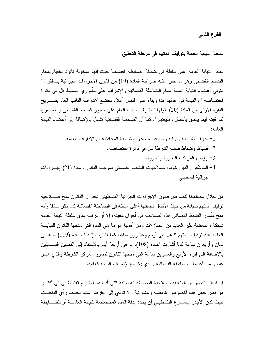## الفرع الثاني

## سلطة النيابة العامة بتوقيف المتهم في مرحلة التحقيق

تعتبر النيابة العامة أعلى سلطة في تشكيلة الضابطة القضائية حيث إنها المخولة قانونا بالقيام بمهام الضبط القضائي وهو ما نص عليه صراحة المادة (19) من قانون الإجراءات الجزائية بــالقول " يتولى أعضاء النيابة العامة مهام الضابطة القضائية والإشراف على مأموري الضبط كل في دائرة اختصاصه " والنيابة في عملها هذا وبناء على النص أعلاه تخضع لأشراف النائب العام بصـــريح الفقرة الأولى من المادة (20) بقولها " يشرف النائب العام على مأمور الضبط القضائي ويخضعون لمر اقبته فيما بِتعلق بأعمال وظيفتهم "، كما أن الضابطة القضائية تشمل بالإضافة إلى أعضاء النيابة العامة:

من خلال مطالعتنا لنصوص قانون الإجراءات الجزائية الفلسطيني نجد أن القانون منح صـــــلاحية توقيف المتهم للنيابة من حيث الأصل بصفتها أعلى سلطة في الضابطة القضائية كما ذكر سابقا و أنه منح مأمور الضبط القضائي هذه الصلاحية في أحوال معينة، إلا أن دراسة مدى سلطة النيابة العامة شائكة وغامضة نثير العديد من النساؤلات ومن أهمها هو ما هي المدة التي منحها القانون للنيابـــة العامة عند نوفيف المنهم ؟ هل هي أربع وعشرون ساعة كما أشارت إليه المسادة (119) أم هـــي ثمان وأربعون ساعة كما أشارت المادة (108)، أم هي أربعة أيام بالاستناد إلى النصين الســـابقين بالإضافة إلى فترة الأربع والعشرين ساعة التي منحها القانون لمسؤول مركز الشرطة والذي هـــو عضو من أعضاء الضابطة القضائية والذي يخضع لإشراف النيابة العامة.

إن تبعثر النصوص المتعلقة بصلاحية الضابطة القضائية التي أفردها المشرع الفلسطيني في أكثـــر من نص جعل هذه النصوص غامضة وعشوائية ولا نؤدي إلى الغرض منها بحسب رأي الباحــث حيث كان الأجدر بالمشرع الفلسطيني أن يحدد بدقة المدة المخصصة للنيابة العامــــة أو للضــــابطة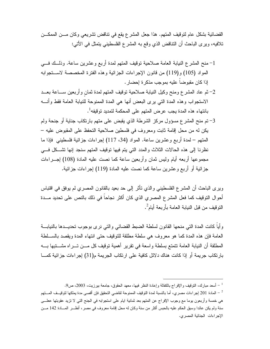القضائية بشكل عام لتوقيف المتهم. هذا جعل المشرع يقع في تناقض تشريعي وكان مـــن الممكـــن تلافيه، ويرى الباحث أن النتاقض الذي وقع به المشرع الفلسطيني بتمثل في الأتي:

- 2– ثم عاد المشرع ومنح وكيل النيابة صلاحية نوقيف المتهم لمدة ثمان وأربعين ســـاعة بعـــد الاستجواب وهذه المدة التي يرى البعض أنها هي المدة الممنوحة للنيابة العامة فقط وأنسه بانتهاء هذه المدة يجب عرض المتهم على المحكمة لتمديد توقيفه<sup>1</sup>.
- 3– تم منح المشرع مسؤول مركز الشرطة الذي يقبض على متهم بارتكاب جناية أو جنحة ولم يكن له من محل إقامة ثابت ومعروف في فلسطين صلاحية النحفظ على المقبوض عليه – المتهم – لمدة أربع وعشرين ساعة. المواد (34، 117) إجراءات جزائية فلسطيني فإذا ما نظرنا إلى هذه الحالات الثلاث والمدد التي بتم فيها نوقيف المتهم سنجد إنها تشكل فسي مجموعها أربعه أيام وليس ثمان وأربعين ساعة كما نصت عليه المادة (108) إجـــراءات جزائية أو أربع وعشرين ساعة كما نصت عليه المادة (119) إجراءات جزائية.

ويرى الباحث أن المشرع الفلسطيني والذي نأثر إلى حد بعيد بالقانون المصري لم يوفق في اقتباس أحوال النوقيف كما فعل المشرع المصري الذي كان أكثر نجاحاً في ذلك بالنص على تحديد مـــدة التو قيف من قبل النبابة العامة بأر بعة أبام<sup>2</sup>.

وأياً كانت المدة التى منحها القانون لسلطة الضبط القضائى والتي نرى بوجوب تحديـــدها بالنيابـــة العامة فإن هذه المدة كما هو معروف هي سلطة مطلقة للتوقيف حتى انتهاء المدة ويقصد بالسلطة المطلقة أن النيابة العامة نتمتع بسلطة واسعة في نقرير أهمية نوفيف كل مـــن تـــراه مشـــتبها بــــه بار تكاب جر يمة أو إذا كانت هناك دلائل كافية على ار تكاب الجر يمة م(31) إجر اءات جز ائية كمـــا

سعد مبارك، النوفيف والإفراج بالكفالة وإعادة النظر فيها، معهد الحقوق، جامعة بيرزيت، 2003، ص9.  $\sim 9$ 

المادة 201 إجراءات مصري، أما بالنسبة لمدة التوقيف الممنوحة لقاضى التحقيق فإن أقصى مدة يملكها لتوقيــف المـــتهم – هي خمسة وأربعون بوما مع وجوب الإفراج عن المتهم بعد ثمانية ايام على استجوابه في الجنح التي لا نزيد عقوبتها ععلـــي سنة ولم يكن عائدا وسبق الحكم عليه بالحبس أكثر من سنة وكان له محل إقامة معروف في مصر ، أنظـــر المــــادة 142 مـــن الإجراءات الجنائية المصري.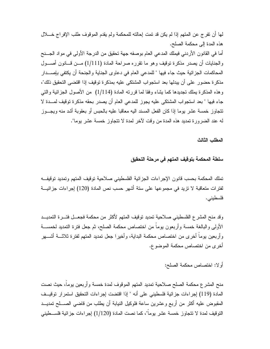لمها أن نفرج عن المتهم إذا لم يكن قد نمت إحالته للمحكمة ولم يقدم الموقوف طلب الإفراج خــــلال هذه المدة إلى محكمة الصلح.

أما في القانون الأردني فيملك المدعى العام بوصفه جهة نحقيق من الدرجة الأولى في مواد الجـــنح والجنايات أن يصدر مذكرة توقيف وهو ما تقرره صراحة المادة (1/111) مـــن قـــانون أصــــول المحاكمات الجزائية حيث جاء فيها " للمدعى العام في دعاوى الجناية والجنحة أن يكتفي بإصـــدار مذكرة حضور على أن يبدلها بعد استجواب المشتكي عليه بمذكرة توقيف إذا اقتضى التحقيق ذلك"، وهذه المذكرة يملك نجديدها كما يشاء وفقا لما فررته المادة (1/114) من الأصول الجزائية والتبي جاء فيها " بعد استجواب المشتكي عليه يجوز للمدعى العام أن يصدر بحقه مذكرة توقيف لمسدة لا تتجاوز خمسة عشر يوما إذا كان الفعل المسند اليه معاقبا عليه بالحبس أو بعقوبة أشد منه ويجـــوز له عند الضرورة تمديد هذه المدة من وقت لأخر لمدة لا تتجاوز خمسة عشر يوما".

المطلب الثالث

## سلطة المحكمة بتوقيف المتهم فى مرحلة التحقيق

تملك المحكمة بحسب قانون الإجراءات الجزائية الفلسطيني صلاحية توقيف المتهم وتمديد توقيفــه لفترات متعاقبة لا نزيد في مجموعها على ستة أشهر حسب نص المادة (120) إجراءات جزائيـــة فلسطيني.

وقد منح المشرع الفلسطيني صلاحية تمديد توقيف المتهم لأكثر من محكمة فجعــل فتـــرة التمديـــد الأولى والبالغة خمسة وأربعون يوماً من اختصاص محكمة الصلح، ثم جعل فترة التمديد لخمســـة وأربعين بوماً أخرى من اختصاص محكمة البداية، وأخيرا جعل تمديد المتهم لفترة ثلاثــــة أشــــهر أخرى من اختصاص محكمة الموضوع.

## أولا: اختصاص محكمة الصلح:

منح المشرع محكمة الصلح صلاحية تمديد المتهم الموقوف لمدة خمسة وأربعين يوماً، حيث نصت المادة (119) إجراءات جزائية فلسطيني على أنه " إذا اقتضت إجراءات التحقيق استمرار توقيــف المقبوض عليه أكثر من أربع وعشرين ساعة فلوكيل النيابة أن بطلب من قاضـي الصــــلح تمديـــد النوقيف لمدة لا نتجاوز خمسة عشر بوماً"، كما نصت المادة (1/120) إجراءات جزائية فلســـطينـي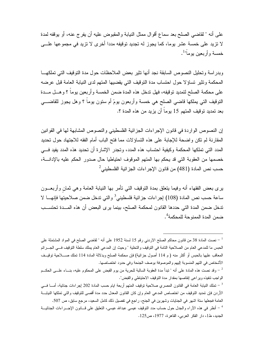على أنه " لقاضبي الصلح بعد سماع أقوال ممثل النيابة والمقبوض عليه أن يفرج عنه، أو يوقفه لمدة لا تزيد على خمسة عشر يوما، كما يجوز له تجديد توقيفه مددا أخرى لا تزيد في مجموعها علـــي خمسة و أر بعين يو ما<sup>"1</sup>.

وبدراسة وتحليل النصوص السابقة نجد أنها نثير بعض الملاحظات حول مدة التوقيف التي تملكهـــا المحكمة وتثير تساؤلا حول احتساب مدة التوقيف التي يقضيها المتهم لدى النيابة العامة قبل عرضه على محكمة الصلح لتمديد توقيفه، فهل تدخل هذه المدة ضمن الخمسة وأربعين يوماً ؟ وهــل مــدة النَّوفيف الَّتي يُملِّكها قاضي الصلح هي خمسة وأربعون يومَّ أم ستون يوماً ؟ وهل يجوز للقاضـــي بعد تمديد توقيف المتهم 15 يوماً أن يزيد من هذه المدة ؟.

إن النصوص الواردة في قانون الإجراءات الجزائية الفلسطيني والنصوص المشابهة لها في القوانين المقارنة لم تكن واضحة للإجابة على هذه التساؤلات مما فتح الباب أمام الفقه للاجتهاد حول تحديد المدد التي تملكها المحكمة وكيفية احتساب هذه المدد، وتجدر الإشارة أن تحديد هذه المدد يفيد فـــي خصمها من العقوبة التي قد يحكم بها المنهم الموقوف احتياطيا حال صدور الحكم عليه بالإدانــــة،  $^2$ حسب نص المادة (481) من قانون الإجراءات الجزائية الفلسطيني

برى بعض الفقهاء أنه وفيما يتعلق بمدة النوقيف الني نأمر بها النيابة العامة وهي ثمان وأربعـــون ساعة حسب نص المادة (108) إجراءات جزائية فلسطيني<sup>3</sup> والتي ندخل ضمن صلاحيتها فإنهـــا لا تدخل ضمن المدة التي حددها القانون لمحكمة الصلح، بينما يرى البعض أن هذه المسدة تحتسـب ضمن المدة الممنو حة للمحكمة<sup>4</sup>.

<sup>&</sup>lt;sup>1</sup> – نصت المادة 38 من قانون محاكم الصلح الاردني رقم 15 لسنة 1952 على أنه " لقاضي الصلح في المواد المشتملة على الحبس ما للمدعى العام من الصلاحية النامة في التوقيف والنخلية " وحيث إن المدعى العام يملك سلطة التوقيف فسي الجـــرائم المعاقب عليها بالحبس أو أكثر منه ( م 114 أصول جزائية) فإن محكمة الصلح وبدلالة المادة 114 نملك صــــلاحية توقيــف الأشخاص في التهم المنسوبة إليهم والموصوفة بوصف الجنحة وفي حدود اختصاصها.

وقد نصت هذه المادة على أنه " نبدأ مدة العقوبة السالبة للحرية من يوم القبض على المحكوم عليه، بنـــاء علـــي الحكـــم -الواجب نتفيذه ويراعي إنقاصها بمقدار مدة التوفيف الاحتياطي والقبض".

الأردن فإن تمديد التوقيف من اختصاص المدعى العام وإن كان القانون المعدل حدد مدة أقصى للتوقيف والتي تملكها النيابـــة العامة فجعلها سنة اشهر في الجنايات وشهرين في الجنح، راجع في تفصيل ذلك كامل السعيد، مرجع سابق، ص 507.

<sup>&</sup>lt;sup>4</sup> – أنظر في هذه الآراء والجدل حول حساب مدد التوقيف عيسى عبدالله عيسى، التعليق على قـــانون الإجـــراءات الجنائيـــة الجديد، ط1، دار الفكر العربي، القاهرة، 1977، ص125.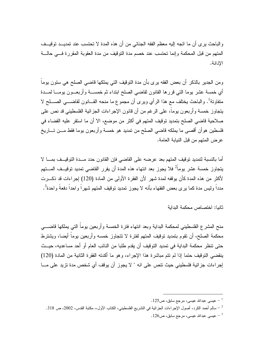والباحث برى أن ما اتجه إليه معظم الفقه الجنائبي من أن هذه المدة لا تحتسب عند تمديــد توقيــف المنهم من قبل المحكمة وإنما تحتسب عند خصم مدة التوقيف من مدة العقوبة المقررة فسي حالسة الإدانة.

ومن الجدير بالذكر أن بعض الفقه يرى بأن مدة النوقيف التي يملكها قاضى الصلح هي ستون يوماً أى خمسة عشر بوما التبي قررها القانون لقاضبي الصلح ابتداء ثم خمســـة وأربعـــون بومــــا لمـــدة متفاوتة<sup>1</sup>. والباحث يختلف مع هذا الرأى ويرى أن مجموع ما منحه القـــانون لقاضــــى الصــــلح لا يتجاوز خمسة وأربعون يوماً، على الرغم من أن قانون الإجراءات الجزائية الفلسطيني قد نص على صلاحية قاضي الصلح بتمديد توقيف المتهم في أكثر من موضع، الا أن ما استقر عليه القضاء في فلسطين هوأن أقصبي ما يملكه قاضبي الصلح من تمديد هو خمسة وأربعون بوما فقط مـــن تــــاريخ عرض المتهم من قبل النيابة العامة.

أما بالنسبة لتمديد توقيف المتهم بعد عرضه على القاضي فإن القانون حدد مـــدة التوقيــف بمــــا لا يتجاوز خمسة عشر يوماً<sup>2</sup> فلا يجوز بعد انتهاء هذه المدة أن يقرر القاضي تمديد توقيــف المـــتهم لأكثر من هذه المدة كأن يوقفه لمدة شهر لأن الفقرة الأولى من المادة (120) إجراءات قد ذكـــرت مدداً وليس مدة كما برى بعض الفقهاء بأنه لا يجوز تمديد توقيف المتهم شهراً واحداً دفعةً واحدة<sup>3</sup>.

ثانيا: اختصاص محكمة البدابة

منح المشرع الفلسطيني لمحكمة البداية وبعد انتهاء فترة الخمسة وأربعين يوماً التي يملكها قاضــــي محكمة الصلح، أن نقوم بنمديد نوقيف المتهم لفترة لا نتجاوز خمسه وأربعين بوماً أيضا، ويشترط حتى نتظر محكمة البداية في تمديد التوقيف أن يقدم طلبا من النائب العام أو أحد مساعديه، حيــث ينقضي التوقيف حتما إذا لم نتم مباشرة هذا الإجراء، وهو ما أكدته الفقرة الثانية من المادة (120) إجراءات جزائية فلسطيني حيث نتص على انه " لا يجوز أن يوقف أي شخص مدة نزيد على مـــا

<sup>.</sup> عيسى عبدالله عيسى، مرجع سابق، ص $125$ .

سالم أحمد الكرد، أصول الإجراءات الجزائية في التشريع الفلسطيني، الكتاب الأول،، مكتبة القدس، 2002، ص 318. –

<sup>. 26 -</sup> عيسى عبدالله عيسى، مرجع سابق، ص $126$ .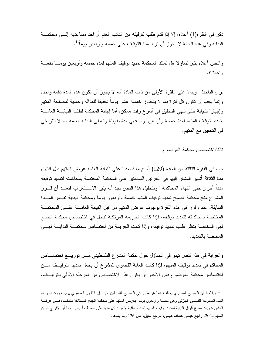ذكر في الفقرة(1) أعلاه، إلا إذا قدم طلب لتوقيفه من النائب العام أو أحد مساعديه إلـــي محكمـــة البداية و في هذه الحالة لا يجوز ۖ أن تزيد مدة التوقيف على خمسه و أر بعين يو ماً" .

والنص أعلاه بثير نساؤلا هل نملك المحكمة نمديد نوقيف المنهم لمدة خمسه وأربعين بومـــا دفعـــة و احدة ؟.

يرِي الباحث ۖ وبِناءً على الفقرة الأولى من ذات المادة أنه لا يجوز أن نكون هذه المدة دفعة واحدة وإنما يجب أن نكون كل فترة بما لا يتجاوز خمسه عشر يوماً نحقيقا للعدالة وحماية لمصلحة المتهم و إجبار ا للنيابة حتى نتهى التحقيق في أسرع وفت ممكن، أما إجابة المحكمة لطلب النيابـــة العامـــة بتمديد نوقيف المتهم لمدة خمسة وأربعين يوما فهي مدة طويلة وتعطى النيابة العامة مجالا للتراخي في التحقيق مع المتهم.

ثالثا:اختصاص محكمة الموضوع

جاء في الفقرة الثالثة من المادة (120) أ. ج ما نصه " على النيابة العامة عرض المتهم قبل انتهاء مدة الثلاثة أشهر المشار إليها في الفقرنين السابقتين على المحكمة المختصة بمحاكمته لتمديد توقيفه مدداً أخرى حتى انتهاء المحاكمة " وبتحليل هذا النص نجد أنه بثير الاســـتغراب فبعـــد أن قــــرر المشرع منح محكمة الصلح تمديد توقيف المتهم خمسة وأربعون يوما ومحكمة البداية نفــس المـــدة السابقة، عاد وقرر في هذه الفقرة بوجوب عرض المتهم من قبل النيابة العامـــة علـــي المحكمـــة المختصة بمحاكمته لتمديد توقيفه، فإذا كانت الجريمة المرتكبة تدخل في اختصاص محكمة الصلح فهي المختصة بنظر طلب تمديد توقيفه، وإذا كانت الجريمة من اختصاص محكمـــة البدايـــة فهـــي المختصة بالتمديد.

والغرابة في هذا النص تبدو في التساؤل حول حكمة المشرع الفلسطيني مــن توزيـــع اختصـــاص المحاكم في تمديد توقيف المتهم، فإذا كانت الغاية القصوى للمشرع أن يجعل تمديد التوقيــف مـــن اختصاص محكمة الموضوع فمن الأجدر أن يكون هذا الاختصاص من المرحلة الأولى للتوقيــف،

<sup>-</sup> ويلاحظ أن التشريع المصري يختلف عما هو مقرر في التشريع الفلسطين حيث إن القانون المصري يوجب وبعد انتهــاء المدة الممنوحة للقاضي الجزئي وهي خمسة وأربعون يوما بعرض المتهم على محكمة الجنح المستانفة منعقــدة فـــي غرفـــة المشورة وبعد سماع أقوال النيابة لتمديد توقيف المنتهم لمدد متعاقبة لا تزيد كل منها على خمسة وأربعين يوما أو الإفراج عــن المنهم م202. راجع عيسى عبدالله عيسى، مرجع سابق، ص 126 وما بعدها.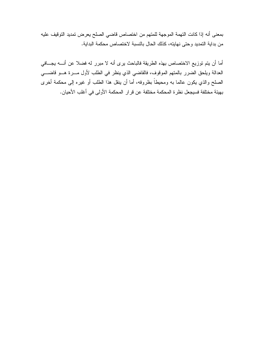بمعنى أنه إذا كانت التهمة الموجهة للمتهم من اختصاص قاضى الصلح يعرض تمديد التوقيف عليه من بداية التمديد وحتى نهايته، كذلك الحال بالنسبة لاختصاص محكمة البداية.

أما أن يتم توزيع الاختصاص بهذه الطريقة فالباحث يرى أنه لا مبرر له فضلا عن أنــــه يجــــافي العدالة ويلحق الضرر بالمتهم الموقوف، فالقاضي الذي ينظر في الطلب لأول مــــرة هـــو قاضــــي الصلح والذي يكون عالما به ومحيطاً بظروفه، أما أن ينقل هذا الطلب أو غيره إلى محكمة أخرى بهيئة مختلفة فسيجعل نظرة المحكمة مختلفة عن قرار المحكمة الأولى في أغلب الأحيان.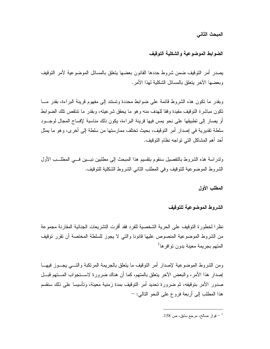المبحث الثاني

#### الضوابط الموضوعية والشكلية التوقيف

يصدر أمر التوقيف ضمن شروط حددها القانون بعضها يتعلق بالمسائل الموضوعية لأمر التوقيف وبعضها الآخر بتعلق بالمسائل الشكلبة لهذا الأمر .

وبقدر ما نكون هذه الشروط قائمة على ضوابط محددة وتستند إلى مفهوم قرينة البراءة، بقدر مـــا تكون مباشرة التوقيف مقيدة وفقا للهدف منه وهو ما يحقق شرعيته، وبقدر ما تتتقص تلك الضوابط أو يصار إلى نطبيقها على نحو يمس فيها قرينة البراءة، يكون ذلك مناسبة لإفساح المجال لوجــود سلطة تقديرية في إصدار أمر التوقيف، بحيث تختلف ممارستها من سلطة إلى أخرى، وهو ما يمثل أحد أهم المشاكل التي نواجه نظام النوفيف.

ولدراسة هذه الشروط بالتفصيل سنقوم بنقسيم هذا المبحث إلى مطلبين نبـــين فـــي المطلـــب الأول الشروط الموضوعية للنوقيف وفي المطلب الثاني الشروط الشكلية للنوقيف.

المطلب الأول

الشر وط الموضوعية للتوقيف

نظرا لخطورة النوفيف على الحرية الشخصية للفرد فقد أقرت التشريعات الجنائية المقارنة مجموعة من الشروط الموضوعية المنصوص عليها فانونا والتـى لا يجوز للسلطة المختصة أن نقرر نوفيف المتهم بجريمة معينة بدون توافر ها<sup>1</sup>

ومن الشروط الموضوعية لإصدار أمر النوفيف ما يتعلق بالجريمة المرتكبة والتسى يجسوز فيهسا إصدار هذا الأمر، والبعض الآخر يتعلق بالمتهم، كما أن هناك ضرورة لاســـتجواب المـــتهم فبـــل صدور الأمر بتوقيفه، ثم ضرورة تحديد أمر التوقيف بمدة زمنية معينة، وتأسيسا على ذلك سنقسم هذا المطلب إلى أربعة فروع على النحو التالي: -

فواز صالح، مرجع سابق، ص 158.  $^{-1}$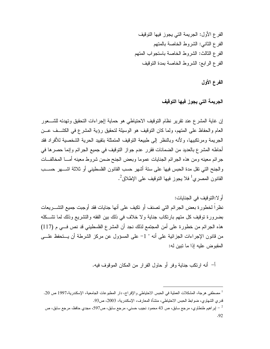الفرع الأول: الجريمة التي يجوز فيها التوقيف الفرع الثاني: الشروط الخاصة بالمتهم الفرع الثالث: الشروط الخاصة باستجواب المتهم الفرع الرابع: الشروط الخاصة بمدة التوقيف

الفرع الأول

الجريمة التي يجوز فيها التوقيف

إن غاية المشرع عند نقرير نظام التوقيف الاحتياطي هو حماية إإجراءات التحقيق وتهدئه للشـــعور العام والحفاظ على المنهم، ولما كان النوفيف هو الوسيلة لتحقيق رؤية المشرع في الكشــف عـــن الجريمة ومرتكبيها، ولأنه وبالنظر إلى طبيعة التوقيف المتمثلة بتقييد الحرية الشخصية للأفراد فقد أحاطه المشرع بالعديد من الضمانات فقرر عدم جواز النوقيف في جميع الجرائم وإنما حصرها في جرائم معينه ومن هذه الجرائم الجنايات عموما وبعض الجنح ضمن شروط معينه أمـــا المخالفـــات والجنح التي نقل مدة الحبس فيها على ستة أشهر حسب القانون الفلسطيني أو ثلاثة اشـــهر حســـب القانون المصرى<sup>1</sup> فلا يجوز فيها التوقيف على الإطلاق<sup>2</sup>.

أو لا:التوقيف في الجنايات:

نظر اً لخطور ة بعض الجر ائم التي تصنف أو تكيف على أنها جنايات فقد أوجبت جميع التشـــر يعات بضرورة توقيف كل متهم بارتكاب جناية ولا خلاف في ذلك بين الفقه والتشريع وذلك لما تشكله هذه الجرائم من خطورة على أمن المجتمع لذلك نجد أن المشرع الفلسطيني قد نص فــي م (117) من قانون الإجراءات الجزائية على أنه " 1– على المسؤول عن مركز الشرطة أن يـــنحفظ علــــى المقبوض عليه إذا ما نبين له:

أ– أنه ارتكب جناية وفر أو حاول الفرار من المكان الموقوف فيه.

<sup>&</sup>lt;sup>1</sup> مصطفى هرجة، المشكلات العملية في الحبس الاحتياطي والإفراج، دار المطبوعات الجامعية، الإسكندرية،1997 ص 20. قدري الشهاوي، ضوابط الحبس الاحتياطي، منشأة المعارف، الإسكندرية، 2003، ص93. جار اهيم طنطاوي، مرجع سابق، ص 43 محمود نجيب حسني، مرجع سابق، ص597، مجدي حافظ، مرجع سابق، ص  $\sim$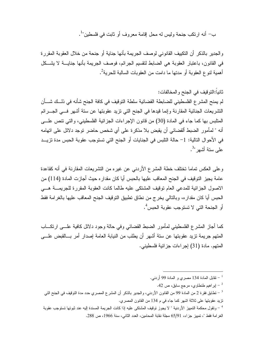ب – أنه ار نكب جنحة ولبس له محل اقامة معر وف أو ثابت في فلسطين"<sup>1</sup>.

والجدير بالذكر أن التكييف القانوني لوصف الجريمة بأنها جناية أو جنحة من خلال العقوبة المقررة في القانون، باعتبار العقوبة هي الضابط لنقسيم الجرائم، فوصف الجريمة بأنها جنايــــة لا يشـــكل أهمية لنو ع العقوبة أو مدتها ما دامت من العقوبات السالبة للحرية<sup>2</sup>.

## ثانيا:النوفيف في الجنح والمخالفات:

لم يمنح المشر ع الفلسطيني للضابطة القضائية سلطة التوقيف في كافة الجنح شأنه في ذلــك شـــأن النشريعات الجنائية المقارنة وإنما قيدها في الجنح التي نزيد عقوبتها عن ستة أشهر فـــي الجــــرائم المتلبس بها كما جاء في المادة (30) من قانون الإجراءات الجزائية الفلسطيني، والتي نتص علـــي أنه " لمأمور الضبط ألقضائي أن يقبض بلا مذكرة على أي شخص حاضر توجد دلائل على اتهامه في الأحوال التالية: 1– حالة التلبس في الجنايات أو الجنح التي تستوجب عقوبة الحبس مدة تزيــد على ستة أشهر "<sup>3</sup>.

وعلى العكس تماما تختلف خطة المشرع الأردني عن غيره من التشريعات المقارنة في أنه كقاعدة عامة يجيز التوقيف في الجنح المعاقب عليها بالحبس أيا كان مقدار ه حيث أجازت المادة (114) من الاصول الجزائية للمدعى العام نوقيف المشتكى عليه طالما كانت العقوبة المقررة للجريمــة هـــى الحبس أيا كان مقداره، وبالنالي يخرج من نطاق نطبيق النوقيف الجنح المعاقب عليها بالغرامة فقط أو الجنحة التي لا تستوجب عقوبة الحبس<sup>4</sup>.

كما أجاز المشرع الفلسطيني لمأمور الضبط القضائي وفي حالة وجود دلائل كافية علـــي ارتكـــاب المتهم جريمة نزيد عقوبتها عن ستة أشهر أن يطلب من النيابة العامة إصدار أمر بـــالقبض علــــى المتهم. مادة (31) إجر اءات جز ائية فلسطيني.

<sup>4</sup> – وتقول محكمة التمييز الأردنية " لا يجوز توقيف المشتكي عليه إذا كانت الجريمة المسندة إليه عند ثبوتها تستوجب عقوبة الغرامة فقط "، تمييز جزاء، 65/91 مجلة نقابة المحامين، العدد الثاني، سنة 1966، ص 288.

<sup>-</sup> نقابل المادة 134 مصرى و المادة 99 أردنبي  $^{-1}$ 

<sup>-</sup> إبراهيم طنطاوي، مرجع سابق، ص 42.  $^{-2}$ 

سلابق فقرة 2 من المادة 99 من القانون الأردني، والجدير بالذكر أن المشر ع المصري حدد مدة التوقيف في الجنح التي  $^{-3}$ نزيد عقوبتها على ثلاثة اشهر كما جاء في م 134 من القانون المصرى.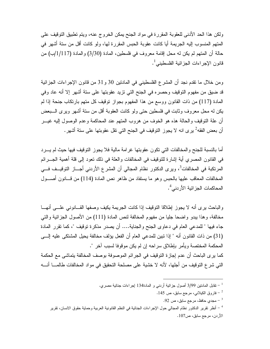ولكن هذا الحد الأدنى للعقوبة المقررة في مواد الجنح يمكن الخروج عنه، ويتم تطبيق التوقيف على المتهم المنسوب إليه الجريمة أيا كانت عقوبة الحبس المقررة لها، ولو كانت أقل من سنة أشهر في حالة أن المتهم لم يكن له محل إقامة معروف في فلسطين، المادة (3/30) والمادة (1/117)ب) من قانون الإجر اءات الجز ائية الفلسطيني<sup>1</sup>.

ومن خلال ما نقدم نجد أن المشر ع الفلسطيني في المادنين 30 و 31 من قانون الإجراءات الجزائية قد ضيقٍ من مفهوم النوقيف وحصره في الجنح التي نزيد عقوبتها على سنة أشهر إلا أنه عاد وفي المادة (117) من ذات القانون ووسع من هذا المفهوم بجواز توقيف كل متهم بارتكاب جنحة إذا لم يكن له محل معروف وثابت في فلسطين حتى ولو كانت العقوبة أقل من ستة أشهر ويرى الـــبعض أن علة النوفيف والحالة هذه هو الخوف من هروب المنهم عند المحاكمة وعدم الوصول إليه غيــــر أن بعض الفقه<sup>2</sup> برى انه لا يجوز التوقيف في الجنح التي تقل عقوبتها على ستة أشهر .

أما بالنسبة للجنح والمخالفات التي نكون عقوبتها غرامة مالية فلا يجوز النوقيف فيها حيث لم يـــرد في القانون المصري أية إشارة للتوقيف في المخالفات والعلة في ذلك نعود إلى قلة أهمية الجــــرائم المرتكبة في المخالفات<sup>3</sup>، ويرى الدكتور نظام المجالي أن المشرع الأردني أجـــاز التوقيــف فـــي المخالفات المعاقب عليها بالحبس وهو ما يستفاد من ظاهر نص المادة (114) من قـــانون أصــــول المحاكمات الجز ائية الأردني<sup>4</sup>.

والباحث برى أنه لا يجوز اطلاقا النوقيف إذا كانت الجريمة يكيف وصفها القسانوني علسي أنهسا مخالفة، وهذا يبدو واضحا جليا من مفهوم المخالفة لنص المادة (111) من الأصول الجزائية والتبي جاء فيها " للمدعى العام في دعاوى الجنح والجناية…. أن يصدر مذكرة توقيف "، كما تقرر المادة (31) من ذات القانون أنه " إذا تبين للمدعى العام أن الفعل يؤلف مخالفة يحيل المشتكى عليه إلـــى المحكمة المختصة ويأمر بإطلاق سراحه إن لم يكن موقوفا لسبب آخر ".

كما يرى الباحث أن عدم إجازة التوقيف في الجرائم الموصوفة بوصف المخالفة يتماشى مع الحكمة التي شرع التوقيف من أجلها، لأنه لا خشية على مصلحة التحقيق في مواد المخالفات طالمـــا أنــــه

تقابل المادنين 3/99 أصول جزائية أردنبي و المادة134 إجراءات جنائية مصري.  $^{-\, 1}$ 

<sup>-</sup> فاروق الكيلاني، مرجع سابق، ص 145  $^{-2}$ 

<sup>.92</sup> مجدي حافظ، مرجع سابق، ص $\sim 3$ 

<sup>&</sup>lt;sup>4</sup> – أنظر نقرير الدكتور نظام المجالى حول الإجراءات الجنائية في النظم القانونية العربية وحماية حقوق الانسان، تقرير الأردن، مرجع سابق، ص107.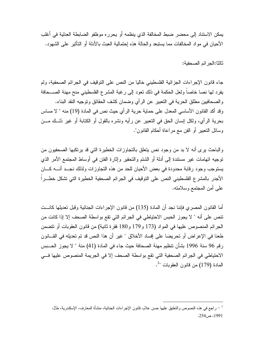يمكن الاستناد إلى محضر ضبط المخالفة الذي ينظمه أو يحرره موظفو الضابطة العدلية في أغلب الأحيان في مو اد المخالفات مما يستبعد و الحالة هذه إحتمالية العبث بالأدلة أو التأثير على الشهود.

ثالثا:الجر ائم الصحفية:

جاء قانون الإجراءات الجزائية الفلسطيني خاليا من النص على النوقيف في الجرائم الصحفية، ولم يفرد لها نصبا خاصباً ولعل الحكمة في ذلك نعود إلى رغبة المشرع الفلسطيني منح مهنة الصـــحافة و الصحافيين مطلق الحرية في التعبير عن الرأى وضمان كشف الحقائق وتوجيه النقد البناء. وقد أكد القانون الأساسي المعدل على حماية حرية الرأي حيث نص في المادة (19) منه " لا مساس بحرية الرأي، ولكل إنسان الحق في التعبير عن رأيه ونشره بالقول أو الكتابة أو غير ذلـــك مـــن وسائل النعبير أو الفن مع مراعاة أحكام القانون".

والباحث برى أنه لا بد من وجود نص يتعلق بالنجاوزات الخطيرة التي قد برنكبها الصحفيون من نوجيه انهامات غير مستندة إلى أدلة أو الشتم والتحقير وإثارة الفتن في أوساط المجتمع الأمر الذي يستوجب وجود رقابة محدودة في بعض الأحيان للحد من هذه التجاوزات ولذلك نجــد أنـــه كـــان الأجدر بالمشرع الفلسطيني النص على التوقيف في الجرائم الصحفية الخطيرة التي نشكل خطـــراً على أمن المجتمع وسلامته.

أما القانون المصري فإننا نجد أن المادة (135) من قانون الإجراءات الجنائية وقبل تعديلها كانـــت تنص على أنه " لا يجوز الحبس الاحتياطي في الجرائم التي تقع بواسطة الصحف إلا إذا كانت من الجرائع المنصوص عليها في المواد (173 و179 و180 فقرة ثانية) من قانون العقوبات أو نتضمن طعنا في الإعراض أو تحريضا على إفساد الأخلاق " غير أن هذا النص قد تم تعديله في القـــانون رِفْمِ 96 سنة 1996 بشأن نتظيم مهنة الصحافة حيث جاء في المادة (41) منة " لا يجوز الحــبس الاحتياطي في الجرائم الصحفية التي تقع بواسطة الصحف إلا في الجريمة المنصوص عليها في  $^{-1}$ " المادة (179) من قانو ن العقوبات

راجع في هذه النصوص والنعليق عليها حسن علام، قانون الإجراءات الجنائية، منشأة المعارف، الإسكندرية، ط2،  $\mathcal{L}$ 1991، ص254.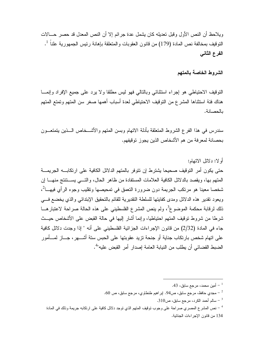ويلاحظ أن النص الأول وقبل تعديله كان يشمل عدة جر ائم إلا أن النص المعدل قد حصر ۖ حـــالات التو قيف بمخالفة نص المادة (179) من قانون العقوبات و المتعلقة بإهانة رئيس الجمهور ية علنا<sup>ً 1</sup>. الفرع الثاني

#### الشروط الخاصة بالمتهم

النوفيف الاحتياطي هو إجراء استثنائي وبالنالبي فهو ليس مطلقا ولا يرد على جميع الإفراد وإنمـــا هناك فئة استثناها المشرع من التوقيف الاحتياطي لعدة أسباب أهمها صغر سن المتهم وتمتع المتهم بالحصانة.

سندرس في هذا الفرع الشروط المتعلقة بأدلة الاتهام وبسن المتهم والأشــخاص الـــذين بتمتعـــون بحصانة لمعرفة من هم الأشخاص الذين يجوز توقيفهم.

#### أو لا: دلائل الاتهام:

حتى يكون أمر التوقيف صحيحا يشترط إن تتوفر بالمتهم الدلائل الكافية على ارتكابـــه الجريمـــة المتهم بها، ويقصد بالدلائل الكافية العلامات المستفادة من ظاهر الحال، والتـــى بســـتتتج منهـــا إن شخصا معينا هو مرتكب الجريمة دون ضرورة النعمق في تمحيصها وتقليب وجوه الر أي فيهــا<sup>2</sup>، ويعود تقدير ٍ هذه الدلائل ومدى كفايتها للسلطة التقديرية للقائم بالتحقيق الإبتدائي والذي يخضع فسي ذلك لرقابة محكمة الموضوع<sup>3</sup>، ولم ينص المشرع الفلسطيني على هذه الحالة صراحة لاعتبار هـــا شرطًا من شروط نوقيف المنهم احتياطيا، وإنما أشار إليها في حالة القبض على الأشخاص حيـــث جاء في المادة (2/32) من قانون الإجراءات الجزائية الفلسطيني على أنه " إذا وجدت دلائل كافية على اتهام شخص بارتكاب جناية أو جنحة تزيد عقوبتها على الحبس ستة أشــــهر ، جـــاز لمـــأمور الضبط القضائي أن يطلب من النيابة العامة إصدار أمر القبض عليه"<sup>4</sup>.

 $310$ سالم أحمد الكرد، مرجع سابق، ص $\sim$ 310  $^{-3}$ 

<sup>.43</sup> أمين محمد، مرجع سابق، 43.

مجدي حافظ، مرجع سابق، ص94. اپر اهيم طنطاوي، مرجع سابق، ص 60.  $\sim$ 

<sup>&</sup>lt;sup>4</sup> – نص المشر ع المصرى صراحة على وجوب توقيف المتهم الذي توجد دلائل كافية على ارتكابه جريمة وذلك في المادة 134 من قانون الإجراءات الجنائية.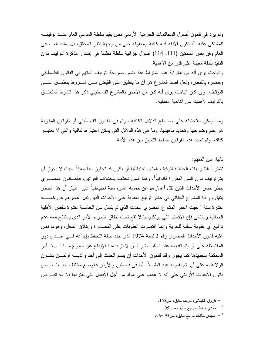ولم ير د في قانون أصول المحاكمات الجز ائية الأر دني نص يقيد سلطة المدعى العام عنــد نوفيفــه للمشتكي عليه بأ، نكون الأدلة قبله كافية ومعقولة حتى من وجهة نظر المحقق، بل يملك المـــدعي العام وفق نص المادنين (111، 114) أصول جزائية سلطة مطلقة في إصدار مذكرة النوقيف دون النقيد بأدلة معينة على قدر من الأهمية.

والباحث يرى أنه من الغرابة عدم اشتراط هذا النص صراحة لتوقيف المتهم في القانون الفلسطيني وحصره بالقبض، ولعل قصد المشرع هو أن ما ينطبق على القبض مـــن شــــروط ينطبـــق علــــي النوفيف، وإن كان الباحث يرى أنه كان من الأجدر بالمشرع الفلسطيني ذكر هذا الشرط المتعلَّــق بالنوفيف لأهميته من الناحية العملية.

ومما يمكن ملاحظته على مصطلح الدلائل الكافية سواء في القانون الفلسطيني أو القوانين المقارنة هو عدم وضوحها وتحديد ماهيتها، وما هي هذه الدلائل التبي يمكن اعتبارها كافية والتبي لا تعتبـــر كذلك، ولم تحدد هذه القو انين ضـابط التمييز ِ بين هذه الأدلة.

ثانيا: سن المتهم:

تشترط التشريعات الجنائية لتوقيف المتهم احتياطيا أن يكون قد تجاوز سناً معيناً بحيث لا يجوز أن يتم توقيف دون السن المقررة قانونياً<sup>1</sup>. وهذا السن تختلف باختلاف القوانين، فالقـــانون المصــــري حظر حبس الأحداث الذين نقل أعمار هم عن خمسه عشرة سنة احتياطياً على اعتبار أن هذا الحظر يتفق وإرادة المشرع الجنائبي في حظر توقيع العقوبة على الأحداث الذين نقل أعمارهم عن خمســه عشرة سنة <sup>2</sup> حيث اعتبر المشر ع المصري الحدث الذي لم يكمل سن الخامسة عشرة ناقص الأهلية الجنائية وبالتالي فإن الأفعال التي يرتكبونها لا تقع تحت نطاق التجريم الأمر الذي يستنتج معه عدم توقيع أي عقوبة سالبة للحرية وإنما اقتصرت العقوبات على المصادرة وإغلاق المحل، وهوما نص عليه قانون الأحداث المصري رقم 3 لسنة 1974 الذي حدد حالة التحفظ بإيداعه فــي أحــدي دور الملاحظة على أن يتم تقديمه عند الطلب بشرط أن لا نزيد مدة الإيداع عن أسبوع مـــا لـــم تـــأمر المحكمة بتجديدها كما يجوز وفقا لقانون الأحداث أن يسلم الحدث إلى أحد والديــــه أولمــــن تكـــون الولاية له على أن يتم تقديمه عند الطلب<sup>3</sup>. أما في فلسطين والأردن فالوضع مختلف حيــث نـــص قانون الأحداث الأردني على أنه لا عقاب على الولد من أجل الأفعال التي يقترفها إلا أنه تفــرض

- $155$ فاروق الكيلاني، مرجع سابق، ص $\sim$ 
	- مجدي حافظ، مرجع سابق، ص $\sim 95$   $^{-2}$
- مجدي حافظ، مرجع سابق، ص95 –96.  $\sim$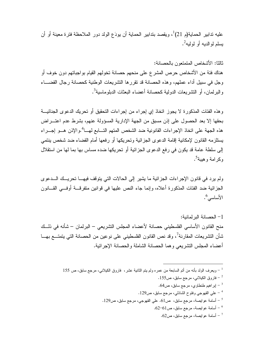عليه ندابير الحماية(م 21)<sup>1</sup>، ويقصد بندابير الحماية أن يودَع الولد دور الملاحظة فتر ة معينة أو أن بسلم لو الدبه أو لولبه<sup>2</sup>.

ثالثا: الأشخاص المتمتعون بالحصانة: هناك فئة من الأشخاص حرص المشرع على منحهم حصانة تخولهم القيام بواجباتهم دون خوف أو وجل في سبيل أداء عملهم، وهذه الحصانة قد نقررها النشريعات الوطنية كحصانة رجال القضـــاء والبرلمان، أو التشريعات الدولية كحصانة أعضاء البعثات الدبلوماسية<sup>3</sup>.

و هذه الفئات المذكور ة لا يجوز اتخاذ إي إجراء من إجراءات التحقيق أو تحريك الدعو ي الجنائيـــة بحقها إلا بعد الحصول على إذن مسبق من الجهة الإدارية المسؤولة عنهم، بشرط عدم اعتـــراض هذه الجهة على اتخاذ الإجراءات القانونية ضد الشخص المتهم التـــابـع لـهـــا<sup>4</sup>.والإذن هـــو إجـــراء يستلزمه القانون لإمكانية إقامة الدعوى الجزائية وتحريكها أو رفعها أمام القضاء ضد شخص ينتمي إلى سلطة عامة قد يكون في رفع الدعوى الجزائية أو تحريكها ضده مساس بها بما لها من استقلال وكرامة و هيبة<sup>5</sup>.

ولم يرد في قانون الإجراءات الجزائية ما يشير إلى الحالات التي يتوقف فيهــا تحريــك الـــدعوى الجزائية ضد الفئات المذكورة أعلاه، وإنما جاء النص عليها في قوانين متفرقـــة أوفـــي القـــانون الأساسى '

1– الحصانة البر لمانية: منح القانون الأساسي الفلسطيني حصانة لأعضاء المجلس التشريعي – البرلمان – شأنه في ذلــك شأن التشريعات المقارنة<sup>7</sup>، وقد نص القانون الفلسطيني على نوعين من الحصانة التي يتمتـــع بهـــا أعضاء المجلس التثير يعي وهما الحصانة الشاملة والحصانة الإجر ائية.

 $^{-1}$  ويعرف الولد بأنه من أتم السابعة من عمره ولم يتم الثانية عشر ، ۖ فاروق الكيلانـي، مرجع سابق، ص 155  $^{-1}$ 

- فاروق الكيلاني، مرجع سابق، ص155  $^{-2}$
- .64 بر اهيم طنطاوي، مرجع سابق، ص $4$ .
- على القهوجي وفقوح الشاذلي، مرجع سابق، ص129.  $^{-\,$
- أسامة عوايصة، مرجع سابق، ص61. على القهوجي، مرجع سابق، ص129.  $^{-5}$ 
	- أسامة عوايصة، مرجع سابق، ص61–62.  $\sim$ 
		- أسامة عوايصة، مرجع سابق، ص $62$ .  $\,$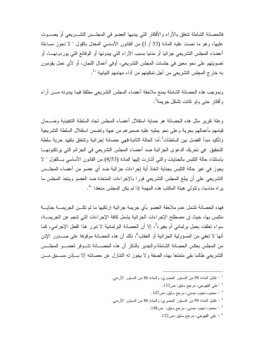فالحصانة الشاملة تتعلق بالآر اء و الأفكار التي ببديها العضو في المجلس التشير بعي أو بصيوت عليها، وهو ما نصت عليه المادة (53 / 1) من القانون الأساسي المعدل بالقول " لا نجوز مساءلة أعضاء المجلس النشريعي جزائيا أو مدنيا بسبب الآراء التي يبدونها أو الوقائع التي يوردونهـــا، أو تصويتهم على نحو معين في جلسات المجلس التشريعي، أوفي أعمال اللجان، أو لأي عمل يقومون به خارج المجلس التشريعي من أجل تمكينهم من أداء مهامهم النيابية "<sup>1</sup>.

وبموجب هذه الحصانة الشاملة بمنع ملاحقة أعضاء المجلس التشريعي مطلقا فيما يبدونه مـــن أراء وأفكار حتى ولو كانت تشكل جريمة<sup>2</sup>.

وعلة نقرير مثل هذه الحصانة هو حماية استقلال أعضاء المجلس نجاه السلطة التنفيذية وضـــمان قيامهم بأعمالهم بحرية وعلى نحو يمليه عليه ضميرهم من جهة ونضمن استقلال السلطة التشريعية وتأكيد مبدأ الفصل بين السلطات<sup>3</sup>.أما الحالة الثانية:فهي حصانة إجرائية وتتعلق بتقييد حرية سلطة التحقيق في تحريك الدعوى الجزائية ضد أعضاء المجلس التشريعي في الجرائم التي يرتكبونهــا باستثناء حالة النلبس بالجنايات والتي أشارت إليها المادة (4/53) من القانون الأساسي بـــالقول " لا يجوز في غير حالة التلبس بجناية اتخاذ أية إجراءات جزائية ضد أي عضو من أعضاء المجلــس التشريعي على أن يبلغ المجلس التشريعي فورا بالإجراءات المتخذة ضد العضو ويتخذ المجلس ما يراه مناسبا، ونتولَّى هيئة المكتب هذه المهمة إذا لم يكن المجلس منعقدا "<sup>4</sup>.

فهذه الحصانة تشمل عدم ملاحقة العضو بأي جريمة جزائية ارتكبها ما لم تكــن الجريمـــة جنايـــة متلبس بها، حيث إن مصطلح الإجراءات الجزائية بشمل كافة الإجراءات التي تتجم عن الجريمـــة، سواء تعلقت بعمل برلماني أم بغيره<sup>5</sup>، إلا أن الحصانة البرلمانية لا تبرر هذا الفعل الإجرامي، كما أنها لا تعفي من المسؤولية الجزائية أو العقاب<sup>6</sup>، ذلك أن هذه الحصانة موقوفة على صـــدور الإذن من المجلس بعكس الحصانة الشاملة.و الجدير بالذكر أن هذه الحصــــانة تتـــوفر لعضــــو المجلــس التشريعي طالما بقى متمتعا بهذه الصفة ولا يجوز له التنازل عن حصانته إلا بساذن مسـبق مــن

- تقابل المادة 98 من الدستور المصري، والمادة 86 من الدستور الأردني  $^{-1}\,$ 
	- -132 على القهوجي، مرجع سابق، ص $^{-{\,2}}$
	- . محمود نجيب حسني، مرجع سابق، ص147.
- تقابل المادة 99 من الدستور المصري، والمادة 86 من الدستور الأردنبي  $^{-\, 4}$ 
	- . محمود نجيب حسني، مرجع سابق،  $\sim 5$ .

طي القهوجي، مرجع سابق، ص132  $\sim$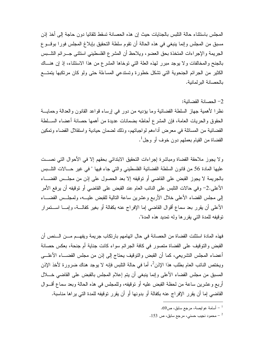المجلس باستثناء حالة التلبس بالجنايات حيث إن هذه الحصانة تسقط تلقائيا دون حاجة إلى أخذ إذن مسبق من المجلس وإنما بنبغي في هذه الحالة أن تقوم سلطة التحقيق بإبلاغ المجلس فورا بوقسوع الجريمة والإجراءات المتخذة بحق العضو، ويلاحظ أن المشرع الفلسطيني استثنى جـــرائم النالـــبس بالجنح والمخالفات ولا يوجد مبرر لهذه العلة التي توخاها المشرع من هذا الاستثناء، إذ إن هنساك الكثير من الجرائم الجنحوية التبي نشكل خطورة وتستدعى المساءلة حتى ولو كان مرتكبها يتمتـــع بالحصانة البر لمانية.

2– الحصانة القضائية: نظر! لأهمية جهاز السلطة القضائية وما يؤديه من دور في إرساء قواعد القانون والعدالة وحمايـــة الحقوق والحريات العامة، فإن المشرع أحاطه بضمانات عديدة من أهمها حصانة أعضاء الســـلطة القضائية من المسائلة في معرض أداءهم لواجباتهم، وذلك لضمان حيادية واستقلال القضاء ونمكين القضـاة من القيام بعملـهم دون خوف أو وجل<sup>1</sup>.

ولا يجوز ملاحقة القضاة ومباشرة إجراءات التحقيق الابتدائي بحقهم إلا في الأحوال التي نصـــت عليها المادة 56 من قانون السلطة القضائية الفلسطيني والتي جاء فيها " في غير حــالات النابس بالجريمة لا يجوز القبض على القاضي أو نوقيفه إلا بعد الحصول على إذن من مجلــس القضـــاء الأعلى.2– وفي حالات النلبس على النائب العام عند القبض على القاضي أو نوقيفه أن يرفع الأمر إلى مجلس القضاء الأعلى خلال الأربع وعشرين ساعة النالية للقبض عليـــه، ولمجلــس القضـــاء الأعلى أن يقرر بعد سماع أقوال القاضي إما الإفراج عنه بكفالة أو بغير كفالـــة، وإمــــا اســـتمرار نوفيفه للمدة التي يقرر ها وله نمديد هذه المدة".

فهذه المادة استثنت القضاة من الحصانة في حال اتهامهم بارتكاب جريمة ويفهــم مـــن الـــنص أن القبض والتوقيف على القضاة متصور في كافة الجرائم سواء كانت جناية أم جنحة، بعكس حصانة أعضاء المجلس التشريعي، كما أن القبض والتوقيف يحتاج إلى إذن من مجلس القضـــاء الأعلـــي ويختص النائب العام بطلب هذا الإذن<sup>2</sup>، أما في حالة التلبس فإنه لا يوجد هناك ضرورة لأخذ الإذن المسبق من مجلس القضاء الأعلى وإنما بنبغي أن بنم إعلام المجلس بالقبض على القاضي خـــلال أربع وعشرين ساعة من لحظة القبض عليه أو نوقيفه، وللمجلس في هذه الحالة وبعد سماع أقـــوال القاضيي إما أن يقرر الإفراج عنه بكفالة أو بدونها أو أن يقرر توقيفه للمدة التي يراها مناسبة.

 $69$ أسامة عو ايصـة، مرجع سابق، ص $69$ .

<sup>0 -</sup> محمود نجيب حسني، مرجع سابق، ص $\sim$  153  $^{-2}$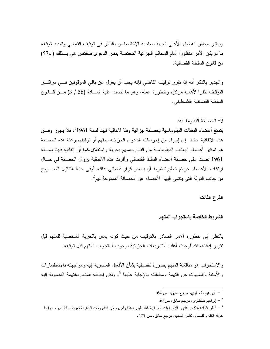ويعتبر مجلس القضاء الأعلى الجهة صاحبة الإختصاص بالنظر في توقيف القاضبي وتمديد توقيفه ما لم يكن الأمر منظورا أمام المحاكم الجزائية المختصة بنظر الدعوى فتختص هي بـــذلك ( م57) من قانون السلطة القضائية.

والجدير بالذكر أنه إذا نقرر نوقيف القاضبي فإنه يجب أن يعزل عن باقي الموقوفين فـــي مراكـــز النَّوقيف نظر! لأهمية مركزه وخطورة عمله، وهو ما نصت عليه المسادة (56 / 3) مـــن قـــانون السلطة القضائية الفلسطيني.

#### 3 – الحصانة الدبلو ماسبة:

يتمتع أعضاء البعثات الدبلوماسية بحصانة جزائية وفقا لاتفاقية فيينا لسنة 1961<sup>1</sup>، فلا يجوز وفــق هذه الاتفاقية اتخاذ إي إجراء من إجراءات الدعوى الجزائية بحقهم أو توقيفهم.وعلة هذه الحصانة هو تمكين أعضـاء البعثات الدبلوماسية من القيام بعملهم بـحرية واستقلال.كما أن اتفاقية فيينا لســـنة 1961 نصت على حصانة أعضاء السلك القنصلي وأقرت هذه الاتفاقية بزوال الحصانة في حــال ارتكاب الأعضاء جرائم خطيرة شرط أن يصدر قرار قضائي بذلك، أوفى حالة التتازل الصـــريح من جانب الدولة التي ينتمي إليها الأعضاء عن الحصانة الممنوحة لهم 2.

#### الفرع الثالث

#### الشروط الخاصة باستجواب المتهم

بالنظر إلى خطور ة الأمر الصادر بالتوقيف من حيث كونه يمس بالحرية الشخصية للمتهم قبل تقرير ادانته، فقد أوجبت أغلب التشر يعات الجز ائية بوجوب استجواب المتهم قبل توقيفه.

والاستجواب هو مناقشة المتهم بصورة تفصيلية بشأن الأفعال المنسوبة إليه ومواجهته بالاستفسارات و الأسئلة و الشبهات عن النهمة ومطالبته بالإجابة عليها <sup>3</sup>، ولكن إحاطة المتهم بالتهمة المنسوبة إليه

#### .64 يراهيم طنطاوي، مرجع سابق، ص $64$ .

. اير اهيم طنطاوي، مرجع سابق، ص $5$ .

<sup>&</sup>lt;sup>3</sup> – أنظر المادة 94 من قانون الإجراءات الجزائية الفلسطيني، هذا ولم يرد في التشريعات المقارنة تعريف للاستجواب وإنما عرفه الفقه والقضاء، كامل السعيد، مرجع سابق، ص 475.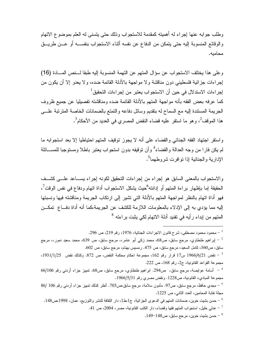و طلب جو ابه عنها إجراء له أهميته كمقدمة للاستجواب وذلك حتى يتسنى له العلم بموضوع الاتهام و الو قائع المنسوبة إليه حتى يتمكن من الدفاع عن نفسه أثناء الاستجواب بنفســـه أو عـــن طر يـــق محاميه.

وعلى هذا يختلف الاستجواب عن سؤال المتهم عن التهمة المنسوبة إليه طبقا لــنص المـــادة (16) إجراءات جزائية فلسطيني دون مناقشة ولا مواجهة بالأدلة القائمة ضده، ولا يعدو إلا أن يكون من لِجرِ اءات الاستدلال في حين أن الاستجواب يعتبر من لِجرِ اءات التحقيق<sup>1</sup> كما عرفه بعض الفقه بأنه مواجهة المتهم بالأدلة القائمة ضده ومناقشته تفصيليا عن جميع ظروف الجريمة المستندة إليه مع السماح له بنقديم وسائل دفاعه والنمتع بالضمانات الخاصة المترتبة علـــي هذا الموقف<sup>2</sup>، وهو ما استقر عليه قضاء النقض المصري في العديد من الأحكام<sup>3</sup>.

و استقر اجتهاد الفقه الجنائبي والقضاء على أنه لا يجوز توقيف المتهم احتياطيا إلا بعد استجوابه ما لم يكن فارا من وجه العدالة والقضاء<sup>4</sup> وأن نوفيفه بدون استجواب يعتبر باطلا ومستوجبا للمســـائلة الإدارية والجنائية إذا نوافرت شروطهما<sup>5</sup>.

والاستجواب بالمعنى السابق هو إجراء من إجراءات التحقيق لكونه إجراء بســاعد علـــى كشــف الحقيقة إما بإظهار براءة المتهم أو إدانته<sup>6</sup>حيث يشكل الاستجواب أداة اتهام ودفاع في نفس الوقت<sup>7</sup>، فهو أداة اتهام بالنظر لمواجهة المتهم بالأدلة التي تشير إلى ارتكاب الجريمة ومناقشته فيها ونسبتها إليه مما يؤدي به إلى الإدلاء بالمعلومات اللازمة للكشف عن الجريمة،كما أنه أداة دفــاع تمكـــن المتهم من ابداء رأيه في تفنيد أدلة الاتهام لكي يثبت براءته <sup>8</sup>

- محمود محمود مصطفى، شرح قانون الاجراءات الجنائية، 1976، رقم 219، ص 296.

پراهیم طنطاوی، مرجع سابق، ص68، محمد زکمی أبو عامر،، مرجع سابق، ص 639، محمد سعید نمور،، مرجع  $^{-2}$ سابق، ص360، كامل السعيد، مرجع سابق، ص 475. رمسيس بهنام، مرجع سابق، ص 602.

<sup>3</sup> – نقض 1966/6/21 س17 قرار رقم 162، مجموعة احكام محكمة النقض، ص 872. وكذلك نقض 1931/1/25، مجموعة القواعد القانونية، ج2، رقم 168، ص 222.

- حسن بشيت خوين، مرجع سابق، ص148–149.

 $^{\rm 4}$ أسامة عوايصة، مرجع سابق، ص294. ابراهيم طنطاوي، مرجع سابق، ص68. تمييز جزاء أردنبي رقم 66/106 مجموعة المباديء القانونية، ص1228. ونقض مصرى رقم 1966/5/31.

مجدي حافظ، مرجع سابق، ص97. مأمون سلامة، مرجع سابق،ص303. أنظر كذلك تمييز جزاء أردنبي رقم 106 /86 – مجلة نقابة المحامين، العدد الثاني، ص 1225.

<sup>&</sup>lt;sup>6</sup> – حسن بشيت خوين، ضمانات المتهم في الدعوى الجزائية، ج1،ط1، دار الثقافة للنشر والتوزيع، عمان، 1998،ص148. حدلي خليل، استجواب المتهم فقها وقضاء، دار الكتب القانونية، مصر ، 2004، ص 41.  $^{-7}$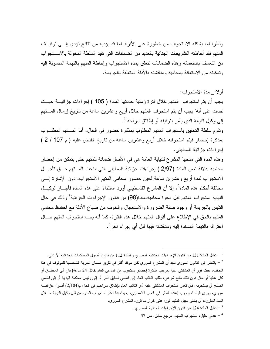ونظر ا لما يشكله الاستجواب من خطور ة على الأفر اد لما قد يؤديه من نتائج تؤدي إلـــي توقيــف المتهم فقد أحاطته التشريعات الجنائية بالعديد من الضمانات التي تقيد السلطة المخولة بالاستجواب من النعسف باستعماله وهذه الضمانات نتعلق بمدة الاستجواب وإحاطة المتهم بالتهمة المنسوبة إليه وتمكينه من الاستعانة بمحاميه ومناقشته بالأدلة المتعلقة بالجر بمة.

أو لا: مدة الاستجو اب:

يجب أن يتم استجواب المتهم خلال فتر ة زمنية حددتها المادة ( 105 ) إجراءات جز ائيـــة حيـــث نصت على أنه" يجب أن يتم استجواب المتهم خلال أربع وعشرين ساعة من تاريخ إرسال المــــتهم إلى وكيل النيابة الذي يأمر بتوقيفه أو إطلاق سراحه"<sup>1</sup>.

ونقوم سلطة التحقيق باستجواب المتهم المطلوب بمذكرة حضور في الحال، أما المستهم المطلسوب بمذكرة إحضار فيتم استجوابه خلال أربع وعشرين ساعة من تاريخ القبض عليه ( م 107 / 2 ) إجر اءات جز ائية فلسطيني.

وهذه المدة التي منحها المشرع للنيابة العامة هي في الأصل ضمانة للمتهم حتى يتمكن من إحضار محاميه بدلالة نص المادة (2/97 ) إجراءات جزائية فلسطيني التي منحت المستهم حـــق تأجيـــل الاستجواب لمدة أربع وعشرين ساعة لحين حضور محامى المنهم الاستجواب، دون الإشارة إلـــي مخالفة أحكام هذه المادة<sup>2</sup>، إلا أن المشر ع الفلسطيني أورد استثناءً على هذه المادة فأجـــاز لوكيـــل النيابة استجواب المتهم قبل دعوة محاميه،مادة(98) من قانون الإجراءات الجزائية<sup>3</sup> وذلك في حال النلبس بالجريمة أو وجود صفة الضرورة والاستعجال والخوف من ضياع الأدلة مع احتفاظ محامي المتهم بالحق في الإطلاع على أقوال المتهم خلال هذه الفترة، كما أنه يجب استجواب المتهم حـــال اعترافه بالتهمة المسندة إليه ومناقشته فيها قبل أي إجراء آخر <sup>4</sup>.

<sup>1</sup> – نقابل المادة 131 من قانون الإجراءات الجنائية المصري والمادة 112 من قانون أصول المحاكمات الجزائية الأردني. ً – بالنظر إلى القانون السوري نجد أن المشرع السوري كان موفقا أكثر في تقرير ضمان الحرية الشخصية للموقوف في هذا الجانب، حيث قرر أن المشتكي عليه بموجب مذكرة إحضار يستجوب من المدعى العام خلال 24 ساعة) فان أبي المحقـــق أو كان غائبا أو حال دون ذلك مانع شرعي، طلب النائب العام إلى فاضى تحقيق آخر أو إلى رئيس محكمة البداية أو إلى فاضى الصلح أن يستجوبه، فإن تعذر استجواب المشتكي عليه أمر النائب العام بإطلاق سراحهم في الحال م(2/104) أصول جزائيـــة سوري، ويرى الباحث وجوب إعادة النظر في النص الفلسطيني، بحيث إذا تعذر استجواب المتهم من قبل وكيل النيابة خـــلال المدة المقررة، أن يخلَّى سبيل المتهم فورًا على غرارٍ ما قرره المشرع السوري.

. - تقابل المادة 124 من قانون الإجر اءات الجنائية المصر ي $^{-3}$ 

عدلي خليل، استجواب المتهم، مرجع سابق، ص 57.  $^{-4}$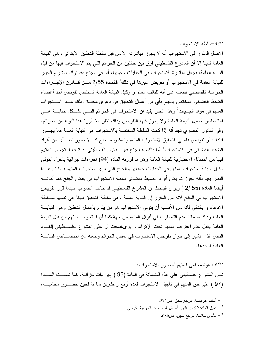الأصل المقرر في الاستجواب أنه لا يجوز مباشرته إلا من قبل سلطة التحقيق الابتدائي و هي النيابة العامة لدينا إلا أن المشر ع الفلسطيني فرق بين حالتين من الجرائم التي يتم الاستجواب فيها من قبل النيابة العامة، فجعل مباشرة الاستجواب في الجنايات وجوبيا، أما في الجنح فقد نرك المشر ع الخيار للنيابة العامة في الاستجواب أو تفويض غيرها في ذلك<sup>1</sup> فالمادة 2/55 مـــن قـــانون الإجــــراءات الجز ائية الفلسطيني نصت على أنه للنائب العام أو وكيل النيابة العامة المختص تفويض أحد أعضاء الضبط القضائي المختص بالقيام بأي من أعمال التحقيق في دعوى محددة وذلك عــدا اســـتجواب المتهم في مواد الجنايات<sup>2</sup> وهذا النص يفيد إن الاستجواب في الجرائم النــــي تشـــكل جنايــــة هــــي اختصاص أصلي للنيابة العامة ولا يجوز فيها التفويض وذلك نظرا لخطورة هذا النوع من الجرائم. وفي القانون المصري نجد أنه إذا كانت السلطة المختصة بالاستجواب هي النيابة العامة فلا يجــوز انتداب أو تفويض قاضي التحقيق لاستجواب المتهم والعكس صحيح كما لا يجوز ندب أي من أفراد الضبط القضائي في الاستجواب<sup>3</sup> أما بالنسبة للجنح فان القانون الفلسطيني قد ترك استجواب المتهم فيها من المسائل الاختيارية للنيابة العامة وهو ما قررته المادة (94) إجراءات جزائية بالقول "يتولى وكيل النيابة استجواب المتهم في الجنايات جميعها والجنح التي برى استجواب المتهم فيها " وهــذا النص يفيد بأنه يجوز تفويض أفراد الضبط القضائي سلطة الاستجواب في بعض الجنح كما أكدتـــه أيضا المادة (55 /2 ) ويرى الباحث أن المشرع الفلسطيني قد جانب الصواب حينما قرر نفويض الاستجواب في الجنح لأنه من المقرر إن النيابة العامة وهي سلطة التحقيق لدينا هي نفسها ســلطة الادعاء و بالنالي فانه من الأنسب أن يتولى الاستجواب هو من يقوم بأعمال التحقيق وهي النيابـــة العامة وذلك ضمانا لعدم التضارب في أقوال المتهم من جهة،كما أن استجواب المتهم من قبل النيابة العامة يكفل عدم اعتراف المتهم تحت الإكراه. و يرىالباحث أن على المشرع الفلســطيني إلغـــاء النص الذي يشير إلى جواز تفويض الاستجواب في بعض الجرائم وجعله من اختصـــاص النيابـــة العامة لوحدها.

ثالثًا: دعو ة محامى المتهم لحضور الاستجو اب: نص المشرع الفلسطيني على هذه الضمانة في المادة (96 ) إجراءات جزائية، كما نصــت المــادة (97 ) على حق المتهم في تأجيل الاستجواب لمدة أربع وعشرين ساعة لحين حضـــور محاميـــه،

- أسامة عوايصة، مرجع سابق، ص274.  $^{-\,1}$
- تقابل المادة 92 من قانون أصول المحاكمات الجزائية الأردني.  $\sim$ 
	- مأمون سلامة، مرجع سابق، ص686.  $\sim$

ثانيا:-سلطة الاستجواب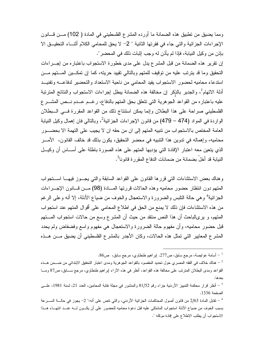ومما يضيق من نطبيق هذه الضمانة ما أورده المشرع الفلسطيني في المادة ( 102) مـــن فـــانون الإجراءات الجزائية والتي جاء في فقرتها الثانية " 2− لا يحق للمحامي الكلام أثنـــاء التحقيــق الا بإذن من وكيل النيابة، فإذا لم يأذن له وجب إثبات ذلك في المحضر ".

إن نقرير هذه الضمانة من قبل المشرع يدل على مدى خطورة الاستجواب باعتباره من إجـــراءات التحقيق وما قد يترتب عليه من توقيف للمتهم وبالتالي تقييد حريته، كما إن تمكـــين المـــتهم مـــن استدعاء محاميه لحضور الاستجواب يفيد المحامى من ناحية الاستعداد والتحضير لدفاعــــه وتفنيـــد أدلة الاتهام<sup>1</sup>، والجدير بالذكر إن مخالفة هذه الضمانة يبطل إجراءات الاستجواب والنتائج المترنبة عليه باعتباره من القواعد الجوهرية التي نتعلق بحق المتهم بالدفاع، رغــم عــدم نــص المشـــرع الفلسطيني صراحة على هذا البطلان وإنما بمكن استنتاج ذلك من القواعد المقررة فسي السبطلان الواردة في المواد (474 – 479) من قانون الإجراءات الجزائية<sup>2</sup>، وبالتالي فان إهمال وكيل النيابة العامة المختص بالاستجواب من نتبيه المتهم إلى ان من حقه ان لا يجيب على التهمة الا بحضـــور محاميه، وإهماله في ندوين هذا النتبيه في محضر التحقيق، يكون بذلك قد خالف القانون، الأمـــر الذي يتعين معه اعتبار الإفادة التي يؤديها المتهم على هذه الصورة باطلة على أســـاس أن وكيـــل النيابة قد أخل بضمانة من ضمانات الدفاع المقررة قانونا<sup>3</sup>.

وهناك بعض الاستثناءات التبي قررها القانون على القواعد السابقة والتبي يجــوز فيهــا اســـنجواب المتهم دون انتظار حضور محاميه وهذه الحالات قررتها المسادة (98) مـن قــانون الإجـــراءات الجزائية<sup>4</sup> وهي حالة النلبس والضرورة والاستعجال والخوف من ضياع الأدلة، إلا أنه وعلى الرغم من هذه الاستثناءات فإن ذلك لا يمنع من الحق في اطلاع المحامي على أقوال المتهم عند استجواب المقهم، و يرىالباحث أن هذا النص منتقد من حيث أن المشرع وسع من حالات استجواب المــــتهم قبل حضور محاميه، وأن مفهوم حالة الضرورة والاستعجال هي مفهوم واسع وفضفاض ولم يحدد المشرع المعايير التي تمثل هذه الحالات، وكان الأجدر بالمشرع الفلسطيني أن يضيق مـــن هـــذه

- أسامة عوايصة، مرجع سابق، ص277. اپراهيم طنطاوي، مرجع سابق، ص86  $^{-1}\,$ 

مناك خلاف في الفقه المصري حول تحديد المقصود بالقواعد الجوهرية ومدى اعتبار التحقيق الابتدائي من ضــــمن هـــذه  $^{-2}$ القواعد ومدى البطلان المترتب على مخالفة هذه القواعد، أنظر في هذه الأراء إبراهيم طنطاوي، مرجع ســـابق، ص87 ومـــا بعدها.

<sup>4</sup> – نقابل المادة 2/63 من قانون أصول المحاكمات الجزائية الأردنبي، والتي نتص على أنه:" 2− يجوز في حالــــة الســــرعة بسبب الخوف من ضياع الأدلة استجواب المشتكي عليه قبل دعوة محاميه للحضور على أن يكسون لسه عنسد انتهساء هسذا الاستجواب أن يطلب الاطلاع على إفادة موكله ".

أنظر قرار محكمة التمييز الأردنية جزاء رقم 81/52 والمنشور في مجلة نقابة المحامين، العدد 21، لسنة 1981، علـــي -الصفحة 1336.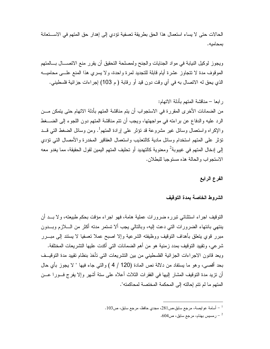الحالات حتى لا يساء استعمال هذا الحق بطريقة تعسفية تؤدي إلى إهدار حق المتهم في الاستعانة بمحامبه.

ويجوز لوكيل النيابة في مواد الجنايات والجنح ولمصلحة النحقيق أن يقرر منع الاتصـــال بـــالمتهم الموقوف مدة لا نتجاوز عشرة أيام قابلة للتجديد لمرة واحدة، ولا يسرى هذا المنع علـــي محاميــــه الذي يحق له الاتصال به في أي وقت دون قيد أو رقابة ( م 103) إجراءات جزائية فلسطيني.

الفرع الرابع

#### الشروط الخاصة بمدة التوقيف

النَّوقيف اجراء استثنائي نبرره ضرورات عملية هامة، فهو اجراء مؤقت بحكم طبيعته، ولا بــد أن ينتهي بانتهاء الضرور ات التي دعت إليه، وبالتالي يجب ألا تستمر مدته أكثر من السلازم وبسدون مبرر قوى بتعلق بأهداف التوقيف ووظيفته الشرعية وإلا اصبح عملا نعسفيا لا يستند إلى مبـــرر شر عي، وتقييد التوقيف بمدد ز منية هو من أهم الضمانات التي أكدت عليها التشر يعات المختلفة. ويعد قانون الاجراءات الجزائية الفلسطيني من بين التشريعات التي تأخذ بنظام تقييد مدة التوقيــف بحد أقصـي، وهو ما يستفاد من دلالـة نص المـادة (120 / 4 ) والتـي جـاء فيـها " لا يـجوز بـأي حـال أن نزيد مدة النوفيف المشار إليها في الفقرات الثلاث أعلاه على سنة أشهر وإلا يفرج فــورا عـــن المتهم ما لم نتم إحالته إلى المحكمة المختصة لمحاكمته".

<sup>. -</sup> أسلمة عو ايصـة، مرجع سابق،ص281، مجدي حافظ، مرجع سابق، ص103.

<sup>.</sup> رمسيس بهنام، مرجع سابق، ص $604$ .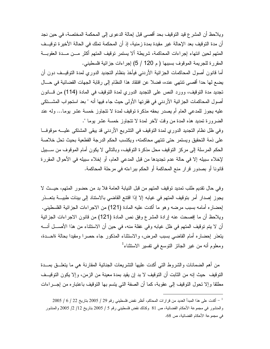ويلاحظ أن المشرع قيد التوقيف بحد أقصى قبل إحالة الدعوى إلى المحكمة المختصة، في حين نجد أن مدة التوقيف بعد الإحالة غير مقيدة بمدة زمنية، إذ أن المحكمة تملك في الحالة الأخير ة توقيــف المتهم لحين انتهاء إجراءات المحاكمة، شريطة ألا يستمر توقيف المتهم أكثر مـــن مـــدة العقوبـــة المقررة للجريمة الموقوف بسببها ( م 120 / 5) إجراءات جزائية فلسطيني.

أما قانون أصول المحاكمات الجزائية الأردني فيأخذ بنظام التجديد الدوري لمدة التوقيــف دون أن يضع لها حدا أقصبي تتتهي عنده، فضلا عن افتقاد هذا النظام إلى رقابة الجهات القضائية في حـــال تجديد مدة التوقيف، وورد النص على التجديد الدوري لمدة التوقيف في المادة (114) من قـــانون أصول المحاكمات الجز ائية الأردني في فقرتها الأولى حيث جاء فيها أنه " بعد استجواب المشــتكي عليه يجوز للمدعى العام أم يصدر بحقه مذكرة توقيف لمدة لا تتجاوز خمسة عشر يوما… وله عند الضرورة تمديد هذه المدة من وقت لآخر لمدة لا تتجاوز خمسة عشر بوما ".

وفي ظل نظام التجديد الدوري لمدة التوقيف في التشريع الأردني قد يبقى المشتكي عليـــه موقوفـــا على ذمة التحقيق ويستمر حتى نتنهى محاكمته، ويكتسب الحكم الدرجة القطعية بحيث نحل خلاصة الحكم المرسلة إلى مركز التوقيف محل مذكرة التوقيف، وبالتالي لا يكون أمام الموقوف من ســبيل لإخلاء سبيله إلا في حالة عدم تجديدها من قبل المدعى العام، أو إخلاء سبيله في الأحوال المقررة قانونا أو بصدور قرار منع المحاكمة أو الحكم ببراءته في مرحلة المحاكمة.

وفي حال نقديم طلب نمديد نوقيف المتهم من قبل النيابة العامة فلا بد من حضور المتهم، حيــث لا يجوز إصدار أمر بتوقيف المتهم في غيابه إلا إذا اقتنع القاضي بالاستناد إلى بينات طبيــــة بتعـــذر إحضاره أمامه بسبب مرضه وهو ما أكدت عليه المادة (121) من الاجراءات الجزائية الفلسطيني. ويلاحظ أن ما إفصحت عنه إرادة المشرع وفق نص المادة (121) من قانون الاجراءات الجزائية أن لا يتم توقيف المتهم في ظل غيابه وفي غفلة منه، في حين أن الاستثناء من هذا الأصـــل أنـــه يتعذر إحضاره أمام القاضبي بسبب المرض، والاستثناء المذكور جاء حصرا ومقيدا بحالة ةاحـــدة، ومعلوم أنه من غير الجائز النوسع في نفسير الاستثناء<sup>1</sup>

من أهم الضمانات والشروط التي أكدت عليها التشريعات الجنائية المقارنة هي ما يتعلَّــق بمـــدة النَّوقيف حيث إنه من الثابت أن النَّوقيف لا بد إن يقيد بمدة معينة من الزمن، وإلا يكون النَّوقيــف مطلقا وإلا تحول التوقيف إلى عقوبة، كما أن الصفة التي يتسم بها التوقيف باعتباره من إجـــراءات

 $\sim 2005$  / 1 أكدت على هذا المبدأ الحديد من قرارات المحاكم، أنظر نقض فلسطيني رقم 29 / 2005 بتاريخ 22 / 6 / 2005  $^{-1}$ والمنشور في مجموعة الأحكام القضائية، ص 81 وكذلك نقض فلسطيني رقم 5 / 2005 بتاريخ 12/ 2/ 2005 والمنشور في مجموعة الأحكام القضائية، ص 68.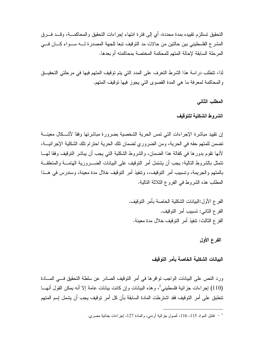التحقيق تستلز م تقييده بمدة محددة، أي إلى فتر ة انتهاء إجر اءات التحقيق و المحاكمـــة، و قـــد فـــر ق المشرع الفلسطيني بين حالتين من حالات مد التوقيف تبعا للجهة المصدرة لــــه ســـواء كــــان فــــي المرحلة السابقة لإحالة المتهم للمحكمة المختصة بمحاكمته أم بعدها.

لذا، تتطلب در اسة هذا الشرط النعرف على المدد التي يتم توقيف المنهم فيها في مرحلتي التحقيـــق والمحاكمة لمعرفة ما هي المدة القصوى التي يجوز فيها نوقيف المتهم.

المطلب الثاني

الشر وط الشكلية للتوقيف

إن نقييد مباشرة الإجراءات التبي نمس الحرية الشخصية بضرورة مباشرتها وفقا لأشــكال معينــــة تضمن للمتهم حقه في الحرية، ومن الضروري لضمان تلك الحرية احترام تلك الشكلية الإجرائيـــة، لأنها نقوم بدورها في كفالة هذا الضمان، والشروط الشكلية التي يجب أن بباشر التوقيف وفقا لمهـــا تتمثَّل بالشروط النالية: يجب أن يشتمل أمر النوفيف على البيانات الضــــــرورية الـهامـــــة والمنعلقـــة بالمتهم والجريمة، وتسبيب أمر التوقيف،، وتتفيذ أمر التوقيف خلال مدة معينة، وسندرس في هــذا المطلب هذه الشروط في الفروع الثلاثة النالية.

> الفرع الأول:البيانات الشكلية الخاصة بأمر النوفيف. الفرع الثاني: تسبيب أمر التوقيف. الفرع الثالث: نتفيذ أمر النوفيف خلال مدة معينة.

> > الفرع الأول

البيانات الشكلية الخاصة بأمر التوقيف

ورد النص على البيانات الواجب نوافر ها في أمر النوفيف الصادر عن سلطة النحقيق فـــي المــــادة (110) إجراءات جزائية فلسطيني<sup>1</sup>، وهذه البيانات وإن كانت بيانات عامة إلا أنه يمكن القول أنهـــا تنطبق على أمر النوقيف فقد اشترطت المادة السابقة بأن كل أمر توقيف يجب أن يشمل إسم المتهم

<sup>&</sup>lt;sup>1</sup> – نقابل المواد 115، 116، أصول جزائية أردنبي، والمادة 127، إجراءات جنائية مصري.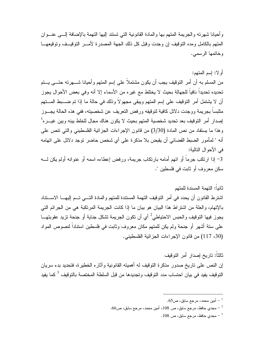و أحيانا شهر ته و الجر يمة المتهم بها و المادة القانو نية التي تستند إليها التهمة بالإضافة إلـــي عنـــو ان المتهم بالكامل ومده التوقيف إن وجدت وقبل كل ذلك الجهة المصدر ة لأمـــر التوقيـــف و توقيعهـــا وخاتمها الرسمي.

# أو لا: إسم المتهم:

من المسلم به أن أمر النوقيف يجب أن يكون مشتملاً على إسم المتهم وأحيانا شــــهرته حتــــى يـــتم تحديده تحديداً نافياً للجهالة بحيث لا يختلط مع غير ِه من الأسماء إلا أنه وفي بعض الأحوال يجوز أن لا يشتمل أمر التوقيف على إسم المتهم ويبقى مجهو لاً وذلك في حالة ما إذا تم ضــــبط المــــتهم متلبساً بجريمة ووجدت دلائل كافية لتوقيفه ورفض التعريف عن شخصيته، ففي هذه الحالة يجسوز إصدار أمر التوقيف بعد تحديد شخصية المتهم بحيث لا يكون هناك مجال للخلط بينه وبين غيـــره<sup>1</sup> وهذا ما يستفاد من نص المادة (3/30) من قانون الإجراءات الجزائية الفلسطيني والتي نتص على أنه " لمأمور الضبط القضائي أن يقبض بلا مذكرة على أي شخص حاضر توجد دلائل على اتهامه في الأحوال التالبة:

3– إذا ارتكب جرماً أو اتهم أمامه بارتكاب جريمة، ورفض إعطاءه اسمه أو عنوانه أولم يكن لــــه سكن معروف أو ثابت في فلسطين ".

## ثانياً: التهمة المسندة للمتهم

اشترط القانون أن يحدد في أمر النوفيف النهمة المستندة للمتهم والمادة التسي تسم إليهـــا الاســـتناد بالإتهام، والعلَّة من اشتراط هذا البيان هو بيان ما إذا كانت الجريمة المرتكبة هي من الجرائم التي يجوز فيها التوقيف والحبس الاحتياطي<sup>2</sup> أي أن تكون الجريمة تشكل جناية أو جنحة تزيد عقوبتهـــا على ستة أشهر أو جنحة ولم يكن للمتهم مكان معروف وثابت في فلسطين استناداً لنصوص المواد (30، 117) من قانون الإجر اءات الجز ائية الفلسطيني.

### ثالثاً: تار يخ إصدار أمر التوقيف

إن النص على ناريخ صدور مذكرة النوقيف له أهمينه القانونية وأثاره الخطيرة، فتحديد بدء سريان التو قيف يفيد في بيان احتساب مدد التو قيف و تجديدها من قبل السلطـة المختصـة بالتو قيف <sup>3</sup> كمـا يفيد

- مجدي حافظ، مرجع سابق، ص $108$ ، أمين محمد، مرجع سابق، ص $66$ .  $\sim$ 

. مجدي حافظ، مرجع سابق، ص $108$  .

<sup>.</sup> أمين محمد، مرجع سابق، ص $5$ .  $\,$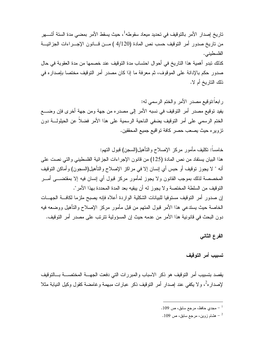تار يخ إصدار الأمر بالتوقيف في تحديد ميعاد سقوطه<sup>1</sup>، حيث يسقط الأمر بمضبي مدة الستة أشــــهر من ناريخ صدور أمر التوقيف حسب نص المادة (4/120 ) مـــن قـــانون الإجـــراءات الـجزائيـــة الفلسطيني. كذلك نبدو أهمية هذا الناريخ في أحوال احتساب مدة التوقيف عند خصمها من مدة العقوبة في حال صدور حكم بالإدانة على الموقوف، ثم معرفة ما إذا كان مصدر أمر التوقيف مختصا بإصداره في ذلك التاريخ أم لا.

ر ابعاً:توقيع مصدر الأمر والختم الرسمي له: يفيد توقيع مصدر أمر التوقيف في نسبه الأمر إلى مصدره من جهة ومن جهة أخرى فإن وضــــع الختم الرسمي على أمر النوقيف يضفي الناحية الرسمية على هذا الأمر فضلاً عن الحيلولــــة دون نزويره حيث يصعب حصر كافة تواقيع جميع المحققين.

خامساً: نكليف مأمور مركز الإصلاح والنأهيل(السجن) قبول النهم: هذا البيان يستفاد من نص المادة (125) من قانون الإجراءات الجزائية الفلسطيني والتي نصت على أنه " لا يجوز نوقيف أو حبس أي إنسان إلا في مراكز الإصلاح والتأهيل(السجون) وأماكن التوقيف المخصصة لذلك بموجب القانون ولا يجوز لمأمور مركز قبول أي إنسان فيه إلا بمقتضــــى أمــــر النَّوقيف من السلطة المختصة و لا يجوز له أن يبقيه بعد المدة المحددة بهذا الأمر". إن صدور أمر التوقيف مستوفيا للبيانات الشكلية الواردة أعلاه فإنه يصبح ملزما لكافة الجهسات الخاصة حيث يستدعي هذا الأمر قبول المنهم من قبل مأمور مركز الإصلاح والنأهيل ووضعه فيه دون البحث في قانونية هذا الأمر. من عدمه حيث إن المسؤولية تترتب على مصدر أمر. التوقيف.

الفرع الثانى

تسببب أمر التوقيف

يقصد بتسبيب أمر التوقيف هو ذكر الاسباب والمبررات التي دفعت الجهسة المختصسة بسالتوقيف لإصدار هُ ، و لا يكفى عند إصدار أمر التوقيف ذكر عبارات مبهمة وغامضة كقول وكيل النيابة مثلا

- . مجدي حافظ، مرجع سابق، ص $9\,$ .
- . هشام زوین، مرجع سابق، ص $\sim 109$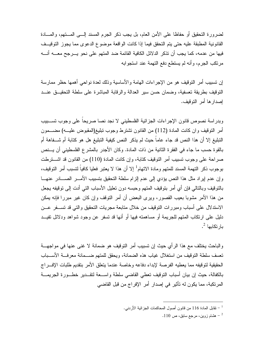لضرورة التحقيق أو حفاظا على الأمن العام، بل يجب ذكر الجرم المسند إلـــى المــــتهم، والمــــادة القانونية المطبقة عليه حتى يتم التحقق فيما إذا كانت الواقعة موضوع الدعوى مما يجوز التوقيــف فيها من عدمه، كما يجب أن تذكر الدلائل الكافية القائمة ضد المتهم على نحو يـــرجح معــــه أنــــه مرتكب الجرم، وأنه لم يستطع دفع التهمة عند استجوابه

إن تسبيب أمر التوقيف هو من الإجراءات الهامة والأساسية وذلك لعدة نواحي أهمها حظر ممارسة النوقيف بطريقة تعسفية، وضمان حسن سير العدالة والرقابة المباشرة على سلطة التحقيـــق عنـــد إصدار ها أمر التوقيف.

وبدراسة نصوص قانون الإجراءات الجزائية الفلسطيني لا نجد نصا صريحا على وجوب نسبيب أمر النوقيف وان كانت المادة (112) من القانون تشترط وجوب نبليغ(المقبوض عليـــه) مضــــمون النبليغ إلا أن هذا النص قد جاء عاماً حيث لم يذكر النص كيفية النبليغ هل هو كتابة أم شـــفاهة أم بالقوة حسب ما جاء في الفقرة الثانية من ذات المادة. وكان الأجدر بالمشرع الفلسطيني أن يـــنص صراحة على وجوب نسبيب أمر النوقيف كتابة، وإن كانت المادة (110) من القانون قد اشــــنرطت بوجوب ذكر التهمة المسند للمتهم ومادة الاتهام<sup>1</sup> إلا أن هذا لا يعتبر فعليا كافياً لتسبب أمر التوقيف، وإن عدم إيراد مثل هذا النص يؤدي إلى عدم إلزام سلطة النحقيق بتسبيب الأمــــر الصـــــادر عنهــــا بالنوقيف وبالنالبي فإن أي أمر بنوقيف المنهم وحبسه دون نعليل الأسباب النبي أدت إلىي نوقيفه يجعل من هذا الأمر مشوبًا بعيب القصور، ويرى البعض أن أمر التوقف وإن كان غير مبررًا فإنه بمكن الاستدلال على أسباب ومبررات التوقيف من خلال متابعة مجريات التحقيق والتي قد تســـفر عـــن دليل على ارتكاب المتهم للجريمة أو مساهمته فيها أو أنها قد تسفر عن وجود شواهد ودلائل تفيــد يار تكابها <sup>2</sup>.

و الباحث يختلف مع هذا الر أي حيث إن تسبيب أمر التوقيف هو ضمانة لا غني عنها في مواجهـــة تعسف سلطة التوقيف من استغلال غياب هذه الضمانة، ويحقق للمتهم ضـــمانة معر فـــة الأســـباب الحقيقية لتوقيفه مما يعطيه الفر صة لإبداء دفاعه وخاصة عندما يتعلق الأمر يتقديم طلبات الإف راج بالكفالة، حيث إن بيان أسباب التوقيف تعطي القاضي سلطة واســعة لتقــدير خطــورة الجريمـــة المرتكبة، مما يكون له تأثير في إصدار أمر الإفراج من قبل القاضي

<sup>-</sup> نقابل المادة 116 من قانون أصول المحاكمات الجزائية الأردني  $\cdot$ 

<sup>.</sup> هشام زوين، مرجع سابق، ص 110.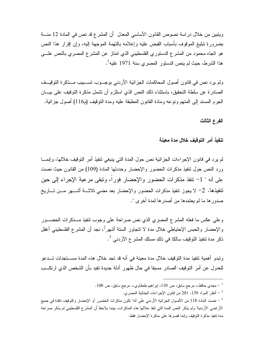ويتبين من خلال دراسة نصوص القانون الأساسي المعدل أن المشرع قد نص في المادة 12 منـــة بضرورة نبليغ الموقوف بأسباب القبض عليه وإعلامه بالنهمة الموجهة إليه، وإن إقرار هذا النص هو انجاه محمود من المشرع الدستوري الفلسطيني الذي امتاز عن المشرع المصري بالنص علـــي هذا الشرط، حيث لم ينص الدستور المصري سنة 1971 عليه<sup>1</sup>.

ولم يرد نص في قانون أصول المحاكمات الجزائية الأردني بوجـــوب تســـبيب مـــذكرة التوقيـــف الصادرة عن سلطة التحقيق، باستثناء ذلك النص الذي استلزم أن نتنمل مذكرة التوقيف على بيـــان الجرم المسند إلى المتهم ونوعه ومادة القانون المطبقة عليه ومدة التوقيف (م116) أصول جزائية.

الفرع الثالث

تنفيذ أمر التوقيف خلال مدة معينة

لم يرد في قانون الإجراءات الجزائية نص حول المدة التي ينبغي نتفيذ أمر التوقيف خلالها، وإنمـــا ورد النص حول نتفيذ مذكرات الحضور والإحضار وحددتها المادة (109) من القانون حيث نصت على أنه " 1– نتفذ مذكر ات الحضور والإحضار فورا، ونبقى مرعية الإجراء إلى حين نتفيذها. 2– لا يجوز نتفيذ مذكرات الحضور والإحضار بعد مضي ثلاثـــة أشـــهر مـــن تـــاريخ صدور ها ما لم يعتمدها من أصدر ها لمدة أخر ي ".

وعلى عكس ما فعله المشرع المصري الذي نص صراحة على وجوب نتفيذ مـــذكرات الحضــــور والإحضار والحبس الإحتياطي خلال مدة لا نتجاوز السنة أشهر<sup>2</sup>، نجد أن المشرع الفلسطينبي أغفل ذكر مدة تنفيذ التوقيف سالكا في ذلك مسلك المشر ع الأردني  $^3$ .

ونبدو أهمية نتفيذ مدة النوقيف خلال مدة معينة في أنه قد تجد خلال هذه المدة مســـنجدات تـــدعو للعدول عن أمر النوقيف الصادر مسبقا في حال ظهور أدلة جديدة تفيد بأن الشخص الذي ارتكــب

نظر المواد 139، 201 من قانون الإجراءات الجنائية المصري.  $^2$ 

مجدي حافظ،، مرجع سابق، ص 110، اپراهيم طنطاوي،، مرجع سابق، ص 100.  $^{-1}$ 

<sup>ّ –</sup> نصت المادة 118 من الأصول الجزائية الأردني على أنه" تكون مذكرات الحضور أو الإحضار والتوقيف نافذة في جميع الأراضـي الأردنية" ولم يذكر النص المدة التي تنفذ خلالها هذه المذكرات، بينما يلاحظ أن المشرع الفلسطيني لم يذكر صراحة مدة نتفيذ مذكرة النوقيف وإنما قصرها على مذكرة الإحضار فقط.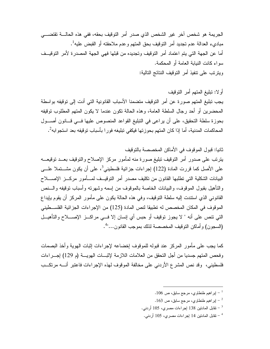الجريمة هو شخص آخر غير الشخص الذي صدر أمر التوقيف بحقه، ففي هذه الحالــــة تقتضــــي مبادىء العدالة عدم تجديد أمر التوقيف بحق المتهم وعدم ملاحقته أو القبض عليه<sup>1</sup>. أما عن الجهة التي بتم اعتماد أمر التوقيف وتجديده من قبلها فهي الجهة المصدرة لأمر التوقيــف سواء كانت النيابة العامة أو المحكمة. ويترتب على تنفيذ أمر النوقيف النتائج التالية:

أو لا: تبليغ المتهم أمر التوقيف يجب تبليغ المتهم صورة عن أمر التوقيف متضمنا الأسباب القانونية التي أدت إلى توقيفه بواسطة المحضرين أو أحد رجال السلطة العامة، وهذه الحالة تكون عندما لا يكون المتهم المطلوب توقيفه بحوزة سلطة التحقيق، على أن يراعي في التبليغ القواعد المنصوص عليها فــي قـــانون أصـــول المحاكمات المدنية، أما إذا كان المتهم بحوزتها فيكفى تبليغه فورا بأسباب توقيفه بعد استجوابه<sup>2</sup>.

ثانيا: قبول الموقوف في الأماكن المخصصة بالتوقيف يترتب على صدور أمر التوقيف تبليغ صورة منه لمأمور مركز الإصلاح والتوقيف بعــد توقيعـــه على الأصل كما قررت المادة (122) إجراءات جزائية فلسطيني<sup>3</sup>، على أن يكون مشـــتملا علــــي البيانات الشكلية التي تطلبها القانون من تكليف مصدر أمر التوقيــف لمـــأمور مركـــز الإصــــلاح والتأهيل بقبول الموقوف، والبيانات الخاصة بالموقوف من إسمه وشهرنه وأسباب نوقيفه والـــنص القانوني الذي استندت إليه سلطة التوقيف، وفي هذه الحالة يكون على مأمور المركز أن يقوم يإيداع الموقوف في المكان المخصص له تطبيقا لنص المادة (125) من الإجراءات الجزائية الفلسـطيني التي نتص على أنه " لا يجوز نوفيف أو حبس أي إنسان إلا فـــي مراكـــز الإصــــلاح والنأهيـــل (السجون) و أماكن التوقيف المخصصة لذلك بموجب القانون..."<sup>4</sup>.

كما يجب على مأمور المركز عند قبوله للموقوف إخضاعه لإجراءات إثبات الهوية وأخذ البصمات وفحص المتهم جسديا من أجل التحقق من العلامات اللاز مة لإثبـــات الـهويــــة (م 129) إجـــر اءات فلسطيني، وقد نص المشرع الأردني على مخالفة الموقوف لهذه الإجراءات فاعتبر أنـــه مرتكــب

- . $106\,$  پر اهيم طنطاوي، مرجع سابق، ص $\,$
- .163 ير اهيم طنطاوي، مرجع سابق، ص $\sim 163$  .
- تقابل المادنين 138 إجراءات مصري، 105 أردني  $^{-3}$
- تقابل المادنين 14 إجراءات مصري، 105 أردني.  $\sim$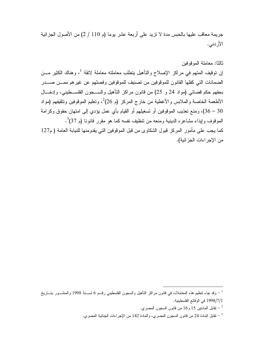جريمة معاقب عليها بالحبس مدة لا نزيد على أربعة عشر يوما (م 110 / 2) من الأصول الجز ائية الأر دني.

### ثالثا: معاملة الموقوفين

إن نوقيف المنهم في مراكز الإصلاح والنأهيل بتطلب معاملته معاملة لائقة <sup>1</sup>، وهناك الكثير مـــن الضمانات التي كفلها القانون للموقوفين من تصنيف للموقوفين وفصلهم عن غيرهم ممـــن صــــدر بحقهم حكم قضائي (مواد 24 و 25) من قانون مراكز التأهيل والســــجون الفلســـطيني، وإدخـــال الأطعمة الخاصة والملابس والأغطية من خارج المركز (م 26)<sup>2</sup>، وتعليم الموقوفين وتثقيفهم (مواد 30 – 36)، ومنع تعذيب الموقوفين أو تسغيلهم أو القيام بأي عمل بؤدي إلى امتهان حقوق وكرامة الموقوف وإيذاء مشاعره الدينية ومنعه من تنظيف نفسه كما هو مقرر قانونا (م 37<sup>3</sup>. كما يجب على مأمور المركز قبول الشكاوي من قبل الموقوفين التي يقدومنها للنيابة العامة ( م127

من الإجر اءات الجز ائية).

<sup>&</sup>lt;sup>1</sup> – وقد جاء نتظيم هذه المعاملات في قانون مراكز التأهيل والسجون الفلسطيني رقـــم 6 لســـنة 1998 والمنشـــور بتـــاريخ 1998/7/1 في الوقائع الفلسطينية.

تقابل المادتين 15 و16 من قانون السجون المصري.  $^{-2}$ 

ققابل المادة 24 من قانون السجون المصري، والمادة 142 من الإجراءات الجنائية المصري.  $^{-3}$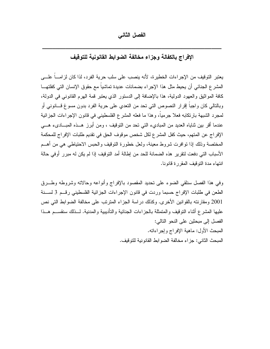الفصل الثاني

الإفراج بالكفالة وجزاء مخالفة الضوابط القانونية للتوقيف

يعتبر التوقيف من الإجراءات الخطيرة، لأنه ينصب على سلب حرية الفرد، لذا كان لزامـــاً علـــى المشر ع الجنائي أن يحيط مثل هذا الإجراء بضمانات عديدة تماشياً مع حقوق الإنسان التي كفلتهـــا كافة المواثيق والعهود الدولية، هذا بالإضافة إلى الدستور الذي يعتبر قمة الهرم القانوني في الدولة، وبالنالـي كان واجباً إقرار النصوص النـي نـحد من النـعدي علـي حريـة الفرد بدون مسوغ قـــانونـي أو لمجرد الشبهة بارنكابه فعلا جرمياً، وهذا ما فعله المشرع الفلسطيني في قانون الإجراءات الجزائية عندما أقر بين ثناياه العديد من المباديء التي تحد من التوقيف ، ومن أبرز هــذه المبـــاديء هـــي الإفراج عن المتهم، حيث كفل المشرع لكل شخص موقوف الحق في تقديم طلبات الإفراج للمحكمة المختصة وذلك إذا نوافرت شروط معينة، ولعل خطورة النوقيف والحبس الاحتياطي هي من أهـــم الأسباب التي دفعت لتقرير هذه الضمانة للحد من إطالة أمد التوقيف إذا لم يكن له مبرر أوفي حالة انتهاء مدة التوقيف المقررة قانونا.

وفي هذا الفصل سنلقى الضوء على تحديد المقصود بالإفراج وأنواعه وحالاته وشروطه وطــرق الطعن في طلبات الإفراج حسبما وردت في قانون الإجراءات الجزائية الفلسطيني رقــم 3 لســـنة 2001 ومقارنته بالقوانين الأخرى. وكذلك دراسة الجزاء المترنب على مخالفة الضوابط التي نص عليها المشرع أثناء النوفيف والمتمثلة بالجزاءات الجنائية والتأديبية والمدنية. لـــذلك سنقســـم هـــذا الفصل إلى مبحثين على النحو التالي: المبحث الأول: ماهية الإفراج وإجراءاته. المبحث الثاني: جزاء مخالفة الضوابط القانونية للتوقيف.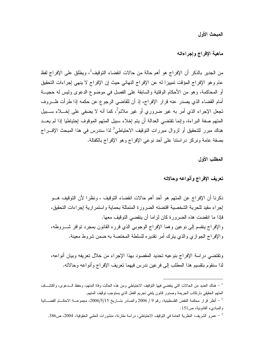المبحث الأول

ماهية الإفراج وإجراءاته

من الجدير بالذكر أن الإفراج هو أهم حالة من حالات انقضاء التوقيف<sup>1</sup>، ويطلق على الإفراج لفظ عام وهو الإفراج المؤقت تمييزا له عن الإفراج النهائي حيث إن الإفراج لا ينهى إجراءات التحقيق أو المحاكمة، وهو من الأحكام الوقتية والسابقة على الفصل في موضوع الدعوى وليس له حجيـــة أمام القضاء الذي يصدر عنه قرار الإفراج، إذ أن للقاضبي الرجوع عن حكمه إذا طرأت ظـــروف تجعل الإجراء الذي أمر به غير ضروري أو غير ملائمٍ ُ، كما أنه لا يضفي على إخـــلاء ســـبيل المتهم صفة البراءة، وإنما نقتضي العدالة أن يتم إخلاء سبيل المتهم الموقوف إحتياطيا إذا لم يعــد هناك مبرر للتحقيق أو لزوال مبررات التوقيف الاحتياطي<sup>3</sup> لذا سندرس في هذا المبحث الإفـــراج بصفة عامة ونركز دراستنا على أحد نوعي الإفراج وهو الإفراج بالكفالة.

المطلب الأول

تعريف الإفراج وأنواعه وحالاته

ذكرنا أن الإفراج عن المتهم هو أحد أهم حالات انقضاء التوقيف ، ونظرا لأن التوقيف هــو إجراء مقيد للحرية الشخصية اقتضته الضرورة المتمثلة بحماية واستمرارية إجراءات التحقيق، فإذا ما انقضت هذه الضرورة كان لزاما أن ينقضي التوقيف معها. والإفراج ينقسم إلى نوعين وهما الإفراج الوجوبي الذي قرره القانون بمجرد توافر شـــروطه، والإفراج الجوازي والذي بنزك أمر نقديره للسلطة المختصة به ضمن شروط معينة.

وتقتضي دراسة الإفراج بنوعيه تحديد المقصود بهذا الإجراء من خلال تعريفه وبيان أنواعه، لذا سنقوم بنقسيم هذا المطلب إلى فرعين ندرس فيهما نعريف الإفراج وأنواعه وحالاته.

<sup>ً –</sup> هناك العديد من الحالات التي ينقضي فيها النوقيف الاحتياطي ومن هذه الحالت وفاة المتهم، وحفظ الـــدعوى، واكتشـــاف المتهم الحقيقي بارتكاب الجريمة وصدور فانون يلغى تجريم الفعل الذي يستوجب توقيف المتهم. أنظر قرار محكمة النقض الفلسطينية، رقم 9 / 2006 والصادر بتساريخ 2006/5/15، مجموعـــة الاحكـــام القضــــائية -والمبادىء القانونية، ص151.

<sup>&</sup>lt;sup>3</sup> – عمرو الشريف، النظرية العامة في التوقيف الاحتياطي، دراسة مقارنة، منشورات الحلبي الحقوقية، 2004، ص386.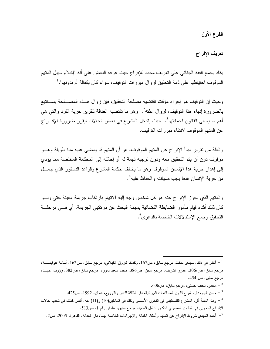الفرع الأول

## تعريف الإفراج

يكاد يجمع الفقه الجنائي على تعريف محدد للإفر اج حيث عرفه البعض على أنه "لِخلاء سبيل المتهم الموقوف احتياطيا على ذمة التحقيق لزوال مبررات التوقيف، سواء كان بكفالة أم بدونها".<sup>1</sup>

وحيث إن التوقيف هو إجراء مؤقت تقتضيه مصلحة التحقيق، فإن زوال هــذه المصـــلحة يســـتتبع بالضرورة إنهاء هذا التوقيف، لزوال علته ً. وهو ما تقتضيه العدالة لتقرير حرية الفرد والتي هي أهم ما يسعى القانون لحمايتها<sup>3</sup>. حيث يتدخل المشرع في بعض الحالات ليقرر ضرورة الإفـــراج عن المتهم الموقوف لانتفاء مبر رات التوقيف.

والعلَّة من نقرير مبدأ الإفراج عن المُتهم الموقوف، هو أن المُتهم قد يُمضـي عليه مدة طويلة وهـــو موقوف دون أن يتم التحقيق معه ودون توجيه تهمة له أو إحالته إلى المحكمة المختصة مما يؤدي إلى إهدار حرية هذا الإنسان الموقوف وهو ما يخالف حكمة المشرع وقواعد الدستور الذي جعــل من حرية الإنسان هدفا يجب صبانته والحفاظ عليه<sup>4</sup>.

والمنهم الذي يجوز الإفراج عنه هو كل شخص وجه إليه الاتهام بارتكاب جريمة معينة حتى ولسو كان ذلك أثناء قيام مأمور الضابطة القضائية بمهمة البحث عن مرتكبي الجريمة، أي فـــي مرحلـــة النحقيق وجمع الإستدلالات الخاصة بالدعوى<sup>5</sup>.

- محمود نجيب حسني، مرجع سابق، ص $606.$ مسن الجوخدار ، شرح قانون المحاكمات الجزائية، دار الثقافة للنشر والتوزيع، عمان، 1992، ص425.  $\sim$ 42. <sup>4</sup> – وهذا المبدأ أقرء المشرع الفلسطيني في القانون الأساسي وذلك في المادنين(10) و(11) منه. أنظر كذلك في تحديد حالات الإفراج الوجوبي في القانون المصري الدكتور كامل السعيد، مرجع سابق، هامش رقم 1، ص513. <sup>5</sup>– أحمد المهدي شروط الإفراج عن المتهم وأحكام الكفالة والإجراءات الخاصة بهما، دار العدالة، القاهرة، 2005، ص2.

أنظر في ذلك، مجدي حافظ، مرجع سابق، ص167. وكذلك فاروق الكيلاني، مرجع سابق، ص162. أسامة عوايصــــة،  $^{-1}$ مرجع سابق، ص،306. عمرو الشريف، مرجع سابق، ص386، محمد سعيد نمور ،، مرجع سابق، ص382. رؤوف عبيـــد، مرجع سابق، ص 454.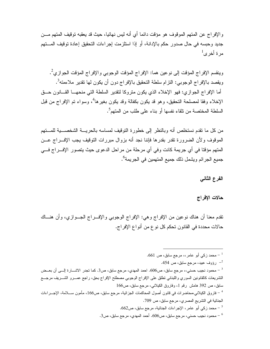و الإفر اج عن المتهم الموقوف هو مؤقت دائما أي أنه ليس نهائيا، حيث قد يعقبه توقيف المتهم مـــن جديد وحبسه في حال صدور حكم بالإدانة، أو إذا استلزمت إجراءات التحقيق إعادة توقيف المستهم  $^{-1}$ مر ۃ أخر ی

وينقسم الإفراج المؤقت إلى نوعين هما: الإفراج المؤقت الوجوبي والإفراج المؤقت الجوازي<sup>2</sup>. ويقصد بالإفراج الوجوبي: النزام سلطة النحقيق بالإفراج دون أن يكون لها تقدير ملاءمنه<sup>3</sup>. أما الإفراج الجوازي: فهو الإخلاء الذي يكون متزوكا لتقدير السلطة التي منحهـــا القـــانون حـــق الإخلاء وفقًا لمصلحة التحقيق، وهو قد يكون بكفالة وقد يكون بغيرها<sup>4</sup>، وسواء تم الإفراج من قبل السلطة المختصة من تلقاء نفسها أو بناء على طلب من المتهم<sup>5</sup>.

من كل ما نقدم نستخلص أنه وبالنظر إلى خطورة التوقيف لمساسه بالحريسة الشخصسية للمستهم الموقوف ولأن الضرورة نقدر بقدرها فإننا نجد أنه بزوال مبررات التوقيف يجب الإف راج عــن المتهم مؤقتًا في أي جريمة كانت وفي أي مرحلة من مراحل الدعوى حيث يتصور الإفــراج فـــي جميع الجرائم ويشمل ذلك جميع المتهمين في الجريمة<sup>6</sup>.

الفرع الثانى

حالات الإفراج

تقدم معنا أن هناك نوعين من الإفراج وهي: الإفراج الوجوبي والإف راج الجــوازي، وأن هنـــاك حالات محددة في القانون تحكم كل نو ع من أنو اع الإفر اج.

محمد زکمی أبو عامر،، مرجع سابق، ص 661.  $\sim$ 

رؤوف عبيد، مرجع سابق، ص 454.  $^{-2}$ 

محمود نجيب حسني،، مرجع سابق، ص606. احمد المهدي، مرجع سابق، ص3. كما نجدر الاشـــارة إلـــي أن بعـــض  $^{-3}\,$ التشريعات كالقانونين السوري واللبناني نطلق على الإفراج الوجوبي مصطلح الإفراج بحق، راجع عسـرو الشـــريف مرجـــع سابق، ص 392 هامش رقم 1، وفاروق الكيلانبي، مرجع سابق، ص166

<sup>4</sup> – فاروق الكيلانى،محاضرات فى قانون أصول المحاكمات الجزائية، مرجع سابق، ص166، مأمون ســـلامة، الإجـــراءات الجنائية في التشريع المصري، مرجع سابق، ص 709.

محمد زكي أبو عامر، الإجراءات الجنائية، مرجع سابق، ص662.  $\sim$ 

محمود نجيب حسني، مرجع سابق، ص606. أحمد المهدي، مرجع سابق، ص3.  $\sim 3$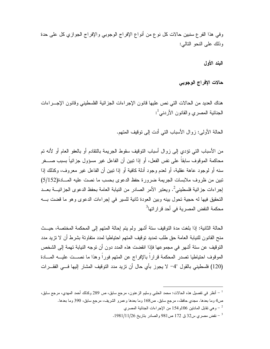وفي هذا الفرع سنبين حالات كل نوع من أنواع الإفراج الوجوبي والإفراج الجوازي كل على حدة وذلك على النحو التالي:

البند الأول

حالات الإفراج الوجوبي

هناك العديد من الحالات التي نص عليها قانون الإجر اءات الجز ائية الفلسطيني وقانون الإجـــر اءات الجنائية المصري والقانون الأردني<sup>1</sup>:

الحالة الأولى: زوال الأسباب التي أدت إلى نوقيف المتهم.

من الأسباب التي تؤدي إلى زوال أسباب التوقيف سقوط الجريمة بالنقادم أو بالعفو العام أو لأنه تم محاكمة الموقوف سابقاً على نفس الفعل، أو إذا تبين أن الفاعل غير مسؤول جزائياً بسبب صــــغر سنه أو لوجود عاهة عقلية، أو لعدم وجود أدلة كافية أو إذا تبين أن الفاعل غير معروف، وكذلك إذا تبين من ظروف ملابسات الجريمة ضرورة حفظ الدعوى بحسب ما نصت عليه المسادة(5/152) إجراءات جزائية فلسطيني<sup>2</sup>. ويعتبر الأمر الصادر من النيابة العامة بحفظ الدعوى الجزائيـــة بعـــد التحقيق فيها له حجية تحول بينه وبين العودة ثانية للسير في إجر اءات الدعوى وهو ما قضت بـــه محكمة النقض المصر بة في أحد قر ار اتها<sup>3</sup>

الحالة الثانية: إذا بلغت مدة التوقيف ستة أشهر ولم يتم إحالة المتهم إلى المحكمة المختصة، حيــث منح القانون للنيابة العامة حق طلب تمديد توقيف المتهم احتياطيا لمدد متفاوتة بشرط أن لا نزيد مدد النَّوقيف عن ستة أشهر في مجموعها فإذا انقضت هذه المدد دون أن توجه النيابة تهمة إلى الشخص الموقوف احتياطيا تصدر المحكمة قرارا بالإفراج عن المتهم فورا وهذا ما نصبت عليسه المسادة (120) فلسطيني بالقول "4– لا يجوز بأي حال أن تزيد مدد التوقيف المشار إليها فـــي الفقـــرات

أنظر في نفصيل هذه الحالات: محمد الحلبي وسليم الزعنون، مرجع سابق، ص 289 وكذلك أحمد المهدي، مرجع سابق،  $^{-1}\,$ ص4 وما بعدها. مجدي حافظ،، مرجع سابق. ص168 وما بعدها وعمرو الشريف، مرجع سابق، 390 وما بعدها.

وهي نقابل المادنين 106و154 من الإجراءات الجنائية المصري  $^{-2}$ 

 $-3$ - نقض مصري س32 ق 172 ص981 و الصادر بتاريخ 1981/11/26  $-$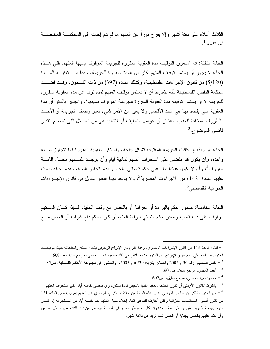الثلاث أعلاه على سنة أشهر وإلا بفرج فوراً عن المتهم ما لم نتم إحالته إلى المحكمـــة المختصــــة لمحاكمته".

الحالة الثالثة: إذا استغرق النوقيف مدة العقوبة المقررة للجريمة الموقوف بسبها المتهم، ففي هــذه الحالة لا يجوز أن يستمر نوقيف المتهم أكثر من المدة المقررة للجريمة، وهذا مــــا تعنيــــه المــــادة (5/120) من قانون الإجراءات الفلسطينية، وكذلك المادة (397) من ذات القــانون، وقــد قضــت محكمة النقض الفلسطينية بأنه يشترط أن لا يستمر نوقيف المتهم لمدة نزيد عن مدة العقوبة المقررة للجريمة لا ان يستمر توقيفه مدة العقوبة المقررة للجريمة الموقوف بسببها<sup>2</sup>. والجدير بالذكر أن مدة العقوبة التي يقصد بها هي الحد الأقصبي ولا يغير من الأمر شيء تغير وصف الجريمة أو الأخــذ بالظروف المخففة للعقاب باعتبار أن عوامل التخفيف أو التشديد هي من المسائل التي تخضع لتقدير قاضي الموضوع.<sup>3</sup>

الحالة الرابعة: إذا كانت الجريمة المقترفة تشكل جنحة، ولم تكن العقوبة المقررة لها تتجاوز ســنة واحدة، وأن يكون قد انقضـي علـي استجواب المتهم ثمانية أيام وأن يوجــد للمـــتهم محـــل إقامــــة معروف<sup>4</sup>، وأن لا يكون عائداً بناء على حكم قضائي بالحبس لمدة تتجاوز السنة، وهذه الحالة نصت عليها المادة (142) من الإجراءات المصرية<sup>5</sup>، ولا يوجد لهذا النص مقابل في قانون الإجـــراءات الجز ائية الفلسطيني<sup>6</sup>.

الحالة الخامسة: صدور حكم بالبراءة أو الغرامة أو بالحبس مع وقف النتفيذ، فـــإذا كــــان المــــتهم موقوف على ذمة قضية وصدر حكم ابتدائي ببراءة المتهم أو كان الحكم دفع غرامة أو الحبس مـــع

القانون صراحة على عدم جواز الإفراج عن المتهم بجناية، أنظر في ذلك محمود نجيب حسني، مرجع سابق، ص608. 2 – نقض فلسطيني رقم 30 / 2005 والصادر بناريخ 30/ 6 / 2005.، والمنشور في مجموعة الأحكام القضائية، ص85  $^{\circ}$ . $60$  أحمد المهدي، مرجع سابق، ص $\sim 60$ محمو د نجيب حسني، مرجع سابق، ص607  $^{\rm 4}$ يشترط القانون الأردنـي أن تكون الجنحة معاقبا عليها بالحبس لمدة سنتين، وأن يمضـي خمسة أيام علـي استجواب المتهم.  $^5$ <sup>6</sup> – من الجدير بالذكر أن القانون الأردنـي اعتبر هذه الـحالة من حالات الإفراج الجوازي عن المتهم بموجب نص المـادة 121

من قانون أصول المحاكمات الجزائية والتي أجازت للمدعى العام إخلاء سبيل المتهم بعد خمسة أيام من اســـتجوابه إذا كـــان متهما بجنحة لا تزيد عقوبتها على سنة واحدة وإذا كان له موطن مختار في المملكة ويستثني من ذلك الأشخاص الـــذين ســـبق وأن حكم عليهم بالحبس بجناية أو الحبس لمدة نزيد عن ثلاثة أشهر .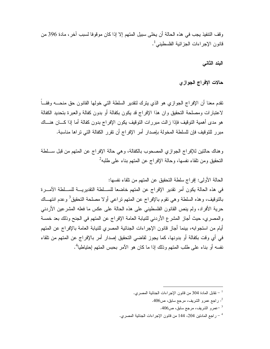و قف النتفيذ يجب في هذه الحالة أن يخلي سبيل المتهم إلا إذا كان مو قوفا لسبب آخر ، مادة 396 من قانون الإجر اءات الجز ائية الفلسطيني<sup>1</sup>.

البند الثاني

حالات الإفراج الجوازى

نقدم معنا أن الإفراج الجوازي هو الذي يترك لنقدير السلطة التي خولها القانون حق منحــــه وفقـــاً لاعتبارات ومصلحة التحقيق وان هذا الإفراج قد يكون بكفالة أو بدون كفالة والعبرة بتحديد الكفالة هو مدى أهمية التوقيف فإذا زالت مبررات التوقيف يكون الإفراج بدون كفالة أما إذا كـــان هنـــاك مبر ر للنوقيف فإن للسلطة المخولة بإصدار أمر الإفراج أن تقرر الكفالة التي تراها مناسبة.

وهناك حالتين للإفراج الجوازي المصحوب بالكفالة، وهي حالة الإفراج عن المتهم من قبل ســلطة النحقيق ومن نلقاء نفسها، وحالة الإفراج عن المتهم بناء على طلبه<sup>2</sup>

الحالة الأولى: إفراج سلطة التحقيق عن المتهم من تلقاء نفسها:

في هذه الحالة يكون أمر تقدير الإفراج عن المتهم خاضعا للســلطة التقديريــــة للســلطة الآمـــرة بِالَّتوقيف، و هذه السلطة و هي تقوم بِالإفر اج عن المتهم تر اعي أو لا مصلحة التحقيق<sup>3</sup> و عدم انتهـــاك حرية الأفراد، ولم ينص القانون الفلسطيني على هذه الحالة على عكس ما فعله المشر عين الأردني والمصري، حيث أجاز المشرع الأردني للنيابة العامة الإفراج عن المتهم في الجنح وذلك بعد خمسة أيام من استجوابه، بينما أجاز قانون الإجراءات الجنائية المصرى للنيابة العامة بالإفراج عن المتهم في أي وقت بكفالة أو بدونها، كما يجوز لقاضـي التحقيق إصدار أمر بالإفراج عن المتهم من تلقاء نفسه أو بناء على طلب المتهم وذلك إذا ما كان هو الآمر بحبس المتهم إحتياطيا<sup>4</sup>.

<sup>. -</sup> نقابل المادة 304 من قانون الإجراءات الجنائية المصرى.

<sup>-</sup> راجع عمرو الشريف، مرجع سابق، ص406.

<sup>-</sup>عمرو الشريف، مرجع سابق، ص406.

<sup>&</sup>lt;sup>4</sup> – راجع المادنين 204، 144 من قانون الإجراءات الجنائية المصري.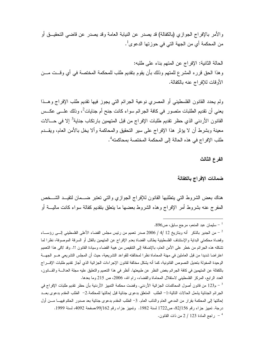و الأمر بالإفر اج الجو از ي (بالكفالة) قد يصدر ٍ عن النيابة العامة وقد يصدر ٍ عن قاضبي التحقيـــق أو من المحكمة أي من الجهة التي في حوز تها الدعو ي<sup>1</sup> .

الحالة الثانية: الإفراج عن المتهم بناء على طلبه: وهذا الحق قرره المشرع للمتهم وذلك بأن يقوم بتقديم طلب للمحكمة المختصة في أي وقــت مـــن الأوقات للإفراج عنه بالكفالة.

ولم يحدد القانون الفلسطيني أو المصري نوعية الجرائم التي يجوز فيها تقديم طلب الإفراج وهــذا يعني أن تقديم الطلبات متصور في كافة الجرائم سواء كانت جنح أم جنايات<sup>2</sup>، وذلك علـــي عكــس القانون الأردني الذي حظر تقديم طلبات الإفراج من قبل المتهمين بارتكاب جناية<sup>3</sup> إلا في حـــالات معينة وبشرط أن لا يؤثر هذا الإفراج على سير التحقيق والمحاكمة وألا يخل بالأمن العام، ويقــدم طلب الإفراج في هذه الحالة إلى المحكمة المختصة بمحاكمته<sup>4</sup> .

الفرع الثالث

#### ضمانات الإفراج بالكفالة

هناك بعض الشروط التي يتطلبها القانون للإفراج الجوازي والتي تعتبر ضــمان لتقيــد الشــخص المفرج عنه بشروط أمر الإفراج وهذه الشروط بعضها ما بنعلق بنقديم كفالة سواء كانت ماليسة أو

<sup>.</sup> سليمان عبد المنعم، مرجع سابق، ص896.

من الجدير بالذكر أنه وبتاريخ 12 /4 / 2006 صدر تعميم من رئيس مجلس القضاء الأعلى الفلسطيني إلـــى رؤســـاء – وقضاة محكمتي البداية والإستئناف الفلسطينية يطالب القضاة بعدم الإفراج عن المتهمين بالقتل أو السرقة الموصوفة، نظرا لما تشكله هذه الجرائم من خطر على الأمن العام، بالإضافة إلى النتقيص من هيبة القضاء وسيادة القانون !!. وقد لاقي هذا التعميم اعتراضا شديدا من قبل العاملين في مهنة المحاماة نظرا لمخالفته للقواعد التشريعية، حيث أن المجلس التشريعي هـــو الجهـــة الوحيدة المخولة بتعديل النصوص القانونية، كما أنه يشكل مخالفة لقانون الإجراءات الجزائية الذي أجاز نقديم طلبات الإفـــراج بالكفالة عن المتهمين في كافة الجرائم بغض النظر عن طبيعتها. أنظر في هذا النعميم والتعليق عليه مجلة العدالــــة والقــــانون، العدد الرابع، المركز الفلسطيني لاستقلال المحاماة والقضاء، رام الله، 2006، ص 215 وما بعدها.

م 123 من قانون أصول المحاكمات الجزائية الأردني. وقضت محكمة التمييز الأردنية بأن حظر تقديم طلبات الإفراج في -الجرائم الجنائية يشمل الحالات النالية:1- الطلب المتعلق بدعوى جنائية قبل إحالتها للمحكمة.2- الطلب المقدم بدعوى بعــد إحالتها إلى المحكمة بقرار من المدعى العام والنائب العام. 3− الطلب المقدم بدعوى جنائية بعد صدور الحكم فيهـــا مـــن أول درجة. تمييز جزاء رقم 2/156، ص1722 لسنة 1982. وتمييز جزاء رقم 99/162،صفحة 4092، لسنة 1999. لجع المادة 123 / 2 من ذات القانون.  $^{-4}$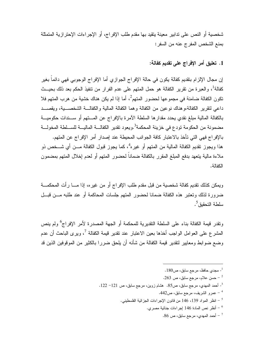شخصية أو النص على تدابير معينة يتقيد بها مقدم طلب الإفر اج، أو الإجر اءات الإحتر از ية المتمثلة بمنع الشخص المفرج عنه من السفر:

1. تعليق أمر الإفراج على تقديم كفالة:

إن مجال الإلزام بنقديم كفالة يكون في حالة الإفراج الجوازي أما الإفراج الوجوبي فهي دائماً بغير كفالة<sup>1</sup>، والعبرة من تقرير الكفالة هو حمل المتهم على عدم الفرار من تتفيذ الحكم بعد ذلك بحيـــث تكون الكفالة ضامنة في مجموعها لحضور المتهم<sup>2</sup>، أما إذا لم يكن هناك خشية من هرب المتهم فلا داعى لنقرير الكفالة،وهناك نوعين من الكفالة وهما الكفالة المالية والكفالـــة الشخصــــية، ويقصــــد بالكفالة المالية مبلغ نقدي يحدد مقدارها السلطة الآمرة بالإفراج عن المستهم أو سسندات حكوميـــة مضمونة من الحكومة تودع في خزينة المحكمة<sup>3</sup>،ويعود تقدير الكفالـــة الماليـــة للســـلطة المخولـــة بالإفراج فهي التي تأخذ بالاعتبار كافة الجوانب المحيطة عند إصدار أمر الإفراج عن المتهم. هذا ويجوز نقديم الكفالة المالية من المتهم أو غيره<sup>4</sup>، كما يجوز قبول الكفالة مـــن أي شـــخص ذو ملاءة مالية يتعهد بدفع المبلغ المقرر بالكفالة ضماناً لحضور المتهم أو لعدم إخلال المتهم بمضمون الكفالة.

ويمكن كذلك نقديم كفالة شخصية من قبل مقدم طلب الإفراج أو من غيره، إذا مــــا رأت المحكمـــة ضرورة لذلك وتعتبر هذه الكفالة ضمانا لحضور المتهم جلسات المحاكمة أو عند طلبه مـــن قبـــل سلطة التحقيق<sup>5</sup>.

ونقدر قيمة الكفالة بناء على السلطة النقديرية للمحكمة أو الجهة المصدرة لأمر الإفراج<sup>6</sup> ولم ينص المشرع على العوامل الواجب أخذها بعين الاعتبار عند تقدير قيمة الكفالة <sup>7</sup>، ويرى الباحث أن عدم وضع ضوابط ومعايير لتقدير قيمة الكفالة من شأنه أن يلحق ضررا بالكثير من الموقوفين الذين قد

- مجدي حافظ، مرجع سابق، ص $180$ .  $\overline{\phantom{a}}$
- حسن علام، مرجع سابق، ص 263.
- $^{-1}$  أحمد المهدي، مرجع سابق، ص85. هشام زوين، مرجع سابق، ص 121– 122.  $^{-3}$ 
	- عمرو الشريف، مرجع سابق، ص442.  $^{\rm 4}$
	- . انظر المواد 139، 146 من قانون الإجراءات الجزائية الفلسطيني.  $^5$ 
		- أنظر نص المادة 146 إجراءات جنائية مصري.  $^6$ 
			- أحمد المهدي، مرجع سابق، ص $6\,$ .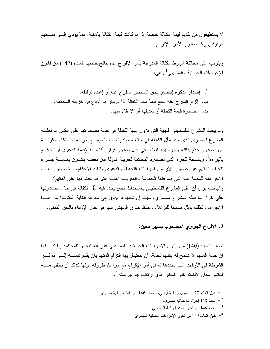لا يستطيعون من تقديم قيمة الكفالة خاصة إذا ما كانت قيمة الكفالة باهظة، مما يؤدي إلـــي بقـــائهم موقوفين رغم صدور الأمر بالإفراج.

ويترنب على مخالفة شروط الكفالة المدرجة بأمر الإفراج عدة نتائج حددتها المادة (147) من قانون الإجراءات الجزائية الفلسطيني<sup>1</sup> و هي:

أ. إصدار مذكر ة إحضار بحق الشخص المفرج عنه أو إعادة توقيفه. ب. إلز ام المفر ج عنه بدفع قيمة سند الكفالة إذا لم يكن قد أود ع في خزينة المحكمة. ت. مصادرة فيمة الكفالة أو تعديلها أو الإعفاء منها.

ولم يحدد المشرع الفلسطيني الجهة التي نؤول إليها الكفالة في حالة مصادرتها على عكس ما فعلـــه المشرع المصري الذي حدد مآل الكفالة في حالة مصادرتها بحيث يصبح جزء منها ملكا للحكومـــة دون صدور حكم بذلك، وجزء برد للمتهم في حال صدور قرار بألا وجه لإقامة الدعوى أو الحكــم بالبراءة<sup>2</sup>، وبالنسبة للجزء الذي نصادره المحكمة لخزينة الدولة فإن بعضه يكـــون بمثابـــة جـــزاء لتخلف المتهم عن حضوره لأى من إجراءات التحقيق والدعوى وتتفيذ الأحكام، ويخصص البعض الآخر منه للمصاريف التي صرفتها الحكومة والعقوبات المالية التي قد يحكم بها على المتهم<sup>3</sup>. والباحث برى أن على المشرع الفلسطيني باستحداث نص يحدد فيه مآل الكفالة في حال مصادرتها على غرار ما فعله المشرع المصري، حيث إن تحديدها يؤدي إلى معرفة الغاية المتوخاة من هـذا الإجراء، وكذلك يمثل ضمانا للنزاهة، وحفظ حقوق المجنى عليه في حال الإدعاء بالحق المدنى.

2. الإفراج الجوازي المصحوب بتدبير معين:

نصت المادة (140) من قانون الإجر اءات الجز ائية الفلسطيني على أنه "يجوز للمحكمة إذا تبين لها أن حالة المتهم لا تسمح له بتقديم كفالة، أن تستبدل بها التزام المتهم بأن يقدم نفســـه إلــــي مركـــز الشرطة في الأوقات التي تحددها له في أمر الإفراج مع مراعاة ظروفه، ولها كذلك أن تطلب منـــه اختيار مكان لإقامته غير المكان الذي ارتكب فيه جريمته"<sup>4</sup>.

<sup>&</sup>lt;sup>1</sup> – نقابل المادة 127 أصول جزائية أردنبي، والمادة 146 إجراءات جنائية مصري.

المادة 148 إجراءات جنائية مصري.  $^{-2}$ 

لمادة 146 من الإجراءات الجنائية المصري.  $\sim 146$  -

<sup>&</sup>lt;sup>4</sup>– نقابل المادة 149 من قانون الإجراءات الجنائية المصري.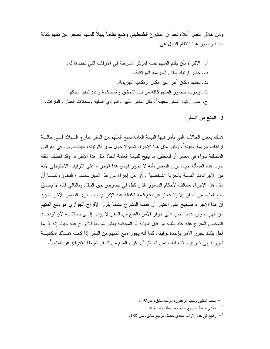ومن خلال النص أعلاه نجد أن المشرع الفلسطيني وضع نظاماً بديلاً للمتهم العاجز عن نقديم كفالة مالية وصور هذا النظام البديل هي:

3. المنع من السفر:

هناك بعض الحالات التي تأمر فيها النيابة العامة بمنع المتهم من السفر خارج السبلاد فسي حالسة ارتكاب جريمة معينة<sup>2</sup>، ويثير مثل هذا الإجراء تساؤلا حول مدى قانونيته، حيث لم يرد في القوانين المختلفة سواء في مصر أو فلسطين ما ينيح للنيابة العامة اتخاذ مثل هذا الإجراء، وقد اختلف الفقه حول هذه المسألة حيث يرى البعض بأنه لا يجوز قياس هذا الإجراء على التوقيف الاحتياطي لأنه من الإجراءات الماسة بالحرية الشخصية ولأن كل إجراء من هذا القبيل مصدره القانون، كمــــا أن مثل هذا الإجراء مخالف لأحكام الدستور الذي كفل في نصوص حق النتقل وبالتالي فانه لا يحــق منع المتهم من السفر إلا إذا عجز عن دفع قيمة الكفالة عند الإفراج، بينما يرى البعض الآخر المؤيد أن هذا الإجراء صحيح على اعتبار أن هدف المشرع عندما يقرر الإفراج الجوازي هو منع المتهم من الهرب وأن عدم النص على جواز الأمر بالمنع من السفر لا يؤدي إلـــي بطلانــــه لأن نواجـــد الشخص المفرج عنه عند طلبه من قبل النيابة أو المحكمة يعتبر شرطاً للإفراج عنه حيث إنه إذا ما أخل بذلك يجوز الأمر بإعادة توقيفه، كما أنه يجوز منع المتهم من السفر إذا كانت هنساك إمكانيسة لهروبه إلى خارج البلاد، لذلك فمن الجائز أن يكون المنع من السفر شرطا للإفراج عن المتهم<sup>3</sup>.

محمد الحلبي وسليم الزعنون، مرجع سابق، ص292.  $^{-\,1}$ 

مجدي حافظ، مرجع سابق، ص184 وما بعدها.  $^{-2}$ 

 $^{-3}$ راجع في هذه الآراء، مجدي حافظ، مرجع سابق، ص 188 .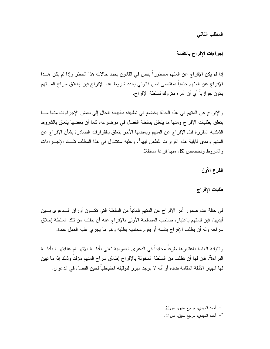المطلب الثاني

إجراءات الإفراج بالكفالة

إذا لم يكن الإفراج عن المتهم محظوراً بنص في القانون يحدد حالات هذا الحظر وإذا لم يكن هــذا الإفراج عن المتهم حتمياً بمقتضى نص قانوني يحدد شروط هذا الإفراج فإن إطلاق سراح المستهم يكون جواز بِـاً أي أن أمر ه متر وك لسلطـة الإفر اج.

والإفراج عن المتهم في هذه الحالة يخضع في تطبيقه بطبيعة الحال إلى بعض الإجراءات منها مــــا يتعلَّق بطلبات الإفراج ومنها ما يتعلَّق بسلطة الفصل في موضوعه، كما أن بعضها يتعلَّق بالشروط الشكلية المقررة قبل الإفراج عن المتهم وبعضها الآخر يتعلق بالقرارات الصادرة بشأن الإفراج عن المتهم ومدى قابلية هذه القرارات للطعن فيها<sup>1</sup>. وعليه سنتناول في هذا المطلب نلَّــك الإجـــراءات والشروط ونخصص لكل منها فرعا مستقلا.

الفرع الأول

طلبات الإفراج

في حالة عدم صدور أمر الإفراج عن المتهم تلقائياً من السلطة التي تكـــون أوراق الـــدعوى بـــين أيديها، فإن للمتهم باعتباره صاحب المصلحة الأولى بالإفراج عنه أن يطلب من نلك السلطة إطلاق سراحه وله أن يطلب الإفراج بنفسه أو يقوم محاميه بطلبه وهو ما يجرى عليه العمل عادة.

والنيابة العامة باعتبارها طرفاً محايداً في الدعوى العمومية نعني بأدلـــة الاتهـــام عنايتهـــا بأدلـــة البراءة<sup>2</sup>، فان لها أن نطلب من السلطة المخولة بالإفراج إطلاق سراح المتهم مؤقتا وذلك إذا ما نبين لها انهيار الأدلة المقامة ضده أو أنه لا يوجد مبرر لتوقيفه احتياطياً لحين الفصل في الدعوى.

 $21$ أحمد المهدي، مرجع سابق، ص  $^{-1}$ 

<sup>-</sup> أحمد المهدي، مرجع سابق، ص21  $^{-2}$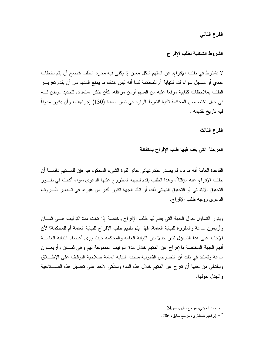الفرع الثاني

الشروط الشكلية لطلب الإفراج

لا يشتر ط في طلب الإفراج عن المتهم شكل معين إذ يكفي فيه مجرد الطلب فيصح أن يتم بخطاب عادي أو مسجل سواء قدم للنيابة أم للمحكمة كما أنه ليس هناك ما يمنع المتهم من أن يقدم تعزيـــز الطلب بملاحظات كتابية موقعا عليه من المتهم أو من مر افقه، كأن يذكر استعداده لتحديد موطن لــــه في حال اختصاص المحكمة تلبية للشرط الوار د في نص المادة (130) اِجر اءات، و أن يكون مدوناً ۖ فيه تاريخ تقديمه<sup>1</sup>.

الفرع الثالث

المرحلة التي يقدم فيها طلب الإفراج بالكفالة

القاعدة العامة أنه ما دام لم يصدر حكم نهائي حائز لقو ة الشيء المحكوم فيه فإن للمستهم دائمـــا أن يطلب الإفر اج عنه مؤقتا<sup>2</sup>، و هذا الطلب يقدم للجهة المطر و ح عليها الدعو ي سو اء أكانت في طــور التحقيق الابتدائي أو التحقيق النهائي ذلك أن تلك الجهة تكون أقدر من غير ها في تـــدبير ظـــروف الدعوى ووجه طلب الإفراج.

ويثور التساؤل حول الجهة التي يقدم لها طلب الإفراج وخاصة إذا كانت مدة التوقيف هــي ثمــان وأربعون ساعة والمقررة للنيابة العامة، فهل يتم تقديم طلب الإفراج للنيابة العامة أم للمحكمة؟ لأن الإجابة على هذا التساؤل تثير جدلا بين النيابة العامة والمحكمة حيث يرى أعضاء النيابة العامـــة أنهم الجهة المختصة بالإفراج عن المتهم خلال مدة التوقيف الممنوحة لهم وهي ثمـــان وأربعـــون ساعة وتستند في ذلك أن النصوص القانونية منحت النيابة العامة صلاحية التوقيف على الإطــــلاق وبالنالي من حقها أن نفر ج عن المتهم خلال هذه المدة وسنأتي لاحقا على تفصيل هذه الصــــلاحية و الجدل جو لها.

<sup>-</sup> أحمد المهدي، مر جع سابق، ص $24$ .  $\,$ 

<sup>-</sup> إبراهيم طنطاوي، مرجع سابق، 206.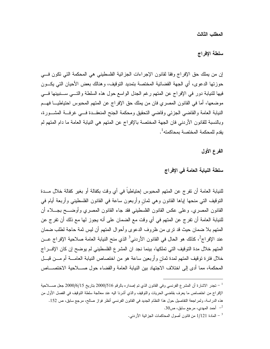المطلب الثالث

سلطة الإفراج

إن من يملك حق الإفراج وفقا لقانون الإجراءات الجزائية الفلسطيني هي المحكمة التي تكون في حوزتها الدعوى، أي الجهة القضائية المختصة بتمديد التوقيف، وهنالك بعض الأحيان التي يكسون فيها للنيابة دور في الإفراج عن المتهم رغم الجدل الواسع حول هذه السلطة والتـــي ســـنبينها فــــي موضعها، أما في القانون المصري فان من يملك حق الإفراج عن المتهم المحبوس احتياطيـــا فهـــم النيابة العامة والقاضي الجزئي وقاضي التحقيق ومحكمة الجنح المنعقــدة فـــي غرفـــة المشـــورة، وبالنسبة للقانون الأردنبي فان الجهة المختصة بالإفراج عن المنهم هي النيابة العامة ما دام المنهم لم بقدم للمحكمة المختصة بمحاكمته<sup>1</sup>.

الفرع الأول

سلطة النيابة العامة في الإفراج

للنيابة العامة أن تفرج عن المتهم المحبوس إحتياطياً في أي وقت بكفالة أو بغير كفالة خلال مـــدة النوفيف التي منحها إباها القانون وهي ثمان وأربعون ساعة في القانون الفلسطيني وأربعة أبام في القانون المصري. وعلى عكس القانون الفلسطيني فقد جاء القانون المصري وأوضــــح بجــــلاء أن للنيابة العامة أن نفر ج عن المتهم في أي وقت مع الضمان على أنه يجوز لها مع ذلك أن نفر ج عن المتهم بلا ضمان حيث قد نرى من ظروف الدعوى وأحوال المتهم أن ليس ثمة حاجة لطلب ضمان عند الإفراج<sup>2</sup>، كذلك هو الحال في القانون الأردني<sup>3</sup> الذي منح النيابة العامة صلاحية الإفراج عــن المتهم خلال مدة التوقيف التي تملكها، بينما نجد ان المشرع الفلسطيني لم يوضح إن كان الإف راج خلال فنزة نوقيف المتهم لمدة ثمان وأربعين ساعة هو من اختصاص النيابة العامــــة أم مــــن قبـــل المحكمة، مما أدى إلى اختلاف الاجتهاد بين النيابة العامة والقضاء حول صــــلاحية الاختصــــاص

تجدر الاشارة أن المشرع الفرنسي وفي القانون الذي تم إصداره بالرقم 2000/516 بتاريخ 2000/6/15 جعل صــــلاحية  $^{-{\,1}}$ الإفراج من اختصاص ما يعرف بقاضي الحريات والنوقيف والذي أشرنا اليه عند معالجة سلطة التوقيف في الفصل الأول من هذه الدراسة، ولمراجعة التفاصيل حول هذا النظام الجديد في القانون الفرنسي أنظر فواز صالح، مرجع سابق، ص 152. - أحمد المهدي، مرجع سابق، ص30.  $^{-2}$ 

<sup>-</sup> المادة 1/121 من قانون أصول المحاكمات الجزائية الأردنبي  $^{-3}$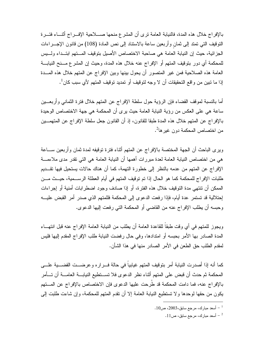بالإفراج خلال هذه المدة، فالنيابة العامة نرى أن المشرع منحها صــــلاحية الإفـــراج أنثــــاء فتـــرة النوفيف التي تمتد إلى ثمان وأربعين ساعة بالاستناد إلى نص المادة (108) من قانون الإجـــراءات الجزائية، حيث إن النيابة العامة هي صاحبة الاختصاص الأصيل بتوقيف المستهم ابتــداء ولـــيس للمحكمة أي دور بتوقيف المتهم أو الإفراج عنه خلال هذه المدة، وحيث إن المشر ع مـــنح النيابــــة العامة هذه الصلاحية فمن غير المتصور أن يحول بينها وبين الإفراج عن المتهم خلال هذه المسدة إذا ما نبين من واقع التحقيقات أن لا وجه لتوقيف أو تمديد توقيف المتهم لأي سبب كان<sup>1</sup>.

أما بالنسبة لموقف القضاء فإن الرؤية حول سلطة الإفراج عن المتهم خلال فنزة الثماني وأربعـــين ساعة هي على العكس من رؤية النيابة العامة حيث يرى أن المحكمة هي جهة الاختصاص الوحيدة بالإفراج عن المتهم خلال هذه المدة طبقا للقانون، إذ أن القانون جعل سلطة الإفراج عن المتهمـــين من اختصاص المحكمة دون غير ها<sup>2</sup>.

ويرى الباحث أن الجهة المختصة بالإفراج عن المتهم أثناء فترة توقيفه لمدة ثمان وأربعين ســاعة هي من اختصاص النيابة العامة لعدة مبررات أهمها أن النيابة العامة هي التي تقدر مدى ملاءمــــة الإفراج عن المتهم من عدمه بالنظر إلى خطورة التهمة، كما أن هناك حالات يستحيل فيها تقــديم طلبات الإفراج للمحكمة كما هو الحال إذا تم توقيف المتهم في أيام العطلة الرســـمية، حيــث مـــن الممكن أن تنتهي مدة التوقيف خلال هذه الفترة، أو إذا صادف وجود اضطرابات أمنية أو إجراءات إحتلالية قد تستمر عدة أيام، فإذا رفعت الدعوى إلى المحكمة فللمتهم الذي صدر أمر القبض عليــــه وحبسه أن يطلب الإفراج عنه من القاضي أو المحكمة التي رفعت إليها الدعوى.

ويجوز للمتهم في أي وقت طبقاً للقاعدة العامة أن يطلب من النيابة العامة الإفراج عنه قبل انتهـــاء المدة الصادر بها الأمر بحبسه أو امتدادها، وفي حال رفضت النيابة طلب الإفراج المقدم إليها فليس لمقدم الطلب حق الطعن في الأمر الصادر منها في هذا الشأن.

كما أنه إذا أصدرت النيابة أمر بتوقيف المتهم غيابياً في حالة فـــراره وعرضـــت القضـــية علـــي المحكمة ثم حدث أن قبض على المتهم أثناء نظر الدعوى فلا تســتطيع النيابـــة العامـــة أن تـــأمر بالإفراج عنه، فما دامت المحكمة قد طَرحت عليها الدعوى فإن الاختصاص بالإفراج عن المستهم يكون من حقها لوحدها ولا تستطيع النيابة العامة إلا أن نقدم المتهم للمحكمة، وإن شاءت طلبت إلى

 $10$ - أسعد مبارك، مرجع سابق،2003، ص $\sim$ 

 $11$ - أسعد مبارك، مرجع سابق، ص $1$  .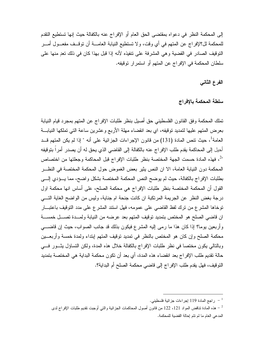إلى المحكمة النظر في دعواه بمقتضى الحق العام أو الإفراج عنه بالكفالة حيث إنها تستطيع التقدم للمحكمة لل؟لإفراج عن المتهم في أي وقت، ولا تستطيع النيابة العامــــة أن توقـــف مفعـــول أمـــر النَّوفيف الصادر في القضية وهي المشرفة على نتفيذه لأنه إذا قبل بهذا كان في ذلك نعدٍ منها على سلطان المحكمة في الإفراج عن المتهم أو استمرار توقيفه.

الفرع الثاني

سلطة المحكمة بالإفراج

تملك المحكمة وفق القانون الفلسطيني حق أصبل بنظر طلبات الإفراج عن المتهم بمجرد قيام النيابة بعرض المتهم عليها لتمديد توقيفه، اي بعد انقضاء مهلة الأربع وعشرين ساعة التي تملكها النيابـــة العامة<sup>1</sup>، حيث نتص المادة (131) من قانون الإجراءات الجزائية على أنه " إذا لم يكن المتهم قــد أحيل إلى المحاكمة يقدم طلب الإفر اج عنه بالكفالة إلى القاضي الذي يحق له أن يصدر أمر اً بتوقيفه "2، فهذه المادة حسمت الجهة المختصة بنظر طلبات الإفراج قبل المحاكمة وجعلتها من اختصاص المحكمة دون النيابة العامة، الا ان النص يثير بعض الغموض حول المحكمة المختصة في النظــر بطلبات الإفراج بالكفالة، حيث لم يوضح النص المحكمة المختصة بشكل واضح، مما يــؤدي إلـــي القول أن المحكمة المختصة بنظر طلبات الإفراج هي محكمة الصلح، على أساس انها محكمة اول درجة بغض النظر عن الجريمة المرتكبة ان كانت جنحة ام جناية، وليس من الواضح الغاية التـــي توخاها المشرع من نرك لفظ القاضبي على عمومه، فهل استند المشرع على مدد التوقيف باعتبـــار ان قاضي الصلح هو المختص بتمديد توقيف المتهم بعد عرضه من النيابة ولمــدة تصـــل خمســة وأربعين بوما؟ إذا كان هذا ما رمي إليه المشرع فيكون بذلك قد جانب الصواب، حيث إن قاضـــي محكمة الصلح وإن كان هو المختص بالنظر في تمديد توقيف المتهم إبتداء ولمدة خمسة وأربعـــين وبالتالي يكون مختصا في نظر طلبات الإفراج بالكفالة خلال هذه المدة، ولكن التساؤل يثـور فــي حالة تقديم طلب الإفراج بعد انقضاء هذه المدة، أي بعد أن تكون محكمة البداية هي المختصة بتمديد النوفيف، فهل يقدم طلب الإفراج إلى فاضي محكمة الصلح أم البداية؟.

راجع المادة 119 إجراءات جزائية فلسطيني.  $^{-\,1}$ 

هذه المادة تناقض المواد 121، 122 من قانون أصول المحاكمات الجزائية والتي أوجبت نقديم طلبات الإفراج لدى  $^{\rm -2}$ المدعى العام ما لم نتم إحالة القضية للمحكمة.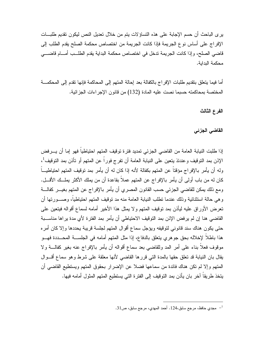يرى الباحث أن حسم الإجابة على هذه النساؤلات يتم من خلال نعديل النص ليكون نقديم طلبـــات الإفراج على أساس نوع الجريمة فإذا كانت الجريمة من اختصاص محكمة الصلح يقدم الطلب إلى قاضي الصلح، وإذا كانت الجريمة تدخل في اختصاص محكمة البداية يقدم الطلــب أمــــام قاضــــي محكمة البداية.

أما فيما يتعلَّق بتقديم طلبات الإفراج بالكفالة بعد إحالة المتهم إلى المحاكمة فإنها تقدم إلى المحكمـــة المختصة بمحاكمته حسبما نصت عليه المادة (132) من قانون الإجراءات الجزائية.

الفرع الثالث

القاض*ى* الجزئ*ى* 

إذا طلبت النيابة العامة من القاضي الجزئي تمديد فترة توقيف المتهم احتياطياً فهو إما أن يـــرفض الإذن بمد التوقيف وعندئذ يتعين على النيابة العامة أن تفرج فوراً عن المتهم أو تأذن بمد التوقيف<sup>1</sup>، وله أن يأمر بالإفراج مؤقتاً عن المتهم بكفالة لأنه إذا كان له أن يأمر بمد توقيف المتهم احتياطيـــاً كان له من باب أولى أن يأمر بالإفراج عن المتهم عملاً بقاعدة أن من يملك الأكثر يملــك الأقـــل. ومع ذلك يمكن للقاضي الجزئي حسب القانون المصري أن يأمر بالإفراج عن المتهم بغيـــر كفالــــة و هي حالة استثنائية وذلك عندما تطلب النيابة العامة منه مد توقيف المتهم احتياطياً، وصـــور تها أن تعرض الأور اق عليه ليأذن بمد توقيف المتهم و لا يمثل هذا الأخير أمامه لسماع أقواله فيتعين على القاضبي هنا إن لم يرفض الإذن بمد التوقيف الاحتياطي أن يأمر بمد الفترة لأي مدة يراها مناســبة حتى يكون هناك سند قانوني لنوقيفه ويؤجل سماع أقوال المتهم لجلسة قريبة يحددها وإلا كان أمره هذا باطلا لإخلاله بحق جوهري يتعلق بالدفاع، إذا مثل المتهم أمامه في الجلســـة المحـــددة فهـــو موقوف فعلاً بناء على أمر المد وللقاضي بعد سماع أقواله أن يأمر بالإفراج عنه بغير كفالــــة ولا يقال بان النيابة قد نعلق حقها بالمدة الني قررها القاضي لأنها معلقة على شرط وهو سماع أقـــوال المنهم وإلا لم نكن هناك فائدة من سماعها فضلا عن الإضرار بـحقوق المتهم ويستطيع القاضـي أن يتخذ طريقا آخر بان يأذن بمد التوقيف إلى الفترة التي يستطيع المتهم المثول أمامه فيها.

مجدي حافظ، مرجع سابق،124. أحمد المهدي، مرجع سابق، ص31.  $^{-1}$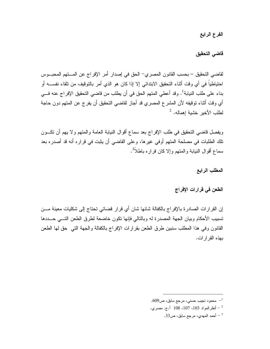الفرع الرابع

قاضي التحقيق

لقاضي التحقيق – بحسب القانون المصري– الحق في إصدار أمر الإفراج عن المستهم المحبــوس احتياطياً في أي وقت أثناء التحقيق الابتدائي إلا إذا كان هو الذي أمر بالتوقيف من تلقاء نفســــه أو بناء على طلب النيابة<sup>1</sup>. وقد أعطى المتهم الحق في أن يطلب من قاضي التحقيق الإفراج عنه فـــي أي وقت أثناء توقيفه لأن المشرع المصري قد أجاز لقاضي النحقيق أن يفرج عن المتهم دون حاجة لطلب الأخير خشية إهماله.  $^2$ 

ويفصل قاضي التحقيق في طلب الإفراج بعد سماع أقوال النيابة العامة والمتهم ولا يهم أن تكــون تلك الطلبات في مصلحة المتهم أوفي غيرها، وعلى القاضي أن يثبت في قراره أنه قد أصدره بعد سماع أقوال النيابة والمتهم وإلا كان قراره باطلاً<sup>3</sup>.

المطلب الرابع

الطعن في قرارات الإفراج

إن القرار ات الصادر ة بالإفراج بالكفالة شانها شان أي قرار قضائي تحتاج إلى شكليات معينة مـــن تسبيب الأحكام وبيان الجهة المصدرة له وبالتالي فإنها نكون خاضعة لطرق الطعن التسى حـــددها القانون وفي هذا المطلب سنبين طرق الطعن بقرارات الإفراج بالكفالة والجهة التبي حق لها الطعن بهذه القر ار ات.

- محمود نجيب حسني، مرجع سابق، ص609.  $^{-1}$
- أنظر المواد 103، 107، 108 أ.ج. مصري.
	- .33 أحمد المهدي، مرجع سابق، ص $\sim$ 33.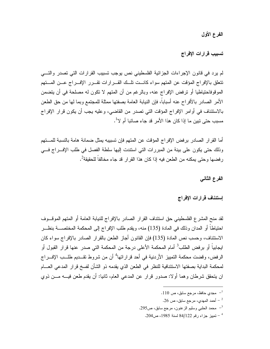الفرع الأول

تسبيب قرارات الإفراج

لم يرد في قانون الإجراءات الجزائية الفلسطيني نص يوجب تسبيب القرارات التي تصدر والتسي تتعلق بالإفراج المؤقت عن المتهم سواء كانست تلسك القسرارات تقسرر الإفسراج عسن المستهم الموقوفاحتياطيا أو ترفض الإفراج عنه، وبالرغم من أن المتهم لا تكون له مصلحة في أن يتضمن الأمر الصادر بالأفر اح عنه أسباباً، فإن النيابة العامة بصفتها ممثلة للمجتمع وبما لها من حق الطعن بالاستئناف في أوامر الإفراج المؤقت التي تصدر من القاضي، وعليه يجب أن يكون قرار الإفراج مسبب حتى تبين ما إذا كان هذا الأمر. قد جاء صائبا أم لا<sup>1</sup>.

أما القرار الصادر برفض الإفراج المؤقت عن المتهم فإن تسبيبه يمثل ضمانة هامة بالنسبة للمـــتهم وذلك حتى يكون على بينة من المبررات التي استندت إليها سلطة الفصل في طلب الإفــراج فـــي رفضها وحتى يمكنه من الطعن فيه إذا كان هذا القرار قد جاء مخالفاً للحقيقة<sup>2</sup>.

الفرع الثانى

إستئناف قرارات الإفراج

لقد منح المشرع الفلسطيني حق استئناف القرار الصادر بالإفراج للنيابة العامة أو المتهم الموقسوف احتياطًا أو المدان وذلك في المادة (135) منه، ويقدم طلب الإفراج إلى المحكمة المختصــــة بنظــــر الاستئناف، وحسب نص المادة (135) فإن القانون أجاز الطعن بالقرار الصادر بالإفراج سواء كان ايجابياً أو برفض الطلب<sup>3</sup> أمام المحكمة الأعلى درجة من المحكمة التي صدر عنها قرار القبول أو الرفض، وقضت محكمة التمييز الأردنية في أحد قراراتها<sup>4</sup> أن من شروط تقــديم طلــب الإفـــراج لمحكمة البداية بصفتها الاستئنافية للنظر في الطعن الذي يقدمه ذو الشأن لفسخ قر ار المدعى العسام ان يتحقق شرطان وهما أولا: صدور قرار عن المدعى العام، ثانيا: أن يقدم طعن فيــــه مـــن ذوى

<sup>.110</sup> مجدي حافظ، مرجع سابق، ص $^{-1}$ 

<sup>-</sup> أحمد المهدي، مرجع سابق، ص $16$ .  $^{-2}$ 

محمد الحلبي وسليم الزعنون، مرجع سابق، ص295.  $^{-3}$ 

<sup>&</sup>lt;sup>4</sup> – تمييز جزاء رقم 84/122 لسنة 1985، ص204.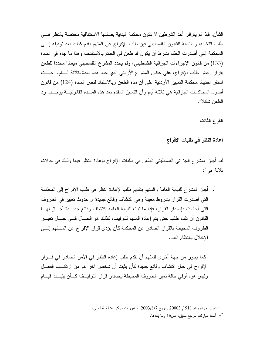الشأن. فإذا لم يتو افر ٍ أحد الشر طين لا تكو ن محكمة البداية بصفتها الاستئنافية مختصة بالنظر ٍ فـــي طلب التخلية، وبالنسبة للقانون الفلسطيني فإن طلب الإفراج عن المتهم يقدم كذلك بعد توقيفه إلـــي المحكمة التي أصدرت الحكم بشرط أن يكون قد طعن في الحكم بالاستئناف وهذا ما جاء في المادة (133) من قانون الإجراءات الجزائية الفلسطيني، ولم يحدد المشرع الفلسطيني ميعادا محددا للطعن بقرار رفض طلب الإفراج، على عكس المشرع الأردني الذي حدد هذه المدة بثلاثة أيـــام، حيــث استقر اجتهاد محكمة التمييز الأردنية على أن مدة الطعن وبالاستناد لنص المادة (124) من قانون أصول المحاكمات الجز ائية هي ثلاثة أيام و أن التمييز المقدم بعد هذه المسدة القانونيسة بوجسب رد الطعن شكلا<sup>1</sup>.

الفرع الثالث

إعادة النظر في طلبات الإفراج

لقد أجاز المشرع الجزائي الفلسطيني الطعن في طلبات الإفراج بإعادة النظر فيها وذلك في حالات ثلاثة هي<sup>2</sup>:

أ. أجاز المشرع للنيابة العامة والمتهم بتقديم طلب لإعادة النظر في طلب الإفراج إلى المحكمة التي أصدرت القرار بشروط معينة وهي اكتشاف وقائع جديدة أو حدوث تغيير في الظروف النَّبي أحاطت بإصدار القرار، فإذا ما ثبت للنيابة العامة اكتشاف وقائع جديـــدة أجـــاز لمهـــا القانون أن نقدم طلب حتى يتم إعادة المتهم للتوقيف، كذلك هو الحـــال فـــي حـــال تغيـــر الظروف المحيطة بالقرار الصادر عن المحكمة كأن يؤدي قرار الإفراج عن المستهم إلـــي الإخلال بالنظام العام.

كما يجوز من جهة أخرى للمتهم أن يقدم طلب إعادة النظر في الأمر الصادر في قـــرار الإفراج في حال اكتشاف وقائع جديدة كأن يثبت أن شخص آخر هو من ارتكــب الفعـــل وليس هو، أوفى حالة تغير الظروف المحيطة بإصدار قرار التوقيــف كـــأن يثبــت قيـــام

<sup>-</sup> تمييز جزاء رقم 911 / 20003 بتاريخ 2003/8/7، منشورات مركز عدالة القانوني  $^{-1}$ 

أسعد مبارك، مرجع سابق، ص16 وما بعدها.  $^{-2}$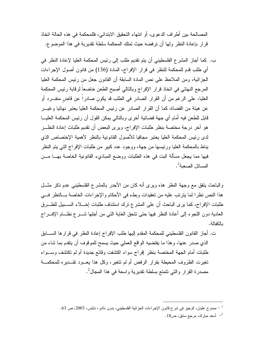المصـالحة بين أطر اف الدعو ي، أو انتهاء التحقيق الابتدائي، فللمحكمة في هذه الحالة اتخاذ قر ار بإعادة النظر ۖ ولها أن تر فضه حيث تملك المحكمة سلطة تقدير ية في هذا الموضوع.

ب. كما أجاز المشرع الفلسطيني أن يتم تقديم طلب إلى رئيس المحكمة العليا لإعادة النظر في أي طلب قدم للمحكمة للنظر في قرار الإفراج، المادة (136) من قانون أصول الإجراءات الـجز ائية، ومن الملاحظ علـى نص المـادة السابقة أن القانون جعل من رئيس المحكمة الـعليا المرجع النهائي في اتخاذ قرار الإفراج وبالتالي أصبح الطعن خاضعاً لرقابة رئيس المحكمة العليا، على الرغم من أن القرار الصادر في الطلب قد يكون صادراً عن قاض منفـــرد أو عن هيئة من القضاة، كما أن القرار الصادر عن رئيس المحكمة العليا يعتبر نهائيا وغيـــر قابل للطعن فيه أمام أي جهة قضائية أخرى وبالتالي يمكن القول أن رئيس المحكمة العليـــا هو آخر درجة مختصة بنظر طلبات الإفراج، ويرى البعض أن تقديم طلبات إعادة النظـــر لدى رئيس المحكمة العليا يعتبر مجافيا للأصول القانونية بالنظر لأهمية الإختصاص الذي بناط بالمحكمة العليا ورئيسها من جهة، ووجود عدد كبير من طلبات الإفراج التي يتم النظر فيها مما يجعل مسألة البت في هذه الطلبات ووضع المباديء القانونية الخاصة بهـــا مـــن المسائل الصعبة<sup>1</sup>.

والباحث بتفق مع وجهة النظر هذه ويرى أنه كان من الأجدر بالمشرع الفلسطيني عدم ذكر مثـــل هذا النص نظر! لما يترتب عليه من تعقيدات وبطء في الأحكام والإجراءات الخاصة بسالنظر فسي طلبات الإفراج، كما يرى الباحث أن على المشرع نرك استئناف طلبات إخـــلاء الســـبيل للطـــرق العادية دون اللجوء إلى أعادة النظر فيها حتى نتحق الغاية التي من أجلها شـــرع نظـــام الإفـــراج بالكفالة.

ت. أجاز القانون الفلسطيني للمحكمة المقدم إليها طلب الإفراج إعادة النظر في قرارها الســـابق الذي صدر عنها، وهذا ما يقتضيه الواقع العملي حيث يسمح للموقوف أن يتقدم بما شاء من طلبات أمام الجهة المختصة بنظر إفراج سواء اكتشفت وقائع جديدة أم لم تكتشف وســـواء تغيرت الظروف المحيطة بقرار الرفض أم لم تتغير، وكل هذا يعـــود تقـــديره للمحكمـــة مصدرة القرار والتي نتمتع بسلطة تقديرية واسعة في هذا المجال ُ'.

ممدوح عليان، الوجيز في شرح قانون الإجراءات الجزائية الفلسطيني، بدون ناشر، نابلس، 2003، ص 63.  $\sim 4$ 

 $18$ ا أسعد مبارك، مرجع سابق، ص $18$  .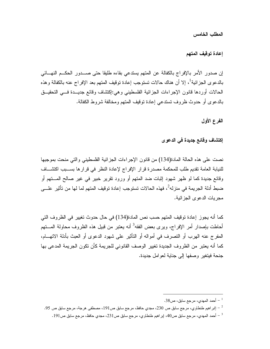المطلب الخامس

إعادة توقيف المتهم

إن صدور الأمر بالإفراج بالكفالة عن المتهم يستدعى بقاءه طليقا حتى صـــدور الحكـــم النهـــائـي بالدعوى الجزائية<sup>1</sup>، إلا أن هناك حالات تستوجب إعادة توقيف المتهم بعد الإفراج عنه بالكفالة وهذه الحالات أوردها قانون الإجراءات الجزائية الفلسطيني وهي:إكنتنىاف وقائع جديـــدة فـــي التحقيـــق بالدعو ي أو حدوث ظروف تستدعى إعادة توقيف المتهم ومخالفة شروط الكفالة.

الفرع الأول

إكتشاف وقائع جديدة في الدعوى

نصت على هذه الحالة المادة(134) من قانون الإجراءات الجزائية الفلسطيني والتي منحت بموجبها للنيابة العامة تقديم طلب للمحكمة مصدرة قرار الإفراج لإعادة النظر في قرارها بســبب اكتشـــاف وقائع جديدة كما لو ظهر شهود إثبات ضد المتهم أو ورود تقرير خبير في غير صالح المـــتهم أو ضبط أدلة الجريمة في منزله<sup>2</sup>، فهذه الحالات تستوجب إعادة توقيف المتهم لما لها من تأثير علـــي مجر بات الدعو ي الجز ائبة.

كما أنه يجوز إعادة توقيف المتهم حسب نص المادة(134) في حال حدوث تغيير في الظروف التي أحاطت بإصدار أمر الإفراج، ويرى بعض الفقه<sup>3</sup> أنه يعتبر من قبيل هذه الظروف محاولة المـــتهم المفرج عنه الهرب أو التصرف في أمواله أو التأثير على شهود الدعوى أو العبث بأدلة الاتهـــام، كما أنه يعتبر من الظروف الجديدة تغيير الوصف القانوني للجريمة كأن تكون الجريمة المدعى بها جنحة فيتغير وصفها إلى جناية لعوامل جديدة.

<sup>.38</sup> أحمد المهدي، مرجع سابق، ص $\sim 38$ .

إبر اهيم طنطاوي، مرجع سابق ص 230، مجدي حافظ، مرجع سابق ص191، مصطفى هرجة، مرجع سابق ص 95.  $^{-2}$ 

محد المهدي، مرجع سابق ص40، إبر اهيم طنطاوي، مرجع سابق ص231، مجدي حافظ، مرجع سابق ص191 .  $^{-3}$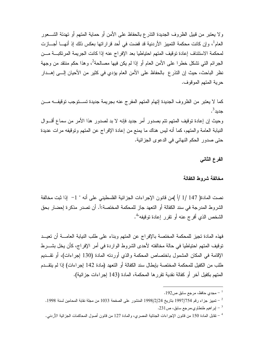ولا يعتبر من قبيل الظروف الجديدة النذرع بالحفاظ على الأمن أو حماية المتهم أو نهدئة الشـــعور العام<sup>1</sup>، وإن كانت محكمة التمييز الأردنية قد قضت في أحد قراراتها بعكس ذلك إذ أنهـــا أجــــازت لمحكمة الاستئناف إعادة توقيف المتهم احتياطيا بعد الإفراج عنه إذا كانت الجريمة المرتكبـــة مـــن الجرائم التي نشكل خطرا على الأمن العام أو إذا لم يكن فيها مصالحة<sup>2</sup>، وهذا حكم منتقد من وجهة نظر الباحث، حيث إن النذر ع بالحفاظ على الأمن العام يؤدي في كثير من الأحيان إلـــى إهـــدار حرية المتهم الموقوف.

كما لا يعتبر من الظروف الجديدة إتهام المتهم المفرج عنه بجريمة جديدة تســـتوجب توقيفـــه مـــن جدبد<sup>3</sup>. وحيث إن إعادة نوفيف المتهم نتم بصدور أمر جديد فإنه لا بد لصدور هذا الأمر من سماع أقـــوال النيابة العامة والمنهم، كما أنه ليس هناك ما يمنع من إعادة الإفراج عن المنهم ونوقيفه مرات عديدة حتى صدور الحكم النهائي في الدعوى الجزائية.

الفرع الثانى

#### مخالفة شروط الكفالة

نصت المادة( 147 /1 /أ )من قانون الإجراءات الجزائية الفلسطيني على أنه " 1– إذا ثبت مخالفة الشروط المدرجة في سند الكفالة أو التعهد جاز للمحكمة المختصة:أ. أن تصدر مذكرة إحضار بحق الشخص الذي أفرج عنه أو نقرر إعادة توقيفه"<sup>4</sup>.

فهذه المادة نجيز للمحكمة المختصة بالإفراج عن المتهم وبناء على طلب النيابة العامــــة أن نعيـــد توقيف المتهم احتياطيا في حالة مخالفته لأحدى الشروط الواردة في أمر الإفراج، كأن يخل بشـــرط الإقامة في المكان المشمول باختصاص المحكمة والذي أوردته المادة (130 إجراءات)، أو نقــديم طلب من الكفيل للمحكمة المختصة بإبطال سند الكفالة أو التعهد (مادة 142 إجراءات) إذا لم يتقـــدم المتهم بكفيل آخرٍ أو كفالة نقدية تقرر ها المحكمة، المادة (143 لِجرِ اءات جز ائية).

<sup>.</sup> مجدي حافظ، مرجع سابق ص192 .

<sup>-</sup> تمييز جزاء رقم 1997/754 بتاريخ 1998/2/24 المنشور على الصفحة 1033 من مجلة نقابة المحامين لسنة 1998.  $^{-2}$ 

<sup>.231</sup> ير اهيم طنطاوي،مرجع سابق، ص $1$ .

<sup>&</sup>lt;sup>4</sup> – نقابل المادة 150 من قانون الإجراءات الجنائية المصري، والمادة 127 من قانون أصول المحاكمات الجزائية الأردني.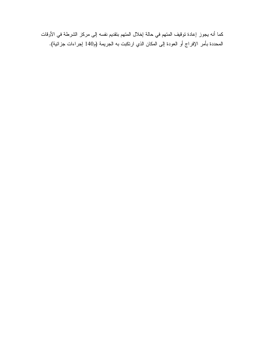كما أنه يجوز إعادة توقيف المتهم في حالة إخلال المتهم بتقديم نفسه إلى مركز الشرطة في الأوقات المحددة بأمر الإفراج أو العودة إلى المكان الذي ارتكبت به الجريمة (م140 إجراءات جزائية).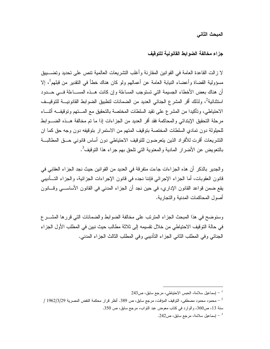المبحث الثاني

جزاء مخالفة الضوابط القانونية للتوقيف

لا ز الت القاعدة العامة في القو انين المقار نة و أغلب التشر بعات العالمية تتص على تحديد و تضـــبيق مسؤولية القضاة وأعضاء النيابة العامة عن أعمالهم ولو كان هناك خطأ في النقدير من قبلهم<sup>1</sup>، إلا أن هناك بعض الأخطاء الجسيمة التي تستوجب المساءلة وإن كانت هــذه المســـاءلمة فـــى حـــدود استثنائية<sup>2</sup>، ولذلك أقر المشرع الجنائي العديد من الضمانات لتطبيق الضوابط القانونيــــة للتوقيـــف الاحتياطي، وتأكيدا من المشرع على تقيد السلطات المختصة بالتحقيق مع المستهم وتوقيفـــه أثنــــاء مرحلة التحقيق الإبتدائي والمحاكمة فقد أقر العديد من الجزاءات إذا ما تم مخالفة هــذه الضـــوابط للحيلولة دون تمادى السلطات المختصة بتوقيف المتهم من الاستمرار بتوقيفه دون وجه حق كما ان التشريعات أقرت للأفراد الذين يتعرضون للنوقيف الاحتياطي دون أساس قانوني حــق المطالبـــة بالنعويض عن الأضرار المادية والمعنوية التي نلحق بهم جراء هذا التوقيف<sup>3</sup>.

والجدير بالذكر أن هذه الجزاءات جاءت متفرقة في العديد من القوانين حيث نجد الجزاء العقابي في قانون العقوبات، أما الجزاء الإجرائي فإننا نجده في قانون الإجراءات الجزائية، والجزاء التـــأديبـي يقع ضمن قواعد القانون الإداري، في حين نجد أن الجزاء المدنى في القانون الأساســـي وقـــانون أصول المحاكمات المدنبة والتجار بة.

وسنوضح في هذا المبحث الجزاء المنزنب على مخالفة الضوابط والضمانات التي قررها المشــرع في حالة التوقيف الاحتياطي من خلال نقسيمه إلى ثلاثة مطالب حيث نبين في المطلب الأول الجزاء الجنائي وفي المطلب الثاني الجزاء التأديبي وفي المطلب الثالث الجزاء المدني.

<sup>243 -</sup> إسماعيل سلامة، الحبس الاحتياطي، مرجع سابق، ص $\sim$  243  $^{-1}$ 

محمود محمود مصطفى، التوقيف المؤقت، مرجع سابق، ص 389. أنظر قرار محكمة النقض المصرية 1962/3/29 /  $\,$ سنة 13، ص360، والوارد في كتاب معوض عبد التواب، مرجع سابق، ص 350.

<sup>9 -</sup> إسماعيل سلامة، مرجع سابق، ص $242$ .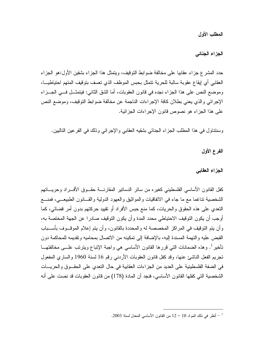المطلب الأول

الجزاء الجنائ*ي* 

حدد المشرع جزاء عقابيا على مخالفة ضوابط التوقيف، ويتمثل هذا الجزاء بشقين الأول:هو الجزاء العقابي أي إيقاع عقوبة سالبة للحرية نتمثل بحبس الموظف الذي نعسف بنوقيف المنهم احتياطيسا، وموضع النص على هذا الجزاء نجده في قانون العقوبات، أما الشق الثاني: فيتمثــل فـــي الجـــزاء الإجرائي والذي يعني بطلان كافة الإجراءات الناجمة عن مخالفة ضوابط التوقيف، وموضع النص على هذا الجزاء هو نصوص قانون الإجراءات الجزائية.

وسننتـاول فـي هذا المطلب الـجزاء الـجنائـي بشقيه الـعقابـي والإجرائـي وذلك فـي الفرعين النـاليين.

الفرع الأول

الجزاء العقابى

كفل القانون الأساسي الفلسطيني كغير ء من سائر الدساتير المقار نسة حقسوق الأفسر اد وحر يساتهم الشخصية تناغما مع ما جاء في الاتفاقيات والمواثيق والعهود الدولية والقــانون الطبيعـــي، فمنــــع النعدي على هذه الحقوق والحريات، كما منع حبس الأفراد أو نقييد حركتهم بدون أمر قضائي، كما أوجب أن يكون النوقيف الاحتياطي محدد المدة وأن يكون النوقيف صادرا عن الجهة المختصة به، وأن يتم النوقيف في المراكز المخصصة له والمحددة بالقانون، وأن يتم إعلام الموقـــوف بأســـباب القبض عليه والتهمة المسندة إليه، بالإضافة إلى تمكينه من الاتصال بمحاميه وتقديمه للمحاكمة دون تأخير <sup>1</sup>. وهذه الضمانات التبي قررها القانون الأساسي هي واجبة الإتباع ويترتب علـــي مخالفتهـــا تجريم الفعل الناشئ عنها، وقد كفل قانون العقوبات الأردنبي رقم 16 لسنة 1960 والساري المفعول في الضفة الفلسطينية على العديد من الجزاءات العقابية في حال النعدي على الحقــوق والحريـــات الشخصية التي كفلها القانون الأساسي، فنجد أن المادة (178) من قانون العقوبات قد نصت علي أنه

أنظر في ذلك المواد 10 – 12 من القانون الأساسي المعدل لسنة 2003.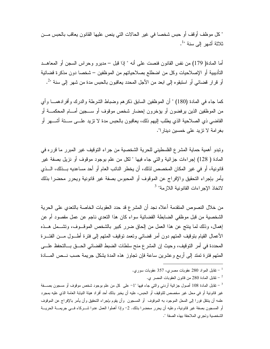" كل موظف أو قف أو حبس شخصـا في غير الحالات التي ينص عليها القانون يعاقب بالحبس مـــن ثلاثة أشهر إلى سنة "<sup>1</sup>.

أما المادة( 179) من نفس القانون فنصت على أنه " إذا قبل – مديرو وحراس السجن أو المعاهــد التأديبية أو الإصلاحيات وكل من اضطلع بصلاحياتهم من الموظفين – شخصا دون مذكرة قضائية أو قرار قضائي أو استبقوه إلى ابعد من الأجل المحدد يعاقبون بالحبس مدة من شهر إلى سنة "2.

كما جاء في المادة (180) " أن الموظفين السابق ذكر هم وضباط الشرطة والدرك وأفرادهمـــا وأي من الموظفين الذين يرفضون أو يؤخرون إحضار شخص موقوف أو ســــجين أمــــام المحكمــــة أو القاضـي ذي الصـلاحية الذي يطلب إليهم ذلك، يعاقبون بالـحبس مدة لا نزيد علـــي ســـنة أشــــهر أو بغرامة لا نزيد على خمسين دينارا".

ونَبدو أهمية حماية المشرع الفلسطيني للحرية الشخصية من جراء النوقيف غير المبرر ما قرره في المُدة ( 128) إجراءات جزائية والتي جاء فيها " لكل من علم بوجود موقوف أو نزيل بصفة غير قانونية، أو في غير المكان المخصص لذلك، أن يخطر النائب العام أو أحد مساعديه بـــذلك، الـــذي يأمر بإجراء التحقيق والإفراج عن الموقوف أو المحبوس بصفة غير قانونية ويحرر محضرا بذلك لاتخاذ الإجر اءات القانو نية اللاز مة" <sup>3</sup>

من خلال النصوص المنقدمة أعلاه نجد أن المشرع قد حدد العقوبات الخاصة بالنعدي على الحرية الشخصية من قبل موظفى الضابطة القضائية سواء كان هذا التعدي ناجم عن عمل مقصود أم عن إهمال، وذلك لما ينتج عن هذا العمل من إلحاق ضرر كبير بالشخص الموقـوف، وتشــمل هــذه الأعمال القيام بنوفيف المتهم دون أمر فضائي وتعمد نوفيف المتهم إلى فنرة أطـــول مـــن الفتـــرة المحددة في أمر النوفيف، وحيث إن المشر ع منح سلطات الضبط القضائي الحـــق بـــالتحفظ علــــي المتهم فترة تمتد إلى أربع وعشرين ساعة فإن تجاوز هذه المدة بشكل جريمة حسب نـــص المــــادة

- تقابل المادة 280 من قانون العقوبات المصبر ي $\sim$ 

<sup>-</sup> نقابل المواد 280 عقوبات مصري، 357 عقوبات سوري  $^{-1}$ 

تقابل المادة 108 أصول جزائية أردنبي والتبي جاء فيها "1– على كل من علم بوجود شخص موقوف أو مسجون بصـــفة – غير قانونية أو في محل غير مخصص للتوقيف أو الحبس، عليه أن يخبر بذلك أحد أفراد هيئة النيابة العامة الذي عليه بمجرد علمه أن ينتقل فورا إلى المحل الموجود به الموقوف ۖ أو المسجون ۖ وأن يقوم بإجراء التحقيق وأن يأمر بالإفراج عن الموقوف أو المسجون بصفة غير قانونية، وعليه أن يحرر محضرا بذلك. 2- وإذا أهملوا العمل عدوا شـــركاء فـــي جريمـــة الحريـــة الشخصية وتجرى الملاحقة بهذه الصفة ".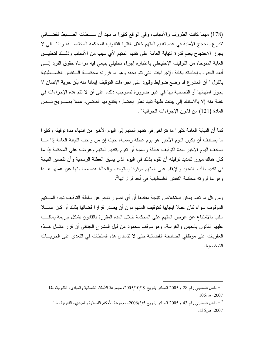(178) مهما كانت الظروف والأسباب، وفي الواقع كثيرا ما نجد أن ســـلطات الضـــبط القضـــائـي تتذرع بالحجج الأمنية في عدم تقديم المتهم خلال الفترة القانونية للمحكمة المختصـــة، وبالتـــالي لا يجوز الاحتجاج بعدم قدرة النيابة العامة على تقديم المتهم لأي سبب من الأسباب وذلـــك لتحقيـــق الغاية المتوخاة من التوقيف الإحتياطي باعتباره إجراء تحقيقي ينبغي فيه مراعاة حقوق الفرد إلـــي أبعد الحدود وإحاطته بكافة الإجراءات التي نتم بحقه وهو ما قررته محكمـــة الـــنقض الفلســـطينية بالقول " أن المشرع قد وضع ضوابط وقيود على إجراءات النوقيف إيمانا منه بأن حرية الإنسان لا يجوز امتهانها أو التضحية بها في غير ضرورة تستوجب ذلك، على أن لا تتم هذه الإجراءات في غفلة منه إلا بالاستناد إلى بينات طبية تفيد تعذر إحضاره يقتنع بها القاضي، عملا بصــــريح نـــص المادة (121) من قانون الإجراءات الجزائية"<sup>1</sup>.

كما أن النيابة العامة كثيرا ما نتراخى في نقديم المتهم إلى اليوم الأخير من انتهاء مدة توقيفه وكثيرا ما يصادف أن يكون اليوم الأخير هو يوم عطلة رسمية، حيث إن من واجب النيابة العامة إذا مـــا صادف اليوم الأخير لمدة التوقيف عطلة رسمية أن تقوم بتقديم المتهم وعرضه على المحكمة إذا ما كان هناك مبرر لتمديد توقيفه أن تقوم بذلك في اليوم الذي يسبق العطلة الرسمية وأن تقصير النيابة في نقديم طلب التمديد والإبقاء على المتهم موقوفا يستوجب والحالة هذه مساءلتها عن عملها هــذا وهو ما قررته محكمة النقض الفلسطينية في أحد قراراتها<sup>2</sup>.

ومن كل ما نقدم يمكن استخلاص نتيجة مفادها أن أي قصور ناجم عن سلطة النوفيف تجاه المستهم الموقوف سواء كان عملا ايجابيا كتوقيف المتهم دون أن يصدر قرارا قضائيا بذلك أو كان عمـــلا سلبيا بالامتناع عن عرض المتهم على المحكمة خلال المدة المقررة بالقانون يشكل جريمة يعاقــب عليها القانون بالحبس والغرامة، وهو موقف محمود من قبل المشرع الجنائبي أن قرر مثـــل هـــذه العقوبات على موظفى الضابطة القضائية حتى لا نتمادى هذه السلطات في التعدي على الحريسات الشخصية.

 $^{-1}$  - نقض فلسطيني رقم 28 / 2005 الصادر بتاريخ 2005/10/19، مجموعة الأحكام القضائية والمباديء القانونية، ط  $106.2007$ 

نفض فلسطيني رقم 43 / 2005 الصادر بتاريخ 3/5/305، مجموعة الأحكام القضائية والمباديء القانونية، ط1  $^{\rm -2}$  $.136, \rightarrow .2007$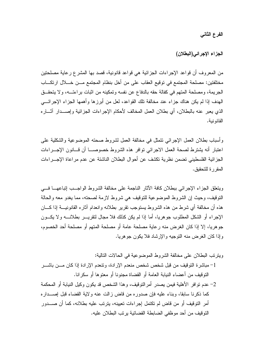الفرع الثاني

الجزاء الإجرائي(البطلان)

من المعروف أن قواعد الإجراءات الجزائية هي قواعد قانونية، قصد بها المشر ع رعاية مصلحتين مختلفتين: مصلحة المجتمع في توقيع العقاب على من أخل بنظام المجتمع مـــن خــــلال ارتكــــاب الجريمة، ومصلحة المتهم في كفالة حقه بالدفاع عن نفسه وتمكينه من اثبات براءتـــه، ولا يتحقــق الهدف إذا لم يكن هناك جزاء عند مخالفة نلك القواعد، لعل من أبرزها وأهمها الجزاء الإجرائــــى الذي يعبر عنه بالبطلان، أي بطلان العمل المخالف لأحكام الإجراءات الجزائية وإصـــدار أثـــار ه القانو نبة.

وأسباب بطلان العمل الإجرائي نتمثل في مخالفة العمل لشروط صحنه الموضوعية والشكلية على اعتبار أنه يشترط لصحة العمل الاجرائي نوافر هذه الشروط خصوصـــا أن قـــانون الإجـــراءات الجزائية الفلسطيني تضمن نظرية تكشف عن أحوال البطلان الناشئة عن عدم مراعاة الإجـــراءات المقر ر ة للتحقيق.

ويتعلق الجزاء الإجرائي ببطلان كافة الأثار الناجمة على مخالفة الشروط الواجب إنباعهـا فسي النَّوفيف، وحيث إن الشَّروط الموضوعية للنَّوفيف هي شروط لازمة لصحنه، مما يغدو معه والحالة هذه أن مخالفة أي شرط من هذه الشروط يستوجب نقرير بطلانه وانعدام آثاره القانونيـــة إذا كــــان الإجراء أو الشكل المطلوب جوهريا، أما إذا لم يكن كذلك فلا مجال لنقريـــر بطلانــــه ولا يكـــون جو هر يا، إلا إذا كان الغر ض منه ر عاية مصلحة عامة أو مصلحة المتهم أو مصلحة أحد الخصوم، و إذا كان الغر ض منه التوجيه و الإرشاد فلا يكون جو هر يا.

وينزنب البطلان على مخالفة الشروط الموضوعية في الحالات التالية:

- 1– مباشرة التوقيف من قبل شخص شخص منعدم الإرادة، وتنعدم الإرادة إذا كان مـــن باشـــر النَّوفيف من أعضاء النيابة العامة أو القضاة مجنونا أو معتوها أو سكرانا.
- 2– عدم تو افر الأهلية فيمن يصدر أمر التوقيف، و هذا الشخص قد يكون وكيل النيابة أو المحكمة كما ذكرنا سابقا، وبناء عليه فإن صدوره من قاض زالت عنه ولاية القضاء قبل إصـــداره أمر التوقيف أو من قاض لم تكتمل إجراءات تعيينه، يترتب عليه بطلانه، كما أن صــــدور النَّوقيف من أحد موظفي الضابطة القضائية يرتب البطلان عليه.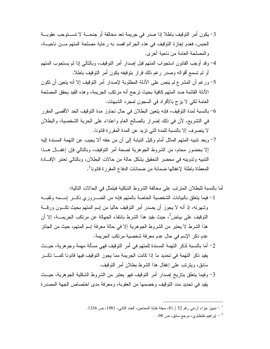- 3– بكون أمر التوقيف باطلا إذا صدر ً في جريمة تعد مخالفة أو جنحـــة لا تســـتوجب عقوبـــة الحبس، فعدم إجاز ة التوقيف في هذه الجر ائم قصد به ر عاية مصلحة المتهم مـــن ناحيـــة، والمصلحة العامة من ناحية أخر ي.
- 4– وقد أوجب القانون استجواب المتهم قبل إصدار أمر التوقيف، وبالتالي إذا لم يستجوب المتهم أو لم تسمع أقواله وصدر رغم ذلك قرار بتوقيفه يكون أمر التوقيف باطلا.
- 5– ورغم أن المشرع لم ينص على الأدلة المطلوبة لإصدار أمر النوفيف إلا أنه يتعين أن تكون الأدلة القائمة ضد المتهم كافية بحيث ترجح أنه مرتكب الجريمة، و هذه القيد يحقق المصلحة العامة لكي لا يزج بالأفراد في السجون لمجرد الشبهات.
- بالنسبة لمدة التوقيف، فإنه يتعين البطلان في حال تجاوز مدة التوقيف الحد الأقصبي المقرر في النشريع، لأن في ذلك إضرار بالصالح العام واعتداء على الحرية الشخصية، والبطلان لا ينصرف إلا بالنسبة للمدة التي نزيد عن المدة المقررة قانونا.
- 7– ويعد نتبيه المتهم الماثل أمام وكيل النيابة إلى أن من حقه ألا يجيب عن التهمة المسندة إليه إلا بحضور محام، من الشروط الجوهرية لصحة أمر التوقيف، وبالنالي فإن إغفــال هــذا النتبيه وندوينه في محضر النحقيق يشكل حالة من حالات البطلان، وبالنالي نعتبر الإف1دة المعطاة باطلة لإغفالها ضمانة من ضمانات الدفاع المقررة قانونا<sup>1</sup>.

أما بالنسبة للبطلان المنزنب على مخالفة الشروط الشكلية فيتمثل في الحالات التالية:

- 1- فيما يتعلق بالبيانات الشخصية الخاصة بالمتهم فإنه من الضــــروري ذكــــر إســـمه ولقبــــه وشهرته، إذ أنه لا يجوز أن يصدر أمر التوقيف خاليا من إسم المتهم بحيث تكــون ورقـــة التوقيف على بياض<sup>2</sup>، حيث بفيد هذا الشرط بانتفاء الجهالة عن مرتكب الجري*مــــة، إلا* أن هذا الشرط لا يعتبر من الشروط الجوهرية إلا في حالة معرفة إسم المتهم، حيث من الجائز عدم ذكر الإسم في حال عدم معرفة شخصية مرتكب الجريمة.
- 2– أما بالنسبة لذكر التهمة المسندة للمتهم في أمر التوقيف فهي مسألة مهمة وجوهرية، حيــث يفيد ذكر التهمة في تحديد ما إذا كانت الجريمة مما يجوز التوقيف فيها قانونا كمـــا ذكـــر سابق، ويترتب على إغفال هذا الشرط بطلان أمر التوقيف.
- 3- وفيما يتعلق بتاريخ إصدار أمر التوقيف فهو يعتبر من الشروط الشكلية الجوهرية، حيــث يفيد في تحديد مدد التوقيف وخصمها من العقوبة، ومعرفة مدى اختصاص الجهة المصدرة

<sup>-</sup> تمييز جزاء أردني رقم 52 / 81، مجلة نقابة المحامين، العدد الثاني، 1981، ص 1336.

<sup>98</sup> بير اهيم طنطاوي، مرجع سابق، ص $98$ .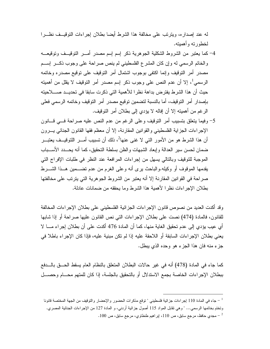له عند إصدار ه، ويترتب على مخالفة هذا الشرط أيضا بطلان إجر اءات التوقيــف نظـــر ا لخطورته وأهمبته.

- 4–كما يعتبر من الشروط الشكلية الجوهرية ذكر إسم إسم مصدر أمـــر النوفيـــف وتوفيعــــه والخاتم الرسمي له وإن كان المشرع الفلسطيني لم ينص صراحة على وجوب ذكـــر إســـم مصدر أمر النوفيف وإنما اكتفى بوجوب اشتمال أمر النوفيف على نوفيع مصدره وخانمه الرسمي'، إلا أن عدم النص على وجوب ذكر ۖ إسم مصدرٍ أمرٍ النوفيف لا يقلل من أهميته حيث أن هذا الشرط يفترض بداهة نظرا للأهمية التي ذكرت سابقا في تحديــد صــــلاحيته بإصدار أمر التوقيف، أما بالنسبة لتضمين توقيع مصدر أمر التوقيف وخاتمه الرسمي فعلي الرغم من أهميته إلا أن إفاله لا يؤدي إلى بطلان أمر التوقيف.
- 5– وفيما يتعلق بتسبيب أمر التوقيف وعلى الرغم من عدم النص عليه صراحة فسى قـــانون الإجراءات الجزاية الفلسطيني والقوانين المقارنة، إلا أن معظم فقها القانون الجنائي يـــرون أن هذا الشرط هو من الأمور التي لا غني عنها<sup>2</sup>، ذلك أن تسبيب أمـــر اللتوقيـــف يعتبـــر ضمان لحسن سير العدالة وإبعاد الشبهات والظن بسلطة التحقيق، كما أنه يحـــدد الأســـباب الموجبة للنوقيف وبالنالي يسهل من إجراءات المرافعة عند النظر في طلبات الإفراج التي يقدمها الموقوف أو وكيله.والباحث برى أنه وعلى الغرم من عدم نضـــمين هــذا الشـــرط صراحة في القوانين المقارنة إلا أنه يعتبر من الشروط الجوهرية التي يترتب على مخالفتها بطلان الإجراءات نظرا لأهمية هذا الشرط وما يحققه من ضمانات عادلة.

وقد أكدت العديد من نصوص قانون الإجراءات الجزائية الفلسطيني على بطلان الإجراءات المخالفة للقانون، فالمادة (474) نصت على بطلان الإجراءات التي نص القانون عليها صراحة أو إذا شابها أي عيب يؤدي إلى عدم تحقيق الغاية منها، كما أن المادة 476 أكدت على أن بطلان إجراء مـــا لا يعني بطلان الإجراءات السابقة أو اللاحقة عليه إذا لم تكن مبنية عليه، فإذا كان الإجراء باطلا في جزء منه فان هذا الجزء هو وحده الذي ببطل.

كما جاء في المادة (478) أنه في غير حالات البطلان المتعلق بالنظام العام يسقط الحـــق بالــــدفع ببطلان الإجراءات الخاصة بجمع الاستدلال أو بالتحقيق بالجلسة، إذا كان للمتهم محـــام وحصـــل

جاء في المادة 110 إجراءات جزائية فلسطيني " توقع مذكرات الحضور والإحضار والتوقيف من الجهة المختصة قانونا – وتختم بخاتمها الرسمي… " وهي نقابل المواد 115 أصول جزائية أردني، و المادة 127 من الإجراءات الجنائية المصري. مجدي حافظ، مرجع سابق، ص 110، اير اهيم طنطاوي، مرجع سابق، ص 100.  $^{-2}$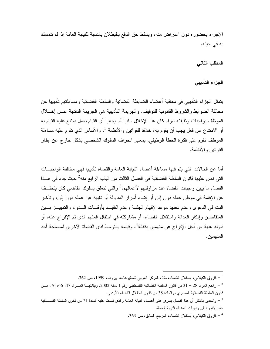الإجراء بحضور ه دون اعتر اض منه، ويسقط حق الدفع بالبطلان بالنسبة للنيابة العامة إذا لم تتمسك به في حينه.

المطلب الثاني

الجزاء التأديبي

يتمثِّل الجزاء التأديبي في معاقبة أعضاء الضابطة القضائية والسلطة القضائية ومساءلتهم تأديبيا عن مخالفة الضوابط والشروط القانونية للنوقيف. والجريمة التأديبية هي الجريمة الناتجة عـــن إخــــلال الموظف بواجبات وظيفته سواء كان هذا الإخلال سلبيا أم ايجابيا أي القيام بعمل يمتنع عليه القيام به أو الامتناع عن فعل يجب أن يقوم به، خلافا للقوانين والأنظمة <sup>1</sup>، والأساس الذي نقوم عليه مساءلة الموظف نقوم على فكرة الخطأ الوظيفي، بمعنى انحراف السلوك الشخصبي بشكل خارج عن إطار القو انين و الأنظمة.

أما عن الحالات التي يتم فيها مساءلة أعضاء النيابة العامة والقضاة تأديبيا فهي مخالفة الواجبــات التي نص عليها قانون السلطة القضائية في الفصل الثالث من الباب الرابع منه<sup>2</sup> حيث جاء في هـــذا الفصل ما يبين واجبات القضاة عند مزاولتهم لأعمالهم،<sup>3</sup> والتي تتعلق بسلوك القاضبي كان يتخلَّــف عن الإقامة في موطن عمله دون إذن أو إفشاء أسرار المداولة أو تغيبه عن عمله دون إذن، وتأخير البت في الدعوى وعدم تحديد موعد لإفهام الجلسة وعدم النقيـــد بأوقـــات الــــدوام والتمييــــز بــــين المنقاضين وإنكار العدالة واستقلال القضاء، أو مشاركته في احتفال المتهم الذي تم الإفراج عنه، أو قبوله هدية من أجل الإفر اج عن متهمين بكفالة<sup>4</sup>، وقيامه بالتوسط لدى القضاة الآخر بن لمصلحة أحد المتهمين.

فاروق الكيلاني، اِستقلال القضاء، ط2، المركز العربي للمطبوعات، بيروت، 1999، ص 362.  $^{-1}$ 

راجع المواد 28 – 31 من قانون السلطة القضائية الفلسطيني رقم 1 لسنة 2002. ويقابلهـــا المـــواد 47، 66، 76، مـــن  $^{-2}$ قانون السلطة القضائية المصري، والمادة 38 من قانون استقلال القضاء الأردنـى.

والجدير بالذكر أن هذا الفصل يسرى على أعضاء النيابة العامة والذى نصت عليه المادة 71 من قانون السلطة القضـــائية -عند الإشار ة إلى و اجبات أعضاء النيابة العامة.

فاروق الكيلاني، إستقلال القضاء، المرجع السابق، ص 363.  $\sim$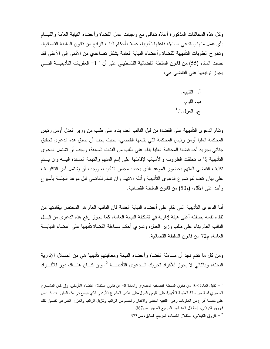وكل هذه المخالفات المذكورة أعلاه نتنافى مع واجبات عمل القضاة وأعضاء النيابة العامة والقيــام بأي عمل منها يستدعى مساءلة فاعلها تأديبيا، عملا بأحكام الباب الرابع من قانون السلطة القضائية. ونتدرج العقوبات التأديبية للقضاة وأعضاء النيابة العامة بشكل نصاعدي من الأدنى إلى الأعلى فقد نصت المادة (55) من قانون السلطة القضائية الفلسطيني على أن " 1– العقوبات التأديبيــــة التــــي يجوز توقيعها على القاضي هي:

> أ. التتىيە. ب. اللوم. ج. العزل.".<sup>1</sup>

ونقام الدعوى التأديبية على القضاة من قبل النائب العام بناء على طلب من وزير العدل أومن رئيس المحكمة العليا أومن رئيس المحكمة التي يتبعها القاضي، بحيث يجب أن يسبق هذه الدعوى تحقيق جنائي يجريه أحد قضاة المحكمة العليا بناء على طلب من الفئات السابقة، ويجب أن نتثبتمل الدعوى النأديبية إذا ما نحققت الظروف والأسباب لإقامتها على إسم المتهم والتهمة المسندة إليــــه وان يــــتم تكليف القاضبي المتهم بحضور الموعد الذي يحدده مجلس التأديب، ويجب أن يشتمل أمر التكليــف على بيان كاف لموضوع الدعوى التأديبية وأدلة الاتهام وان تسلم للقاضي قبل موعد الجلسة بأسبوع وأحد على الأقل، (م50) من قانون السلطة القضائية.

أما الدعوى التأديبية التي نقام على أعضاء النيابة العامة فان النائب العام هو المختص بإقامتها من نلقاء نفسه بصفته أعلى هيئة إدارية في تشكيلة النيابة العامة، كما يجوز رفع هذه الدعوى من قبـــل النائب العام بناء على طلب وزير العدل، ونسري أحكام مساءلة القضاة نأديبيا على أعضاء النيابـــة العامة، م72 من قانون السلطة القضائية.

ومن كل ما نقدم نجد أن مساءلمة القضاة وأعضاء النيابة ومعاقبتهم نأديبيا هي من المسائل الإدارية البحتة، وبالتالي لا يجوز للأفراد تحريك الــدعوى التأديبيـــة <sup>2</sup>. وإن كـــان هنـــاك دور للأفـــراد

قابل المادة 108 من قانون السلطة القضائية المصري والمادة 38 من قانون استقلال القضاء الأردنبي، وإن كان المشــــر ع $^{-1}$ المصري قد قصر حالة العقوبة التأديبية على اللوم والعزل،على عكس المشرع الأردني الذي نوسع في هذه العقوبـــات فـــنص على خمسة أنواع من العقوبات وهي النتبيه الخطي والانذار والحسم من الرانب ونتزيل الرانب والعزل. انظر في تفصيل ذلك قاروق الكيلاني، إستقلال القضاء، المرجع السابق، ص367.

فاروق الكيلانبي، استقلال القضاء، المرجع السابق، ص373.  $^{-2}$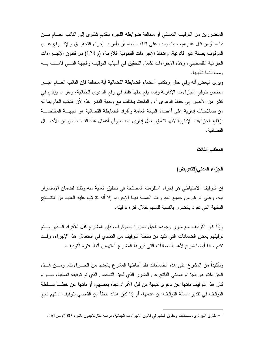المتضررين من التوقيف التعسفي أو مخالفة ضوابطه اللجوء بتقديم شكوى إلى النائب العـــام مـــن قبلهم أومن قبل غير هم، حيث يجب على النائب العام أن يأمر بـــاجراء التحقيـــق والإفــــراج عـــن الموقوف بصفة غير قانونية، واتخاذ الإجراءات القانونية اللازمة، (م 128) من قانون الإجـــراءات الْجزائية الفلسطيني، وهذه الإجراءات نشمل النحقيق في أسباب النوقيف والجهة النسي قامــت بـــه و مساءلتها تأديبيا.

ويرى البعض أنه وفي حال ارتكاب أعضاء الضابطة القضائية أية مخالفة فإن النائب العسام غيسر مختص بتوقيع الجزاءات الإدارية وإنما يقع حقها فقط في رفع الدعوى الجنائية، وهو ما يؤدي في كثير من الأحيان إلى حفظ الدعوى <sup>1</sup>، والباحث يختلف مع وجهة النظر هذه لأن النائب العام بما له من صلاحيات إدارية على أعضاء النيابة العامة وأفراد الضابطة القضائية هو الجهـــة المختصـــة بإيقاع الجزاءات الإدارية لأنها نتعلق بعمل إداري بحت، وأن أعمال هذه الفئات ليس من الأعمـــال القضائية.

المطلب الثالث

الجزاء المدنى(التعويض)

إن التوقيف الاحتياطي هو إجراء استلزمته المصلحة في تحقيق الغاية منه وذلك لضمان الإستمرار فيه، وعلى الرغم من جميع المبررات العملية لهذا الإجراء، إلا أنه نتزنب عليه العديد من النتـــائج السلبية التي تعود بالضرر بالنسبة للمتهم خلال فترة توقيفه.

وإذا كان التوقيف مع مبرر وجوده يلحق ضررا بالموقوف، فإن المشرع كفل للأفراد الــــذين يـــتم توقيفهم بعض الضمانات التي تقيد من سلطة التوقيف من التمادي في استغلال هذا الإجراء، وقــد تقدم معنا أيضا شرح لأهم الضمانات التي قرر ها المشر ع للمتهمين أثناء فترة التوقيف.

وتأكيداً من المشرع على هذه الضمانات فقد أحاطها المشرع بالعديد من الجـــزاءات، ومـــن هـــذه الجزاءات هو الجزاء المدنى الناتج عن الضرر الذي لحق الشخص الذي تم توقيفه تعسفيا، ســـواء كان هذا التوقيف ناتجا عن دعوى كيدية من قبل الأفر اد تجاه بعضهم، أو ناتجا عن خطـــأ ســـلطـة النَّوقيف في تقدير ٍ مسالة النَّوقيف من عدمها، أو إذا كان هناك خطأً من القاضي بنوقيف المنهم ناتج

<sup>&</sup>lt;sup>1</sup> – طارق الدير اوي، ضمانات وحقوق المتهم في قانون الإجر اءات الجنائية، در اسة مقارنة،بدون ناشر ، 2005، ص461.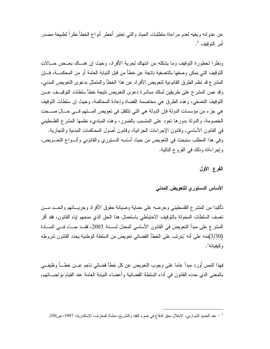عن عدو انه وبغيه لعدم مر اعاة متطلبات الحياد و التي تعتبر ۖ أخطر ۖ أنو اع الخطأ نظر اً لطبيعة مصدر ِ أمر التوقيف <sup>1</sup>.

ونظرًا لخطورة النَّوقيف وما يشكله من انتهاك لحرية الأفراد، وحيث إن هنـــاك بعـــض حـــالات النَّوقيف الَّتي يمكن وصفها بالتعسفية ناتجة عن خطأً من قبل النيابة العامة أو من المحكمـــة، فــــإن المشرع قد نظم الطرق القانونية لتعويض الأفراد عن هذا الخطأ والمتمثل بدعوى التعويض المدنبي، وقد نص المشرع على طريقين لسلك مباشرة دعوى النعويض نتيجة خطأ سلطات التوقيــف عـــن النَّوفيف التعسُّفي، وهذه الطرق هي مخاصمة القضاة وإعادة المحاكمة، وحيث إن سلطات النَّوفيف هي جزء من مؤسسات الدولة فإن الدولة هي التي تتكفل في تعويض المستهم فـــي حـــال صــــحت الخصومة، والدولة بدورها نعود على المنسبب بالضرر، وهذه المباديء نظمها المشرع الفلسطيني في القانون الأساسي، وقانون الإجراءات الجزائية، وقانون أصول المحاكمات المدنية والتجارية. وفي هذا المطلب سنبحث في النعويض من حيث أساسه الدستوري والقانوني وأنسواع النعسويض، وإجراءاته وذلك في الفروع التالية.

الفرع الأول

## الأساس الدستور للتعويض المدنى

تأكيدا من المشرع الفلسطيني وحرصه على حماية وصيانة حقوق الأفراد وحريـــاتهم والحـــد مـــن تعسف السلطات المخولة بالتوقيف الاحتياطي باستعمال هذا الحق الذي منحهم إياه القانون، فقد أقر المشرع على مبدأ النعويض في القانون الأساسي المعدل لســـنة 2003، فقـــد جـــاء فـــي المــــادة (3/30)منه على أنه "ينرنب على الخطأ القضائي نعويض من السلطة الوطنية يحدد القانون شروطه وكبفياته".

فهذا النص أورد مبدأ عاما على وجوب النعويض عن كل خطأ قضائي ناجم عـــن خطــــأ وظيفـــي بالمعنى الذي حدده القانون في أداء السلطة القضائية وأعضاء النيابة العامة عند القيام بواجبـــاتهم،

<sup>&</sup>lt;sup>1</sup> – عبد الحميد الشواربي، الإخلال بحق الدفاع في ضوء الفقه والتشريع، منشأة المعارف، الإسكندرية، 1997، ص350.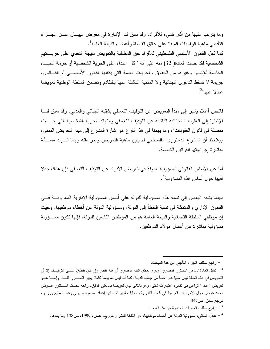وما يترتب عليها من أثار نسيء للأفراد، وقد سبق لنا الإشارة في معرض البيـــان عـــن الـجـــزاء النَّاديبي ماهية الو اجبات الملقاة على عاتق القضاة و أعضاء النيابة العامة<sup>1</sup>. كما كفل القانون الأساسي الفلسطيني للأفراد حق المطالبة بالتعويض نتيجة التعدي على حريساتهم الشخصية فقد نصت المادة( 32) منه على أنه " كل اعتداء على الحرية الشخصية أو حرمة الحيــاة الخاصة للإنسان وغيرها من الحقوق والحريات العامة التي يكفلها القانون الأساســـي أو القـــانون، جريمة لا تسقط الدعوى الجنائية ولا المدنية الناشئة عنها بالتقادم وتضمن السلطة الوطنية تعويضا عادلا عنها"<sup>2</sup>.

فالنص أعلاه بشير إلى مبدأ النعويض عن النوقيف النعسفي بشقيه الجنائبي والمدنبي، وقد سبق لنسا الإشارة إلى العقوبات الجنائية الناشئة عن النوقيف النعسفي وانتهاك الحرية الشخصية التي جــاءت مفصلة في قانون العقوبات<sup>3</sup>، وما يهمنا في هذا الفر ع هو ٳشارة المشر ع إلى مبدأ النعويض المدني، ويلاحظ أن المشرع الدستوري الفلسطيني لم يبين ماهية النعويض وإجراءاته وإنما تـــرك مســـألة مباشر ة إجر إءاتها للقو انين الخاصة.

أما عن الأساس القانوني لمسؤولية الدولة في تعويض الأفراد عن النوفيف النعسفي فإن هناك جدلا فقهيا حول أساس هذه المسؤولية<sup>4</sup>.

فبينما يتجه البعض إلى نسبة هذه المسؤولية للدولة على أساس المسؤولية الإدارية المعروفـــة فــــى القانون الإداري والمتمثلة في نسبة الخطأ إلى الدولة، ومسؤولية الدولة عن أخطاء موظفيها، وحيث إن موظفى السلطة القضائية والنيابة العامة هم من الموظفين التابعين للدولة، فإنها نكون مســؤولة مسؤولية مباشرة عن أعمال هؤلاء الموظفين.

ر اجع مطلب العقوبات الجناءية من هذا المبحث.  $\mathcal{I} = \frac{3}{2}$ 

راجع مطلب الجزاء التأديبي من هذا المبحث.  $\mathcal{C}$ 

<sup>&</sup>lt;sup>2</sup> – نقابل المادة 57 من الدستور المصري. ويرى بعض الفقه المصري أن هذا النص وإن كان ينطبق علـــى التوقيـــف إلا أن النعويض في هذه الحالة ليس مبنيا على خطأ من جانب الدولة، كما أنه ليس نعويضا كاملا يجبر الضــــرر كلـــه، وإنمــــا هـــو نعويض " عادل" نراعي في نقديره اعتبارات شتي، وهو بالنالي ليس نعويضا بالمعنى الدقيق. راجع بـحــث الـــدكتور عـــوض محمد عوض حول الإجراءات الجنائية في النظم القانونية وحماية حقوق الإنسان، إعداد محمود بسيونـي وعبد العظيم وزيـــر، مرجع سابق، ص347.

<sup>&</sup>lt;sup>4</sup> – عادل الطائبي، مسؤولية الدولة عن أخطاء موظفيها، دار الثقافة للنشر والتوزيع، عمان، 1999، ص138 وما بعدها.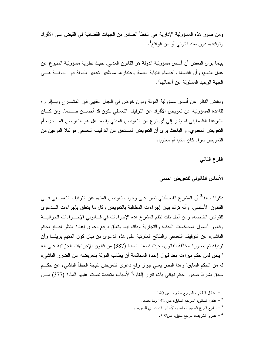و من صور هذه المسؤولية الإدار ية هي الخطأ الصادر من الجهات القضائية في القبض على الأفر اد و تو قيفهم دو ن سند قانو نبي أو من الو اقـع<sup>1</sup>.

بينما يرى البعض أن أساس مسؤولية الدولة هو القانون المدنبي، حيث نظرية مسؤولية المنبوع عن عمل النابع، وأن القضاة وأعضاء النيابة العامة باعتبارهم موظفين نابعين للدولة فإن الدولــــة هــــي الجهة الوحيد المسئولة عن أعمالهم<sup>2</sup>.

وبغض النظر عن أساس مسؤولية الدولة ودون خوض في الجدل الفقهي فإن المشــــرع وبــــافرار ه لقاعدة المسؤولية عن تعويض الأفراد عن التوقيف التعسفي يكون قد أحســـن صــــنعا، وإن كــــان مشرعنا الفلسطيني لم يشر إلى أي نوع من النعويض المدنى يقصد هل هو النعويض المــــادي، أم النعويض المعنوي، و الباحث برى أن النعويض المستحق عن النوقيف النعسفي هو كلا النوعين من النعويض سواء كان ماديا أم معنويا.

الفرع الثانى

## الأساس القانوني للتعويض المدنى

ذكرنا سابقا<sup>3</sup> أن المشرع الفلسطيني نص على وجوب تعويض المتهم عن التوقيف التعســفي فـــي القانون الأساسي، وأنه نزك بيان إجراءات المطالبة بالنعويض وكل ما ينعلق بإجراءات الـــدعوى للقوانين الخاصة، ومن أجل ذلك نظم المشرع هذه الإجراءات في قـــانوني الإجـــراءات الجزائيـــة وقانون أصول المحاكمات المدنية والتجارية وذلك فيما بتعلق برفع دعوى إعادة النظر لفسخ الحكم الناشيء عن النوقيف النعسفي والنتائج المنزنبة على هذه الدعوى من بيان كون المنهم بريئـــا وأن توقيفه تم بصورة مخالفة للقانون، حيث نصت المادة (387) من قانون الإجراءات الجزائية على انه " يحق لمن حكم ببراءته بعد قبول إعادة المحاكمة أن يطالب الدولة بتعويضه عن الضرر الناشيء له من الحكم السابق" وهذا النص يعني جواز رفع دعوى النعويض نتيجة الخطأ الناشيء عن حكــم سابق بشرط صدور حكم نهائي بات تقرر إلغاؤه<sup>4</sup> لأسباب متعددة نصت عليها المادة (377) مـــن

- $140$  عادل الطائي، المرجع سابق، ص $^{-1}$
- عادل الطائبي، المرجع السابق، ص 142 وما بعدها.  $^{-2}$
- راجع الفرع السابق الخاص بالأساس الدستوري للتعويض.  $\sim$ 
	- عمرو الشريف، مرجع سابق، ص592.  $^\mathrm{4}$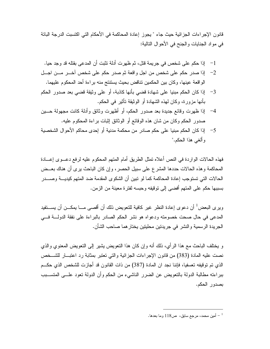قانون الإجر اءات الجز ائية حيث جاء " يجوز\_ إعادة المحاكمة في الأحكام التي اكتسبت الدر جة الباتة في مواد الجنايات والجنح في الأحوال التالية:

- إذا صدر حكم على شخص من اجل واقعة ثم صدر حكم على شخص اخــــر مــــن اجـــل  $-2$ الواقعة عينها، وكان بين الحكمين تناقض بحيث يستنتج منه براءة أحد المحكوم عليهما.
- إذا كان الحكم مبنيا على شهادة قضبي بأنها كاذبة، أو على وثيقة قضبي بعد صدور الحكم  $-3$ بأنها مزورة، وكان لهذه الشهادة أو الوثيقة تأثير في الحكم.
- إذا ظهرت وفائع جديدة بعد صدور الحكم، أو أظهرت وثائق وأدلة كانت مجهولة حـــين  $-4$ صدور الحكم وكان من شان هذه الوقائع أو الوثائق إثبات براءة المحكوم عليه.
- إذا كان الحكم مبنيا على حكم صادر من محكمة مدنية أو إحدى محاكم الأحوال الشخصية  $-5$ و ألغي هذا الحكم."

فهذه الحالات الواردة في النص أعلاه نمثل الطريق أمام المتهم المحكوم عليه لرفع دعــوى إعـــادة المحاكمة وهذه الحالات حددها المشرع على سبيل الحصر، وإن كان الباحث يرى أن هناك بعــض الحالات التي تستوجب إعادة المحاكمة كما لو نبين أن الشكوى المقدمة ضد المتهم كيديــــة وصـــــدر بسببها حكم على المنهم أفضيي إلى نوقيفه وحبسه لفترة معينة من الزمن.

ويرى البعض<sup>1</sup> أن دعوى إعادة النظر غير كافية للتعويض ذلك أن أقصـي مـــا يمكـــن أن يســـتفيد المدعى في حال صحت خصومته ودعواه هو نشر الحكم الصادر بالبراءة على نفقة الدولـــة فـــى الجريدة الرسمية والنشر في جريدتين محليتين يختار هما صاحب الشأن.

و يختلف الباحث مع هذا الرأى، ذلك أنه وإن كان هذا النعويض بشير إلى النعويض المعنوى والذي نصت عليه المادة (383) من قانون الإجراءات الجزائية والتي تعتبر بمثابة رد اعتبار للشخص الذي تم توقيفه تعسفيا، فإننا نجد ان المادة (387) من ذات القانون قد أجاز ت للشخص الذي حكــم ببراءته مطالبة الدولة بالتعويض عن الضرر الناشيء من الحكم وأن الدولة تعود علـــي المتســـبب بصدور الحكم.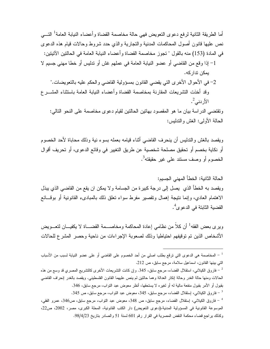أما الطريقة الثانية لرفع دعوى النعويض فهي حالة مخاصمة القضاة وأعضاء النيابة العامة<sup>1</sup> النبي نص عليها فانون أصول المحاكمات المدنية والتجارية والذي حدد شروط وحالات قيام هذه الدعوى في المادة (153) منه بالقول " تجوز مخاصمة القضاة وأعضاء النيابة العامة في الحالتين الآتيتين: 1– إذا وقع من القاضبي أو عضو النيابة العامة في عملهم غش أو ندليس أو خطا مهنى جسيم لا يمكن تدار كه. 2– في الأحوال الأخرى التي يقضي القانون بمسؤولية القاضي والحكم عليه بالنعويضات." وقد أخذت التشريعات المقارنة بمخاصمة القضاة وأعضاء النيابة العامة باستثناء المشـــرع  $\frac{2}{\sqrt{2}}$ الأردنے

ونقتضبي الدراسة بيان ما هو المقصود بهاتين الحالتين لقيام دعوى مخاصمة على النحو التالي: الحالة الأولى: الغش والندليس:

ويقصد بالغش والندليس أن ينحرف القاضبي أثناء قيامه بعمله بسوء نية وذلك محاباة لأحد الخصوم أو نكاية بخصم أو تحقيق مصلحة شخصية عن طريق التغيير في وقائع الدعوى، أو تحريف أقوال الخصوم أو وصف مستند على غير حقيقته<sup>3</sup>.

الحالة الثانية: الخطأ المهنى الجسيم: ويقصد به الخطأ الذي يصل إلى درجة كبيرة من الجسامة و لا يمكن ان يقع من القاضي الذي يبذل الاهتمام العادي، وإنما نتيجة إهمال وتقصير مفرط سواء تعلق ذلك بالمبادىء القانونية أو بوقــائـع القضية الثابتة في الدعو ي<sup>4</sup>.

ويرِي بعض الفقه<sup>1</sup> أن كلاً من نظامي إعادة المحاكمة ومخاصـــمة القضـــاة لا يكفيـــان لتعـــويض الأشخاص الذين تم توقيفهم احتياطيا وذلك لصعوبة الإجراءات من ناحية وحصر المشرع للحالات

<sup>&</sup>lt;sup>1</sup> – المخاصمة هي الدعوى التي ترقع بطلب اصلي من أحد الخصوم على القاضي أو على عضو النيابة لسبب من الأسباب التي بينها القانون، اسماعيل سلامة، مرجع سابق، ص 212.

فاروق الكيلاني، استقلال القضاء، مرجع سابق، 345. وإن كانت التشريعات الأخرى كالتشريع المصري قد وسع من هذه – فاروق ا الحالات ومنها حالة الغدر وحالة إنكار العدالة وهما حالنين لم ينص عليهما القانون الفلسطيني. ويقصد بالغدر إنحراف القاضبي بقبول أو الأمر بقبول منفعة مالية له أو لغيره لا يستحقها، أنظر معوض عبد التواب، مرجع سابق، 346. قاروق الكيلانـي، ايستقلال القضـاء، مرجع سابق، 345، معوض عبد التواب، مرجع سابق، ص 345.  $^{-3}$ 

فاروق الكيلاني، إستقلال القضاء، مرجع سابق، ص 348، معوض عبد التواب، مرجع سابق، ص346، عمرو الفقي، " الموسوعة القانونية في المسؤولية المدنية،(دعوى التعويض) دار الكتب القانونية، المحلة الكبرى، مصر، 2002، ص22، وكذلك براجع قضاء محكمة النقض المصرية في القرار رقم 601 لسنة 51 والصادر بتاريخ 98/4/23.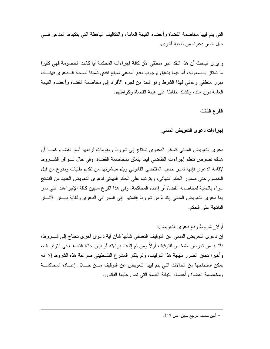التي يتم فيها مخاصمة القضاة و أعضاء النيابة العامة، و التكاليف الباهظة التي يتكبدها المدعى فـــي حال خسر دعواه من ناحبة أخر ي.

و يرى الباحث أن هذا النقد غير منطقى لأن كافة إجراءات المحكمة أيا كانت الخصومة فهي كثيرا ما تمتاز بالصعوبة، أما فيما يتعلق بوجوب دفع المدعى لمبلغ نقدى تأمينا لصحة الــدعوى فهنـــاك مبرر منطقى وعملي لهذا الشرط وهو الحد من لجوء الأفراد إلى مخاصمة القضاة وأعضاء النيابة العامة دون سند، وكذلك حفاظا على هيبة القضاة وكرامتهم.

الفرع الثالث

إجراءات دعوى التعويض المدنى

دعوى النعويض المدنبي كسائر الدعاوى نحناج إلىي شروط ومقومات لرفعها أمام القضاء كمسا أن هناك نصوص نتظم إجراءات النقاضي فيما يتعلق بمخاصمة القضاة، وفي حال تسوافر الشسروط لإقامة الدعوى فإنها نسير حسب المقتضى القانوني ويتم مباشرتها من تقديم طلبات ودفوع من قبل الخصوم حتى صدور الحكم النهائي، ويترتب على الحكم النهائي لدعوى التعويض العديد من النتائج سواء بالنسبة لمخاصمة القضاة أو إعادة المحاكمة، وفي هذا الفر ع سنبين كافة الإجراءات التي تمر بها دعوى النعويض المدنى إبنداءً من شروط إقامتها ۖ إلى السير في الدعوى ولغاية بيــــان الآثــــار الناتجة على الحكم.

أو لا شر وط رفع دعوى النعويض: إن دعو ي التعويض المدنى عن التوقيف التعسفي شأنها شأن أية دعو ي أخر ي تحتاج إلى شـــر و ط، فلا بد من تعرض الشخص للتوقيف أولاً ومن ثم إثبات بر اءته أو بيان حالة التعسف في التوقيــف، وأخيرًا نحقق الضرر نتيجة هذا التوقيف، ولم يذكر المشرع الفلسطيني صراحة هذه الشروط إلا أنه يمكن استتتاجها من الحالات التي يتم فيها التعويض عن التوقيف مـن خــلال إعــادة المحاكمـــة ومخاصمة القضاة وأعضاء النيابة العامة التي نص عليها القانون.

 $117$  أمين محمد، مرجع سابق، ص $^{-1}$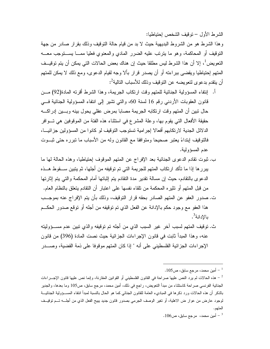الشرط الأول – توقيف الشخص احتباطبا:

و هذا الشرط هو من الشر وط البديهية حيث لا بد من قيام حالة التوقيف وذلك بقر ار صادر من جهة النوفيف أو المحاكمة، وهو ما ينزنب عليه الضرر المادي والمعنوي فعليا ممـــا يســـنوجب معــــه النعويض ً، إلا أن هذا الشرط ليس مطلقا حيث إن هناك بعض الحالات التي يمكن أن يتم توقيــف المتهم إحتياطيا ويقضيي ببراءته أو أن يصدر قرار بألا وجه لقيام الدعوى، ومع ذلك لا يمكن للمتهم أن يتقدم بدعو ي لتعويضه عن التوقيف وذلك للأسباب التالية<sup>2</sup>:

- أ. اِنتفاء المسؤولية الجنائية للمتهم وقت ارتكاب الجريمة، وهذا الشرط أقرته المادة(92) مـــن قانون العقوبات الأردنبي رقم 16 لسنة 60، والتبي تشير إلى انتفاء المسؤولية الجنائية فـــي حال نبين أن المتهم وقت ارتكابه الجريمة مصابا بمرض عقلي يحول بينه وبسين إدراكسه حقيقة الأفعال التي يقوم بها، وعلة المشرع في استثناء هذه الفئة من الموقوفين هي تـــوافر الدلائل الجدية لارتكابهم أفعالا إجرامية تستوجب التوقيف لو كانوا من المسؤولين جزائيـــا، فالتوقيف ابنداءً يعتبر صحيحا ومتوافقا مع القانون وله من الأسباب ما تبرره حتى ثبــوت عدم المسؤولية.
- ب. ثبوت نقادم الدعوى الجنائية بعد الإفراج عن المنهم الموقوف إحتياطيا، وهذه الحالة لها ما يبرر ها إذا ما تأكد ارتكاب المتهم للجريمة التي تم توقيفه من أجلها، ثم يتبين ســـقوط هـــذه الدعوى بالنقادم، حيث إن مسالة نقدير مدة النقادم يتم إثباتها أمام المحكمة والتي يتم إثارتها من قبل المنهم أو نتثيره المحكمة من نلقاء نفسها على اعتبار أن النقادم يتعلق بالنظام العام. ت. صدور العفو عن المتهم الصادر بحقه قرار النوقيف، وذلك بأن يتم الإفراج عنه بموجــب هذا العفو مع وجود حكم بالإدانة عن الفعل الذي تم توقيفه من أجله أو توقع صدور الحكــم
	- بالإدانة<sup>3</sup>.
- ث. نوقيف المتهم لسبب آخر غير السبب الذي من أجله تم توقيفه والذي نبين عدم مســؤوليته عنه، وهذا المبدأ ثابت في قانون الإجراءات الجزائية حيث نصت المادة (396) من قانون الإجر اءات الجز ائية الفلسطيني على أنه " إذا كان المتهم موقوفا على ذمة القضية، وصــــدر

 $105$ أمين محمد، مرجع سابق، ص $\sim$ 

هذه الحالات لم يرد النص عليها صراحة في القانون الفلسطيني أو القوانين المقارنة، وإنما نص عليها قانون الإجـــراءات  $^{\rm 2}$ الجنائية الفرنسي صراحة كاستثناء من مبدأ التعويض، راجع في ذلك، أمين محمد، مرجع سابق، ص105 وما بعدها، والجدير بالذكر أن هذه الحالات ورد ذكرها فى المباديء العامة للقانون الجنائى كما هو الحال بالنسبة لمبدأ انتفاء المســؤولية الجنائيـــة لوجود عارض من عوار ض الاهلية، أو تغير الوصف الجرمي بصدور قانون جديد يبيح الفعل الذي من أجلـــه تـــم توقيــف المتهم.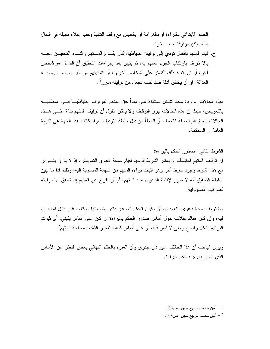الحكم الابتدائي بالبر اءة أو بالغر امة أو بالحبس مع وقف التنفيذ وجب إخلاء سبيله في الحال ما لم يكن مو قو فا لسبب آخر ".

ج. قيام المنهم بأفعال نؤدي إلى نوقيفه احتياطيا، كأن يقـــوم المــــتهم وأثنــــاء النحقيـــق معــــه بالاعتراف بارتكاب الجرم المتهم به، ثم يتبين بعد إجراءات التحقيق أن الفاعل هو شخص آخر ، أو أن يتعمد ذلك للتستر على أشخاص آخرين، أو لتمكينهم من الهـــرب مـــن وجــــه العدالة، أو أن يختلق أدلة ضد نفسه تجعل من توقيفه مبر ر<sup>1</sup>أ.

فهذه الحالات الواردة سابقا تشكل استثناءً على مبدأ حق المتهم الموقوف احتياطيــــا فــــى المطالبـــة بالنعويض، حيث إن هذه الحالات نبرر النوقيف ولا يمكن القول أن نوقيف المنهم بناءً علـــى هـــذه الحالات يسبغ عليه صفة التعسف أو الخطأ من قبل سلطة التوقيف سواء كانت هذه الجهة هي النيابة العامة أو المحكمة.

الشرط الثاني- صدور الحكم بالبراءة: إن نوقيف المتهم احتياطيا لا يعتبر الشرط الوحيد لقيام صحة دعوى التعويض، إذ لا بد أن يتـــوافر مع هذا الشرط وجود شرط آخر وهو إثبات براءة المتهم من التهمة المنسوبة إليه، وذلك إذا ما تبين لسلطة التحقيق أنه لا مبرر لإقامة الدعوى ضد المتهم، أو أن تفرج عن المتهم إذا تحقق لها براءته لعدم قيام المسؤولية.

ويشترط لصحة دعوى النعويض أن يكون الحكم الصادر بالبراءة نهائيا وباتا، وغير قابل للطعـــن فيه، وإن كان هناك خلاف حول أساس صدور الحكم بالبراءة إن كان على أساس يقيني، أي ثبوت البر اءة بشكل و اضبح وجلَّى لا لبس فيه، أو على أساس قاعدة تفسير الشك لمصلحة المتهمُّ .

وبر ي الباحث أن هذا الخلاف غير ذي جدوى و أن العبر ة بالحكم النهائي بغض النظر ٍ عن الأساس الذي صدر بموجبه حكم البراءة.

<sup>.</sup> أمين محمد، مرجع سابق، ص $106$ .

 $108$ أمين محمد، مرجع سابق، ص $108$ .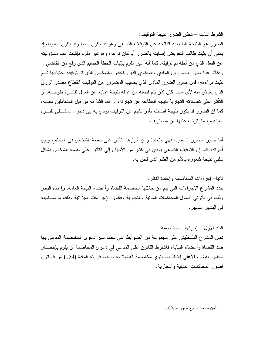الشر ط الثالث – تحقق الضر ر نتيجة التوقيف:

الضرر هو النتيجة الطبيعية الناتجة عن التوقيف التعسفي وهو قد يكون ماديا وقد يكون معنويا، إذ يكفي أن يثبت طالب التعويض إصابته بالضرر أيا كان نوعه، وهوغير ملزم بإثبات عدم مسؤوليته عن الفعل الذي من أجله تم توقيفه، كما أنه غير ملزم بإثبات الخطأ الجسيم الذي وقع من القاضبي<sup>1</sup>. وهناك عدة صور للضررين المادي والمعنوى الذين بلحقان بالشخص الذي تم توقيفه احتياطيا ثــم تثبت براءاته، فمن صور الضرر المادي الذي يصيب المضرور من التوقيف انقطاع مصدر الرزق الذي يعتاش منه لأي سبب كان كأن يتم فصله من عمله نتيجة غيابه عن العمل لفتـــرة طويلــــة، أو التأثير على تعاملاته التجارية نتيجة انقطاعه عن تجارته، أو فقد الثقة به من قبل المتعاملين معـــه، كما إن الضرر. قد يكون نتيجة إصابته بأمر ناجم عن التوقيف تؤدي به إلى دخول المشـــفي لفتـــر ة معينة مع ما يترتب عليها من مصاريف.

أما صور الضرر المعنوي فهي متعددة ومن أبرزها التأثير على سمعة الشخص في المجتمع وبين أسرته، كما إن التوقيف التعسفي يؤدي في كثير من الأحيان إلى التأثير على نفسية الشخص بشكل سلبي نتيجة شعوره بالألم من الظلم الذي لحق به.

ثانيا– إجراءات المخاصمة وإعادة النظر: حدد المشرع الإجراءات التبي يتم من خلالها مخاصمة القضاة وأعضاء النيابة العامة، وإعادة النظر وذلك في قانوني أصول المحاكمات المدنية والتجارية وقانون الإجراءات الجزائية وذلك ما ســـنبينه في البندين التاليين.

البند الأول – إجر اءات المخاصمة: نص المشرع الفلسطيني على مجموعة من الضوابط التي تحكم سير دعوى المخاصمة المدعى بها ضد القضاة و أعضاء النيابة، فاشتر ط القانون على المدعى في دعو ي المخاصمة أن يقوم بإخطـــار مجلس القضاء الأعلى ابِنداءً بما ينوي مخاصمة القضاة به حسبما قررته المادة (154) من قـــانون أصول المحاكمات المدنية والتجارية.

. أمين محمد، مرجع سابق، ص $109$ .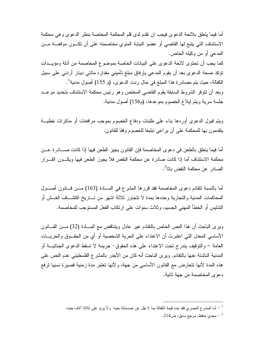أما فيما يتعلَّق بلائحة الدعو ي فيجب ان تقدم لدى قلم المحكمة المختصنة بنظر الدعو ي و هي محكمة الاستئناف التي يتبع لها القاضبي أو عضو النيابة المنوى مخاصمته على أن تكــون موقعـــة مـــن المدعى أو من وكيله الخاص. كما يجب أن تحتوي لائحة الدعوى على البيانات الخاصة بموضوع المخاصمة من أدلة ومؤيــدات تؤكد صحة الدعوى بعد أن يقوم المدعى بإرفاق مبلغ تأميني مقدار ه مائتي دينار أردنبي على سبيل الكفالة، حيث يتم مصادرة هذا المبلغ في حال ردت الدعوى، (م 155) أصول مدنية<sup>1</sup>. وبعد أن نتوفر الشروط السابقة بقوم القاضبي المختص وهو رئيس محكمة الاستئناف بتحديد موعــد جلسة سرية ويتم ابلاغ الخصوم بموعدها، (م156) أصول مدنية.

ويتم قبول الدعوى أوردها بناء على طلبات ودفاع الخصوم بموجب مرافعات أو مذكرات خطيـــة يتقدمون بها للمحكمة على أن يراعي تبليغا للخصوم وفقا للقانون.

أما فيما يتعلَّق بالطعن في دعوى المخاصمة فإن القانون يجيز الطعن فيها إذا كانت صــــادرة عـــن محكمة الاستئناف أما إذا كانت صادرة عن محكمة النقض فلا يجوز الطعن فيها ويكـــون القـــرار 

أما بالنسبة لنقادم دعوى المخاصمة فقد قررها المشرع في المسادة (163) مـــن قــــانون أصــــول المحاكمات المدنية والتجارية وحددها بمدة لا نتجاوز ثلاثة اشهر من تـــاريخ اكتشـــاف الغــش أو التدليس أو الخطأ المهنى الجسيم، وثلاث سنوات على ارتكاب الفعل المستوجب للمخاصمة.

ويرى الباحث أن هذا النص الخاص بالتقادم غير عادل ويتناقض مع المسادة (32) مـــن القــــانون الأساسي المعدل التي اعتبرت أن الاعتداء على الحرية الشخصية أو أي من الحقــوق والحريـــات العامة – و التوقيف بندر ج تحت الاعتداء على هذه الحقوق– جريمة لا تسقط الدعوى الجنائيـــة أو المدنية الناشئة عنها بالنقادم. ويرى الباحث أنه كان من الأجدر بالمشرع الفلسطيني عدم النص على هذه المدة لأنها نتعارض مع القانون الأساسي من جهة، ولأنها تعتبر مدة زمنية قصيرة نسبيا لرفع دعو ي المخاصمة من جهة ثانية.

أما المشرع المصري فقد حدد قيمة الكفالة بما لا يقل عن خمسمائة جنيه ۖ ولا يزيد على ثلاثة ألاف جنيه. "

<sup>-</sup> مجدي حافظ، مرجع سابق، ص214  $\sim$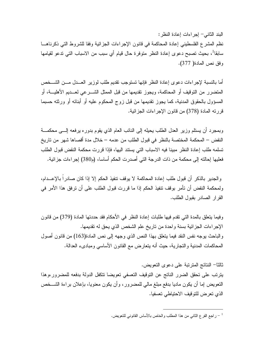البند الثاني – إجر إءات إعادة النظر :

نظم المشرع الفلسطيني إعادة المحاكمة في قانون الإجراءات الجز ائية وفقا للشر وط التي ذكر ناهــا سابقا<sup>1</sup>، بحيث تصبح دعوى إعادة النظر متوفرة حال قيام أي سبب من الاسباب التي تدعو لقيامها وفق نص المادة( 377).

أما بالنسبة لإجراءات دعوى إعادة النظر فإنها نستوجب نقديم طلب لوزير العسدل مسن الشسخص المتضرر من التوقيف أو المحاكمة، ويجوز تقديمها من قبل الممثل الشـــرعي لعـــديم الأهليـــة، أو المسؤول بالحقوق المدنية، كما يجوز تقديمها من قبل زوج المحكوم عليه أو أبنائه أو ورثته حسبما قررته المادة (378) من قانون الإجراءات الجزائية.

وبمجرد أن يستلم وزير العدل الطلب يحيله إلى النائب العام الذي يقوم بدوره يرفعه إلـــي محكمـــة النقض – المحكمة المختصة بالنظر في قبول الطلب من عدمه – خلال مدة أقصاها شهر من تاريخ تسلمه طلب إعادة النظر مبينا فيه الاسباب التي يستند اليها، فإذا قررت محكمة النقض قبول الطلب فعليها إحالته إلى محكمة من ذات الدرجة التي أصدرت الحكم أساسا، (م380) إجراءات جزائية.

والجدير بالذكر أن قبول طلب إعادة المحاكمة لا يوقف نتفيذ الحكم إلا إذا كان صادراً بالإعـــدام، ولمحكمة النقض أن تأمر بوقف نتفيذ الحكم إذا ما قررت قبول الطلب على أن ترفق هذا الأمر في القرار الصادر بقبول الطلب.

وفيما يتعلق بالمدة التي تقدم فيها طلبات إعادة النظر في الأحكام فقد حددتها المادة (379) من قانون الإجراءات الجزائية بسنة واحدة من ناريخ علم الشخص الذي يحق له تقديمها. والباحث بوجه نفس النقد فيما يتعلق بهذا النص الذي وجهه إلى نص المادة(163) من قانون أصول المحاكمات المدنية والتجارية، حيث أنه يتعارض مع القانون الأساسي ومبادىء العدالة.

ثالثا– النتائج المنز نبة على دعو ي التعويض. يترتب على تحقق الضرر الناتج عن التوقيف التعسفي تعويضا نتكفل الدولة بدفعه للمضرور وهذا النعويض إما أن يكون ماديا بدفع مبلغ مالي للمضرور ، وأن يكون معنويا، بإعلان براءة الشـــخص الذي نعرض للتوقيف الاحتياطي تعسفيا.

راجع الفرع الثاني من هذا المطلب والخاص بالأساس القانوني للتعويض.  $\mathcal{I}$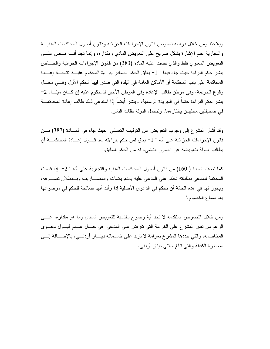ويلاحظ ومن خلال در اسة نصوص قانون الإجر اءات الجز ائية وقانون أصول المحاكمات المدنيـــة والنجارية عدم الإشارة بشكل صريح على النعويض المادي ومقداره، وإنما نجد أنـــه نـــص علــــي النعويض المعنوي فقط والذي نصت عليه المادة (383) من قانون الإجراءات الجزائية والخـــاص بنشر حكم البراءة حيث جاء فيها " 1− يعلق الحكم الصادر ببراءة المحكوم عليـــه نتيجـــة إعـــادة المحاكمة على باب المحكمة أو الأماكن العامة في البلدة التي صدر فيها الحكم الأول وفسى محــل وقوع الجريمة، وفي موطن طالب الإعادة وفي الموطن الأخير للمحكوم عليه إن كـــان ميتـــا. 2-ينشر حكم البراءة حتما في الجريدة الرسمية، وينشر أيضا إذا استدعى ذلك طالب إعادة المحاكمــــة في صحيفتين محليتين يختار هما، وتتحمل الدولة نفقات النشر ."

وقد أشار المشرع إلى وجوب النعويض عن النوفيف النعسفي حيث جاء في المسادة (387) مــن قانون الإجراءات الجزائية على أنه " 1– يحق لمن حكم ببراءته بعد قبـــول إعــــادة المحاكمــــة أن يطالب الدولة بتعويضه عن الضرر الناشيء له من الحكم السابق."

كما نصت المادة ( 160) من قانون أصول المحاكمات المدنية والتجارية على أنه " 2– إذا قضت المحكمة للمدعي بطلباته تحكم على المدعى عليه بالتعويضات والمصــــاريف وبـــبطلان تصــــرفه، ويجوز لها في هذه الحالة أن تحكم في الدعوى الأصلية إذا رأت أنها صالحة للحكم في موضوعها بعد سماع الخصوم."

ومن خلال النصوص المتقدمة لا نجد أية وضوح بالنسبة للتعويض المادي وما هو مقداره، علـــي الرغم من نص المشرع على الغرامة التي تفرض على المدعى في حــال عــدم فبــول دعــوى المخاصمة، والتي حددها المشرع بغرامة لا نزيد على خمسمائة دينـــار أردنـــي، بالإضـــافة إلـــي مصادرة الكفالة والتي نبلغ مائتي دينار أردني.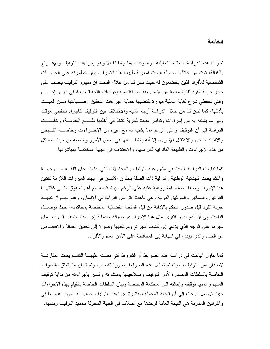تناولت هذه الدراسة البحثية التحليلية موضوعا مهما وشائكا ألا وهو إجراءات التوقيف والإفسراج بالكفالة، تمت من خلالها محاولة البحث لمعرفة طبيعة هذا الإجر اء وبيان خطور ته على الحريسات الشخصية للأفر اد الذين يخضعون له حيث تبين لنا من خلال البحث أن مفهوم التوقيف ينصب على حجز حرية الفرد لفترة معينة من الزمن وفقا لما تقتضيه إجراءات التحقيق، وبالتالي فهـــو إجـــراء وقتى تحفظي شرع لغاية عملية مبررة تقتضيها حماية إجراءات التحقيق وصـــيانتها مـــن العبـــث بأدلتها، كما نبين لنا من خلال الدراسة أوجه الشبه والاختلاف بين التوقيف كإجراء تحفظي مؤقت وبين ما يشتبه به من إجراءات وندابير مقيدة للحرية نتخذ في أغلبها طـــابع العقوبـــة، وخلصـــت الدراسة إلى أن النوقيف وعلى الرغم مما يشتبه به مع غيره من الإجـــراءات وخاصــــة القـــبض والاقتياد المادي والاعتقال الإداري، إلا أنه يختلف عنها في بعض الأمور وخاصة من حيث مدة كل من هذه الإجراءات والطبيعة القانونية لكل منها، والاختلاف في الجهة المختصة بمباشرتها.

كما نتاولت الدراسة البحث في مشروعية النوقيف والمحاولات التي بذلها رجال الفقــه مـــن جهـــة والتشريعات الجنائية الوطنية والدولية ذات الصلة بحقوق الانسان في إيجاد المبررات اللازمة لنقنين هذا الإجراء وإضفاء صفة المشروعية عليه على الرغم من نتاقضه مع أهم الحقوق التسى كفلتهـــا القوانين والدسانير والمواثيق الدولية وهي قاعدة افتراض البراءة في الإنسان، وعدم جــواز نقييــد حرية الفرد قبل صدور الحكم بالإدانة من قبل السلطة القضائية المختصة بمحاكمته، حيث توصـــل الباحث إلى أن أهم مبرر لنقرير مثل هذا الإجراء هو صبانة وحماية إجراءات النحقيــق وضـــمان سيرها على الوجه الذي يؤدي إلى كشف الجرائم ومرتكبيها وصولا إلى نحقيق العدالة والاقتصاص من الجناة والذي يؤدي في النهاية إلى المحافظة على الأمن العام والأفراد.

كما نتاول الباحث في در استه هذه الضوابط أو الشروط التي نصت عليهـــا التشـــريعات المقارنــــة لاصدار أمر التوقيف، حيت تم تحليل هذه الضوابط بصورة تفصيلية وتم تبيان ما يتعلق بالضوابط الخاصة بالسلطات المصدرة لأمر النوقيف وصلاحيتها بمباشرته والسير بإجراءاته من بداية نوقيف المتهم و تمديد توقيفه وإحالته إلى المحكمة المختصة وبيان السلطات الخاصة بالقيام بهذه الاجر إءات حيث نوصل الباحث إلى أن الجهة المخولة بمباشرة اجر اءات النوقيف حسب القـــانون الفلســـطيني والقوانين المقارنة هي النيابة العامة لوحدها مع اختلاف في الجهة المخولة بتمديد التوقيف ومدتها.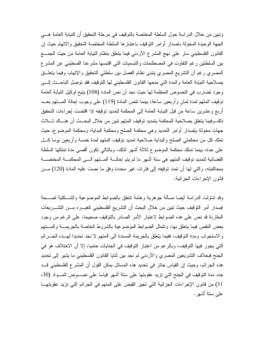ونبين من خلال الدراسة حول السلطة المختصة بالتوقيف في مرحلة التحقيق أن النيابة العامة هـــي الجهة الوحيدة المخولة باصدار أوامر التوقيف باعتبارها السلطة المختصة التحقيق والاتهام حيث إن القانون الفلسطيني سار على نهج المشرع الأردني فيما يتعلق بنظام النيابة العامة من حيث الجمـــع بين السلطتين رغم التفاوت في المصطلحات والتسميات التي اقتبسها مشرعنا الفسطيني عن المشر ع المصري رغم أن النشريع المصري يتبنى نظام الفصل بين سلطتي النحقيق والإتهام، وفيما يتعلَّــق بصلاحية النيابة العامة والمدة التي منحها القانون الفلسطيني لها للتوقيف فقد نوصل الباحــث إلـــي وجود تضارب في النصوص المنظمة لها حيث نجد أن نص المادة (108) يتيح لوكيل النيابة العامة نوقيف المتهم لمدة ثمان وأربعين ساعة، بينما نتص المادة (119) على وجوب إحالة المستهم بعسد أربع وعشرين ساعة من قبل النيابة العامة إلى المحكمة لتمديد توقيفه إذا اقتضت إجراءات التحقيق ذلك وفيما يتعلق بصلاحية المحكمة بتمديد توقيف المتهم تبين من خلال البحـــث أن هنـــاك ثــــلاث جهات مخولة بإصدار أوامر التمديد وهي محكمة الصلح ومحكمة البداية، ومحكمة الموضوع، حيث تملك كل من محكمتي الصلح والبداية صلاحية تمديد توفيف المتهم لمدة خمسة وأربعين بوما كل على حدة، بينما نملك محكمة الموضوع ثلاثة أشهر لذلك، وبالتالي نكون أقصبي مدة تملكها السلطة القضائية لتمديد توقيف المتهم هي ستة أشهر ما لم يتم إحالــــة المــــتهم الــــي المحكمــــة المختصــــة بمحاكمته، والتي لها أن تمدد توقيفه إلى فترات غير محددة وفق ما نصت عليه المادة (120) مـــن قانون الإجراءات الجزائية.

وقد نتاولت الدراسة أيضا مسألة جوهرية وهامة نتعلق بالضوابط الموضوعية والشــكلية لصـــحة إصدار أمر التوقيف حيث تبين من خلال البحث أن التشريع الفلسطيني كغيـــره مـــن التشـــريعات المقارنة قد نص على هذه الضوابط لاعتبار الأمر الصادر بالتوقيف صحيحا، على الرغم من وجود بعض النقص فيما يتعلق بها، ونتمثل الضوابط الموضوعية بالشروط الخاصة بالجريمـــة والمـــتهم والاستجواب ومدة التوقيف، ففيما يتعلَّق بالجريمة المسندة الى المتهم لا نجد تحديدا لهسذه الجسرائم التي يجوز فيها التوقيف، وبالرغم من اعتبار التوقيف في الجنايات حتميا، إلا أن الاختلاف هو في الجنح فبخلاف التشريعين المصرى والأردني لم نجد بين ثنايا القانون الفلسطيني ما يشير إلى تحديد هذه الجرائم، وحيث إن القياس جائز في تحديد هذه المسائل يمكن القول أن المشرع الفلسطيني قــد حدد مدة التوقيف في الجنح التي تزيد عقوبتها على ستة أشهر قياسا على نصــــوص المــــواد (30، 31) من قانون الإجراءات الجزائية التي تجيز القبض على المتهم في الجرائم التي تزيد عقوبتهــا علي ستة أشهر .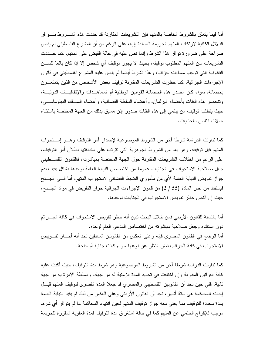أما فيما بنعلق بالشر وط الخاصة بالمتهم فإن النشر يعات المقارنة قد حددت هذه الشـــر وط بنــــو افر الدلائل الكافية لارتكاب المتهم الجريمة المسندة إليه، على الرغم من أن المشر ع الفلسطيني لم ينص صراحة على ضرورة توافر هذا الشرط وإنما نص عليه في حالة القبض على المتهم، كما حـــددت التشريعات سن المتهم المطلوب توقيفه، بحيث لا يجوز توقيف أي شخص إلا إذا كان بالغا للســـن القانونية التي نوجب مساءلته جزائيا، وهذا الشرط أيضا لم ينص عليه المشرع الفلسطيني في قانون الإجراءات الجزائية، كما حظرت التشريعات المقارنة توقيف بعض الأشخاص من الذين يتمتعـــون بحصانة، سواء كان مصدر ٍ هذه الحصانة القوانين الوطنية أم المعاهــدات والإتفاقيـــات الدوليـــة، وتنحصر هذه الفئات بأعضاء البرلمان، وأعضاء السلطة القضائية، وأعضاء الســـلك الدبلوماســــي، حيث يتطلب توقيف من ينتمي إلى هذه الفئات صدور إذن مسبق بذلك من الجهة المختصة باستثناء حالات النلبس بالجنايات.

كما نتاولت الدر اسة شرطا آخر ٍ من الشر وط الموضوعية لإصدار أمر التوقيف وهـــو اســـتجواب المتهم قبل توقيفه، وهو يعد من الشروط الجوهرية التي نترنب على مخالفتها بطلان أمر التوقيف، على الرغم من اختلاف التشريعات المقارنة حول الجهة المختصة بمباشرته، فالقانون الفلســطيني جعل صلاحية الاستجواب في الجنايات عموما من اختصاص النيابة العامة لوحدها بشكل يفيد بعدم جواز نفويض النيابة العامة لأي من مأموري الضبط القضائي لاستجواب المتهم، أما فـــي الـجـــنح فيستفاد من نص المادة (55 / 2) من قانون الإجراءات الجزائية جواز النفويض في مواد الجـــنح، حيث إن النص حظر تفويض الاستجواب في الجنايات لوحدها.

أما بالنسبة للقانون الأردني فمن خلال البحث تبين أنه حظر تفويض الاستجواب في كافة الجـــرائم دون استثناء وجعل صلاحية مباشرته من اختصاص المدعى العام لوحده. أما الوضع في القانون المصري فإنه وعلى العكس من القانونين السابقين نجد أنه أجـــاز تفـــويض الاستجواب في كافة الجرائم بغض النظر عن نوعها سواء كانت جناية أم جنحة.

كما نتاولت الدر اسة شرطا آخر ًمن الشر وط الموضوعية و هو شرط مدة التوقيف، حيث أكدت عليه كافة القوانين المقارنة وإن اختلفت في تحديد المدة الزمنية له من جهة، والسلطة الآمرة به من جهة ثانية، ففي حين نجد أن القانونين الفلسطيني والمصري قد جعلا المدة القصوى لتوقيف المتهم قبـــل إحالته للمحاكمة هي ستة أشهر، نجد أن القانون الأردنبي وعلى العكس من ذلك لم يقيد النيابة العامة بمدة محددة للتوقيف مما يعني معه جواز توقيف المتهم لحين انتهاء المحاكمة ما لم يتوافر أي شرط موجب للإفراج الحتمي عن المتهم كما في حالة استغراق مدة التوقيف لمدة العقوبة المقررة للجريمة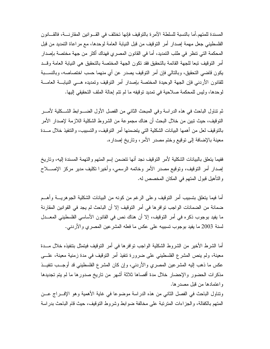المسندة للمتهم.أما بالنسبة للسلطة الآمر ة بالتوقيف فإنها تختلف في القــو انين المقار نـــة، فالقـــانو ن الفلسطيني جعل مهمة إصدار أمر النوقيف من قبل النيابة العامة لوحدها، مع مراعاة التمديد من قبل المحكمة التي تتظر في طلب التمديد، أما في القانون المصرى فهناك أكثر من جهة مختصة بإصدار أمر النوقيف نبعا للجهة القائمة بالتحقيق فقد نكون الجهة المختصة بالتحقيق هي النيابة العامة وقـــد يكون قاضيي التحقيق، وبالنالي فإن أمر التوقيف يصدر عن أي منهما حسب اختصاصه، وبالنســـبة للقانون الأردنبي فإن الجهة الوحيدة المختصة بإصدار أمر التوقيف وتمديده هـــي النيابـــة العامــــة لوحدها، وليس للمحكمة صلاحية في تمديد توقيفه ما لم نتم إحالة الملف التحقيقي إليها.

ثم تتاول الباحث في هذه الدراسة وفي المبحث الثاني من الفصل الأول الضــــوابط الشـــكلية لأمـــر النوفيف، حيث نبين من خلال البحث أن هناك مجموعة من الشروط الشكلية اللازمة لإصدار الأمر بالنوقيف لعل من أهمها البيانات الشكلية التي يتضمنها أمر النوقيف، والتسبيب، والتنفيذ خلال مـــدة معينة بالإضافة إلى توقيع وختم مصدر الأمر، وتاريخ إصداره.

ففيما يتعلق بالبيانات الشكلية لأمر النوقيف نجد أنها نتضمن إسم المتهم والنهمة المسندة إليه، وناريخ إصدار أمر النوقيف، ونوقيع مصدر الأمر وخاتمه الرسمي، وأخيرا نكليف مدير مركز الإصــــلاح و النّأهيل قبول المتهم في المكان المخصص له.

أما فيما يتعلق بتسبيب أمر التوقيف وعلى الرغم من كونه من البيانات الشكلية الجوهريـــة وأهـــم ضمانة من الضمانات الواجب توافر ها في أمر التوقيف إلا أن الباحث لم يجد في القوانين المقارنة ما يفيد بوجوب ذكره في أمر التوقيف، إلا أن هناك نص في القانون الأساسي الفلسطيني المعـــدل لسنة 2003 ما يفيد بوجوب نسبيبه على عكس ما فعله المشرعين المصري والأردنبي.

أما الشرط الأخير ٍ من الشر وط الشكلية الواجب توافر ها في أمر التوقيف فيتمثل بتتفيذه خلال مـــدة معينة، ولم ينص المشرع الفلسطيني على ضرورة تنفيذ أمر التوقيف في مدة زمنية معينة، علـــي عكس ما ذهب إليه المشرعين المصري والأردنبي، وإن كان المشرع الفلسطيني قد أوجــب نتفيــذ مذكرات الحضور والإحضار خلال مدة أقصاها ثلاثة أشهر من تاريخ صدورها ما لم يتم تجديدها واعتمادها من قبل مصدر ها.

ونتاول الباحث في الفصل الثاني من هذه الدراسة موضوعا في غاية الأهمية وهو الإف راج عـــن المتهم بالكفالة، والجزاءات المترتبة على مخالفة ضوابط وشروط التوقيف، حيث قام الباحث بدراسة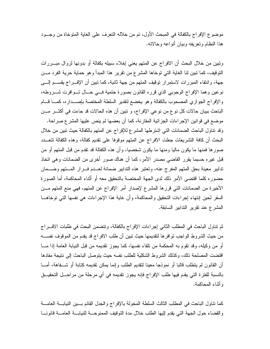موضوع الإفر اج بالكفالة في المبحث الأول، تم من خلاله النعر ف على الغاية المنو خاة من وجــود هذا النظام وتعريفه وبيان أنواعه وحالاته.

ونبين من خلال البحث أن الافراج عن المتهم يعني إخلاء سبيله بكفالة أو بدونها لزوال مبـــررات النَّوفيف، كما نبين لنا الغاية التي توخاها المشرع من نقرير هذا المبدأ و هو حماية حرية الفرد مـــن جهة، وانتفاء المبررات لاستمرار توقيف المتهم من جهة ثانية، كما تبين أن الإفـــراج يقســـم إلــــي نوعين وهما الإفراج الوجوبي الذي قرره القانون بصورة حتمية فسي حسال تسوافرت شسروطه، والإفراج الجوازي المصحوب بالكفالة وهو يخضع لتقدير السلطة المختصة بإصــداره، كمـــا قـــام الباحث ببيان حالات كل نو ع من نو عي الإفر اج، و تبين أن هذه الحالات قد جاءت في أكثـــر مـــن موضع في قوانين الإجراءات الجزائية المقارنة، كما أن بعضها لم ينص عليها المشر ع صراحة. وقد نتاول الباحث الضمانات التي اشترطها المشرع للإفراج عن المتهم بالكفالة حيث نبين من خلال البحث أن كافة التشريعات جعلت الافراج عن المتهم موقوفا على نقديم كفالة، وهذه الكفالة تتعـــدد صورها فمنها ما يكون ماليا ومنها ما يكون شخصيا، وأن هذه الكفالة قد نقدم من قبل المتهم أو من قبل غيره حسبما يقرر القاضى مصدر الأمر، كما أن هناك صور أخرى من الضمانات وهي اتخاذ تدابير معينة بحق المنهم المفرج عنه، وتعتبر هذه التدابير ضمانة لعــدم فـــرار المـــتهم وضـــمان حضوره كلما اقتضى الأمر ذلك لدى الجهة المختصة بالتحقيق معه أو أثناء المحاكمة، أما الصورة الأخيرة من الضمانات التي قررها المشرع لإصدار أمر الإفراج عن المتهم، فهي منع المتهم مـــن السفر لحين إنتهاء إجراءات التحقيق والمحاكمة، وأن غاية هذا الإجراءات هي نفسها التي توخاهـــا المشرع عند نقرير الندابير السابقة.

ثم نتاول الباحث في المطلب الثاني إجراءات الإفراج بالكفالة، ونتضمن البحث في طلبات الاف راج من حيث الشروط الواجب نوافرها لتقديمها حيث نبين أن طلب الافراج قد يقدم من الموقوف نفســـه أو من وكيله، وقد تقوم به المحكمة من تلقاء نفسها، كما يجوز تقديمه من قبل النيابة العامة إذا مـــا اقتضت المصلحة ذلك، وكذلك الشر وط الشكلية للطلب نفسه حيث يتوصل الباحث إلى نتيجة مفادها أن القانون لم يتطلب قالبا أو نموذجا معينا لنقديم الطلب وإنما يمكن نقديمه كتابة أو شـــفاهة، أمــــا بالنسبة للفترة التي يقدم فيها طلب الإفراج فإنه يجوز نقديمه في أي مرحلة من مراحـــل التحقيـــق و أثناء المحاكمة.

كما نتاول الباحث في المطلب الثالث السلطة المخولة بالإفراج والجدل القائم بسين النيابـــة العامــــة والقضاء حول الجهة النبي يقدم إليها الطلب خلال مدة النوقيف الممنوحـــة للنيابـــة العامـــة قانونــــا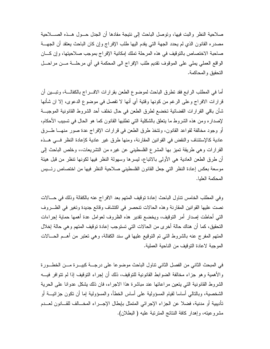صلاحية النظر والبت فيها، وتوصل الباحث إلى نتيجة مفادها أن الجدل حــول هــذه الصــــلاحية مصدره القانون الذي لم يحدد الجهة التي يقدم اليها طلب الإفراج وإن كان الباحث يعتقد أن الجهـــة صاحبة الاختصاص بالتوقيف في هذه المرحلة تملك إمكانية الإفراج بموجب صلاحيتها، وإن كـــان الواقع العملي يملي على الموقوف نقديم طلب الإفراج الى المحكمة في أي مرحلــــة مــــن مراحــــل التحقيق و المحاكمة.

أما في المطلب الرابع فقد نطرق الباحث لموضوع الطعن بقرارات الافـــراج بالكفالـــة، ونبـــين أن قرارات الافراج وعلى الرغم من كونها وقتية أي أنها لا تفصل في موضوع الدعوى، إلا ان شأنها شأن باقي القرار ات القضائية تخضع لطرق الطعن في حال تخلف أحد الشروط القانونية الموجبـــة لإصداره ومن هذه الشروط ما يتعلق بالشكلية التي نطلبها القانون كما هو الحال في تسبيب الأحكام، أو وجود مخالفة لقواعد القانون، ونتخذ طرق الطعن في قرارات الإفراج عدة صور منهـــا طــــرق عادية كالإستئناف والنقض في القوانين المقارنة، ومنها طرق غير عادية كإعادة النظر فسي هــذه القرارات وهي طريقة تميز بها المشرع الفلسطيني عن غيره من التشريعات،، وخلص الباحث إلى أن طرق الطعن العادية هي الأولى بالانباع، ليسرها وسهولة النظر فيها لكونها نتظر من قبل هيئة موسعة بعكس إعادة النظر التي جعل القانون الفلسطيني صلاحية النظر فيها من اختصاص رئـــيس المحكمة العليا.

وفي المطلب الخامس نتاول الباحث إعادة توقيف المتهم بعد الافراج عنه بالكفالة وذلك في حــالات نصت عليها القوانين المقارنة وهذه الحالات تنحصر في اكتشاف وقائع جديدة وتغير في الظـروف التبي أحاطت إصدار أمر التوقيف، ويخضع نقدير هذه الظروف لعوامل عدة أهمها حماية إجراءات التحقيق، كما أن هناك حالة أخرى من الحالات التي تستوجب إعادة توقيف المتهم وهي حالة إخلال المتهم المفرج عنه بالشروط التي تم التوقيع عليها في سند الكفالة، وهي تعتبر من أهــم الحـــالات الموجبة لاعادة التوقيف من الناحية العملية.

في المبحث الثاني من الفصل الثاني نتاول الباحث موضوعا على درجـــة كبيـــرة مـــن الخطـــورة والأهمية وهو جزاء مخالفة الضوابط القانونية للتوقيف، ذلك أن إجراء التوقيف إذا لم تتوافر فيـــه الشروط القانونية التي يتعين مراعاتها عند مباشرة هذا الاجراء، فان ذلك يشكل عدوانا على الحرية الشخصية، وبالنالـي أساسا لقيام المسؤولية علـي أساس الخطأ، والمسؤولية إما أن نكون جزائيــــة أو تأديبية أو مدنية، فضلا عن الجزاء الإجرائي المتمثل بإبطال الإجـــراء المخـــالف للقـــانون لعـــدم مشروعيته، وإهدار كافة النتائج المترنبة عليه ( البطلان).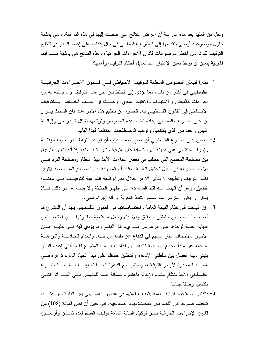ولعل من المفيد بعد هذه الدراسة أن أعرض النتائج التي خلصت إليها في هذه الدراسة، وهي بمثابة حلول موضوعية أوصبي بتقديمها إلى المشرع الفلسطيني في حال إقدامه على إعادة النظر في تتظيم النوقيف لكونه من أخطر موضوعات قانون الإجراءات الجزائية، وهذه النتائج هي بمثابة ضـــوابط قانونية بتعين أن نؤخذ بعين الاعتبار عند تعديل أحكام التوقيف وأهمها:

- 1– نظرا لتبعثر النصوص المنظمة للتوقيف الاحتياطي فسي قسانون الاجسراءات الجزائيسة الفلسطيني في أكثر من باب، مما يؤدي إلى الخلط بين إجراءات التوقيف وما يشتبه به من لِجراءات كالقبض والاستيقاف والاقتياد المادى، وحيـــث إن البــــاب الخــــاص بـــالنوفيف الاحتياطي في القانون الفلسطيني جاء قاصر ا عن نتظيم هذه الاجر اءات فان الباحث يسرى أن على المشرع الفلسطيني إعادة تنظيم هذه النصوص ونرنيبها بشكل تـــدريجي وإزالــــة اللبس والغموض الذي يكتنفها، ونوحيد المصطلحات المنظمة لهذا الباب.
- 2– يتعين على المشرع الفلسطيني أن يضع نصب عينيه أن قواعد التوقيف ذو طبيعة مؤقتـــة وإجراء استثنائي على قرينة البراءة وإذا كان التوقيف شر لا بد منه، إلا أنه يتعين التوفيق بين مصلحة المجتمع التي تتطلب في بعض الحالات الأخذ بهذا النظام ومصلحة الفرد في ألا نمس حريته في سبيل تحقيق العدالة، وقلنا أن الموازنة بين المصالح المتعارضة لاقرار نظام التوقيف وتطبيقه لا يتأتى إلا من خلال فهم الوظيفة الشرعية للتوقيــف فـــى معنـــاه الضيق، وهو أن الهدف منه فقط المساعدة على إظهار الحقيقة ولا هدف له غير ذلك، فـــلا يمكن أن يكون الغرض منه ضمان نتفيذ العقوبة أو أنه إجراء أمني.
- 3− إن الباحث في نظام النيابة العامة واختصاصاتها في القانون الفلسطيني يجد أن المشرع قد أخذ بمبدأ الجمع بين سلطتي التحقيق والادعاء وجعل صلاحية مباشرتها مـــن اختصــــاص النيابة العامة لوحدها على الرغم من مساويء هذا النظام وما يؤدي اليه فسي كثيـــر مـــن الاحيان بالاجحاف بحق المتهم في الدفاع عن نفسه من جهة، وانعدام الحياديـــة والنز اهـــة الناجمة عن مبدأ الجمع من جهة ثانية، فان الباحث يطالب المشرع الفلسطيني إعادة النظر بتبني مبدأ الفصل بين سلطتي الإدعاء والتحقيق حفاظا على مبدأ الحياد اللازم توافره فسي السلطة المصدرة لأوامر التوقيف، وتماشيا مع الدعوة الســـابقة فإننـــا نطالـــب المشـــرع الفلسطيني الأخذ بنظام قضاء الإحالة باعتباره ضمانة هامة للمتهمين فسى الجسرائم التسى تكتسب وصفا جنائيا.
- 4– بالنظر لصلاحية النيابة العامة بتوقيف المتهم في القانون الفلسطيني يجد الباحث أن هنساك تناقضا صارخا في النصوص المحددة لهذه الصلاحية، ففي حين أن نص المادة (108) من قانون الإجراءات الجزائية نجيز لوكيل النيابة العامة نوقيف المتهم لمدة ثمـــان وأربعـــين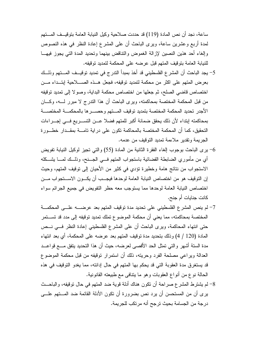ساعة، نجد أن نص المادة (119) قد حددت صلاحية وكيل النيابة العامة بنو قيــف المـــتهم لمدة أربع وعشرين ساعة، ويرى الباحث أن على المشرع إعادة النظر في هذه النصوص وإلغاء أحد هذين النصين لإزالة الغموض والنتاقض بينهما ونحديد المدة التبي يجوز فيهــا للنيابة العامة بتوقيف المتهم قبل عرضه على المحكمة لتمديد توقيفه.

- 5– يجد الباحث أن المشرع الفلسطيني قد أخذ بمبدأ الندرج في تمديد توقيــف المـــتهم وذلـــك بعرض المتهم على اكثر من محكمة لتمديد توقيفه، فجعل هــذه الصــــلاحية إبتـــداء مـــن اختصاص قاضي الصلح، ثم جعلها من اختصاص محكمة البداية، وصولا إلى تمديد توقيفه من قبل المحكمة المختصة بمحاكمته، ويرى الباحث أن هذا التدرج لا مبرر لــــه، وكــــان الأجدر تحديد المحكمة المختصة بتمديد توقيف المستهم وحصسر ها بالمحكمسة المختصسة بمحاكمته إبتداء لأن ذلك يحقق ضمانة أكبر للمتهم فضلا عــن التســـريع فـــى إجـــراءات التحقيق، كما أن المحكمة المختصة بالمحاكمة تكون على دراية تامـــة بمقــدار خطــورة الجريمة وتقدير ملاءمة تمديد التوقيف من عدمه.
- و الذي توجوب إلغاء الفقرة الثانية من المادة (55) والتي تجيز لوكيل النيابة تفويض وجوب إلغاء الفقرة الثانية -أي من مأموري الضابطة القضائية باستجواب المنهم فـــى الـجـــنـح، وذلـــك لمــــا يشـــكله الاستجواب من نتائج هامة وخطيرة تؤدي في كثير من الأحيان إلى توقيف المتهم، وحيث إن التوقيف هو من اختصاص النيابة العامة لوحدها فيجـــب أن يكـــون الاســــتجواب مـــن اختصاص النيابة العامة لوحدها مما يستوجب معه حظر التفويض في جميع الجرائم سواء كانت جنايات أم جنح.
- 7- لم ينص المشرع الفلسطيني على نحديد مدة توقيف المتهم بعد عرضــــه علـــى المحكمـــة المختصة بمحاكمته، مما يعني أن محكمة الموضوع تملك تمديد توقيفه إلى مدد قد تســـتمر حتى انتهاء المحاكمة، ويرى الباحث أن على المشرع الفلسطيني إعادة النظر في نــص المادة (120 / 4) وذلك بتحديد مدة توقيف المتهم بعد عرضه على المحكمة، أي بعد انتهاء مدة الستة أشهر والتي تمثَّل الحد الأقصى لعرضه، حيث أن هذا التحديد يتفق مـــع قواعـــد العدالة ويراعى مصلحة الفرد وحريته، ذلك أن استمرار توقيفه من قبل محكمة الموضوع قد يستغرق مدة العقوبة التي قد يحكم بها المتهم في حال إدانته، مما يغدو التوقيف في هذه الحالة نوع من أنواع العقوبات وهو ما يتنافى مع طبيعته القانونية.
- 8– لم يشترط المشرع صراحة أن نكون هناك أدلة قوية ضد المتهم في حال توقيفه، والباحــث يرى أن من المستحسن أن يرد نص بضرورة أن تكون الأدلة القائمة ضد المـــتهم علـــي درجة من الجسامة بحيث ترجح أنه مرتكب للجريمة.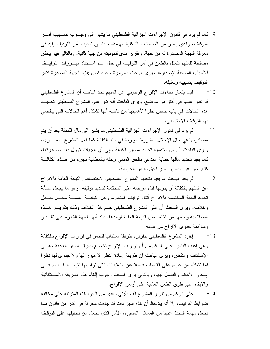- 9– كما لم يرد في قانون الإجراءات الجزائية الفلسطيني ما يشير إلى وجــوب تســـبيب أمـــر النَّوقيف، و الذي يعتبر ٍ من الضمانات الشكلية الهامة، حيث إن تسبيب أمر النَّوقيف يفيد في معرفة الجهة المصدرة له من جهة، وتقرير مدى قانونيته من جهة ثانية، وبالتالي فهو يحقق مصلحة للمتهم نتمثَّل بالطعن في أمر التوقيف في حال عدم اســـنتاد مبـــررات التوقيــف للأسباب الموجبة لإصداره، ويرى الباحث ضرورة وجود نص يلزم الجهة المصدرة لأمر النوقيف بتسبيبه وتعليله.
- فيما يتعلق بحالات الإفراج الوجوبي عن المتهم يجد الباحث أن المشرع الفلسطيني  $-10$ قد نص عليها في أكثر من موضع، ويرى الباحث أنه كان على المشرع الفلسطيني تحديــد هذه الحالات في باب خاص نظر! لأهميتها من ناحية أنها تشكل أهم الحالات التي ينقضي بها التوقيف الاحتياطي.
- 11 <sup>—</sup> لم يرد في قانون الإجراءات الجزائية الفلسطيني ما يشير الى مآل الكفالة بعد أن يتم مصادرتها في حال الإخلال بالشروط الواردة في سند الكفالة كما فعل المشرع المصــــري، ويرى الباحث أن من الاهمية تحديد مصير الكفالة وإلى أي الجهات نؤول بعد مصادرتها، كما يفيد نحديد مألها حماية المدعى بالحق المدنى وحقه بالمطالبة بجزء من هــذه الكفالـــة كتعويض عن الضرر الذي لحق به من الجريمة.
- لم يجد الباحث ما يفيد بتحديد المشرع الفلسطيني لاختصاص النيابة العامة بالإفراج  $-12$ عن المتهم بالكفالة أو بدونها قبل عرضه على المحكمة لتمديد نوقيفه، وهو ما يجعل مسألة تحديد الجهة المختصة بالافراج أثناء توقيف المتهم من قبل النيابـــة العامـــة محـــل جـــدل وخلاف، ويرى الباحث أن على المشرع الفلسطيني حسم هذا الخلاف وذلك بنقريـــر هـــذه الصلاحية وجعلها من اختصاص النيابة العامة لوحدها، ذلك أنها الجهة القادرة على تقــدير وملاءمة جدوى الافراج من عدمه.
- إنفرد المشرع الفلسطيني بتقريره طريقا استثنائيا للطعن في قرارات الإفراج بالكفالة  $-13$ وهي إعادة النظر، على الرغم من أن قرارات الإفراج تخضع لطرق الطعن العادية وهــي الإستئناف والنقض، ويرى الباحث أن طريقة إعادة النظر لا مبرر لها و لا جدوى لها نظر ا لما تشكله من عبء على القضاء، فضلا عن التعقيدات التي تواجهها نتيجـــة الـــبطء فـــي إصدار الأحكام والفصل فيها، وبالنالي برى الباحث وجوب إلغاء هذه الطريقة الاستثنائية والإبقاء على طرق الطعن العادية على أوامر الإفراج.
- 14– على الرغم من نقرير المشرع الفلسطيني للعديد من الجزاءات المترتبة على مخالفة ضوابط التوقيف، إلا أنه يلاحظ أن هذه الجزاءات قد جاءت متفرقة في أكثر من قانون مما يجعل مهمة البحث عنها من المسائل العسيرة، الأمر الذي يجعل من تطبيقها على التوقيف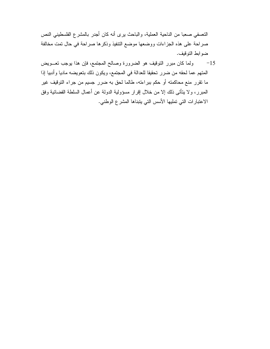التعسفي صعبا من الناحية العملية، والباحث يرى أنه كان أجدر بالمشرع الفلسطيني النص صراحة على هذه الجزاءات ووضعها موضع التنفيذ وذكرها صراحة في حال تمت مخالفة ضوابط التوقيف.

ولما كان مبرر النوقيف هو الضرورة وصالح المجتمع، فإن هذا بوجب تعـــويض  $-15$ المتهم عما لحقه من ضرر تحقيقا للعدالة في المجتمع، ويكون ذلك بتعويضه ماديا وأدبيا إذا ما نقرر منع محاكمته أو حكم ببراءته، طالما لحق به ضرر جسيم من جراء التوقيف غير الممبرر، ولا يتأتـى ذلك إلا من خلال إقرار مسؤولية الدولـة عن أعمـال السلطـة القضـائيـة وفق الاعتبارات التي تمليها الأسس التي يتبناها المشرع الوطني.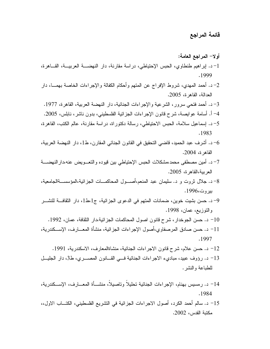- أولا– المراجع العامة: 1–د. ايراهيم طنطاوي، الحبس الإحتياطي، دراسة مقارنة، دار النهضـــة العربيـــة، القـــاهرة، .1999 2–د. أحمد المهدى، شروط الإفراج عن المنهم وأحكام الكفالة والإجراءات الخاصة بهمـــا، دار العدالة، القاهر ة، 2005. 3–د. أحمد فتحي سرور، الشرعية والإجراءات الجنائية، دار النهضة العربية، القاهرة، 1977. 4– أ. أسامة عوايصة، شرح قانون الإجراءات الجزائية الفلسطيني، بدون ناشر ، نابلس، 2005. 5– د. إسماعيل سلامة، الحبس الاحتياطي، رسالة دكتوراة، دراسة مقارنة، عالم الكتب، القاهرة، .1983
- د. أشرف عبد الحميد، قاضي التحقيق في القانون الجنائي المقارن، ط1، دار النهضة العربية،  $\sim\!6$ القاهر ة، 2004.
- 7– د. أمين مصطفى محمد،مشكلات الحبس الإحتياطي بين قيوده والتعـــويض عنه،دارالنـهضــــة العربية،القاهرة، 2005.
- 8– د. جلال نروت و د. سليمان عبد المنعم،أصـــول المحاكمـــات الجز ائية،المؤسســةالجامعية، بېر و ت،1996.
- 9– د. حسن بشيت خوين، ضمانات المتهم في الدعوى الجزائية، ج1،ط1، دار الثقافـــة للنشـــر والنوزيع، عمان، 1998.
	- 10– د. حسن الجوخدار ، شرح قانون اصول المحاكمات الجزائية،دار الثقافة، عمان، 1992.
- 11– د. حسن صادق المرصفاوي،أصول الإجراءات الجزائية، منشأة المعـــارف، الإســـكندرية، .1997
	- 12– د. حسن علام، شرح قانون الاجراءات الجنائية، منشاةالمعارف، الاسكندرية، 1991.
- 13– د. رؤوف عبيد، مباديء الاجراءات الجنائية فـــي القـــانون المصــــري، ط3، دار الجليـــل للطباعة والنشر .
- 14– د. ر مسيس بهنام، الإجر اءات الجنائية تحليلاً وتاصيلاً، منشـــأة المعـــار ف، الإســـكندر ية، .1984
- 15– د. سالم أحمد الكرد، أصول الاجراءات الجزائية في التشريع الفلسطيني، الكتـــاب الاول،، مكتبة القدس، 2002.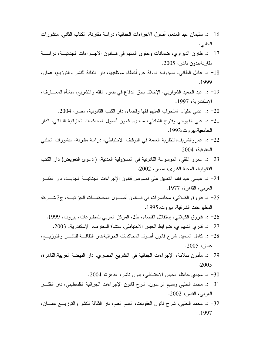- الحلبي.
- 17– د. طارق الديراوي، ضمانات وحقوق المتهم في قــانون الاجـــراءات الجنائيـــة، دراســـة مقارنة،بدون ناشر ، 2005.
- 18– د. عادل الطائبي، مسؤولية الدولة عن أخطاء موظفيها، دار الثقافة للنشر والنوزيع، عمان، .1999
- 19– د. عبد الحميد الشواربي، الإخلال بحق الدفاع في ضوء الفقه والتشريع، منشأة المعـــارف، الإسكندرية، 1997.
	- د. عدلي خليل، استجواب المتهم فقها وقضاء، دار الكتب القانونية، مصر ، 2004.  $\sim$ 20
- 21– د. عليي القهوجي وفتوح الشاذلبي، مباديء قانون أصول المحاكمات الجزائية اللبناني، الدار الجامعية،بير وت،1992.
- 22– د. عمروالشريف،النظرية العامة في التوقيف الاحتياطي، دراسة مقارنة، منشورات الحلبي الحقوقية، 2004.
- 23– د. عمرو الفقي، الموسوعة القانونية في المسؤولية المدنية، ( دعوى التعويض) دار الكتب القانونية، المحلة الكبر ي، مصر ، 2002.
- 24– د. عيسى عبد الله، التعليق على نصوص قانون الإجراءات الجنائيـــة الجديـــد، دار الفكـــر العربي، القاهرة، 1977.
- 25– د. فاروق الكيلاني، محاضرات في قـــانون أصـــول المحاكمـــات الجزائيـــة، ج2،شـــركة المطبوعات الشرقية، بيروت،1995.
	- 26– د. فاروق الكيلاني، اِستقلال القضاء، ط2، المركز العربي للمطبوعات، بيروت، 1999. 27– د. قدري الشهاوي، ضوابط الحبس الاحتياطي، منشأة المعارف، الإسكندرية، 2003.
		-
- 28– د. كامل السعيد، شرح قانون أصول المحاكمات الجزائية،دار الثقافـــة للنشــــر والنوزيــــع، عصان، 2005.
- 29– د. مأمون سلامة، الإجراءات الجنائية في التشريع المصرى، دار النهضة العربية،القاهرة،  $.2005$ 
	- 30- د. مجدي حافظ، الحبس الاحتياطي، بدون ناشر، القاهرة، 2004.
- 31– د. محمد الحلبي وسليم الزعنون، شرح قانون الإجراءات الجزائية الفلسطيني، دار الفكـــر العربي، القدس، 2002.
- 32– د. محمد الحلبي، شرح قانون العقوبات، القسم العام، دار الثقافة للنشر والتوزيـــع عمـــان، .1997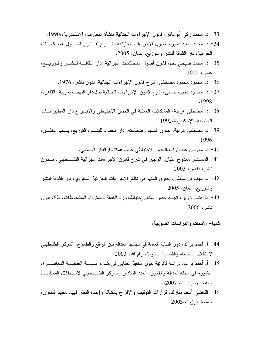- 33– د. محمد زكي أبو عامر ، قانون الإجر اءات الجنائية،منشأة المعار ف، الإسكندر ية،،1990. 34– د. محمد سعيد نمور، أصول الاجراءات الجزائية، شـــرح لقـــانون اصـــول المحاكمـــات الجزائية، دار الثقافة للنشر والنوزيع، عمان، 2005. 35– د. محمد صبحي نجم، قانون أصول المحاكمات الجزائية، دار الثقافــــة للنشــــر والنوزيــــع، عمان، 2000. 36– د. محمود محمود مصطفى، شرح قانون الإجراءات الجنائية، بدون ناشر، 1976. 37– د. محمود نجيب حسني، شرح قانون الإجراءات الجنائية،ط3،دار النهضةالعربية، القاهرة، .1998 38– د. مصطفى هرجة، المشكلات العملية في الحبس الإحتياطي والإف راج،دار المطبوعــات الجامعية، الإسكندر بة،1992.
- 39– د. مصطفى هرجة، حقوق المنهم وضماناته، دار محمود للنشــــروالنوزيـع، بــــاب الخلــــق، .1996
	- 40– د. معوض عبدالنواب،الحبس الاحتياطي علماًوعملاً،دار الفكر الجامعي.
- 41– المستشار ممدوح عليان، الوجيز في شرح قانون الإجراءات الجزائية الفلســطيني، بـــدون ناشر ، نابلس، 2003.
- 42− د. نايف بن سلطان، حقوق المتهم في نظام الاجراءات الجزائية السعودي، دار الثقافة للنشر والتوزيع، عمان، 2005
- 43– د. هشام زوين، تجديد حبس المتهم إحتياطيا، رد الكفالة واسترداد المضبوطات، ط6، بدون ناشر ، 2006.

ثانيا– الأبحاث والدراسات القانونية:

جامعة بيرزيت،2003.

44– أ. أحمد براك، دور النيابة العامة في تجسيد العدالة بين الواقع والطموح، المركز الفلسطيني لاستقلال المحاماة والقضاء" مساواة"، رام الله، 2003. 45− أ. أحمد براك، دراسة قانونية حول النتفيذ العقابي في ضوء السياسة العقابيــــة المعاصـــــرة، منشورة في مجلَّة العدالة والقانون، العدد السادس، المركز الفلســطينـي لاســنقلال المحامـــاة والقضاء، رام الله، 2007. 46− القاضـي أسعد مبارك، قرارات النوقيف والإفراج بالكفالة وإعادة النظر فيها، معهد الـحقوق،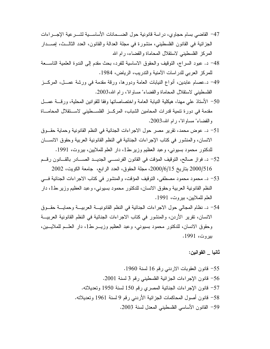- 47– القاضبي بسام حجاوى، در اسة قانونية حول الضـــمانات الأساســـية لشـــر عية الإجـــر اءات الْجزائية في القانون الفلسطيني، منشورة في مجلة العدالة والقانون، العدد الثالــث، إصـــدار المركز الفلسطيني لاستقلال المحاماة والقضاء، رام الله
- 48– د. عبود السراج، النوقيف والحقوق الاساسية للفرد، بحث مقدم إلى الندوة العلمية التاســـعة للمركز العربي للدراسات الأمنية والندريب، الرياض، 1984.
- 49– د.عصـام عابدين، أنواع النيابات العامة ودورها، ورقة مقدمة في ورشة عصــل، المركـــز الفلسطيني لاستقلال المحاماة والقضاء" مساواة"، رام الله،2003.
- 50− الأستاذ على مهنا، هيكلية النيابة العامة واختصاصاتها وفقا للقوانين المحلية، ورقسة عمسل مقدمة في دورة تنمية قدرات المحامين الشباب، المركـــز الفلســـطيني لاســـتقلال المحامــــاة وِ القضاء" مساوِاة"، رام الله،2003.
- 51 د. عوض محمد، نقرير مصر حول الاجراءات الجنائية في النظم القانونية وحماية حقـــوق الانسان، والمنشور في كتاب الإجراءات الجنائية في النظم القانونية العربية وحقوق الانســان للدكتور محمود بسيوني، وعبد العظيم وزير ،ط1، دار العلم للملايين، بيروت، 1991.
- 52– د. فواز صالح، النوقيف المؤقت في القانون الفرنســي الجديــد الصــــادر بالقـــانون رقـــم 2000/516 بناريخ 2000/6/15، مجلة الحقوق، العدد الرابع، جامعة الكويت، 2002
- 53– د. محمود محمود مصطفى، النوقيف المؤقت، والمنشور في كتاب الاجراءات الجنائية في النظم القانونية العربية وحقوق الانسان، للدكتور محمود بسيوني، وعبد العظيم وزير ،ط1، دار العلم للملايين، بيروت، 1991.
- 54– د. نظام المجالي حول الاجراءات الجنائية في النظم القانونيـــة العربيـــة وحمايـــة حقـــوق الانسان، تقرير الأردن، والمنشور في كتاب الاجراءات الجنائية في النظم القانونية العربيـــة وحقوق الانسان، للدكتور محمود بسيوني، وعبد العظيم وزيـــر،ط1، دار العلـــم للملايـــين، ببر وت، 1991.

ثانيا \_ القوانين:

55– قانون العقوبات الاردني رقم 16 لسنة 1960. 56– قانون الإجراءات الجزائية الفلسطيني رقم 3 لسنة 2001. 57- قانون الإجراءات الجنائية المصري رقم 150 لسنة 1950 وتعديلاته. 58– قانون أصول المحاكمات الجزائية الأردنبي رقم 9 لسنة 1961 وتعديلاته. 59- القانون الأساسي الفلسطيني المعدل لسنة 2003.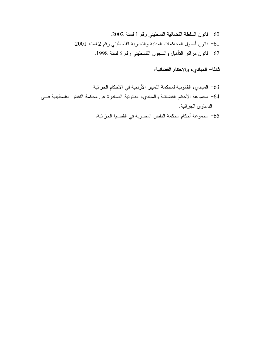60- قانون السلطة القضائية الفسطيني رقم 1 لسنة 2002. 61 فانون أصول المحاكمات المدنية والتجارية الفلسطيني رقم 2 لسنة 2001. 62– قانون مراكز النأهيل والسجون الفلسطيني رقم 6 لسنة 1998.

ثالثًا– المباديء والاحكام الفضائية:

الدعاوي الجزائية.

- لمباديء القانونية لمحكمة التمييز الأردنية في الاحكام الجزائية $\sim$ 64– مجموعة الأحكام القضائية والمباديء القانونية الصادرة عن محكمة النقض الفلسطينية فـــي
	- مجموعة أحكام محكمة النقض المصرية في القضايا الجزائية.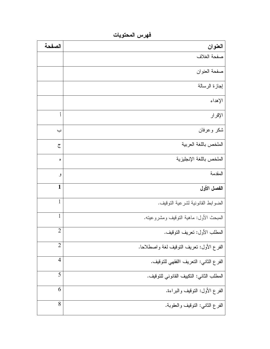| العنوان                                                    | الصفحة |
|------------------------------------------------------------|--------|
| صفحة الغلاف                                                |        |
| صفحة العنوان                                               |        |
| إجازة الرسالة                                              |        |
| الإهداء                                                    |        |
| أ<br>الإقرار                                               |        |
| شكر وعرفان                                                 | ب      |
| الملخص باللغة العربية                                      | ج      |
| الملخص باللغة الإنجليزية<br>٥                              |        |
| المقدمة<br>ٯ                                               |        |
| $\mathbf{1}$<br>الفصل الأول                                |        |
| 1<br>الضوابط القانونية لشرعية التوقيف.                     |        |
| $\mathbf{1}$<br>المبحث الأول: ماهية النوقيف ومشروعينه.     |        |
| $\overline{2}$<br>المطلب الأول: نعريف النوقيف.             |        |
| $\overline{2}$<br>الفرع الأول: نعريف النوقيف لغة واصطلاحا. |        |
| $\overline{4}$<br>الفر ع الثاني: النعريف االفقهي للنوقيف.  |        |
| 5<br>المطلب الثاني: النكييف القانوني للتوقيف.              |        |
| 6<br>الفرع الأول: النوقيف والبراءة.                        |        |
| 8<br>الفرع الثاني: النوقيف والعقوبة.                       |        |

فهرس المحتويات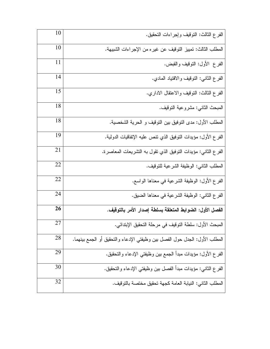| 10 | الفرع الثالث: النوقيف وإجراءات النحقيق.                                    |
|----|----------------------------------------------------------------------------|
| 10 | المطلب الثالث: تمييز التوقيف عن غيره من الإجراءات الشبيهة.                 |
| 11 | الفر ع الأول: النوقيف والقبض.                                              |
| 14 | الفرع الثاني: النوقيف والاقتياد المادي.                                    |
| 15 | الفرع الثالث: النوفيف والاعتقال الاداري.                                   |
| 18 | المبحث الثاني: مشروعية التوقيف.                                            |
| 18 | المطلب الأول: مدى النوفيق بين النوقيف و الحرية الشخصية.                    |
| 19 | الفر ع الأول: مؤيدات النوفيق الذي نتص عليه الإنفاقيات الدولية.             |
| 21 | الفر ع الثاني: مؤيدات النوفيق الذي نقول به النشريعات المعاصرة.             |
| 22 | المطلب الثاني: الوظيفة الشرعية للتوقيف.                                    |
| 22 | الفر ع الأول: الوظيفة الشرعية في معناها الواسع.                            |
| 24 | الفر ع الثاني: الوظيفة الشرعية في معناها الضيق.                            |
| 26 | الفصل الأول: الضوابط المتعلقة بسلطة إصدار الأمر بالتوقيف.                  |
| 27 | المبحث الأول: سلطة التوقيف في مرحلة التحقيق الإبتدائي.                     |
| 28 | المطلب الأول: الجدل حول الفصل بين وظيفتي الإدعاء والتحقيق أو الجمع بينهما. |
| 29 | الفر ع الأول: مؤيدات مبدأ الجمع بين وظيفتي الإدعاء والتحقيق.               |
| 30 | الفر ع الثاني: مؤيدات مبدأ الفصل بين وظيفتي الإدعاء والتحقيق.              |
| 32 | المطلب الثاني: النيابة العامة كجهة تحقيق مختصة بالتوقيف.                   |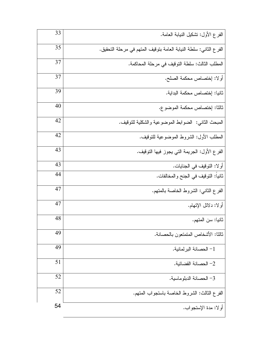| 33 | الفر ع الأول: نَشْكَيْلْ النيابة العامة.                           |
|----|--------------------------------------------------------------------|
| 35 | الفر ع الثاني: سلطة النيابة العامة بتوقيف المتهم في مرحلة التحقيق. |
| 37 | المطلب الثالث: سلطة النوقيف في مرحلة المحاكمة.                     |
| 37 | أولا: إختصاص محكمة الصلح.                                          |
| 39 | ثانيا: إختصاص محكمة البداية.                                       |
| 40 | ثالثا: إختصاص محكمة الموضوع.                                       |
| 42 | المبحث الثاني: الضوابط الموضوعية والشكلية للنوقيف.                 |
| 42 | المطلب الأول: الشروط الموضوعية للنوقيف.                            |
| 43 | الفر ع الأول: الجريمة التي يجوز فيها التوقيف.                      |
| 43 | أولا: النوقيف في الجنايات.                                         |
| 44 | ثانيا: التوقيف في الجنح والمخالفات.                                |
| 47 | الفرع الثاني: الشروط الخاصة بالمتهم.                               |
| 47 | أو لا: دلائل الإتهام.                                              |
| 48 | ثانيا: سن المتهم.                                                  |
| 49 | ثالثا: الأشخاص المتمتعون بالحصانة.                                 |
| 49 | 1– الحصانة البر لمانية.                                            |
| 51 | 2– الحصانة القضائية.                                               |
| 52 | 3– الحصانة الدبلو ماسية.                                           |
| 52 | الفرع الثالث: الشروط الخاصة باستجواب المتهم.                       |
| 54 | أولا: مدة الإستجواب.                                               |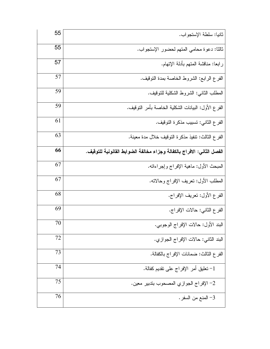| 55 | ثانيا: سلطة الإستجواب.                                                 |
|----|------------------------------------------------------------------------|
| 55 | ثالثًا: دعوة محامي المتهم لحضور الإستجواب.                             |
| 57 | رابعا: مناقشة المنهم بأدلة الإنهام.                                    |
| 57 | الفرع الرابع: الشروط الخاصة بمدة النوقيف.                              |
| 59 | المطلب الثاني: الشروط الشكلية للنوقيف.                                 |
| 59 | الفر ع الأول: البيانات الشكلية الخاصة بأمر التوقيف.                    |
| 61 | الفر ع الثاني: تسبيب مذكرة التوقيف.                                    |
| 63 | الفر ع الثالث: نتفيذ مذكرة التوقيف خلال مدة معينة.                     |
| 66 | الفصل الثاني: الافراج بالكفالة وجزاء مخالفة الضوابط القانونية للتوقيف. |
| 67 | المبحث الأول: ماهية الإفراج وإجراءاته.                                 |
| 67 | المطلب الأول: نعريف الإفراج وحالاته.                                   |
| 68 | الفر ع الأول: تعريف الإفراج.                                           |
| 69 | الفرع الثاني: حالات الإفراج.                                           |
| 70 | البند الأول: حالات الإفراج الوجوبي.                                    |
| 72 | البند الثاني: حالات الإفراج الجوازي.                                   |
| 73 | الفر ع الثالث: ضمانات الإفراج بالكفالة.                                |
| 74 | 1– تعليق أمر الإفراج على نقديم كفالة.                                  |
| 75 | 2– الإفراج الجوازي المصحوب بتدبير معين.                                |
| 76 | 3– المنع من السفر .                                                    |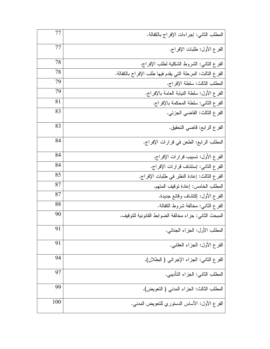| 77  | المطلب الثاني: إجراءات الإفراج بالكفالة.                    |
|-----|-------------------------------------------------------------|
| 77  | الفر ع الأول: طلبات الإفراج.                                |
| 78  | الفرع الثاني: الشروط الشكلية لطلب الإفراج.                  |
| 78  | الفر ع الثالث: المرحلة التي يقدم فيها طلب الإفراج بالكفالة. |
| 79  | المطلب الثالث: سلطة الإفراج.                                |
| 79  | الفر ع الأول: سلطة النيابة العامة بالإفراج.                 |
| 81  | الفرع الثاني: سلطة المحكمة بالإفراج.                        |
| 83  | الفر ع الثالث: القاضبي الجزئي.                              |
| 83  | الفر ع الر ابـع: فاضـي النـحقيق.                            |
| 84  | المطلب الرابع: الطعن في قرارات الإفراج.                     |
| 84  | الفر ع الأول: نسبيب قرارات الإفراج.                         |
| 84  | الفر ع الثاني: إستئناف قرارات الإفراج.                      |
| 85  | الفر ع الثالث: إعادة النظر في طلبات الإفراج.                |
| 87  | المطلب الخامس: إعادة نوفيف المنهم.                          |
| 87  | الفرع الأول: إكتشاف وقائع جديدة.                            |
| 88  | الفر ع الثاني: مخالفة شروط الكفالة.                         |
| 90  | المبحث الثاني: جزاء مخالفة الضوابط القانونية للتوقيف.       |
| 91  | المطلب الأول: الجزاء الجنائي.                               |
| 91  | الفر ع الأول: الـجزاء الـعقابـي.                            |
| 94  | الفر ع الثاني: الجزاء الإجرائي ( البطلان).                  |
| 97  | المطلب الثاني: الجزاء التأديبي.                             |
| 99  | المطلب الثالث: الجزاء المدنبي ( النعويض).                   |
| 100 | الفر ع الأول: الأساس الدستوري للتعويض المدنبي.              |